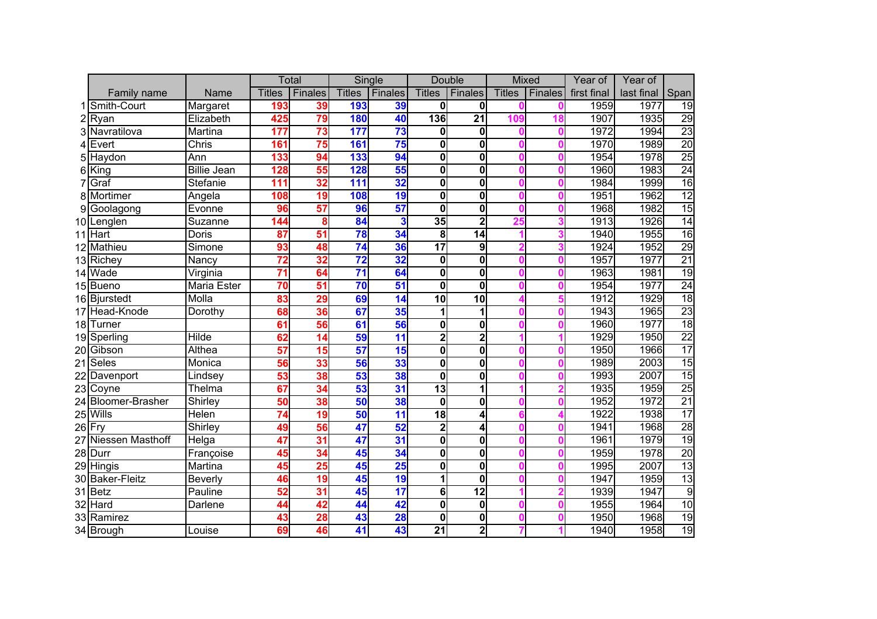|    |                     |                    | Total           |                 |               | Single                  | <b>Double</b>           |                         |               | <b>Mixed</b> | Year of     | Year of    |                 |
|----|---------------------|--------------------|-----------------|-----------------|---------------|-------------------------|-------------------------|-------------------------|---------------|--------------|-------------|------------|-----------------|
|    | Family name         | Name               | <b>Titles</b>   | <b>Finales</b>  | <b>Titles</b> | Finales                 | <b>Titles</b>           | Finales                 | <b>Titles</b> | Finales      | first final | last final | Span            |
|    | 1 Smith-Court       | Margaret           | 193             | 39              | 193           | 39                      | $\mathbf{0}$            | $\mathbf{0}$            |               |              | 1959        | 1977       | $\overline{19}$ |
|    | $2$ Ryan            | Elizabeth          | 425             | 79              | 180           | 40                      | 136                     | $\overline{21}$         | 109           | 18           | 1907        | 1935       | 29              |
|    | 3 Navratilova       | Martina            | 177             | 73              | 177           | 73                      | $\mathbf{0}$            | 0                       |               | 0            | 1972        | 1994       | 23              |
|    | $4$ Evert           | Chris              | 161             | 75              | 161           | 75                      | $\mathbf 0$             | $\overline{\mathbf{0}}$ |               | 0            | 1970        | 1989       | $\overline{20}$ |
|    | 5 Haydon            | Ann                | 133             | 94              | 133           | 94                      | $\mathbf 0$             | $\mathbf 0$             |               | 0            | 1954        | 1978       | 25              |
|    | $6$ King            | <b>Billie Jean</b> | 128             | 55              | 128           | 55                      | $\mathbf 0$             | $\mathbf 0$             |               |              | 1960        | 1983       | 24              |
|    | Graf                | Stefanie           | 111             | 32              | 111           | $\overline{32}$         | $\mathbf 0$             | $\mathbf 0$             |               | O            | 1984        | 1999       | 16              |
|    | 8 Mortimer          | Angela             | 108             | 19              | 108           | 19                      | $\mathbf 0$             | $\mathbf 0$             |               | 0            | 1951        | 1962       | 12              |
| 9  | Goolagong           | Evonne             | 96              | 57              | 96            | 57                      | $\mathbf{0}$            | $\mathbf 0$             |               | 0            | 1968        | 1982       | 15              |
|    | 10 Lenglen          | Suzanne            | 144             | 8               | 84            | $\overline{\mathbf{3}}$ | 35                      | $\overline{2}$          | 25            |              | 1913        | 1926       | 14              |
|    | 11 Hart             | Doris              | 87              | $\overline{51}$ | 78            | $\overline{34}$         | 8                       | 14                      |               |              | 1940        | 1955       | $\overline{16}$ |
|    | 12 Mathieu          | Simone             | 93              | 48              | 74            | 36                      | $\overline{17}$         | $\overline{9}$          |               |              | 1924        | 1952       | 29              |
|    | 13 Richey           | Nancy              | 72              | $\overline{32}$ | 72            | $\overline{32}$         | $\mathbf 0$             | $\mathbf 0$             |               |              | 1957        | 1977       | 21              |
|    | 14 Wade             | Virginia           | $\overline{71}$ | 64              | 71            | 64                      | $\mathbf 0$             | $\mathbf 0$             |               |              | 1963        | 1981       | $\overline{19}$ |
|    | 15 Bueno            | Maria Ester        | $\overline{70}$ | 51              | 70            | 51                      | $\mathbf 0$             | $\mathbf 0$             |               |              | 1954        | 1977       | 24              |
|    | 16 Bjurstedt        | Molla              | 83              | 29              | 69            | $\overline{14}$         | 10                      | 10                      |               |              | 1912        | 1929       | 18              |
|    | 17 Head-Knode       | Dorothy            | 68              | 36              | 67            | 35                      | 1                       | 1                       |               | O            | 1943        | 1965       | 23              |
|    | 18 Turner           |                    | 61              | 56              | 61            | 56                      | $\mathbf 0$             | 0                       |               |              | 1960        | 1977       | $\overline{18}$ |
|    | 19 Sperling         | <b>Hilde</b>       | 62              | $\overline{14}$ | 59            | 11                      | $\overline{\mathbf{2}}$ | 2                       |               |              | 1929        | 1950       | $\overline{22}$ |
|    | 20 Gibson           | <b>Althea</b>      | 57              | 15              | 57            | 15                      | $\mathbf 0$             | $\mathbf 0$             |               |              | 1950        | 1966       | 17              |
|    | 21 Seles            | Monica             | 56              | 33              | 56            | 33                      | $\overline{\mathbf{0}}$ | $\overline{\mathbf{0}}$ |               |              | 1989        | 2003       | $\overline{15}$ |
| 22 | Davenport           | Lindsey            | 53              | 38              | 53            | 38                      | $\overline{\mathbf{0}}$ | $\overline{\mathbf{0}}$ |               |              | 1993        | 2007       | $\overline{15}$ |
|    | 23 Coyne            | Thelma             | 67              | 34              | 53            | 31                      | 13                      | 1                       |               | 2            | 1935        | 1959       | $\overline{25}$ |
|    | 24 Bloomer-Brasher  | Shirley            | 50              | 38              | 50            | 38                      | $\mathbf{0}$            | $\mathbf 0$             |               | 0            | 1952        | 1972       | $\overline{21}$ |
|    | 25 Wills            | <b>Helen</b>       | $\overline{74}$ | 19              | 50            | $\overline{11}$         | 18                      | 4                       |               |              | 1922        | 1938       | $\overline{17}$ |
|    | $26$ Fry            | Shirley            | 49              | 56              | 47            | 52                      | $\overline{\mathbf{2}}$ | 4                       |               | n            | 1941        | 1968       | 28              |
|    | 27 Niessen Masthoff | Helga              | 47              | 31              | 47            | 31                      | $\overline{\mathbf{0}}$ | $\mathbf 0$             |               |              | 1961        | 1979       | $\overline{19}$ |
|    | 28 Durr             | Françoise          | 45              | 34              | 45            | 34                      | $\mathbf 0$             | $\mathbf 0$             |               |              | 1959        | 1978       | 20              |
|    | 29 Hingis           | Martina            | 45              | 25              | 45            | 25                      | $\mathbf 0$             | $\mathbf 0$             |               |              | 1995        | 2007       | $\overline{13}$ |
|    | 30 Baker-Fleitz     | Beverly            | 46              | 19              | 45            | 19                      | 1                       | $\mathbf 0$             |               |              | 1947        | 1959       | 13              |
|    | 31 Betz             | Pauline            | 52              | 31              | 45            | 17                      | 6                       | $\overline{12}$         |               |              | 1939        | 1947       | $\overline{9}$  |
|    | 32 Hard             | Darlene            | 44              | 42              | 44            | 42                      | $\overline{\mathbf{0}}$ | $\pmb{0}$               |               | O            | 1955        | 1964       | 10              |
|    | 33 Ramirez          |                    | 43              | 28              | 43            | 28                      | $\mathbf 0$             | 0                       |               | 0            | 1950        | 1968       | 19              |
|    | 34 Brough           | Louise             | 69              | 46              | 41            | 43                      | $\overline{21}$         | $\overline{\mathbf{c}}$ |               |              | 1940        | 1958       | 19              |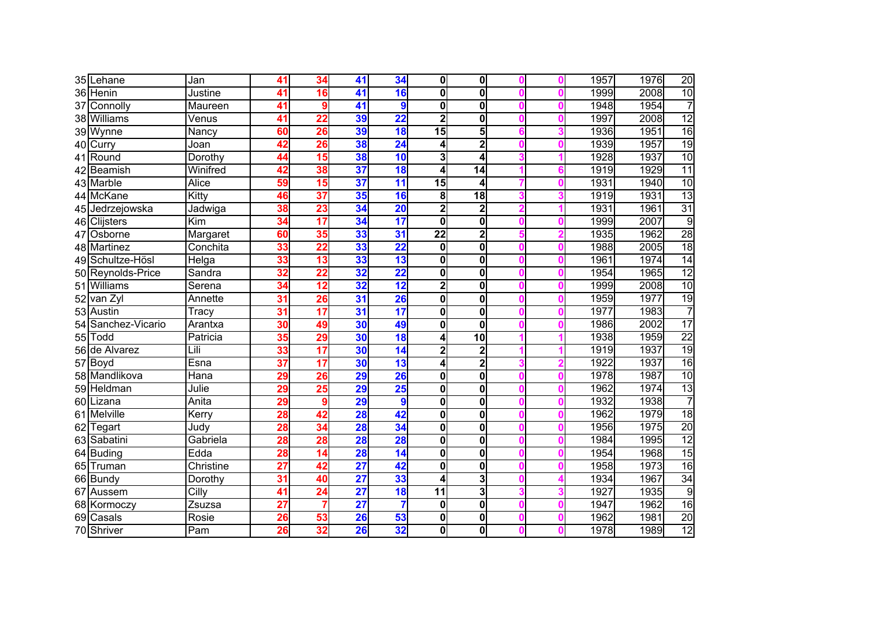|    | 35 Lehane         | Jan       | 41              | 34                                  | 41              | 34                       | $\mathbf{0}$            | $\mathbf{0}$            | 0              | 1957 | 1976 | $\overline{20}$ |
|----|-------------------|-----------|-----------------|-------------------------------------|-----------------|--------------------------|-------------------------|-------------------------|----------------|------|------|-----------------|
|    | 36 Henin          | Justine   | 41              | 16                                  | 41              | 16                       | $\mathbf 0$             | 0                       | Ω              | 1999 | 2008 | 10              |
| 37 | Connolly          | Maureen   | 41              |                                     | 41              | $\boldsymbol{9}$         | $\overline{\mathbf{0}}$ | $\mathbf 0$             | 0              | 1948 | 1954 | 7               |
|    | 38 Williams       | Venus     | 41              | 22                                  | 39              | $\overline{22}$          | $\overline{\mathbf{c}}$ | $\mathbf 0$             | 0              | 1997 | 2008 | 12              |
|    | 39 Wynne          | Nancy     | 60              | 26                                  | 39              | 18                       | $\overline{15}$         | 5                       | 3              | 1936 | 1951 | 16              |
|    | 40 Curry          | Joan      | 42              | 26                                  | 38              | 24                       | 4                       | 2                       | Ω              | 1939 | 1957 | 19              |
|    | 41 Round          | Dorothy   | 44              | 15                                  | 38              | 10                       | $\overline{\mathbf{3}}$ | 4                       |                | 1928 | 1937 | 10              |
|    | 42 Beamish        | Winifred  | 42              | 38                                  | $\overline{37}$ | 18                       | $\overline{\mathbf{4}}$ | 14                      | 6              | 1919 | 1929 | $\overline{11}$ |
|    | 43 Marble         | Alice     | 59              | $\overline{\overline{\mathbf{15}}}$ | $\overline{37}$ | $\overline{\mathbf{11}}$ | $\overline{15}$         | 4                       | 0              | 1931 | 1940 | 10              |
|    | 44 McKane         | Kitty     | 46              | $\overline{37}$                     | 35              | 16                       | 8                       | 18                      | 3              | 1919 | 1931 | $\overline{13}$ |
|    | 45 Jedrzejowska   | Jadwiga   | 38              | 23                                  | 34              | $\overline{20}$          | $\overline{\mathbf{c}}$ | 2                       |                | 1931 | 1961 | 31              |
|    | 46 Clijsters      | Kim       | 34              | 17                                  | 34              | 17                       | $\mathbf{0}$            | $\mathbf 0$             | Ω              | 1999 | 2007 | $\overline{9}$  |
|    | 47 Osborne        | Margaret  | 60              | 35                                  | 33              | 31                       | $\overline{22}$         | $\overline{\mathbf{2}}$ | $\overline{2}$ | 1935 | 1962 | $\overline{28}$ |
|    | 48 Martinez       | Conchita  | 33              | $\overline{22}$                     | 33              | $\overline{22}$          | $\mathbf{0}$            | $\mathbf 0$             | $\bf{0}$       | 1988 | 2005 | 18              |
|    | 49 Schultze-Hösl  | Helga     | 33              | $\overline{13}$                     | 33              | $\overline{\mathbf{13}}$ | $\mathbf 0$             | 0                       | 0              | 1961 | 1974 | 14              |
|    | 50 Reynolds-Price | Sandra    | 32              | $\overline{22}$                     | $\overline{32}$ | $\overline{22}$          | $\mathbf{0}$            | 0                       | 0              | 1954 | 1965 | $\overline{12}$ |
|    | 51 Williams       | Serena    | 34              | $\overline{12}$                     | $\overline{32}$ | 12                       | $\overline{\mathbf{c}}$ | $\mathbf 0$             | 0              | 1999 | 2008 | 10              |
|    | 52 van Zyl        | Annette   | $\overline{31}$ | 26                                  | $\overline{31}$ | 26                       | $\overline{\mathbf{0}}$ | $\mathbf 0$             | 0              | 1959 | 1977 | $\overline{19}$ |
|    | 53 Austin         | Tracy     | $\overline{31}$ | $\overline{\mathbf{17}}$            | $\overline{31}$ | $\overline{\mathbf{17}}$ | $\mathbf{0}$            | $\mathbf 0$             | 0              | 1977 | 1983 |                 |
| 54 | Sanchez-Vicario   | Arantxa   | 30              | 49                                  | 30              | 49                       | $\mathbf{0}$            | $\mathbf 0$             | Ω              | 1986 | 2002 | 17              |
| 55 | Todd              | Patricia  | 35              | 29                                  | 30              | 18                       | 4                       | $\overline{10}$         |                | 1938 | 1959 | $\overline{22}$ |
| 56 | de Alvarez        | Lili      | 33              | $\overline{\mathbf{17}}$            | 30              | 14                       | $\overline{\mathbf{2}}$ | $\overline{\mathbf{c}}$ |                | 1919 | 1937 | 19              |
|    | 57 Boyd           | Esna      | $\overline{37}$ | $\overline{\mathbf{17}}$            | 30              | 13                       | 4                       | $\overline{2}$          |                | 1922 | 1937 | 16              |
|    | 58 Mandlikova     | Hana      | 29              | 26                                  | 29              | 26                       | $\mathbf{0}$            | 0                       | 0              | 1978 | 1987 | 10              |
|    | 59 Heldman        | Julie     | 29              | 25                                  | 29              | 25                       | $\overline{\mathbf{0}}$ | $\overline{\mathbf{0}}$ | Ω              | 1962 | 1974 | $\overline{13}$ |
|    | 60 Lizana         | Anita     | 29              | g                                   | 29              | 9                        | $\overline{\mathbf{0}}$ | $\overline{\mathbf{0}}$ | 0              | 1932 | 1938 | 7               |
|    | 61 Melville       | Kerry     | 28              | 42                                  | 28              | 42                       | $\overline{\mathbf{0}}$ | 0                       | 0              | 1962 | 1979 | $\overline{18}$ |
|    | 62 Tegart         | Judy      | 28              | 34                                  | 28              | 34                       | $\overline{\mathbf{0}}$ | 0                       | 0              | 1956 | 1975 | 20              |
|    | 63 Sabatini       | Gabriela  | 28              | 28                                  | 28              | 28                       | $\overline{\mathbf{0}}$ | $\mathbf 0$             | 0              | 1984 | 1995 | 12              |
|    | 64 Buding         | Edda      | 28              | $\overline{14}$                     | 28              | $\overline{14}$          | $\mathbf 0$             | 0                       | Ω              | 1954 | 1968 | 15              |
|    | 65 Truman         | Christine | $\overline{27}$ | 42                                  | 27              | 42                       | $\mathbf{0}$            | 0                       | 0              | 1958 | 1973 | 16              |
|    | 66 Bundy          | Dorothy   | $\overline{31}$ | 40                                  | $\overline{27}$ | 33                       | $\overline{\mathbf{r}}$ | 3                       | ◢              | 1934 | 1967 | 34              |
|    | 67 Aussem         | Cilly     | 41              | $\overline{24}$                     | $\overline{27}$ | 18                       | $\overline{11}$         | 3                       | 3              | 1927 | 1935 | $\overline{9}$  |
|    | 68 Kormoczy       | Zsuzsa    | $\overline{27}$ |                                     | $\overline{27}$ |                          | $\mathbf 0$             | $\overline{\mathbf{0}}$ | 0              | 1947 | 1962 | 16              |
|    | 69 Casals         | Rosie     | 26              | 53                                  | 26              | 53                       | $\mathbf 0$             | $\mathbf 0$             | 0              | 1962 | 1981 | 20              |
|    | 70 Shriver        | Pam       | 26              | 32                                  | 26              | 32                       | $\mathbf{0}$            | 0                       | Λ              | 1978 | 1989 | $\overline{12}$ |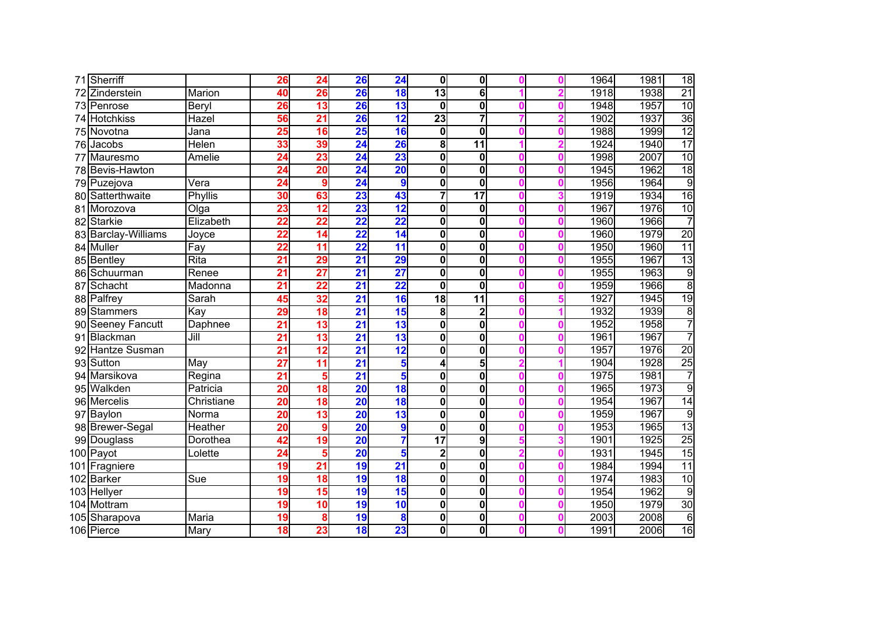|     | 71 Sherriff           |              | 26              | $\overline{24}$ | 26              | $\overline{24}$          | $\mathbf{0}$            | $\mathbf 0$     |   | 1964 | 1981 | 18              |
|-----|-----------------------|--------------|-----------------|-----------------|-----------------|--------------------------|-------------------------|-----------------|---|------|------|-----------------|
|     | Zinderstein           | Marion       | 40              | 26              | 26              | 18                       | $\overline{13}$         | 6               |   | 1918 | 1938 | $\overline{21}$ |
| 73  | Penrose               | Beryl        | 26              | 13              | 26              | 13                       | $\mathbf 0$             | $\mathbf{0}$    |   | 1948 | 1957 | 10              |
| 74  | <b>Hotchkiss</b>      | Hazel        | 56              | 21              | 26              | 12                       | 23                      | 7               |   | 1902 | 1937 | 36              |
|     | 75 Novotna            | Jana         | 25              | 16              | 25              | 16                       | $\overline{\mathbf{0}}$ | $\mathbf 0$     |   | 1988 | 1999 | 12              |
| 76  | Jacobs                | <b>Helen</b> | 33              | 39              | $\overline{24}$ | 26                       | 8                       | $\overline{11}$ |   | 1924 | 1940 | $\overline{17}$ |
|     | Mauresmo              | Amelie       | $\overline{24}$ | 23              | $\overline{24}$ | 23                       | $\mathbf 0$             | $\bf{0}$        |   | 1998 | 2007 | 10              |
|     | 78 Bevis-Hawton       |              | 24              | 20              | $\overline{24}$ | $\overline{20}$          | $\mathbf 0$             | $\mathbf{0}$    |   | 1945 | 1962 | 18              |
|     | 79 Puzejova           | Vera         | 24              | 9               | $\overline{24}$ | 9                        | $\mathbf 0$             | $\mathbf{0}$    |   | 1956 | 1964 | $\overline{9}$  |
|     | 80 Satterthwaite      | Phyllis      | 30              | 63              | 23              | 43                       | $\overline{7}$          | $\overline{17}$ |   | 1919 | 1934 | 16              |
| 81  | Morozova              | Olga         | 23              | 12              | 23              | 12                       | $\mathbf 0$             | $\bf{0}$        |   | 1967 | 1976 | 10              |
| 82  | <b>Starkie</b>        | Elizabeth    | $\overline{22}$ | 22              | $\overline{22}$ | $\overline{22}$          | $\mathbf 0$             | $\bf{0}$        |   | 1960 | 1966 | 7               |
|     | 83 Barclay-Williams   | Joyce        | $\overline{22}$ | 14              | $\overline{22}$ | $\overline{14}$          | $\mathbf 0$             | $\mathbf{0}$    | Λ | 1960 | 1979 | 20              |
|     | 84 Muller             | Fay          | $\overline{22}$ | 11              | $\overline{22}$ | $\overline{\mathbf{11}}$ | $\mathbf 0$             | $\bf{0}$        |   | 1950 | 1960 | $\overline{11}$ |
|     | 85 Bentley            | <b>Rita</b>  | $\overline{21}$ | 29              | $\overline{21}$ | 29                       | $\mathbf 0$             | $\bf{0}$        |   | 1955 | 1967 | 13              |
| 86  | Schuurman             | Renee        | $\overline{21}$ | $\overline{27}$ | $\overline{21}$ | 27                       | $\mathbf 0$             | $\bf{0}$        |   | 1955 | 1963 | $\overline{9}$  |
| 87  | Schacht               | Madonna      | $\overline{21}$ | $\overline{22}$ | $\overline{21}$ | $\overline{22}$          | $\mathbf 0$             | $\mathbf{0}$    |   | 1959 | 1966 | $\overline{8}$  |
| 88  | Palfrey               | Sarah        | 45              | 32              | $\overline{21}$ | 16                       | $\overline{18}$         | $\overline{11}$ |   | 1927 | 1945 | $\overline{19}$ |
| 89  | Stammers              | Kay          | 29              | 18              | $\overline{21}$ | 15                       | 8                       | $\overline{2}$  |   | 1932 | 1939 | $\overline{8}$  |
| 90  | <b>Seeney Fancutt</b> | Daphnee      | 21              | 13              | $\overline{21}$ | 13                       | $\overline{\mathbf{0}}$ | $\bf{0}$        |   | 1952 | 1958 | 7               |
| 91  | Blackman              | Jill         | 21              | 13              | $\overline{21}$ | 13                       | $\mathbf 0$             | $\bf{0}$        |   | 1961 | 1967 | 7               |
| 92  | <b>Hantze Susman</b>  |              | $\overline{21}$ | 12              | $\overline{21}$ | 12                       | $\mathbf 0$             | $\bf{0}$        |   | 1957 | 1976 | 20              |
|     | 93 Sutton             | May          | $\overline{27}$ | $\overline{11}$ | $\overline{21}$ | 5                        | 4                       | 5               |   | 1904 | 1928 | 25              |
|     | 94 Marsikova          | Regina       | $\overline{21}$ | 5               | $\overline{21}$ | 5                        | $\mathbf 0$             | $\bf{0}$        |   | 1975 | 1981 | 7               |
|     | 95 Walkden            | Patricia     | 20              | 18              | $\overline{20}$ | 18                       | $\mathbf 0$             | $\bf{0}$        |   | 1965 | 1973 | 9               |
|     | 96 Mercelis           | Christiane   | $\overline{20}$ | 18              | $\overline{20}$ | 18                       | $\mathbf 0$             | $\mathbf{0}$    |   | 1954 | 1967 | 14              |
| 97  | Baylon                | Norma        | 20              | $\overline{13}$ | $\overline{20}$ | 13                       | $\mathbf 0$             | $\mathbf{0}$    |   | 1959 | 1967 | $\overline{9}$  |
|     | 98 Brewer-Segal       | Heather      | 20              | 9               | $\overline{20}$ | 9                        | 0                       | 0               |   | 1953 | 1965 | 13              |
|     | 99 Douglass           | Dorothea     | 42              | 19              | $\overline{20}$ | 7                        | $\overline{17}$         | 9               |   | 1901 | 1925 | 25              |
|     | 100 Payot             | Lolette      | $\overline{24}$ | 5               | $\overline{20}$ | 5                        | $\mathbf 2$             | 0               |   | 1931 | 1945 | 15              |
|     | 101 Fragniere         |              | 19              | $\overline{21}$ | 19              | $\overline{21}$          | $\mathbf 0$             | 0               |   | 1984 | 1994 | 11              |
|     | 102 Barker            | Sue          | 19              | 18              | 19              | $\overline{\textbf{3}}$  | 0                       | 0               |   | 1974 | 1983 | 10              |
|     | 103 Hellyer           |              | 19              | 15              | 19              | 15                       | 0                       | 0               |   | 1954 | 1962 | $\overline{9}$  |
|     | 104 Mottram           |              | 19              | 10              | 19              | 10                       | $\mathbf 0$             | 0               |   | 1950 | 1979 | 30              |
| 105 | Sharapova             | Maria        | 19              | 8               | 19              | 8                        | $\mathbf 0$             | 0               |   | 2003 | 2008 | $\overline{6}$  |
|     | 106 Pierce            | Mary         | $\overline{18}$ | 23              | 18              | 23                       | $\mathbf{0}$            | $\mathbf 0$     |   | 1991 | 2006 | 16              |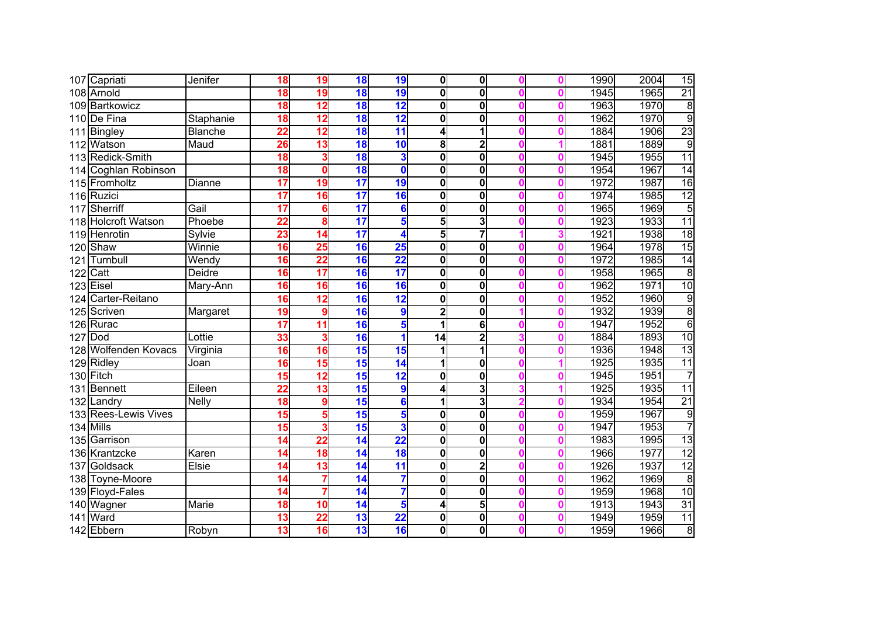|     | 107 Capriati         | Jenifer        | 18              | 19              | $\overline{18}$          | 19                       | 0                       | $\mathbf{0}$            |   | 1990 | 2004 | 15              |
|-----|----------------------|----------------|-----------------|-----------------|--------------------------|--------------------------|-------------------------|-------------------------|---|------|------|-----------------|
|     | 108 Arnold           |                | 18              | 19              | 18                       | 19                       | $\overline{\mathbf{0}}$ | $\mathbf 0$             | ſ | 1945 | 1965 | $\overline{21}$ |
|     | 109 Bartkowicz       |                | $\overline{18}$ | 12              | 18                       | 12                       | $\mathbf 0$             | $\overline{\mathbf{0}}$ | O | 1963 | 1970 | $\overline{8}$  |
| 110 | De Fina              | Staphanie      | 18              | $\overline{12}$ | 18                       | 12                       | $\overline{\mathbf{0}}$ | $\mathbf{0}$            |   | 1962 | 1970 | $\overline{9}$  |
| 111 | Bingley              | <b>Blanche</b> | $\overline{22}$ | $\overline{12}$ | 18                       | 11                       | 4                       | 1                       |   | 1884 | 1906 | 23              |
|     | 112 Watson           | Maud           | 26              | 13              | 18                       | 10                       | 8                       | $\overline{2}$          |   | 1881 | 1889 | $\overline{9}$  |
|     | 113 Redick-Smith     |                | 18              | 3               | 18                       | 3                        | $\mathbf 0$             | $\mathbf 0$             | O | 1945 | 1955 | 11              |
|     | 114 Coghlan Robinson |                | 18              | $\mathbf 0$     | 18                       | $\mathbf{0}$             | $\mathbf 0$             | $\mathbf 0$             | ſ | 1954 | 1967 | 14              |
|     | 115 Fromholtz        | <b>Dianne</b>  | 17              | 19              | $\overline{\mathbf{17}}$ | 19                       | $\mathbf 0$             | $\mathbf 0$             | O | 1972 | 1987 | $\overline{16}$ |
|     | 116 Ruzici           |                | 17              | 16              | $\overline{\mathbf{17}}$ | 16                       | $\mathbf 0$             | $\mathbf 0$             | O | 1974 | 1985 | 12              |
|     | 117 Sherriff         | Gail           | $\overline{17}$ | $6\phantom{1}6$ | $\overline{\mathbf{17}}$ | 6                        | 0                       | $\mathbf 0$             | O | 1965 | 1969 | $\overline{5}$  |
|     | 118 Holcroft Watson  | Phoebe         | $\overline{22}$ | 8               | $\overline{\mathbf{17}}$ | 5                        | 5                       | 3                       | O | 1923 | 1933 | $\overline{11}$ |
|     | 119 Henrotin         | Sylvie         | 23              | 14              | $\overline{\mathbf{17}}$ |                          | 5                       | $\overline{7}$          |   | 1921 | 1938 | 18              |
|     | 120 Shaw             | Winnie         | 16              | $\overline{25}$ | $\overline{16}$          | 25                       | $\mathbf 0$             | $\mathbf 0$             | O | 1964 | 1978 | 15              |
| 121 | Turnbull             | Wendy          | 16              | $\overline{22}$ | 16                       | $\overline{22}$          | $\mathbf 0$             | $\mathbf 0$             | n | 1972 | 1985 | 14              |
|     | $122$ Catt           | Deidre         | 16              | $\overline{17}$ | 16                       | $\overline{\mathbf{17}}$ | $\mathbf 0$             | $\mathbf 0$             |   | 1958 | 1965 | $\overline{8}$  |
|     | $123$ Eisel          | Mary-Ann       | 16              | 16              | 16                       | 16                       | $\mathbf 0$             | $\mathbf 0$             |   | 1962 | 1971 | 10              |
| 124 | Carter-Reitano       |                | 16              | $\overline{12}$ | 16                       | 12                       | $\mathbf 0$             | $\bf{0}$                |   | 1952 | 1960 | $\overline{9}$  |
|     | 125 Scriven          | Margaret       | $\overline{19}$ | 9               | 16                       | 9                        | $\overline{\mathbf{c}}$ | $\mathbf 0$             | O | 1932 | 1939 | $\overline{8}$  |
|     | 126 Rurac            |                | 17              | $\overline{11}$ | 16                       | 5                        | 1                       | 6                       |   | 1947 | 1952 | $\overline{6}$  |
| 127 | Dod                  | Lottie         | 33              | 3               | 16                       |                          | $\overline{14}$         | $\overline{2}$          |   | 1884 | 1893 | 10              |
|     | 128 Wolfenden Kovacs | Virginia       | 16              | 16              | 15                       | 15                       | $\overline{\mathbf{1}}$ | 1                       |   | 1936 | 1948 | $\overline{13}$ |
|     | 129 Ridley           | Joan           | 16              | 15              | 15                       | 14                       | 1                       | $\mathbf 0$             |   | 1925 | 1935 | 11              |
|     | 130 Fitch            |                | 15              | $\overline{12}$ | 15                       | 12                       | $\overline{\mathbf{0}}$ | $\overline{\mathbf{0}}$ |   | 1945 | 1951 | 7               |
|     | 131 Bennett          | Eileen         | $\overline{22}$ | 13              | $\overline{15}$          | 9                        | 4                       | 3                       |   | 1925 | 1935 | 11              |
|     | 132 Landry           | <b>Nelly</b>   | $\overline{18}$ | 9               | 15                       | 6                        | $\overline{1}$          | 3                       | O | 1934 | 1954 | $\overline{21}$ |
|     | 133 Rees-Lewis Vives |                | 15              | 5               | 15                       | 5                        | $\mathbf 0$             | $\bf{0}$                | O | 1959 | 1967 | $\overline{9}$  |
|     | 134 Mills            |                | 15              | 3               | 15                       | 3                        | 0                       | $\bf{0}$                |   | 1947 | 1953 | 7               |
|     | 135 Garrison         |                | $\overline{14}$ | $\overline{22}$ | 14                       | 22                       | $\mathbf 0$             | $\overline{\mathbf{0}}$ | O | 1983 | 1995 | 13              |
|     | 136 Krantzcke        | Karen          | 14              | $\overline{18}$ | 14                       | 18                       | $\mathbf 0$             | $\bf{0}$                | O | 1966 | 1977 | $\overline{12}$ |
|     | 137 Goldsack         | Elsie          | $\overline{14}$ | 13              | 14                       | $\overline{\mathbf{11}}$ | $\mathbf 0$             | $\overline{2}$          |   | 1926 | 1937 | 12              |
|     | 138 Toyne-Moore      |                | 14              | 7               | 14                       |                          | $\mathbf 0$             | $\mathbf 0$             |   | 1962 | 1969 | $\overline{8}$  |
|     | 139 Floyd-Fales      |                | $\overline{14}$ | 7               | 14                       |                          | $\mathbf 0$             | $\mathbf 0$             | O | 1959 | 1968 | 10              |
|     | 140 Wagner           | Marie          | 18              | $\overline{10}$ | $\overline{14}$          | 5                        | 4                       | 5                       | O | 1913 | 1943 | $\overline{31}$ |
|     | 141 Ward             |                | 13              | 22              | 13                       | $\overline{22}$          | $\mathbf 0$             | $\mathbf 0$             | O | 1949 | 1959 | 11              |
|     | 142 Ebbern           | Robyn          | 13              | 16              | $\overline{13}$          | 16                       | 0                       | $\mathbf 0$             | O | 1959 | 1966 | $\bf8$          |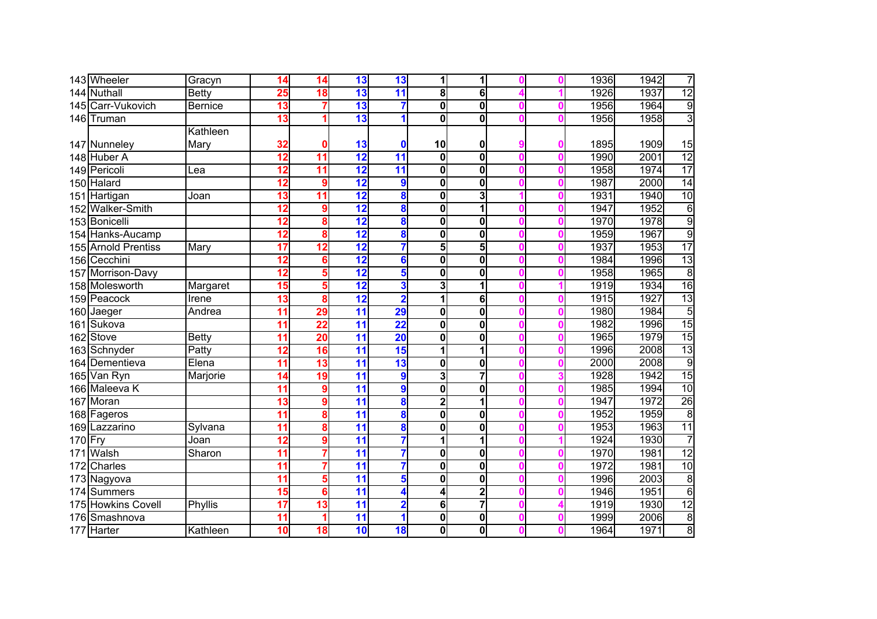|           | 143 Wheeler         | Gracyn         | 14              | 14               | 13                       | 13              | 1                       | 1                       |   | 1936 | 1942 | 7               |
|-----------|---------------------|----------------|-----------------|------------------|--------------------------|-----------------|-------------------------|-------------------------|---|------|------|-----------------|
|           | 144 Nuthall         | <b>Betty</b>   | 25              | $\overline{18}$  | 13                       | $\overline{11}$ | 8                       | 6                       |   | 1926 | 1937 | 12              |
|           | 145 Carr-Vukovich   | <b>Bernice</b> | 13              | 7                | 13                       |                 | $\overline{\mathbf{0}}$ | $\overline{\mathbf{0}}$ | O | 1956 | 1964 | g               |
|           | 146 Truman          |                | $\overline{13}$ |                  | 13                       |                 | $\overline{\mathbf{0}}$ | $\overline{\mathbf{0}}$ |   | 1956 | 1958 | $\overline{3}$  |
|           |                     | Kathleen       |                 |                  |                          |                 |                         |                         |   |      |      |                 |
|           | 147 Nunneley        | Mary           | 32              | 0                | 13                       |                 | 10                      | 0                       | n | 1895 | 1909 | 15              |
|           | 148 Huber A         |                | 12              | $\overline{11}$  | 12                       | 11              | $\mathbf 0$             | $\overline{\mathbf{0}}$ | O | 1990 | 2001 | 12              |
|           | 149 Pericoli        | Lea            | 12              | $\overline{11}$  | $\overline{12}$          | 11              | $\mathbf 0$             | $\mathbf 0$             | O | 1958 | 1974 | $\overline{17}$ |
|           | 150 Halard          |                | 12              | 9                | $\overline{12}$          | 9               | $\mathbf 0$             | $\bf{0}$                | ſ | 1987 | 2000 | 14              |
|           | 151 Hartigan        | Joan           | 13              | 11               | $\overline{12}$          | 8               | $\mathbf 0$             | 3                       | O | 1931 | 1940 | $\overline{10}$ |
|           | 152 Walker-Smith    |                | 12              | $\boldsymbol{9}$ | $\overline{12}$          | 8               | $\mathbf 0$             | 1                       | O | 1947 | 1952 | 6               |
|           | 153 Bonicelli       |                | 12              | 8                | $\overline{12}$          | 8               | $\mathbf 0$             | $\mathbf 0$             | O | 1970 | 1978 | $\overline{9}$  |
|           | 154 Hanks-Aucamp    |                | $\overline{12}$ | 8                | 12                       | 8               | 0                       | $\mathbf 0$             | O | 1959 | 1967 | 9               |
|           | 155 Arnold Prentiss | Mary           | $\overline{17}$ | $\overline{12}$  | 12                       |                 | 5                       | 5                       | O | 1937 | 1953 | $\overline{17}$ |
|           | 156 Cecchini        |                | $\overline{12}$ | 6                | 12                       | 6               | $\mathbf 0$             | $\mathbf 0$             | ſ | 1984 | 1996 | $\overline{13}$ |
|           | 157 Morrison-Davy   |                | $\overline{12}$ | 5                | $\overline{12}$          | 5               | $\mathbf 0$             | $\mathbf 0$             |   | 1958 | 1965 | $\overline{8}$  |
|           | 158 Molesworth      | Margaret       | 15              | 5                | 12                       | 3               | 3                       | 1                       |   | 1919 | 1934 | 16              |
|           | 159 Peacock         | Irene          | 13              | 8                | 12                       | $\overline{2}$  | 1                       | 6                       |   | 1915 | 1927 | $\overline{13}$ |
|           | 160 Jaeger          | Andrea         | $\overline{11}$ | 29               | $\overline{\mathbf{11}}$ | 29              | $\mathbf 0$             | $\mathbf 0$             |   | 1980 | 1984 | $\overline{5}$  |
| 161       | Sukova              |                | $\overline{11}$ | $\overline{22}$  | $\overline{11}$          | 22              | $\overline{\mathbf{0}}$ | $\overline{\mathbf{0}}$ |   | 1982 | 1996 | 15              |
|           | 162 Stove           | <b>Betty</b>   | $\overline{11}$ | $\overline{20}$  | $\overline{\mathbf{11}}$ | 20              | 0                       | $\mathbf 0$             |   | 1965 | 1979 | $\overline{15}$ |
|           | 163 Schnyder        | Patty          | $\overline{12}$ | 16               | $\overline{\mathbf{11}}$ | 15              | $\overline{\mathbf{1}}$ | 1                       |   | 1996 | 2008 | 13              |
|           | 164 Dementieva      | Elena          | $\overline{11}$ | $\overline{13}$  | $\overline{\mathbf{11}}$ | 13              | $\bf{0}$                | 0                       | O | 2000 | 2008 | $\overline{9}$  |
|           | 165 Van Ryn         | Marjorie       | 14              | 19               | $\overline{\mathbf{11}}$ | 9               | 3                       | 7                       |   | 1928 | 1942 | 15              |
|           | 166 Maleeva K       |                | 11              | 9                | $\overline{11}$          | 9               | $\mathbf 0$             | $\mathbf 0$             | ſ | 1985 | 1994 | 10              |
|           | 167 Moran           |                | $\overline{13}$ | 9                | $\overline{11}$          | 8               | $\overline{\mathbf{2}}$ | 1                       | O | 1947 | 1972 | 26              |
|           | 168 Fageros         |                | 11              | 8                | $\overline{\mathbf{11}}$ | 8               | $\overline{\mathbf{0}}$ | $\overline{\mathbf{0}}$ | O | 1952 | 1959 | $\overline{8}$  |
|           | 169 Lazzarino       | Sylvana        | $\overline{11}$ | 8                | $\overline{11}$          | 8               | 0                       | $\bf{0}$                |   | 1953 | 1963 | 11              |
| $170$ Fry |                     | Joan           | $\overline{12}$ | 9                | $\overline{11}$          |                 | 1                       | 1                       |   | 1924 | 1930 | $\overline{7}$  |
|           | 171 Walsh           | Sharon         | $\overline{11}$ | 7                | $\overline{11}$          |                 | $\bf{0}$                | $\mathbf 0$             | O | 1970 | 1981 | $\overline{12}$ |
|           | 172 Charles         |                | $\overline{11}$ | 7                | $\overline{11}$          |                 | $\mathbf 0$             | $\mathbf 0$             |   | 1972 | 1981 | 10              |
|           | 173 Nagyova         |                | $\overline{11}$ | 5                | $\overline{11}$          | 5               | $\mathbf 0$             | $\mathbf 0$             |   | 1996 | 2003 | $\overline{8}$  |
|           | 174 Summers         |                | 15              | 6                | $\overline{\mathbf{11}}$ |                 | 4                       | $\overline{2}$          |   | 1946 | 1951 | $6\overline{6}$ |
|           | 175 Howkins Covell  | Phyllis        | 17              | $\overline{13}$  | $\overline{\mathbf{11}}$ | 2               | 6                       | 7                       |   | 1919 | 1930 | $\overline{12}$ |
| 176       | Smashnova           |                | 11              | 1                | $\overline{\mathbf{11}}$ |                 | $\mathbf 0$             | $\mathbf 0$             | O | 1999 | 2006 | $\overline{8}$  |
|           | 177 Harter          | Kathleen       | 10              | 18               | 10                       | 18              | 0                       | $\mathbf 0$             |   | 1964 | 1971 | $\overline{8}$  |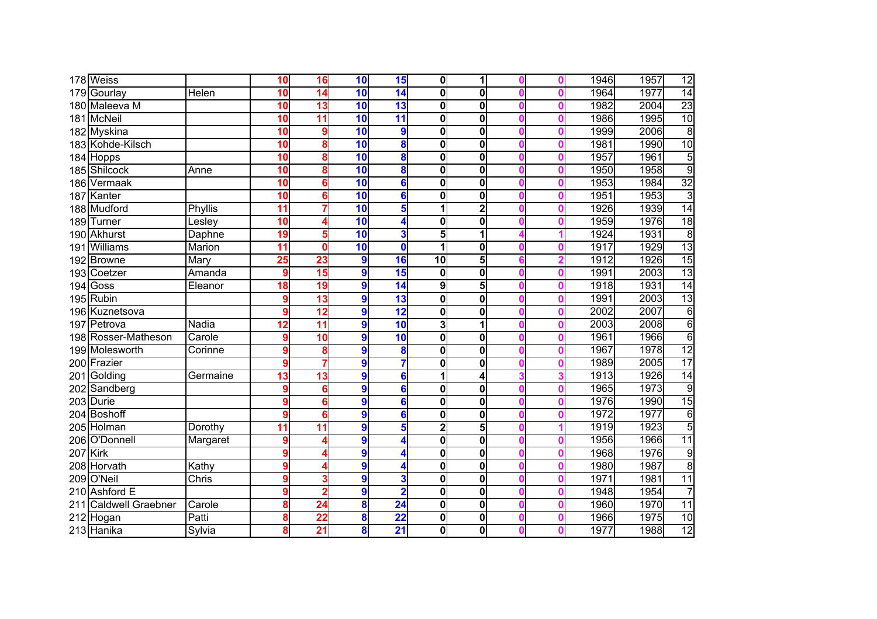|     | 178 Weiss                |          | 10              | 16              | 10               | 15              | $\mathbf{0}$            |                         |   | 1946 | 1957 | 12              |
|-----|--------------------------|----------|-----------------|-----------------|------------------|-----------------|-------------------------|-------------------------|---|------|------|-----------------|
| 179 | Gourlay                  | Helen    | $\overline{10}$ | 14              | 10               | 14              | $\overline{\mathbf{0}}$ | $\mathbf{0}$            | ſ | 1964 | 1977 | $\overline{14}$ |
| 180 | Maleeva M                |          | 10              | 13              | 10               | 13              | 0                       | $\overline{\mathbf{0}}$ | O | 1982 | 2004 | $\overline{23}$ |
|     | 181 McNeil               |          | 10              | $\overline{11}$ | $\overline{10}$  | $\overline{11}$ | 0                       | $\mathbf 0$             |   | 1986 | 1995 | 10              |
|     | 182 Myskina              |          | 10              | 9               | $\overline{10}$  | 9               | 0                       | $\overline{\mathbf{0}}$ | O | 1999 | 2006 | $\overline{8}$  |
|     | 183 Kohde-Kilsch         |          | $\overline{10}$ | 8               | $\overline{10}$  | 8               | 0                       | $\mathbf 0$             | O | 1981 | 1990 | 10              |
|     | 184 Hopps                |          | 10              | 8               | 10               | 8               | $\mathbf{0}$            | $\mathbf 0$             | O | 1957 | 1961 | 5               |
|     | 185 Shilcock             | Anne     | 10              | 8               | 10               | 8               | 0                       | $\mathbf 0$             | O | 1950 | 1958 | 9               |
|     | 186 Vermaak              |          | 10              | 6               | 10               | 6               | 0                       | $\mathbf 0$             | n | 1953 | 1984 | $\overline{32}$ |
|     | 187 Kanter               |          | 10              | $6\phantom{a}$  | 10               | 6               | 0                       | $\bf{0}$                | O | 1951 | 1953 | 3               |
|     | 188 Mudford              | Phyllis  | 11              | 7               | 10               | 5               | 1                       | $\overline{\mathbf{2}}$ | O | 1926 | 1939 | 14              |
|     | 189 Turner               | Lesley   | 10              | 4               | 10               |                 | 0                       | $\mathbf 0$             | O | 1959 | 1976 | 18              |
|     | 190 Akhurst              | Daphne   | 19              | 5               | 10               | 3               | 5 <sub>l</sub>          | 1                       |   | 1924 | 1931 | $\overline{8}$  |
|     | 191 Williams             | Marion   | $\overline{11}$ | $\mathbf 0$     | 10               | $\bf{0}$        | 1                       | $\mathbf 0$             | O | 1917 | 1929 | $\overline{13}$ |
|     | 192 Browne               | Mary     | 25              | 23              | $\boldsymbol{9}$ | 16              | $\overline{10}$         | 5 <sub>l</sub>          |   | 1912 | 1926 | 15              |
|     | 193 Coetzer              | Amanda   | 9               | 15              | 9                | 15              | 0                       | $\mathbf 0$             | O | 1991 | 2003 | 13              |
|     | $194$ Goss               | Eleanor  | 18              | 19              | 9                | 14              | 9                       | 5                       |   | 1918 | 1931 | 14              |
|     | 195 Rubin                |          | 9               | 13              | 9                | 13              | $\mathbf{0}$            | $\mathbf 0$             |   | 1991 | 2003 | 13              |
|     | 196 Kuznetsova           |          |                 | 12              | 9                | 12              | $\mathbf 0$             | $\mathbf 0$             | O | 2002 | 2007 | $\overline{6}$  |
| 197 | Petrova                  | Nadia    | 12              | $\overline{11}$ | 9                | 10              | 3                       | 1                       | O | 2003 | 2008 | $\overline{6}$  |
|     | 198 Rosser-Matheson      | Carole   |                 | $\overline{10}$ | 9                | 10              | $\overline{\mathbf{0}}$ | $\overline{\mathbf{0}}$ |   | 1961 | 1966 | $\overline{6}$  |
|     | 199 Molesworth           | Corinne  |                 | 8               | 9                | 8               | $\overline{\mathbf{0}}$ | $\overline{\mathbf{0}}$ | O | 1967 | 1978 | $\overline{12}$ |
|     | 200 Frazier              |          | 9               | 7               | 9                |                 | $\overline{\mathbf{0}}$ | $\mathbf 0$             | n | 1989 | 2005 | $\overline{17}$ |
|     | 201 Golding              | Germaine | 13              | $\overline{13}$ | 9                | 6               | 1                       | 4                       |   | 1913 | 1926 | 14              |
|     | 202 Sandberg             |          |                 | $6\phantom{1}6$ | $\boldsymbol{9}$ | 6               | 0                       | $\overline{\mathbf{0}}$ | O | 1965 | 1973 | $\overline{9}$  |
|     | 203 Durie                |          |                 | 6               | 9                | 6               | 0                       | $\bf{0}$                | O | 1976 | 1990 | $\overline{15}$ |
|     | 204 Boshoff              |          | 9               | 6               | $\boldsymbol{9}$ | 6               | 0                       | $\mathbf 0$             | O | 1972 | 1977 | $\overline{6}$  |
|     | 205 Holman               | Dorothy  | 11              | $\overline{11}$ | 9                | 5               | $\overline{\mathbf{2}}$ | 5                       |   | 1919 | 1923 | $\overline{5}$  |
|     | 206 O'Donnell            | Margaret | 9               | Δ               | 9                |                 | 0                       | $\overline{\mathbf{0}}$ | O | 1956 | 1966 | 11              |
|     | 207 Kirk                 |          |                 | Δ               | 9                |                 | 0                       | $\mathbf 0$             | O | 1968 | 1976 | $\overline{9}$  |
|     | 208 Horvath              | Kathy    |                 | Δ               | 9                |                 | 0                       | $\mathbf 0$             | O | 1980 | 1987 | $\overline{8}$  |
|     | 209 O'Neil               | Chris    |                 | 3               | 9                | 3               | 0                       | $\mathbf 0$             | O | 1971 | 1981 | $\overline{11}$ |
| 210 | <b>Ashford E</b>         |          |                 | $\overline{2}$  | 9                | 2               | 0                       | $\mathbf 0$             | O | 1948 | 1954 | $\overline{7}$  |
| 211 | <b>Caldwell Graebner</b> | Carole   | 8               | 24              | 8                | $\overline{24}$ | 0                       | $\mathbf 0$             | O | 1960 | 1970 | 11              |
|     | 212 Hogan                | Patti    | 8               | 22              | 8                | $\overline{22}$ | 0                       | $\mathbf 0$             | O | 1966 | 1975 | $\overline{10}$ |
|     | 213 Hanika               | Sylvia   | 8               | 21              | 8                | $\overline{21}$ | 0                       | $\mathbf 0$             | O | 1977 | 1988 | 12              |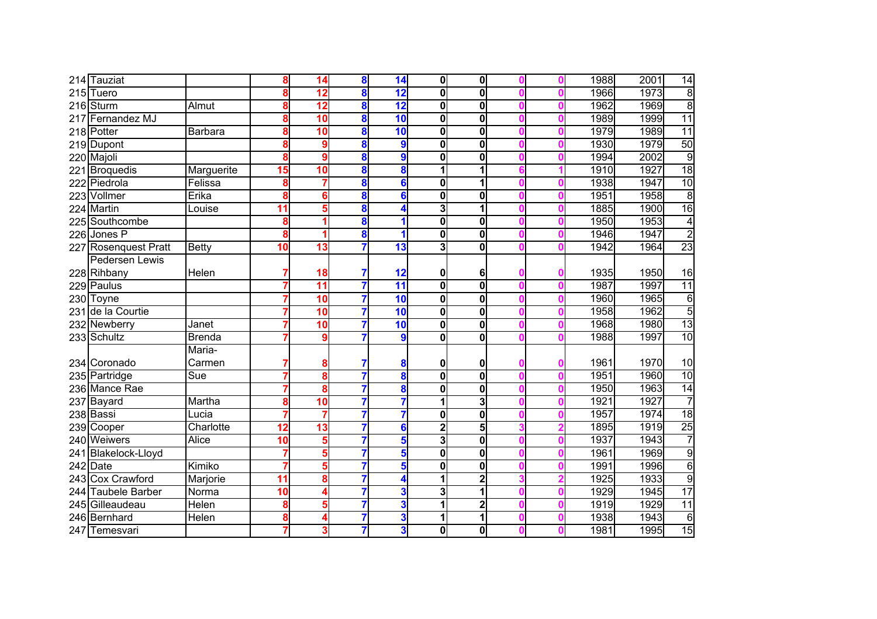|     | 214 Tauziat           |                           | 8  | 14              | 8 | 14                       | $\mathbf{0}$            | $\mathbf 0$             |   | 1988 | 2001 | 14              |
|-----|-----------------------|---------------------------|----|-----------------|---|--------------------------|-------------------------|-------------------------|---|------|------|-----------------|
| 215 | Tuero                 |                           | 8  | $\overline{12}$ | 8 | $\overline{12}$          | $\mathbf 0$             | $\mathbf 0$             |   | 1966 | 1973 | $\overline{8}$  |
|     | $216$ Sturm           | Almut                     | 8  | $\overline{12}$ | 8 | 12                       | $\overline{\mathbf{0}}$ | $\mathbf{0}$            |   | 1962 | 1969 | $\overline{8}$  |
| 217 | Fernandez MJ          |                           | 8  | $\overline{10}$ | 8 | 10                       | $\mathbf 0$             | $\mathbf 0$             | Λ | 1989 | 1999 | $\overline{11}$ |
|     | 218 Potter            | Barbara                   | 8  | 10              | 8 | 10                       | $\bf{0}$                | $\mathbf{0}$            |   | 1979 | 1989 | 11              |
|     | 219 Dupont            |                           | 8  | 9               | 8 | 9                        | $\bf{0}$                | $\mathbf{0}$            | Λ | 1930 | 1979 | 50              |
|     | 220 Majoli            |                           | 8  | 9               | 8 | 9                        | $\mathbf 0$             | $\mathbf{0}$            |   | 1994 | 2002 | $\overline{9}$  |
|     | 221 Broquedis         | Marguerite                | 15 | 10              | 8 | 8                        | 1                       |                         |   | 1910 | 1927 | 18              |
|     | 222 Piedrola          | Felissa                   | 8  | 7               | 8 | 6                        | $\mathbf 0$             |                         |   | 1938 | 1947 | 10              |
|     | 223 Vollmer           | Erika                     | 8  | 6               | 8 | $6\phantom{a}$           | $\mathbf 0$             | $\mathbf{0}$            |   | 1951 | 1958 | $\overline{8}$  |
|     | 224 Martin            | Louise                    | 11 | 5               | 8 | 4                        | 3                       | 1                       | Λ | 1885 | 1900 | 16              |
|     | 225 Southcombe        |                           | 8  |                 | 8 |                          | $\mathbf 0$             | $\mathbf 0$             |   | 1950 | 1953 | 4               |
|     | 226 Jones P           |                           | 8  |                 | 8 |                          | $\mathbf 0$             | $\mathbf 0$             |   | 1946 | 1947 | $\overline{2}$  |
|     | 227 Rosenquest Pratt  | <b>Betty</b>              | 10 | $\overline{13}$ |   | $\overline{\mathbf{13}}$ | 3                       | $\mathbf 0$             |   | 1942 | 1964 | $\overline{23}$ |
|     | Pedersen Lewis        |                           |    |                 |   |                          |                         |                         |   |      |      |                 |
|     | 228 Rihbany           | Helen                     |    | 18              | 7 | 12                       | 0                       | 6                       |   | 1935 | 1950 | 16              |
|     | 229 Paulus            |                           |    | $\overline{11}$ | 7 | 11                       | $\mathbf 0$             | $\mathbf 0$             |   | 1987 | 1997 | 11              |
|     | 230 Toyne             |                           |    | 10              |   | 10                       | $\mathbf 0$             | 0                       |   | 1960 | 1965 | $\overline{6}$  |
|     | 231 de la Courtie     |                           |    | 10              |   | 10                       | $\mathbf 0$             | $\mathbf 0$             |   | 1958 | 1962 | 5               |
|     | 232 Newberry          | Janet                     |    | 10              |   | 10                       | $\mathbf 0$             | $\mathbf 0$             |   | 1968 | 1980 | 13              |
|     | 233 Schultz           | <b>Brenda</b>             |    | 9               |   | 9                        | $\mathbf 0$             | $\overline{\mathbf{0}}$ |   | 1988 | 1997 | 10              |
|     |                       | Maria-                    |    |                 |   |                          |                         |                         |   |      |      |                 |
|     | 234 Coronado          | Carmen                    |    | 8               | 7 | 8                        | 0                       | 0                       |   | 1961 | 1970 | 10              |
|     | 235 Partridge         | $\overline{\mathsf{Sue}}$ |    | 8               |   | 8                        | $\overline{\mathbf{0}}$ | $\overline{\mathbf{0}}$ |   | 1951 | 1960 | 10              |
|     | 236 Mance Rae         |                           |    | 8               |   | 8                        | $\mathbf 0$             | $\mathbf 0$             | Λ | 1950 | 1963 | 14              |
|     | 237 Bayard            | Martha                    | 8  | 10              | 7 |                          | 1                       | 3                       | Λ | 1921 | 1927 | 7               |
|     | 238 Bassi             | Lucia                     |    | 7               |   |                          | $\mathbf 0$             | $\mathbf 0$             | Ω | 1957 | 1974 | 18              |
|     | 239 Cooper            | Charlotte                 | 12 | 13              |   | 6                        | $\mathbf{2}$            | 5                       |   | 1895 | 1919 | 25              |
|     | 240 Weiwers           | <b>Alice</b>              | 10 | 5               |   | 5                        | 3                       | $\mathbf 0$             |   | 1937 | 1943 | 7               |
|     | 241 Blakelock-Lloyd   |                           |    | 5               |   | 5                        | 0                       | $\mathbf 0$             |   | 1961 | 1969 | 9               |
|     | $242$ Date            | Kimiko                    |    | 5               |   | 5                        | 0                       | $\mathbf 0$             |   | 1991 | 1996 | $\overline{6}$  |
|     | 243 Cox Crawford      | Marjorie                  | 11 | 8               |   | 4                        | 1                       | $\mathbf 2$             |   | 1925 | 1933 | 9               |
| 244 | <b>Taubele Barber</b> | Norma                     | 10 | 4               |   | 3                        | 3                       |                         |   | 1929 | 1945 | $\overline{17}$ |
|     | 245 Gilleaudeau       | <b>Helen</b>              | 8  | 5               | 7 | 3                        | 1                       | $\mathbf{2}$            |   | 1919 | 1929 | $\overline{11}$ |
|     | 246 Bernhard          | Helen                     | 8  | 4               | 7 | 3                        | 1                       | 1                       | Ω | 1938 | 1943 | $\sigma$        |
|     | 247 Temesvari         |                           |    | 3               |   | 3                        | 0                       | $\mathbf 0$             |   | 1981 | 1995 | 15              |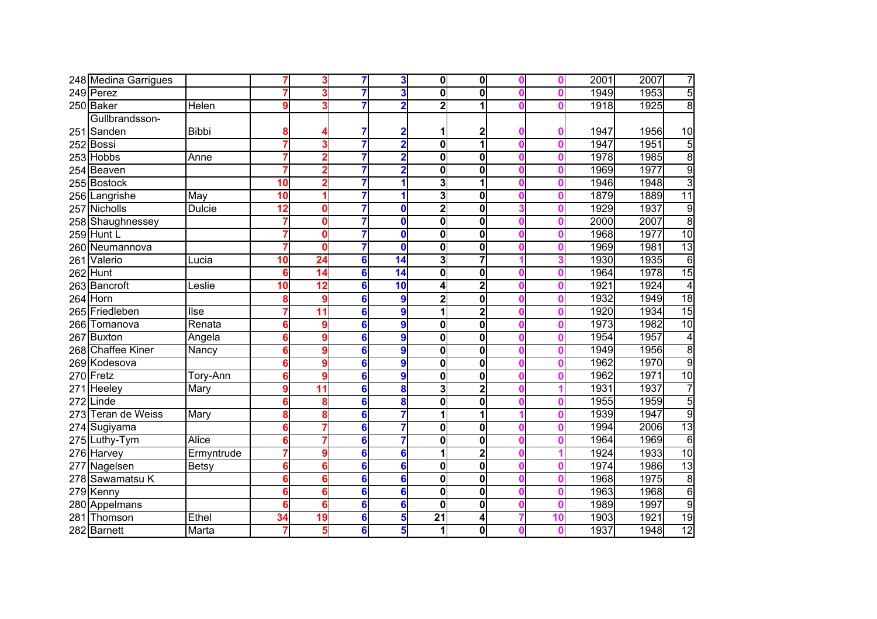|     | 248 Medina Garrigues  |               |    | 3               |                 | 3                       | $\mathbf{0}$            | $\mathbf{0}$            |    | 2001 | 2007 | 7              |
|-----|-----------------------|---------------|----|-----------------|-----------------|-------------------------|-------------------------|-------------------------|----|------|------|----------------|
|     | 249 Perez             |               |    | 3               |                 | 3                       | $\bf{0}$                | $\mathbf 0$             |    | 1949 | 1953 | 5              |
|     | 250 Baker             | <b>Helen</b>  | 9  | 3               |                 | $\overline{\mathbf{2}}$ | 2                       | 1                       |    | 1918 | 1925 | 8              |
|     | Gullbrandsson-        |               |    |                 |                 |                         |                         |                         |    |      |      |                |
|     | 251 Sanden            | <b>Bibbi</b>  | 8  |                 |                 | 2                       | 1                       | 2                       |    | 1947 | 1956 | 10             |
|     | 252 Bossi             |               |    | 3               |                 | $\overline{2}$          | $\mathbf 0$             | 1                       |    | 1947 | 1951 | $\overline{5}$ |
|     | 253 Hobbs             | Anne          |    | $\overline{2}$  |                 | $\overline{2}$          | $\mathbf{0}$            | $\mathbf{0}$            |    | 1978 | 1985 | 8              |
|     | 254 Beaven            |               |    | $\overline{2}$  |                 | $\overline{2}$          | $\mathbf 0$             | $\mathbf 0$             |    | 1969 | 1977 | 9              |
|     | 255 Bostock           |               | 10 | $\overline{2}$  |                 |                         | 3                       | 1                       |    | 1946 | 1948 | $\overline{3}$ |
|     | 256 Langrishe         | May           | 10 | 1               | 7               |                         | 3                       | $\mathbf 0$             |    | 1879 | 1889 | 11             |
|     | 257 Nicholls          | <b>Dulcie</b> | 12 | 0               | 7               | $\bf{0}$                | $\overline{\mathbf{2}}$ | $\mathbf{0}$            |    | 1929 | 1937 | $\overline{9}$ |
|     | 258 Shaughnessey      |               |    | 0               |                 | $\mathbf 0$             | 0                       | $\mathbf 0$             |    | 2000 | 2007 | $\overline{8}$ |
|     | 259 Hunt L            |               |    | 0               |                 | $\mathbf 0$             | 0                       | $\mathbf{0}$            |    | 1968 | 1977 | 10             |
|     | 260 Neumannova        |               |    | 0               | 7               | $\bf{0}$                | 0                       | $\mathbf{0}$            |    | 1969 | 1981 | 13             |
| 261 | Valerio               | Lucia         | 10 | 24              | $6\phantom{1}6$ | 14                      | 3                       | $\overline{7}$          |    | 1930 | 1935 | 6              |
| 262 | Hunt                  |               | 6  | 14              | 6               | $\overline{14}$         | $\mathbf 0$             | $\mathbf{0}$            |    | 1964 | 1978 | 15             |
| 263 | <b>Bancroft</b>       | _eslie        | 10 | 12              | 6               | 10                      | 4                       | $\overline{2}$          |    | 1921 | 1924 | 4              |
|     | 264 Horn              |               | 8  | 9               | 6               | 9                       | $\overline{\mathbf{2}}$ | $\mathbf 0$             |    | 1932 | 1949 | 18             |
|     | 265 Friedleben        | llse          |    | $\overline{11}$ | 6               | 9                       | $\overline{\mathbf{1}}$ | $\mathbf{2}$            |    | 1920 | 1934 | 15             |
| 266 | Tomanova              | Renata        | 6  | 9               | 6               | 9                       | 0                       | $\mathbf{0}$            |    | 1973 | 1982 | 10             |
| 267 | <b>Buxton</b>         | Angela        | 6  | 9               | 6               | 9                       | $\overline{\mathbf{0}}$ | 0                       |    | 1954 | 1957 | $\overline{4}$ |
|     | 268 Chaffee Kiner     | Nancy         | 6  | 9               | 6               | 9                       | $\overline{\mathbf{0}}$ | $\overline{\mathbf{o}}$ |    | 1949 | 1956 | $\overline{8}$ |
|     | 269 Kodesova          |               | 6  | 9               | 6               | 9                       | 0                       | $\mathbf{0}$            |    | 1962 | 1970 | 9              |
|     | 270 Fretz             | Tory-Ann      | 6  | 9               | 6               | 9                       | $\overline{\mathbf{0}}$ | $\mathbf 0$             |    | 1962 | 1971 | 10             |
|     | 271 Heeley            | Mary          | 9  | 11              | 6               | 8                       | 3                       | 2                       |    | 1931 | 1937 | 7              |
|     | 272 Linde             |               | 6  | 8               | 6               | 8                       | 0                       | $\mathbf 0$             |    | 1955 | 1959 | 5              |
| 273 | <b>Teran de Weiss</b> | Mary          | 8  | 8               | 6               | 7                       | 1                       | 1                       |    | 1939 | 1947 | $\overline{9}$ |
|     | 274 Sugiyama          |               | 6  | 7               | 6               | 7                       | 0                       | $\mathbf 0$             |    | 1994 | 2006 | 13             |
|     | 275 Luthy-Tym         | <b>Alice</b>  |    | 7               | 6               | 7                       | 0                       | 0                       |    | 1964 | 1969 | $\overline{6}$ |
|     | 276 Harvey            | Ermyntrude    |    | 9               | 6               | 6                       | 1                       | $\overline{\mathbf{2}}$ |    | 1924 | 1933 | 10             |
| 277 | Nagelsen              | Betsy         |    | 6               | 6               | 6                       | $\mathbf 0$             | $\mathbf{0}$            |    | 1974 | 1986 | 13             |
|     | 278 Sawamatsu K       |               | 6  | 6               | 6               | 6                       | $\mathbf 0$             | $\mathbf{0}$            |    | 1968 | 1975 | $\overline{8}$ |
| 279 | Kenny                 |               |    | 6               | 6               | 6                       | $\mathbf 0$             | $\overline{\mathbf{0}}$ |    | 1963 | 1968 | $\overline{6}$ |
| 280 | Appelmans             |               | 6  | 6               | 6               | 6                       | $\bf{0}$                | $\mathbf{0}$            | ſ  | 1989 | 1997 | $\overline{9}$ |
| 281 | Thomson               | Ethel         | 34 | 19              | 6               | 5                       | 21                      | 4                       | 10 | 1903 | 1921 | 19             |
|     | 282 Barnett           | Marta         |    | 5               | 6               | 5                       | 1                       | $\mathbf{0}$            |    | 1937 | 1948 | 12             |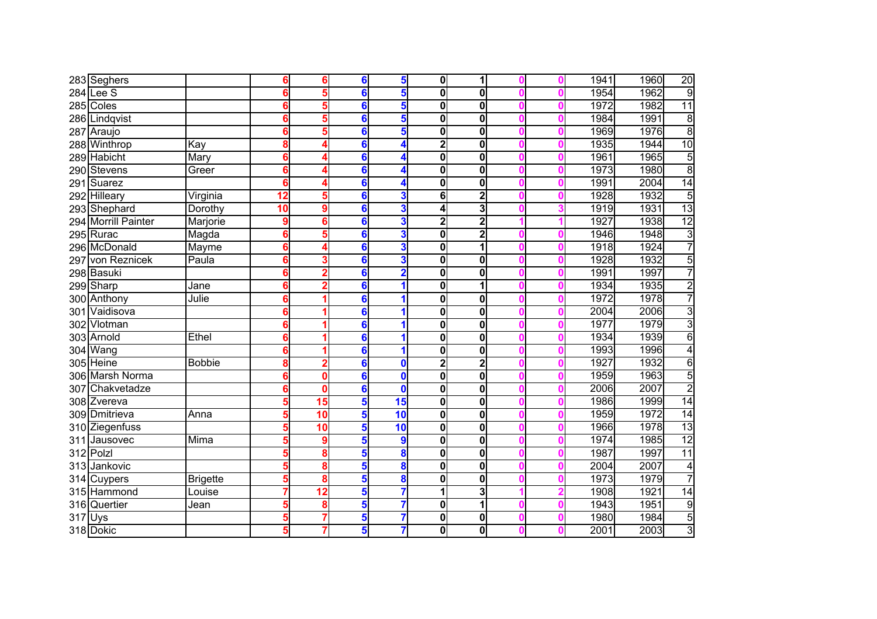|     | 283 Seghers         |                 |    | 6               | 6              | 5               | 0l                      | 1                       |   | 1941 | 1960 | 20             |
|-----|---------------------|-----------------|----|-----------------|----------------|-----------------|-------------------------|-------------------------|---|------|------|----------------|
|     | $284$ Lee S         |                 |    | 5               | 6              | 5               | $\bf{0}$                | $\mathbf 0$             |   | 1954 | 1962 | $\overline{9}$ |
|     | 285 Coles           |                 |    | 5               | 6              | 5               | $\mathbf 0$             | 0                       | Λ | 1972 | 1982 | 11             |
|     | 286 Lindqvist       |                 |    | 5               | 6              | 5               | $\mathbf 0$             | 0                       |   | 1984 | 1991 | $\overline{8}$ |
|     | 287 Araujo          |                 |    | 5               | 6              | 5               | $\mathbf 0$             | 0                       | Λ | 1969 | 1976 | $\overline{8}$ |
|     | 288 Winthrop        | Kay             |    | Δ               | 6              | 4               | $\overline{2}$          | $\mathbf 0$             |   | 1935 | 1944 | 10             |
|     | 289 Habicht         | Mary            |    | Δ               | 6              | 4               | $\mathbf 0$             | $\mathbf 0$             |   | 1961 | 1965 | 5              |
|     | 290 Stevens         | Greer           | 6  | 4               | 6              | 4               | $\mathbf 0$             | 0                       |   | 1973 | 1980 | $\overline{8}$ |
|     | 291 Suarez          |                 |    | 4               | 6              | 4               | $\mathbf 0$             | 0                       |   | 1991 | 2004 | 14             |
|     | 292 Hilleary        | Virginia        | 12 | 5               | 6              | 3               | 6                       | $\mathbf{2}$            |   | 1928 | 1932 | $\overline{5}$ |
|     | 293 Shephard        | Dorothy         | 10 | 9               | 6              | 3               | 4                       | 3                       |   | 1919 | 1931 | 13             |
|     | 294 Morrill Painter | Marjorie        | 9  | 6               | 6              | 3               | $\overline{\mathbf{2}}$ | $\overline{2}$          |   | 1927 | 1938 | 12             |
|     | 295 Rurac           | Magda           | 6  | 5               | 6              | 3               | 0                       | $\mathbf 2$             |   | 1946 | 1948 | $\overline{3}$ |
|     | 296 McDonald        | Mayme           |    |                 | 6              | 3               | $\mathbf 0$             | 1                       |   | 1918 | 1924 | 7              |
|     | 297 von Reznicek    | Paula           |    | 3               | 6              | 3               | $\mathbf 0$             | $\mathbf 0$             |   | 1928 | 1932 | 5              |
|     | 298 Basuki          |                 |    | 2               | 6              |                 | 0                       | 0                       |   | 1991 | 1997 | 7              |
|     | 299 Sharp           | Jane            |    |                 | 6              |                 | 0                       |                         |   | 1934 | 1935 | $\overline{2}$ |
|     | 300 Anthony         | Julie           |    |                 | 6              |                 | $\mathbf 0$             | $\mathbf 0$             |   | 1972 | 1978 | 7              |
| 301 | Vaidisova           |                 | 6  |                 | 6              | 1               | $\mathbf 0$             | 0                       |   | 2004 | 2006 | $\overline{3}$ |
| 302 | Vlotman             |                 | 6  |                 | 6              |                 | $\overline{\mathbf{0}}$ | $\mathbf 0$             |   | 1977 | 1979 | $\overline{3}$ |
|     | 303 Arnold          | Ethel           | 6  |                 | 6              | 1               | $\bf{0}$                | 0                       |   | 1934 | 1939 | $\overline{6}$ |
|     | 304 Wang            |                 |    |                 | 6              |                 | $\bf{0}$                | $\mathbf 0$             |   | 1993 | 1996 | $\overline{4}$ |
|     | 305 Heine           | <b>Bobbie</b>   | 8  | 2               | 6              | 0               | $\overline{2}$          | $\overline{\mathbf{2}}$ |   | 1927 | 1932 | $\overline{6}$ |
|     | 306 Marsh Norma     |                 |    | 0               | 6              | $\mathbf{0}$    | $\overline{\mathbf{0}}$ | 0                       |   | 1959 | 1963 | 5              |
|     | 307 Chakvetadze     |                 |    | 0               | 6              | $\mathbf{0}$    | $\mathbf 0$             | 0                       |   | 2006 | 2007 | $\overline{2}$ |
|     | 308 Zvereva         |                 |    | 15              | 5              | 15              | $\mathbf 0$             | $\mathbf 0$             |   | 1986 | 1999 | 14             |
|     | 309 Dmitrieva       | Anna            |    | 10              | $5\phantom{a}$ | $\overline{10}$ | $\mathbf 0$             | 0                       | Λ | 1959 | 1972 | 14             |
|     | 310 Ziegenfuss      |                 |    | 10              | 5              | $\overline{10}$ | 0                       | 0                       |   | 1966 | 1978 | 13             |
|     | 311 Jausovec        | Mima            |    | 9               | 5              | 9               | 0                       | $\mathbf 0$             |   | 1974 | 1985 | 12             |
|     | 312 Polzl           |                 |    | 8               | 5              | 8               | 0                       | $\mathbf 0$             |   | 1987 | 1997 | 11             |
|     | 313 Jankovic        |                 |    | 8               | 5              | 8               | 0                       | $\mathbf 0$             |   | 2004 | 2007 | 4              |
|     | 314 Cuypers         | <b>Brigette</b> |    | 8               | 5              | 8               | 0                       | 0                       |   | 1973 | 1979 | 7              |
|     | 315 Hammond         | Louise          |    | $\overline{12}$ | 5              |                 | 1                       | 3                       |   | 1908 | 1921 | 14             |
|     | 316 Quertier        | Jean            |    | 8               | 5              | 7               | 0                       | 1                       |   | 1943 | 1951 | $\overline{9}$ |
|     | 317 Uys             |                 | 5  | 7               | 5              | 7               | 0                       | 0                       | Λ | 1980 | 1984 | $\overline{5}$ |
|     | 318 Dokic           |                 | 5  |                 | 5              | 7               | 0                       | 0                       |   | 2001 | 2003 | $\overline{3}$ |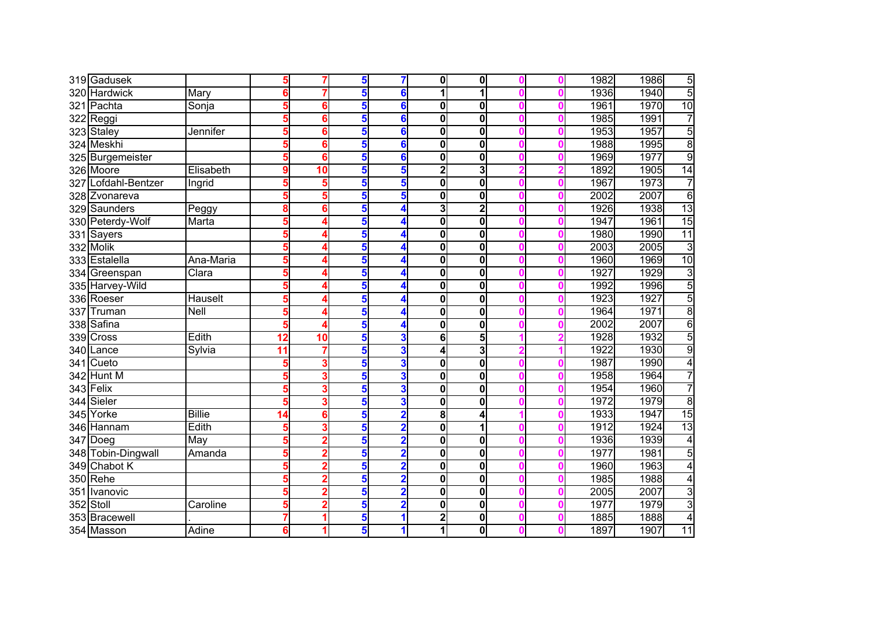|     | 319 Gadusek         |                   | 5               |                | 5               |                         | $\mathbf{0}$            | $\mathbf{0}$ |   | 1982 | 1986 | 5               |
|-----|---------------------|-------------------|-----------------|----------------|-----------------|-------------------------|-------------------------|--------------|---|------|------|-----------------|
| 320 | <b>Hardwick</b>     | Mary              | 6               |                | 5               | 6                       | 1                       |              |   | 1936 | 1940 | $\overline{5}$  |
|     | 321 Pachta          | Sonja             | 5               | 6              | 5               | 6                       | $\bf{0}$                | 0            |   | 1961 | 1970 | 10              |
|     | 322 Reggi           |                   | 5               | 6              | 5               | 6                       | $\bf{0}$                | 0            |   | 1985 | 1991 | 7               |
|     | 323 Staley          | Jennifer          | 5               | 6              | 5               | 6                       | $\bf{0}$                | 0            |   | 1953 | 1957 | 5               |
|     | 324 Meskhi          |                   |                 | 6              | 5               | 6                       | $\bf{0}$                | 0            |   | 1988 | 1995 | 8               |
|     | 325 Burgemeister    |                   | 5               | 6              | 5               | 6                       | $\mathbf 0$             | 0            |   | 1969 | 1977 | 9               |
|     | 326 Moore           | Elisabeth         | 9               | 10             | 5               | 5                       | $\overline{2}$          | 3            |   | 1892 | 1905 | 14              |
|     | 327 Lofdahl-Bentzer | Ingrid            |                 | 5              | 5               | 5                       | $\mathbf 0$             | 0            |   | 1967 | 1973 | $\overline{7}$  |
|     | 328 Zvonareva       |                   | 5               | 5              | 5               | 5                       | $\mathbf 0$             | 0            |   | 2002 | 2007 | $\overline{6}$  |
|     | 329 Saunders        | Peggy             | 8               | 6              | 5               | 4                       | 3                       | $\mathbf{2}$ |   | 1926 | 1938 | 13              |
|     | 330 Peterdy-Wolf    | Marta             | 5               | 4              | 5               | 4                       | $\bf{0}$                | 0            |   | 1947 | 1961 | 15              |
|     | 331 Sayers          |                   | 5               |                | 5               |                         | 0                       | 0            |   | 1980 | 1990 | 11              |
|     | 332 Molik           |                   | 5               |                | 5               |                         | $\mathbf 0$             | $\mathbf{0}$ |   | 2003 | 2005 | $\overline{3}$  |
|     | 333 Estalella       | Ana-Maria         | 5               |                | 5               |                         | $\mathbf 0$             | $\mathbf{0}$ |   | 1960 | 1969 | 10              |
|     | 334 Greenspan       | Clara             |                 |                | 5               |                         | 0                       | 0            |   | 1927 | 1929 | $\overline{3}$  |
|     | 335 Harvey-Wild     |                   |                 |                | 5               |                         | 0                       | 0            |   | 1992 | 1996 | $\overline{5}$  |
|     | 336 Roeser          | Hauselt           |                 |                | 5               |                         | $\mathbf 0$             | 0            |   | 1923 | 1927 | 5               |
| 337 | Truman              | Nell              | 5               | 4              | 5               | 4                       | $\mathbf 0$             | 0            |   | 1964 | 1971 | $\overline{8}$  |
|     | 338 Safina          |                   | 5               | 4              | 5               | 4                       | $\overline{\mathbf{0}}$ | 0            |   | 2002 | 2007 | $\overline{6}$  |
|     | 339 Cross           | Edith             | 12              | 10             | 5               | 3                       | $\overline{6}$          | 5            |   | 1928 | 1932 | 5               |
|     | 340 Lance           | Sylvia            | $\overline{11}$ | 7              | 5               | 3                       | 4                       | 3            |   | 1922 | 1930 | 9               |
|     | 341 Cueto           |                   | 5               | 3              | $5\overline{5}$ | 3                       | $\mathbf 0$             | $\mathbf{0}$ |   | 1987 | 1990 | $\overline{4}$  |
| 342 | <b>Hunt M</b>       |                   |                 | 3              | 5               | 3                       | $\mathbf 0$             | 0            |   | 1958 | 1964 | 7               |
|     | 343 Felix           |                   |                 | 3              | 5               | 3                       | $\mathbf 0$             | 0            |   | 1954 | 1960 | 7               |
|     | 344 Sieler          |                   | 5               | 3              | 5               | 3                       | $\mathbf 0$             | 0            |   | 1972 | 1979 | $\overline{8}$  |
|     | 345 Yorke           | <b>Billie</b>     | 14              | 6              | 5               | $\overline{\mathbf{2}}$ | 8                       | 4            |   | 1933 | 1947 | 15              |
|     | 346 Hannam          | Edith             | 5               | 3              | 5               | $\overline{\mathbf{2}}$ | $\mathbf 0$             | 1            |   | 1912 | 1924 | 13              |
|     | $347$ Doeg          | $\overline{M}$ ay | 5               | 2              | 5               | $\overline{\mathbf{2}}$ | 0                       | 0            |   | 1936 | 1939 | 4               |
|     | 348 Tobin-Dingwall  | Amanda            | 5               | 2              | 5               | $\overline{\mathbf{2}}$ | 0                       | $\mathbf{0}$ |   | 1977 | 1981 | $\overline{5}$  |
|     | 349 Chabot K        |                   |                 | 2              | 5               |                         | 0                       | $\mathbf{0}$ |   | 1960 | 1963 | $\overline{4}$  |
|     | 350 Rehe            |                   |                 | 2              | 5               |                         | 0                       | 0            |   | 1985 | 1988 | 4               |
|     | 351 Ivanovic        |                   |                 | 2              | 5               | 2                       | $\mathbf 0$             | $\mathbf{0}$ |   | 2005 | 2007 | $\overline{3}$  |
|     | 352 Stoll           | Caroline          | 5               | $\overline{2}$ | 5               | $\overline{\mathbf{2}}$ | 0                       | $\mathbf{0}$ |   | 1977 | 1979 | $\overline{3}$  |
|     | 353 Bracewell       |                   |                 | 1              | 5               | 1                       | $\mathbf{2}$            | $\mathbf{0}$ | Λ | 1885 | 1888 | $\overline{4}$  |
|     | 354 Masson          | Adine             | 6               | 1              | $5\overline{5}$ |                         | 1                       | 0            |   | 1897 | 1907 | $\overline{11}$ |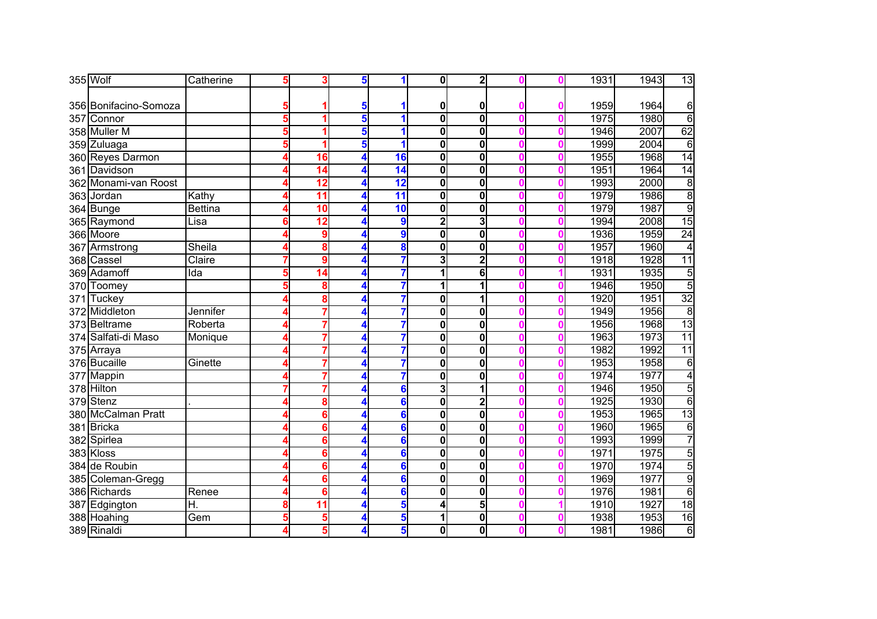|     | 355 Wolf              | Catherine      | 5 | 3               | 5 | 1  | $\mathbf{0}$            | $\overline{2}$          |  | 1931 | 1943 | 13              |
|-----|-----------------------|----------------|---|-----------------|---|----|-------------------------|-------------------------|--|------|------|-----------------|
|     |                       |                |   |                 |   |    |                         |                         |  |      |      |                 |
|     | 356 Bonifacino-Somoza |                |   |                 | 5 |    | 0                       | 0                       |  | 1959 | 1964 | 6               |
|     | 357 Connor            |                |   | 1               | 5 |    | $\overline{\mathbf{0}}$ | $\overline{\mathbf{0}}$ |  | 1975 | 1980 | $\overline{6}$  |
|     | 358 Muller M          |                |   | 1               | 5 | 1  | $\bf{0}$                | 0                       |  | 1946 | 2007 | 62              |
|     | 359 Zuluaga           |                |   | 1               | 5 | 1  | $\bf{0}$                | $\mathbf 0$             |  | 1999 | 2004 | $\overline{6}$  |
|     | 360 Reyes Darmon      |                |   | 16              | 4 | 16 | $\mathbf 0$             | $\mathbf{0}$            |  | 1955 | 1968 | 14              |
|     | 361 Davidson          |                |   | 14              |   | 14 | $\mathbf 0$             | $\mathbf 0$             |  | 1951 | 1964 | $\overline{14}$ |
|     | 362 Monami-van Roost  |                |   | 12              | 4 | 12 | $\mathbf 0$             | 0                       |  | 1993 | 2000 | 8               |
|     | 363 Jordan            | Kathy          |   | 11              |   | 11 | $\mathbf 0$             | 0                       |  | 1979 | 1986 | $\overline{8}$  |
|     | 364 Bunge             | <b>Bettina</b> |   | 10              | 4 | 10 | $\mathbf 0$             | 0                       |  | 1979 | 1987 | $\overline{9}$  |
|     | 365 Raymond           | Lisa           |   | 12              |   | 9  | $\overline{\mathbf{2}}$ | 3                       |  | 1994 | 2008 | 15              |
|     | 366 Moore             |                |   | 9               |   | 9  | 0                       | 0                       |  | 1936 | 1959 | $\overline{24}$ |
|     | 367 Armstrong         | Sheila         |   | 8               |   | 8  | 0                       | $\mathbf 0$             |  | 1957 | 1960 | 4               |
|     | 368 Cassel            | Claire         |   | 9               |   | 7  | 3                       | $\overline{2}$          |  | 1918 | 1928 | $\overline{11}$ |
|     | 369 Adamoff           | Ida            |   | 14              |   |    | 1                       | 6                       |  | 1931 | 1935 | $\overline{5}$  |
|     | 370 Toomey            |                |   | 8               |   |    | 1                       |                         |  | 1946 | 1950 | $\overline{5}$  |
| 371 | Tuckey                |                |   | 8               |   | 7  | 0                       |                         |  | 1920 | 1951 | $\overline{32}$ |
| 372 | Middleton             | Jennifer       |   | 7               |   | 7  | $\mathbf 0$             | 0                       |  | 1949 | 1956 | $\overline{8}$  |
|     | 373 Beltrame          | Roberta        |   | 7               |   | 7  | $\bf{0}$                | 0                       |  | 1956 | 1968 | $\overline{13}$ |
|     | 374 Salfati-di Maso   | Monique        |   | 7               |   | 7  | $\mathbf 0$             | 0                       |  | 1963 | 1973 | 11              |
|     | 375 Arraya            |                |   | 7               |   | 7  | $\bf{0}$                | $\mathbf{0}$            |  | 1982 | 1992 | $\overline{11}$ |
|     | 376 Bucaille          | Ginette        |   | 7               |   | 7  | $\bf{0}$                | $\mathbf 0$             |  | 1953 | 1958 | $\overline{6}$  |
|     | 377 Mappin            |                |   | 7               |   |    | $\overline{\mathbf{0}}$ | $\mathbf 0$             |  | 1974 | 1977 | $\overline{4}$  |
|     | 378 Hilton            |                |   | 7               |   | 6  | 3                       |                         |  | 1946 | 1950 | 5               |
|     | 379 Stenz             |                |   | 8               |   | 6  | $\bf{0}$                | $\overline{2}$          |  | 1925 | 1930 | $\overline{6}$  |
|     | 380 McCalman Pratt    |                |   | 6               |   | 6  | $\bf{0}$                | $\mathbf 0$             |  | 1953 | 1965 | 13              |
|     | 381 Bricka            |                |   | 6               |   | 6  | 0                       | 0                       |  | 1960 | 1965 | $\overline{6}$  |
|     | 382 Spirlea           |                |   | 6               |   | 6  | 0                       | $\mathbf 0$             |  | 1993 | 1999 | 7               |
|     | 383 Kloss             |                |   | 6               |   | 6  | 0                       | $\mathbf 0$             |  | 1971 | 1975 | $\overline{5}$  |
|     | 384 de Roubin         |                |   | 6               |   | 6  | 0                       | $\mathbf 0$             |  | 1970 | 1974 | $\overline{5}$  |
|     | 385 Coleman-Gregg     |                |   | 6               |   | 6  | 0                       | $\mathbf 0$             |  | 1969 | 1977 | $\overline{9}$  |
|     | 386 Richards          | Renee          |   | 6               |   | 6  | 0                       | $\mathbf 0$             |  | 1976 | 1981 | $\overline{6}$  |
|     | 387 Edgington         | Η.             |   | $\overline{11}$ |   | 5  | 4                       | 5                       |  | 1910 | 1927 | $\overline{18}$ |
|     | 388 Hoahing           | Gem            | 5 | 5               | 4 | 5  | 1                       | 0                       |  | 1938 | 1953 | 16              |
|     | 389 Rinaldi           |                |   | 5               |   | 5  | 0                       | 0                       |  | 1981 | 1986 | 6               |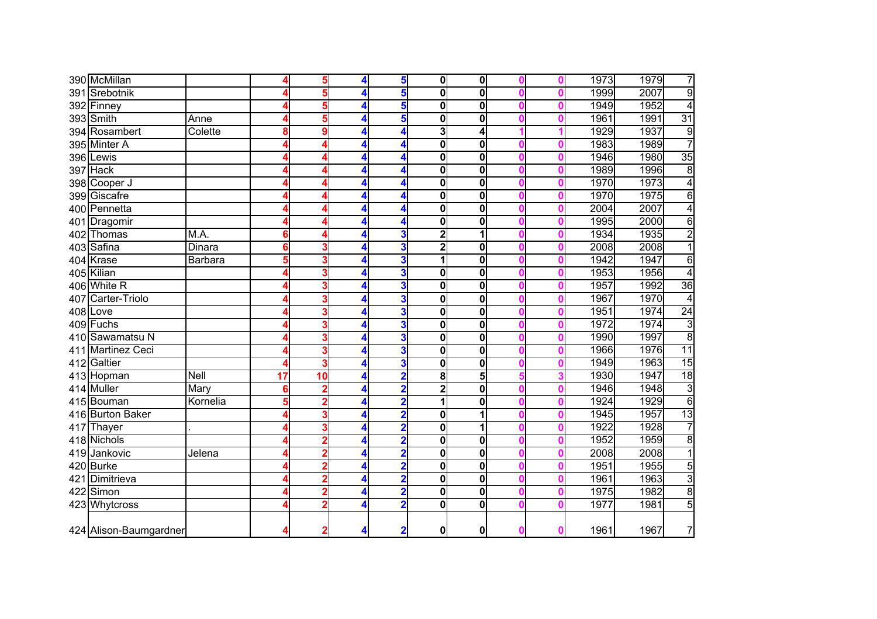|     | 390 McMillan           |               |    | 5                       |   | 5                       | 01                      | 0                       |  | 1973 | 1979 | 7               |
|-----|------------------------|---------------|----|-------------------------|---|-------------------------|-------------------------|-------------------------|--|------|------|-----------------|
|     | 391 Srebotnik          |               |    | 5                       | 4 | 5                       | 0                       | $\mathbf 0$             |  | 1999 | 2007 | $\overline{9}$  |
|     | 392 Finney             |               |    | 5                       | 4 | 5                       | $\mathbf 0$             | $\mathbf 0$             |  | 1949 | 1952 | $\overline{4}$  |
|     | 393 Smith              | Anne          |    | 5                       | 4 | 5                       | $\mathbf 0$             | $\mathbf 0$             |  | 1961 | 1991 | $\overline{31}$ |
|     | 394 Rosambert          | Colette       |    | 9                       | 4 | 4                       | 3                       | 4                       |  | 1929 | 1937 | 9               |
|     | 395 Minter A           |               |    | 4                       | 4 | 4                       | 0                       | 0                       |  | 1983 | 1989 | $\overline{7}$  |
|     | 396 Lewis              |               |    | 4                       | 4 | 4                       | $\mathbf 0$             | $\mathbf 0$             |  | 1946 | 1980 | 35              |
|     | 397 Hack               |               |    | 4                       | 4 | 4                       | $\mathbf 0$             | $\mathbf 0$             |  | 1989 | 1996 | 8               |
|     | 398 Cooper J           |               |    |                         | 4 | 4                       | $\mathbf 0$             | 0                       |  | 1970 | 1973 | $\overline{4}$  |
|     | 399 Giscafre           |               |    | 4                       |   | 4                       | $\mathbf 0$             | 0                       |  | 1970 | 1975 | 6               |
|     | 400 Pennetta           |               |    | 4                       | 4 | 4                       | $\mathbf 0$             | 0                       |  | 2004 | 2007 | 4               |
|     | 401 Dragomir           |               |    | Δ                       | 4 |                         | $\mathbf 0$             | 0                       |  | 1995 | 2000 | $\overline{6}$  |
|     | 402 Thomas             | M.A.          | 6  | 4                       | 4 | 3                       | $\overline{\mathbf{2}}$ | 1                       |  | 1934 | 1935 | $\overline{2}$  |
|     | 403 Safina             | <b>Dinara</b> | 6  | 3                       | 4 | 3                       | $\overline{\mathbf{2}}$ | 0                       |  | 2008 | 2008 | 1               |
|     | 404 Krase              | Barbara       |    | 3                       | 4 | 3                       | 1                       | 0                       |  | 1942 | 1947 | 6               |
|     | 405 Kilian             |               |    | 3                       | 4 | 3                       | 0                       | $\mathbf 0$             |  | 1953 | 1956 | 4               |
|     | 406 White R            |               |    | 3                       | 4 | 3                       | $\mathbf 0$             | $\mathbf 0$             |  | 1957 | 1992 | 36              |
| 407 | Carter-Triolo          |               |    | 3                       |   | 3                       | $\mathbf 0$             | $\mathbf 0$             |  | 1967 | 1970 | 4               |
|     | 408 Love               |               |    | 3                       |   | 3                       | $\mathbf 0$             | $\mathbf 0$             |  | 1951 | 1974 | 24              |
|     | 409 Fuchs              |               |    | 3                       |   | 3                       | $\overline{\mathbf{0}}$ | $\overline{\mathbf{0}}$ |  | 1972 | 1974 | $\overline{3}$  |
| 410 | Sawamatsu N            |               |    | 3                       | 4 | 3                       | $\mathbf 0$             | $\mathbf 0$             |  | 1990 | 1997 | $\overline{8}$  |
| 411 | <b>Martinez Ceci</b>   |               |    | 3                       | 4 | 3                       | $\mathbf 0$             | $\mathbf 0$             |  | 1966 | 1976 | $\overline{11}$ |
|     | 412 Galtier            |               |    | 3                       | 4 | 3                       | $\overline{\mathbf{0}}$ | $\mathbf 0$             |  | 1949 | 1963 | 15              |
|     | 413 Hopman             | <b>Nell</b>   | 17 | 10                      | 4 | $\overline{\mathbf{2}}$ | 8                       | 5                       |  | 1930 | 1947 | $\overline{18}$ |
|     | 414 Muller             | Mary          |    | $\overline{\mathbf{2}}$ | 4 | 2                       | $\overline{\mathbf{c}}$ | $\overline{\mathbf{0}}$ |  | 1946 | 1948 | 3               |
|     | 415 Bouman             | Kornelia      | 5  | $\overline{2}$          | 4 | $\overline{\mathbf{2}}$ | 1                       | $\mathbf 0$             |  | 1924 | 1929 | $\overline{6}$  |
|     | 416 Burton Baker       |               |    | 3                       | 4 | 2                       | 0                       | 1                       |  | 1945 | 1957 | 13              |
| 417 | Thayer                 |               |    | 3                       |   | 2                       | $\mathbf 0$             | 1                       |  | 1922 | 1928 | 7               |
|     | 418 Nichols            |               |    | $\overline{2}$          |   | $\overline{2}$          | $\mathbf 0$             | $\mathbf 0$             |  | 1952 | 1959 | $\overline{8}$  |
| 419 | Jankovic               | Jelena        |    | $\overline{2}$          |   | $\overline{\mathbf{2}}$ | $\mathbf 0$             | 0                       |  | 2008 | 2008 | $\overline{1}$  |
|     | 420 Burke              |               |    | $\overline{2}$          | 4 | $\overline{\mathbf{2}}$ | $\mathbf 0$             | 0                       |  | 1951 | 1955 | 5               |
|     | 421 Dimitrieva         |               |    | $\overline{\mathbf{2}}$ | 4 | $\overline{2}$          | $\mathbf 0$             | 0                       |  | 1961 | 1963 | $\overline{3}$  |
|     | 422 Simon              |               |    | $\overline{2}$          | 4 | $\overline{\mathbf{2}}$ | $\mathbf 0$             | $\mathbf 0$             |  | 1975 | 1982 | $\overline{8}$  |
|     | 423 Whytcross          |               |    | $\overline{\mathbf{2}}$ | 4 | $\overline{\mathbf{2}}$ | $\mathbf 0$             | $\mathbf 0$             |  | 1977 | 1981 | 5               |
|     | 424 Alison-Baumgardner |               |    | $\overline{2}$          | 4 | $\overline{\mathbf{2}}$ | 0                       | $\mathbf 0$             |  | 1961 | 1967 | 7               |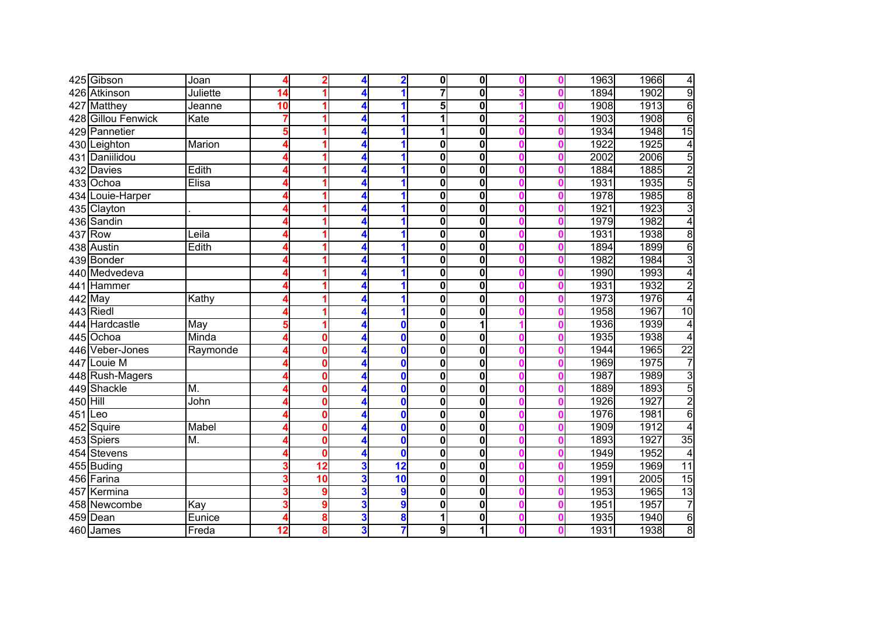|           | 425 Gibson         | Joan     |                 | 2                        |   | $\overline{\mathbf{2}}$  | $\mathbf{0}$            | $\mathbf{0}$            |   | 1963 | 1966<br>4                       |
|-----------|--------------------|----------|-----------------|--------------------------|---|--------------------------|-------------------------|-------------------------|---|------|---------------------------------|
|           | 426 Atkinson       | Juliette | 14              |                          |   |                          | $\overline{\mathbf{7}}$ | $\mathbf{0}$            |   | 1894 | $\overline{9}$<br>1902          |
| 427       | <b>Matthey</b>     | Jeanne   | $\overline{10}$ |                          | 4 |                          | $\overline{\mathbf{5}}$ | $\mathbf{0}$            |   | 1908 | 6<br>1913                       |
|           | 428 Gillou Fenwick | Kate     |                 |                          | 4 |                          | 1                       | 0                       |   | 1903 | $\overline{6}$<br>1908          |
|           | 429 Pannetier      |          | 5               |                          | 4 |                          | 1                       | 0                       |   | 1934 | 15<br>1948                      |
|           | 430 Leighton       | Marion   |                 |                          | 4 |                          | $\bf{0}$                | $\mathbf{0}$            |   | 1922 | 1925<br>$\overline{4}$          |
|           | 431 Daniilidou     |          |                 |                          | 4 |                          | $\mathbf 0$             | $\mathbf{0}$            |   | 2002 | 5<br>2006                       |
|           | 432 Davies         | Edith    |                 |                          | 4 |                          | $\mathbf 0$             | 0                       |   | 1884 | $\overline{\mathbf{c}}$<br>1885 |
|           | 433 Ochoa          | Elisa    |                 |                          |   |                          | $\bf{0}$                | 0                       |   | 1931 | 5<br>1935                       |
|           | 434 Louie-Harper   |          |                 | ۹                        | 4 |                          | $\mathbf 0$             | 0                       |   | 1978 | $\overline{8}$<br>1985          |
|           | 435 Clayton        |          |                 |                          | 4 |                          | $\bf{0}$                | 0                       |   | 1921 | $\overline{3}$<br>1923          |
|           | 436 Sandin         |          |                 |                          | 4 |                          | $\bf{0}$                | 0                       |   | 1979 | 4<br>1982                       |
|           | 437 Row            | $L$ eila |                 |                          |   |                          | 0                       | 0                       |   | 1931 | 1938<br>$\overline{8}$          |
|           | 438 Austin         | Edith    |                 |                          |   |                          | $\mathbf 0$             | $\mathbf{0}$            |   | 1894 | $\overline{6}$<br>1899          |
|           | 439 Bonder         |          |                 |                          |   |                          | $\mathbf 0$             | $\mathbf{0}$            |   | 1982 | $\overline{3}$<br>1984          |
|           | 440 Medvedeva      |          |                 |                          |   |                          | 0                       | $\mathbf{0}$            |   | 1990 | 1993<br>4                       |
|           | 441 Hammer         |          |                 |                          |   |                          | 0                       | 0                       |   | 1931 | $\overline{2}$<br>1932          |
|           | 442 May            | Kathy    |                 |                          |   |                          | $\mathbf 0$             | 0                       |   | 1973 | 1976<br>$\overline{4}$          |
|           | 443 Riedl          |          |                 |                          | 4 |                          | $\mathbf 0$             | 0                       |   | 1958 | 10<br>1967                      |
| 444       | Hardcastle         | May      | 5               |                          | 4 | $\bf{0}$                 | $\overline{\mathbf{0}}$ | 1                       |   | 1936 | 1939<br>4                       |
|           | 445 Ochoa          | Minda    |                 | 0                        | 4 | $\bf{0}$                 | $\overline{\mathbf{0}}$ | 0                       |   | 1935 | 1938<br>$\overline{4}$          |
|           | 446 Veber-Jones    | Raymonde |                 | 0                        | 4 | $\bf{0}$                 | $\overline{\mathbf{0}}$ | $\mathbf{0}$            |   | 1944 | $\overline{22}$<br>1965         |
|           | 447 Louie M        |          |                 | 0                        | 4 | $\bf{0}$                 | $\mathbf 0$             | $\mathbf{0}$            |   | 1969 | 7<br>1975                       |
|           | 448 Rush-Magers    |          |                 | 0                        | 4 | $\mathbf{0}$             | $\overline{\mathbf{0}}$ | $\overline{\mathbf{0}}$ |   | 1987 | 3<br>1989                       |
|           | 449 Shackle        | M.       |                 | 0                        |   | $\bf{0}$                 | $\mathbf 0$             | $\overline{\mathbf{0}}$ |   | 1889 | 5<br>1893                       |
| 450 Hill  |                    | John     |                 | 0                        |   | $\bf{0}$                 | $\mathbf 0$             | 0                       |   | 1926 | $\overline{2}$<br>1927          |
| $451$ Leo |                    |          |                 | 0                        | 4 | $\bf{0}$                 | $\bf{0}$                | 0                       |   | 1976 | 6<br>1981                       |
|           | 452 Squire         | Mabel    |                 | 0                        | 4 | $\bf{0}$                 | $\bf{0}$                | 0                       |   | 1909 | 1912<br>4                       |
|           | 453 Spiers         | M.       |                 | 0                        |   | $\bf{0}$                 | 0                       | 0                       |   | 1893 | $\overline{35}$<br>1927         |
|           | 454 Stevens        |          |                 | 0                        | 4 | $\mathbf 0$              | 0                       | $\mathbf{0}$            |   | 1949 | 1952<br>4                       |
|           | 455 Buding         |          |                 | $\overline{\mathbf{12}}$ | 3 | $\overline{\mathbf{12}}$ | $\mathbf 0$             | $\mathbf{0}$            |   | 1959 | 11<br>1969                      |
|           | 456 Farina         |          |                 | $\overline{10}$          | 3 | $\overline{10}$          | $\mathbf 0$             | $\mathbf{0}$            |   | 1991 | 15<br>2005                      |
|           | 457 Kermina        |          |                 | 9                        | 3 | 9                        | $\mathbf 0$             | $\mathbf{0}$            |   | 1953 | $\overline{13}$<br>1965         |
|           | 458 Newcombe       | Kay      |                 | 9                        | 3 | 9                        | $\mathbf 0$             | $\mathbf{0}$            |   | 1951 | $\overline{7}$<br>1957          |
|           | 459 Dean           | Eunice   |                 | 8                        | 3 | 8                        | 1                       | $\mathbf{0}$            | Λ | 1935 | 6<br>1940                       |
|           | 460 James          | Freda    | 12              | 8                        | 3 | 7                        | 9                       | 1                       |   | 1931 | $\overline{8}$<br>1938          |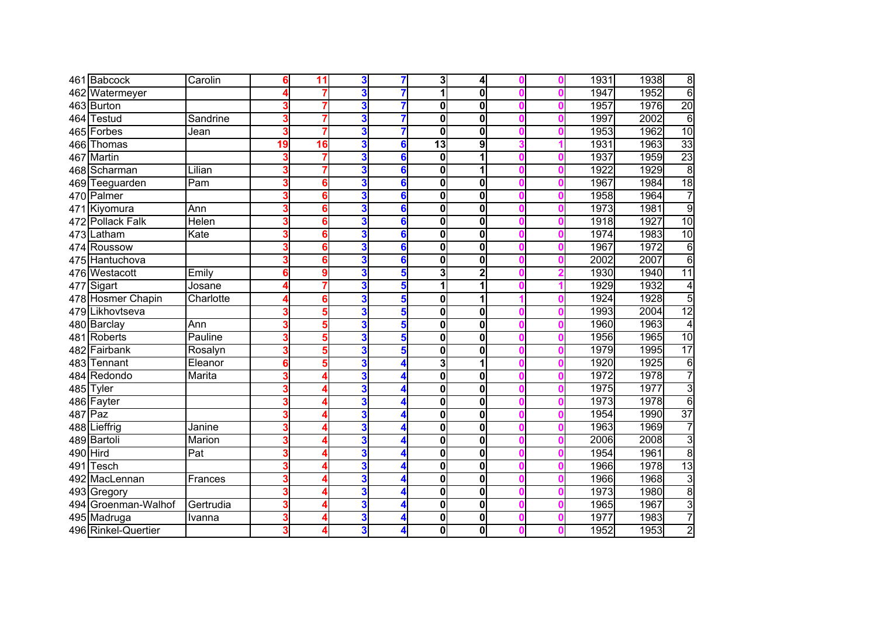|     | 461 Babcock         | Carolin   | 6  | 11 | 3 |   | 3                       | $\overline{4}$ |   | 1931 | 1938 | $\overline{8}$  |
|-----|---------------------|-----------|----|----|---|---|-------------------------|----------------|---|------|------|-----------------|
| 462 | Watermeyer          |           |    | 7  | 3 |   | 1                       | $\mathbf{0}$   |   | 1947 | 1952 | $\overline{6}$  |
|     | 463 Burton          |           |    | 7  | 3 |   | $\bf{0}$                | $\mathbf{0}$   |   | 1957 | 1976 | $\overline{20}$ |
|     | 464 Testud          | Sandrine  |    | 7  | 3 |   | $\bf{0}$                | $\mathbf{0}$   |   | 1997 | 2002 | $\overline{6}$  |
|     | 465 Forbes          | Jean      | 3  | 7  | 3 |   | $\overline{\mathbf{0}}$ | 0              |   | 1953 | 1962 | 10              |
|     | 466 Thomas          |           | 19 | 16 | 3 | 6 | $\overline{13}$         | $\overline{9}$ |   | 1931 | 1963 | 33              |
|     | 467 Martin          |           |    | 7  | 3 | 6 | $\mathbf 0$             | 1              |   | 1937 | 1959 | $\overline{23}$ |
|     | 468 Scharman        | Lilian    |    | 7  | 3 | 6 | $\mathbf 0$             | 1              |   | 1922 | 1929 | $\infty$        |
|     | 469 Teeguarden      | Pam       |    | 6  | 3 | 6 | $\mathbf 0$             | $\mathbf{0}$   |   | 1967 | 1984 | 18              |
|     | 470 Palmer          |           |    | 6  | 3 | 6 | 0                       | 0              |   | 1958 | 1964 | $\overline{7}$  |
|     | 471 Kiyomura        | Ann       | 3  | 6  | 3 | 6 | $\bf{0}$                | 0              |   | 1973 | 1981 | 9               |
| 472 | <b>Pollack Falk</b> | Helen     | 3  | 6  | 3 | 6 | 0                       | 0              |   | 1918 | 1927 | 10              |
|     | 473 Latham          | Kate      | 3  | 6  | 3 | 6 | $\bf{0}$                | 0              |   | 1974 | 1983 | 10              |
|     | 474 Roussow         |           | 3  | 6  | 3 | 6 | $\bf{0}$                | 0              |   | 1967 | 1972 | $\overline{6}$  |
|     | 475 Hantuchova      |           |    | 6  | 3 | 6 | $\bf{0}$                | $\mathbf{0}$   |   | 2002 | 2007 | $\overline{6}$  |
|     | 476 Westacott       | Emily     | 6  | g  | 3 | 5 | 3                       | $\overline{2}$ |   | 1930 | 1940 | $\overline{11}$ |
|     | 477 Sigart          | Josane    |    | 7  | 3 | 5 | 1                       |                |   | 1929 | 1932 | 4               |
|     | 478 Hosmer Chapin   | Charlotte |    | 6  | 3 | 5 | $\mathbf 0$             |                |   | 1924 | 1928 | $\overline{5}$  |
| 479 | Likhovtseva         |           |    | 5  | 3 | 5 | $\bf{0}$                | 0              |   | 1993 | 2004 | $\overline{12}$ |
|     | 480 Barclay         | Ann       |    | 5  | 3 | 5 | $\mathbf 0$             | 0              |   | 1960 | 1963 | 4               |
|     | 481 Roberts         | Pauline   | 3  | 5  | 3 | 5 | $\bf{0}$                | 0              |   | 1956 | 1965 | 10              |
|     | 482 Fairbank        | Rosalyn   | 3  | 5  | 3 | 5 | $\bf{0}$                | 0              |   | 1979 | 1995 | $\overline{17}$ |
|     | 483 Tennant         | Eleanor   | 6  | 5  | 3 | 4 | 3                       | 1              |   | 1920 | 1925 | $\overline{6}$  |
|     | 484 Redondo         | Marita    |    | Δ  | 3 |   | $\mathbf 0$             | 0              |   | 1972 | 1978 | 7               |
|     | 485 Tyler           |           |    | Δ  | 3 |   | $\bf{0}$                | 0              |   | 1975 | 1977 | $\overline{3}$  |
|     | 486 Fayter          |           |    |    | 3 |   | $\bf{0}$                | $\mathbf{0}$   |   | 1973 | 1978 | $\overline{6}$  |
|     | $487$ Paz           |           | 3  |    | 3 | 4 | $\bf{0}$                | 0              |   | 1954 | 1990 | $\overline{37}$ |
|     | 488 Lieffrig        | Janine    | 3  | Δ  | 3 | 4 | $\mathbf 0$             | 0              |   | 1963 | 1969 | 7               |
|     | 489 Bartoli         | Marion    | 3  |    | 3 |   | 0                       | 0              |   | 2006 | 2008 | $\overline{3}$  |
|     | 490 Hird            | Pat       | 3  |    | 3 |   | 0                       | $\mathbf{0}$   |   | 1954 | 1961 | $\overline{8}$  |
| 491 | Tesch               |           |    |    | 3 |   | 0                       | $\mathbf{0}$   |   | 1966 | 1978 | 13              |
| 492 | MacLennan           | Frances   |    |    | 3 |   | $\mathbf 0$             | $\mathbf{0}$   |   | 1966 | 1968 | $\overline{3}$  |
|     | 493 Gregory         |           |    |    | 3 |   | $\mathbf 0$             | $\mathbf{0}$   |   | 1973 | 1980 | $\overline{8}$  |
|     | 494 Groenman-Walhof | Gertrudia | 3  | 4  | 3 | 4 | $\mathbf 0$             | $\mathbf{0}$   |   | 1965 | 1967 | $\overline{3}$  |
|     | 495 Madruga         | Ivanna    | 3  | 4  | 3 | 4 | 0                       | $\mathbf{0}$   | Λ | 1977 | 1983 | $\overline{7}$  |
|     | 496 Rinkel-Quertier |           | 3  | 4  | 3 | 4 | 0                       | $\mathbf 0$    |   | 1952 | 1953 | $\overline{2}$  |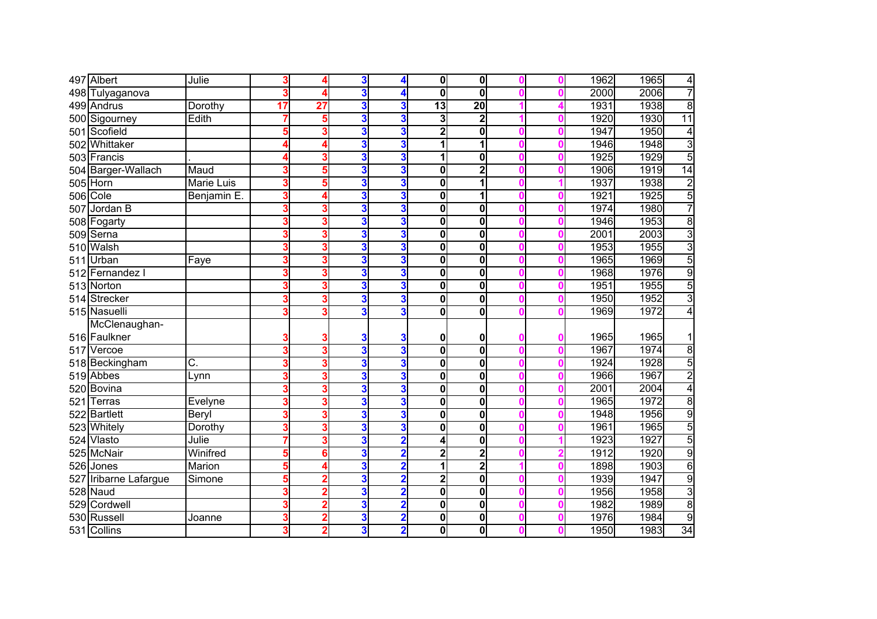|     | 497 Albert         | Julie             | 3  |                 | 3 | 4                       | $\mathbf{0}$            | $\mathbf{0}$            |   | 1962 | 1965<br>4              |
|-----|--------------------|-------------------|----|-----------------|---|-------------------------|-------------------------|-------------------------|---|------|------------------------|
| 498 | Tulyaganova        |                   |    |                 | 3 |                         | $\bf{0}$                | $\mathbf{0}$            |   | 2000 | 7<br>2006              |
|     | 499 Andrus         | Dorothy           | 17 | $\overline{27}$ | 3 | 3                       | $\overline{13}$         | $\overline{20}$         |   | 1931 | $\overline{8}$<br>1938 |
|     | 500 Sigourney      | Edith             |    | 5               | 3 | 3                       | 3                       | $\overline{\mathbf{2}}$ |   | 1920 | 11<br>1930             |
|     | 501 Scofield       |                   | 5  | 3               | 3 | 3                       | $\overline{2}$          | 0                       |   | 1947 | 1950<br>4              |
| 502 | Whittaker          |                   |    | Δ               | 3 | 3                       | 1                       | 1                       |   | 1946 | $\overline{3}$<br>1948 |
|     | 503 Francis        |                   |    | 3               | 3 | 3                       | 1                       | 0                       |   | 1925 | $\overline{5}$<br>1929 |
|     | 504 Barger-Wallach | Maud              |    | 5               | 3 | 3                       | 0                       | $\overline{2}$          |   | 1906 | 14<br>1919             |
| 505 | Horn               | <b>Marie Luis</b> |    | 5               | 3 | 3                       | $\bf{0}$                |                         |   | 1937 | $\overline{2}$<br>1938 |
| 506 | Cole               | Benjamin E.       | 3  | 4               | 3 | 3                       | 0                       | 1                       |   | 1921 | 5<br>1925              |
| 507 | Jordan B           |                   | 3  | 3               | 3 | 3                       | $\bf{0}$                | 0                       |   | 1974 | 7<br>1980              |
|     | 508 Fogarty        |                   | 3  | 3               | 3 | 3                       | 0                       | 0                       |   | 1946 | $\overline{8}$<br>1953 |
|     | 509 Serna          |                   |    | 3               | 3 | 3                       | $\bf{0}$                | 0                       |   | 2001 | $\overline{3}$<br>2003 |
|     | 510 Walsh          |                   | 3  | 3               | 3 | 3                       | $\bf{0}$                | 0                       |   | 1953 | 3<br>1955              |
|     | 511 Urban          | Faye              |    | 3               | 3 | 3                       | $\bf{0}$                | 0                       |   | 1965 | 5<br>1969              |
| 512 | Fernandez I        |                   |    | 3               | 3 | 3                       | $\mathbf 0$             | 0                       |   | 1968 | 9<br>1976              |
|     | 513 Norton         |                   |    | 3               | 3 | 3                       | $\mathbf 0$             | 0                       |   | 1951 | $\overline{5}$<br>1955 |
| 514 | Strecker           |                   |    | 3               | 3 | 3                       | $\mathbf 0$             | 0                       |   | 1950 | $\overline{3}$<br>1952 |
|     | 515 Nasuelli       |                   | 3  | 3               | 3 | 3                       | $\bf{0}$                | 0                       |   | 1969 | 1972<br>4              |
|     | McClenaughan-      |                   |    |                 |   |                         |                         |                         |   |      |                        |
|     | 516 Faulkner       |                   |    |                 | 3 | 3                       | 0                       | 0                       |   | 1965 | 1965                   |
| 517 | Vercoe             |                   | 3  | 3               | 3 | 3                       | $\bf{0}$                | $\overline{\mathbf{0}}$ |   | 1967 | $\overline{8}$<br>1974 |
|     | 518 Beckingham     | C.                | 3  | 3               | 3 | 3                       | 0                       | 0                       | Λ | 1924 | 5<br>1928              |
|     | 519 Abbes          | Lynn              |    | 3               | 3 | 3                       | 0                       | 0                       |   | 1966 | $\overline{2}$<br>1967 |
|     | 520 Bovina         |                   |    | 3               | 3 | 3                       | $\bf{0}$                | 0                       |   | 2001 | $\overline{4}$<br>2004 |
| 521 | Terras             | Evelyne           |    | 3               | 3 | 3                       | $\bf{0}$                | $\mathbf{0}$            |   | 1965 | $\overline{8}$<br>1972 |
|     | 522 Bartlett       | Beryl             | 3  | 3               | 3 | 3                       | $\bf{0}$                | 0                       |   | 1948 | $\overline{9}$<br>1956 |
|     | 523 Whitely        | Dorothy           | 3  | 3               | 3 | 3                       | $\bf{0}$                | 0                       |   | 1961 | 5<br>1965              |
|     | 524 Vlasto         | Julie             |    | 3               | 3 | $\overline{\mathbf{2}}$ | 4                       | 0                       |   | 1923 | 5<br>1927              |
|     | 525 McNair         | Winifred          | 5  | 6               | 3 | $\overline{\mathbf{2}}$ | $\overline{\mathbf{c}}$ | 2                       |   | 1912 | $\overline{9}$<br>1920 |
| 526 | Jones              | Marion            | 5  | Δ               | 3 |                         | 1                       | $\overline{2}$          |   | 1898 | $\overline{6}$<br>1903 |
| 527 | Iribarne Lafargue  | Simone            | 5  | 2               | 3 |                         | $\overline{2}$          | 0                       |   | 1939 | $\overline{9}$<br>1947 |
|     | 528 Naud           |                   |    | $\overline{2}$  | 3 | 2                       | $\mathbf 0$             | 0                       |   | 1956 | $\overline{3}$<br>1958 |
| 529 | Cordwell           |                   | 3  | $\overline{2}$  | 3 | $\overline{\mathbf{2}}$ | 0                       | 0                       |   | 1982 | $\overline{8}$<br>1989 |
|     | 530 Russell        | Joanne            | 3  | $\overline{2}$  | 3 | $\overline{2}$          | 0                       | 0                       | Λ | 1976 | $\overline{9}$<br>1984 |
|     | 531 Collins        |                   | 3  | $\overline{2}$  | 3 | $\overline{\mathbf{2}}$ | 0                       | $\mathbf 0$             |   | 1950 | 34<br>1983             |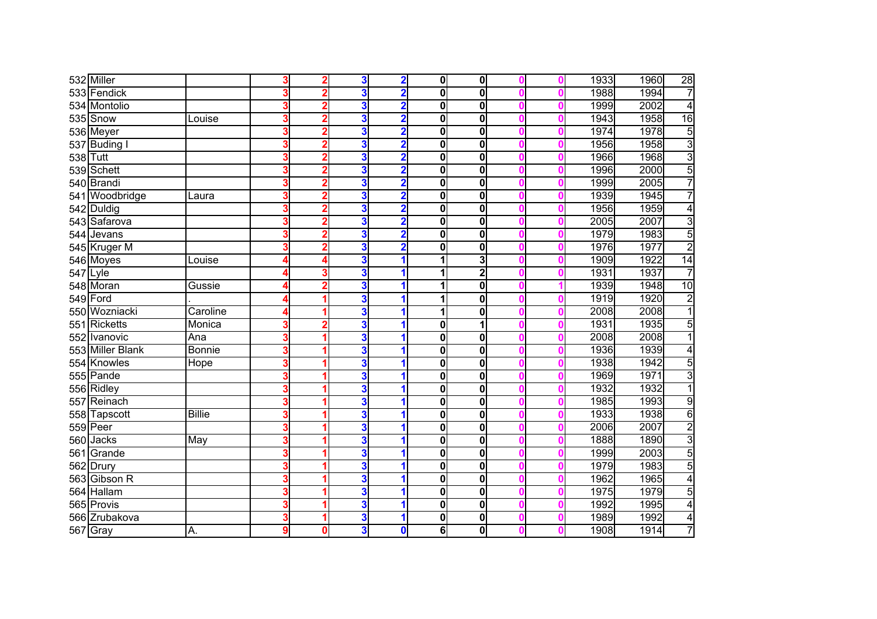|     | 532 Miller       |               |   | 2                       | 3 | $\overline{\mathbf{2}}$ | 0l          | $\mathbf 0$             |   | 1933 | 1960 | 28             |
|-----|------------------|---------------|---|-------------------------|---|-------------------------|-------------|-------------------------|---|------|------|----------------|
|     | 533 Fendick      |               |   | $\overline{2}$          | 3 | $\overline{\mathbf{2}}$ | $\mathbf 0$ | $\overline{\mathbf{0}}$ |   | 1988 | 1994 | 7              |
|     | 534 Montolio     |               |   | $\overline{2}$          | 3 | $\overline{\mathbf{2}}$ | $\mathbf 0$ | 0                       |   | 1999 | 2002 | $\overline{4}$ |
|     | 535 Snow         | Louise        |   | $\overline{2}$          | 3 | $\overline{2}$          | $\mathbf 0$ | 0                       |   | 1943 | 1958 | 16             |
|     | 536 Meyer        |               |   | $\overline{2}$          | 3 | $\overline{\mathbf{2}}$ | $\mathbf 0$ | $\mathbf 0$             |   | 1974 | 1978 | 5              |
|     | 537 Buding I     |               |   | $\overline{2}$          | 3 | $\overline{\mathbf{2}}$ | $\mathbf 0$ | $\mathbf 0$             |   | 1956 | 1958 | $\overline{3}$ |
|     | 538 Tutt         |               |   | $\overline{2}$          | 3 | $\overline{2}$          | $\mathbf 0$ | $\mathbf 0$             |   | 1966 | 1968 | $\overline{3}$ |
|     | 539 Schett       |               |   | $\overline{2}$          | 3 | $\overline{2}$          | $\mathbf 0$ | 0                       |   | 1996 | 2000 | $\overline{5}$ |
|     | 540 Brandi       |               |   | $\overline{2}$          | 3 | $\overline{2}$          | $\mathbf 0$ | 0                       |   | 1999 | 2005 | $\overline{7}$ |
|     | 541 Woodbridge   | Laura         |   | $\overline{2}$          | 3 | $\overline{\mathbf{2}}$ | $\mathbf 0$ | 0                       |   | 1939 | 1945 | $\overline{7}$ |
|     | 542 Duldig       |               |   | $\overline{2}$          | 3 | $\overline{\mathbf{2}}$ | $\mathbf 0$ | 0                       | Ω | 1956 | 1959 | $\overline{4}$ |
|     | 543 Safarova     |               |   | $\overline{2}$          | 3 | $\overline{\mathbf{2}}$ | $\mathbf 0$ | 0                       |   | 2005 | 2007 | $\overline{3}$ |
|     | 544 Jevans       |               |   | 2                       | 3 | 2                       | 0           | 0                       |   | 1979 | 1983 | 5              |
|     | 545 Kruger M     |               |   | $\overline{2}$          | 3 | $\overline{\mathbf{2}}$ | 0           | $\mathbf 0$             |   | 1976 | 1977 | $\overline{2}$ |
|     | 546 Moyes        | Louise        |   | 4                       | 3 | 1                       | 1           | 3                       |   | 1909 | 1922 | 14             |
|     | $547$ Lyle       |               |   | 3                       | 3 |                         | 1           | $\overline{2}$          |   | 1931 | 1937 | 7              |
|     | 548 Moran        | Gussie        |   | 2                       | 3 |                         | 1           | 0                       |   | 1939 | 1948 | 10             |
|     | 549 Ford         |               |   |                         | 3 | 1                       | 1           | $\mathbf 0$             |   | 1919 | 1920 | $\overline{2}$ |
| 550 | Wozniacki        | Caroline      |   | 1                       | 3 | 1                       | 1           | 0                       |   | 2008 | 2008 | $\overline{1}$ |
| 551 | <b>Ricketts</b>  | Monica        |   | $\overline{\mathbf{2}}$ | 3 | 1                       | $\mathbf 0$ | 1                       |   | 1931 | 1935 | $\overline{5}$ |
| 552 | Ivanovic         | Ana           | 3 |                         | 3 | 1                       | $\mathbf 0$ | $\mathbf 0$             |   | 2008 | 2008 | $\overline{1}$ |
|     | 553 Miller Blank | <b>Bonnie</b> |   |                         | 3 | 1                       | $\mathbf 0$ | $\overline{\mathbf{0}}$ |   | 1936 | 1939 | $\overline{4}$ |
|     | 554 Knowles      | Hope          |   |                         | 3 | 1                       | $\mathbf 0$ | $\mathbf 0$             |   | 1938 | 1942 | 5              |
|     | 555 Pande        |               |   |                         | 3 |                         | $\mathbf 0$ | 0                       |   | 1969 | 1971 | $\overline{3}$ |
|     | 556 Ridley       |               |   |                         | 3 |                         | $\mathbf 0$ | 0                       |   | 1932 | 1932 | $\overline{1}$ |
|     | 557 Reinach      |               |   |                         | 3 | 1                       | $\mathbf 0$ | 0                       | Ω | 1985 | 1993 | 9              |
|     | 558 Tapscott     | <b>Billie</b> |   |                         | 3 | 1                       | $\mathbf 0$ | 0                       | Ω | 1933 | 1938 | $\overline{6}$ |
|     | 559 Peer         |               |   |                         | 3 | 1                       | $\mathbf 0$ | 0                       |   | 2006 | 2007 | $\overline{2}$ |
|     | 560 Jacks        | May           |   |                         | 3 |                         | 0           | $\mathbf 0$             |   | 1888 | 1890 | $\overline{3}$ |
|     | 561 Grande       |               |   |                         | 3 |                         | 0           | $\mathbf 0$             |   | 1999 | 2003 | 5              |
|     | 562 Drury        |               |   |                         | 3 |                         | $\mathbf 0$ | $\mathbf 0$             |   | 1979 | 1983 | 5              |
|     | 563 Gibson R     |               |   |                         | 3 |                         | 0           | $\mathbf 0$             |   | 1962 | 1965 | $\overline{4}$ |
|     | 564 Hallam       |               |   |                         | 3 |                         | $\mathbf 0$ | $\mathbf 0$             |   | 1975 | 1979 | 5              |
|     | 565 Provis       |               |   | 1                       | 3 | 1                       | $\mathbf 0$ | $\mathbf 0$             |   | 1992 | 1995 | $\overline{4}$ |
|     | 566 Zrubakova    |               |   | 1                       | 3 | 1                       | $\mathbf 0$ | $\mathbf 0$             | Ω | 1989 | 1992 | 4              |
|     | 567 Gray         | Α.            | 9 | 0                       | 3 | $\mathbf 0$             | 6           | $\mathbf 0$             |   | 1908 | 1914 | $\overline{7}$ |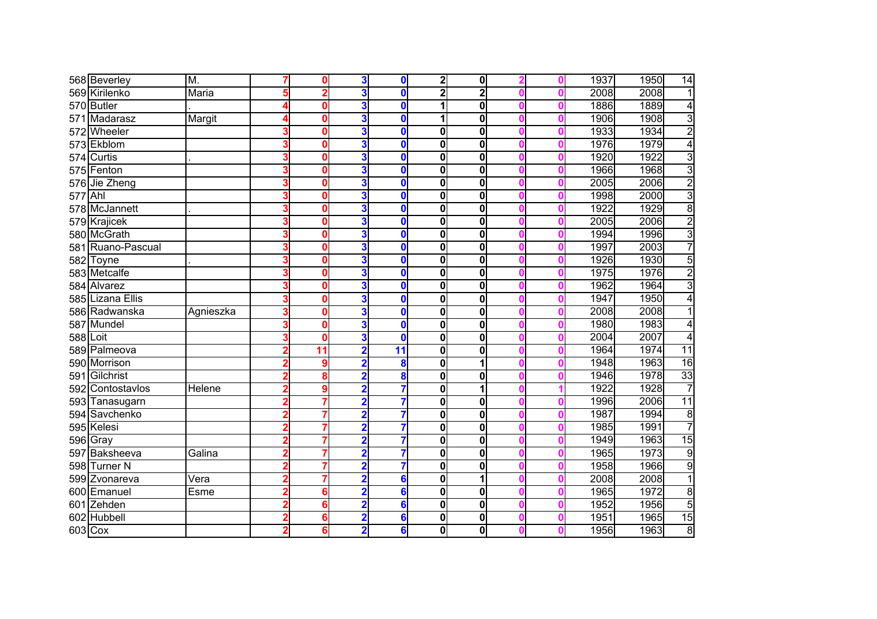|     | 568 Beverley      | M.        | 0               | 3                       | $\mathbf{0}$             | $\mathbf{2}$     | $\mathbf{0}$ |  | 1937 | 1950 | $\overline{14}$ |
|-----|-------------------|-----------|-----------------|-------------------------|--------------------------|------------------|--------------|--|------|------|-----------------|
| 569 | Kirilenko         | Maria     | $\overline{2}$  | 3                       | 0                        | $\overline{2}$   | 2            |  | 2008 | 2008 | 1               |
| 570 | <b>Butler</b>     |           | 0               | 3                       | 0                        | 1                | $\mathbf 0$  |  | 1886 | 1889 | $\overline{4}$  |
| 571 | Madarasz          | Margit    | በ               | 3                       | 0                        | 1                | $\mathbf{0}$ |  | 1906 | 1908 | $\overline{3}$  |
| 572 | Wheeler           |           | በ               | 3                       | $\mathbf 0$              | 0                | 0            |  | 1933 | 1934 | $\overline{2}$  |
|     | 573 Ekblom        |           | 0               | 3                       | 0                        | $\mathbf 0$      | $\mathbf 0$  |  | 1976 | 1979 | 4               |
|     | 574 Curtis        |           | 0               | 3                       | $\bf{0}$                 | $\mathbf{0}$     | $\mathbf 0$  |  | 1920 | 1922 | $\overline{3}$  |
|     | 575 Fenton        |           | 0               | 3                       | 0                        | $\mathbf 0$      | $\mathbf 0$  |  | 1966 | 1968 | 3               |
|     | 576 Jie Zheng     |           | 0               | 3                       | 0                        | 0                | $\mathbf 0$  |  | 2005 | 2006 | $\overline{2}$  |
| 577 | Ahl               |           | 0               | 3                       | $\bf{0}$                 | $\mathbf 0$      | $\mathbf 0$  |  | 1998 | 2000 | $\overline{3}$  |
|     | 578 McJannett     |           | 0               | 3                       | $\mathbf{0}$             | $\mathbf 0$      | $\mathbf 0$  |  | 1922 | 1929 | $\overline{8}$  |
|     | 579 Krajicek      |           | 0               | 3                       | $\mathbf 0$              | 0                | $\mathbf 0$  |  | 2005 | 2006 | $\overline{2}$  |
|     | 580 McGrath       |           | 0               | 3                       | $\mathbf 0$              | 0                | $\mathbf{0}$ |  | 1994 | 1996 | $\overline{3}$  |
|     | 581 Ruano-Pascual |           | 0               | 3                       | $\mathbf 0$              | $\bf{0}$         | $\mathbf{0}$ |  | 1997 | 2003 | 7               |
|     | 582 Toyne         |           | 0               | 3                       | $\bf{0}$                 | 0                | $\mathbf{0}$ |  | 1926 | 1930 | 5               |
| 583 | <b>Metcalfe</b>   |           | 0               | 3                       | 0                        | $\mathbf 0$      | $\mathbf 0$  |  | 1975 | 1976 | $\overline{2}$  |
| 584 | Alvarez           |           | 0               | 3                       | 0                        | $\boldsymbol{0}$ | 0            |  | 1962 | 1964 | 3               |
| 585 | Lizana Ellis      |           | 0               | 3                       | $\bf{0}$                 | $\mathbf 0$      | $\mathbf 0$  |  | 1947 | 1950 | 4               |
|     | 586 Radwanska     | Agnieszka | 0               | 3                       | $\bf{0}$                 | $\bf{0}$         | $\mathbf 0$  |  | 2008 | 2008 |                 |
| 587 | Mundel            |           | 0               | 3                       | $\bf{0}$                 | $\bf{0}$         | $\mathbf{0}$ |  | 1980 | 1983 | 4               |
| 588 | Loit              |           | 0               | 3                       | $\bf{0}$                 | $\mathbf 0$      | 0            |  | 2004 | 2007 | 4               |
|     | 589 Palmeova      |           | $\overline{11}$ | $\overline{2}$          | $\overline{\mathbf{11}}$ | $\bf{0}$         | 0            |  | 1964 | 1974 | $\overline{11}$ |
|     | 590 Morrison      |           | 9               | $\overline{\mathbf{2}}$ | 8                        | $\bf{0}$         | 1            |  | 1948 | 1963 | 16              |
| 591 | Gilchrist         |           | 8               | $\overline{2}$          | 8                        | 0                | $\mathbf{0}$ |  | 1946 | 1978 | 33              |
|     | 592 Contostavios  | Helene    | 9               | $\overline{\mathbf{2}}$ | 7                        | $\mathbf 0$      | 1            |  | 1922 | 1928 | $\overline{7}$  |
|     | 593 Tanasugarn    |           | 7               | $\overline{2}$          | 7                        | $\bf{0}$         | $\mathbf 0$  |  | 1996 | 2006 | 11              |
|     | 594 Savchenko     |           | 7               | $\overline{2}$          | 7                        | 0                | $\mathbf 0$  |  | 1987 | 1994 | $\overline{8}$  |
|     | 595 Kelesi        |           | 7               | $\overline{\mathbf{2}}$ | 7                        | 0                | $\mathbf 0$  |  | 1985 | 1991 | 7               |
|     | 596 Gray          |           | 7               | $\overline{2}$          | 7                        | 0                | $\mathbf 0$  |  | 1949 | 1963 | 15              |
|     | 597 Baksheeva     | Galina    | 7               | $\overline{\mathbf{2}}$ | 7                        | 0                | $\mathbf{0}$ |  | 1965 | 1973 | $\overline{9}$  |
|     | 598 Turner N      |           | 7               | 2                       | 7                        | $\mathbf 0$      | $\mathbf 0$  |  | 1958 | 1966 | $\overline{9}$  |
| 599 | Zvonareva         | Vera      | 7               |                         | 6                        | $\mathbf 0$      | 1            |  | 2008 | 2008 | 1               |
| 600 | Emanuel           | Esme      | 6               | $\overline{\mathbf{2}}$ | 6                        | $\mathbf 0$      | $\mathbf{0}$ |  | 1965 | 1972 | $\overline{8}$  |
|     | 601 Zehden        |           | 6               | $\overline{\mathbf{2}}$ | 6                        | $\mathbf 0$      | $\mathbf 0$  |  | 1952 | 1956 | $\overline{5}$  |
| 602 | Hubbell           |           | 6               | $\overline{\mathbf{2}}$ | 6                        | $\bf{0}$         | 0            |  | 1951 | 1965 | 15              |
|     | 603 Cox           |           | 6               | $\overline{\mathbf{2}}$ | $6\phantom{a}$           | 0                | $\mathbf 0$  |  | 1956 | 1963 | $\overline{8}$  |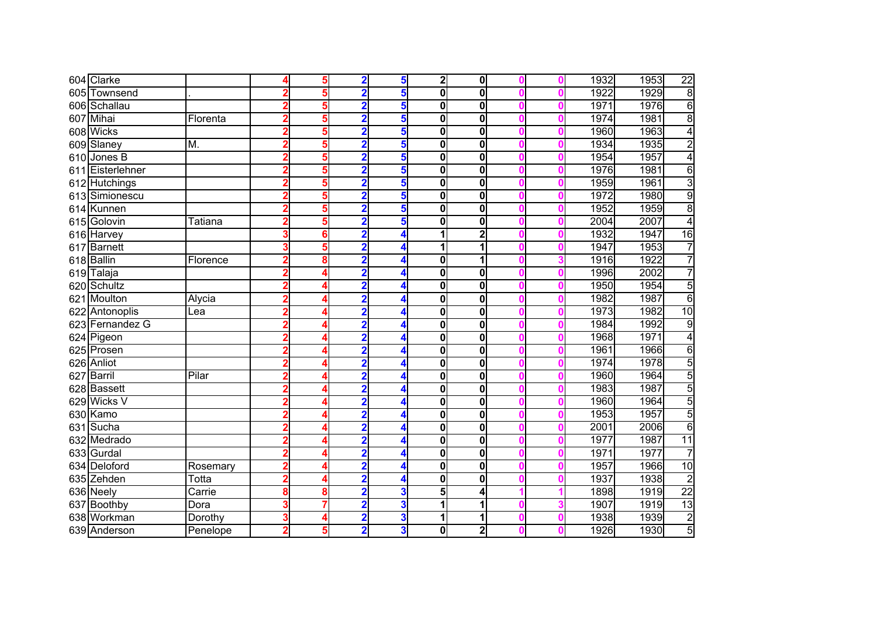|     | 604 Clarke       |          |   | 5 | $\overline{\mathbf{2}}$ | 5 | $\mathbf{2}$   | $\mathbf{0}$   |   | 1932 | 1953 | $\overline{22}$ |
|-----|------------------|----------|---|---|-------------------------|---|----------------|----------------|---|------|------|-----------------|
| 605 | Townsend         |          | 2 | 5 | $\overline{\mathbf{2}}$ | 5 | $\bf{0}$       | 0              |   | 1922 | 1929 | $\overline{8}$  |
|     | 606 Schallau     |          | 2 | 5 | 2                       | 5 | 0              | 0              | Ω | 1971 | 1976 | 6               |
|     | 607 Mihai        | Florenta |   | 5 | 2                       | 5 | $\bf{0}$       | 0              |   | 1974 | 1981 | 8               |
|     | 608 Wicks        |          |   | 5 | $\overline{\mathbf{2}}$ | 5 | 0              | 0              | Λ | 1960 | 1963 | 4               |
|     | 609 Slaney       | M.       |   | 5 | $\overline{\mathbf{2}}$ | 5 | 0              | $\mathbf{0}$   |   | 1934 | 1935 | $\overline{2}$  |
| 610 | Jones B          |          |   | 5 | $\overline{\mathbf{2}}$ | 5 | 0              | 0              |   | 1954 | 1957 | $\overline{4}$  |
|     | 611 Eisterlehner |          |   | 5 | $\overline{\mathbf{2}}$ | 5 | 0              | 0              |   | 1976 | 1981 | 6               |
|     | 612 Hutchings    |          | 2 | 5 | $\overline{\mathbf{2}}$ | 5 | $\bf{0}$       | 0              |   | 1959 | 1961 | $\overline{3}$  |
|     | 613 Simionescu   |          | 2 | 5 | $\overline{\mathbf{2}}$ | 5 | 0              | 0              |   | 1972 | 1980 | $\overline{9}$  |
|     | 614 Kunnen       |          |   | 5 | $\overline{\mathbf{2}}$ | 5 | 0              | 0              |   | 1952 | 1959 | $\overline{8}$  |
|     | 615 Golovin      | Tatiana  |   | 5 | $\overline{\mathbf{2}}$ | 5 | 0              | 0              |   | 2004 | 2007 | 4               |
|     | 616 Harvey       |          | 3 | 6 | $\overline{2}$          |   | 1              | $\overline{2}$ |   | 1932 | 1947 | 16              |
|     | 617 Barnett      |          |   | 5 | $\overline{\mathbf{2}}$ |   | 1              | 1              |   | 1947 | 1953 | 7               |
|     | 618 Ballin       | Florence |   | 8 | 2                       |   | 0              |                |   | 1916 | 1922 | 7               |
| 619 | Talaja           |          |   |   | $\overline{\mathbf{2}}$ |   | 0              | 0              |   | 1996 | 2002 | 7               |
|     | 620 Schultz      |          |   |   | $\overline{\mathbf{2}}$ |   | $\mathbf 0$    | 0              |   | 1950 | 1954 | $\overline{5}$  |
|     | 621 Moulton      | Alycia   |   | 4 | $\overline{2}$          | 4 | $\bf{0}$       | 0              |   | 1982 | 1987 | $\overline{6}$  |
|     | 622 Antonoplis   | Lea      |   | 4 | $\overline{\mathbf{2}}$ | 4 | $\bf{0}$       | 0              |   | 1973 | 1982 | 10              |
|     | 623 Fernandez G  |          | 2 | 4 | $\mathbf 2$             | 4 | $\bf{0}$       | 0              | Ω | 1984 | 1992 | $\overline{9}$  |
|     | 624 Pigeon       |          |   | Δ | $\overline{\mathbf{2}}$ | 4 | $\bf{0}$       | 0              |   | 1968 | 1971 | $\overline{4}$  |
|     | 625 Prosen       |          |   | Δ | $\overline{\mathbf{2}}$ | 4 | 0              | 0              | Ω | 1961 | 1966 | $\overline{6}$  |
|     | 626 Anliot       |          |   | Δ | $\overline{\mathbf{2}}$ | 4 | 0              | 0              |   | 1974 | 1978 | 5               |
|     | 627 Barril       | Pilar    |   | 4 | 2                       | 4 | 0              | 0              |   | 1960 | 1964 | 5               |
|     | 628 Bassett      |          |   | 4 | $\overline{\mathbf{2}}$ | 4 | 0              | 0              |   | 1983 | 1987 | 5               |
|     | 629 Wicks V      |          | 2 | 4 | $\overline{\mathbf{2}}$ | 4 | 0              | 0              | Ω | 1960 | 1964 | $\overline{5}$  |
|     | 630 Kamo         |          |   | 4 | $\overline{\mathbf{2}}$ | 4 | 0              | 0              |   | 1953 | 1957 | $\overline{5}$  |
|     | 631 Sucha        |          |   | 4 | $\overline{\mathbf{2}}$ | 4 | 0              | 0              | Ω | 2001 | 2006 | $\overline{6}$  |
|     | 632 Medrado      |          |   |   | $\overline{\mathbf{2}}$ | 4 | 0              | 0              |   | 1977 | 1987 | $\overline{11}$ |
|     | 633 Gurdal       |          |   |   | $\overline{\mathbf{2}}$ |   | $\mathbf 0$    | $\mathbf{0}$   |   | 1971 | 1977 | 7               |
|     | 634 Deloford     | Rosemary |   | 4 | $\overline{\mathbf{2}}$ |   | 0              | $\mathbf{0}$   |   | 1957 | 1966 | 10              |
|     | 635 Zehden       | Totta    |   | 4 | 2                       |   | $\mathbf 0$    | 0              |   | 1937 | 1938 | $\overline{2}$  |
|     | 636 Neely        | Carrie   | 8 | 8 | $\overline{\mathbf{2}}$ | 3 | 5 <sub>5</sub> | 4              |   | 1898 | 1919 | $\overline{22}$ |
|     | 637 Boothby      | Dora     | 3 | 7 | $\overline{\mathbf{2}}$ | 3 | 1              |                |   | 1907 | 1919 | 13              |
|     | 638 Workman      | Dorothy  | 3 | 4 | $\overline{\mathbf{2}}$ | 3 | 1              | 1              | Λ | 1938 | 1939 | $\overline{2}$  |
|     | 639 Anderson     | Penelope | 2 | 5 | $\overline{\mathbf{2}}$ | 3 | 0              | $\mathbf{z}$   |   | 1926 | 1930 | $\overline{5}$  |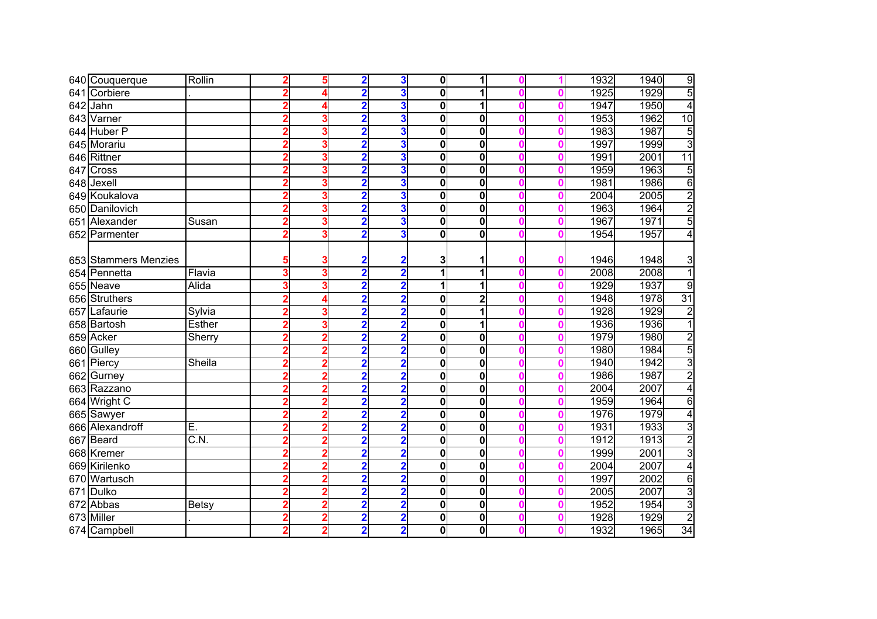|     | 640 Couquerque       | Rollin                   |                | 5              | $\mathbf 2$             | 3                       | $\mathbf{0}$            | 1                       |   | 1932 | 1940 | 9              |
|-----|----------------------|--------------------------|----------------|----------------|-------------------------|-------------------------|-------------------------|-------------------------|---|------|------|----------------|
|     | 641 Corbiere         |                          |                |                | $\overline{2}$          | 3                       | $\mathbf 0$             |                         |   | 1925 | 1929 | $\overline{5}$ |
| 642 | Jahn                 |                          | 2              | 4              | $\overline{\mathbf{2}}$ | 3                       | $\mathbf 0$             | 1                       | Λ | 1947 | 1950 | $\overline{4}$ |
|     | 643 Varner           |                          |                | 3              | $\overline{\mathbf{2}}$ | 3                       | $\mathbf 0$             | $\mathbf{0}$            |   | 1953 | 1962 | 10             |
|     | 644 Huber P          |                          |                | 3              | $\overline{\mathbf{2}}$ | 3                       | $\bf{0}$                | 0                       | Λ | 1983 | 1987 | 5              |
|     | 645 Morariu          |                          |                | 3              | $\overline{2}$          | 3                       | $\mathbf 0$             | 0                       |   | 1997 | 1999 | 3              |
|     | 646 Rittner          |                          |                | 3              | $\overline{2}$          | 3                       | $\mathbf 0$             | 0                       |   | 1991 | 2001 | 11             |
|     | 647 Cross            |                          |                | 3              | $\overline{\mathbf{2}}$ | 3                       | $\mathbf 0$             | 0                       |   | 1959 | 1963 | 5              |
|     | 648 Jexell           |                          |                | 3              | $\overline{2}$          | 3                       | $\bf{0}$                | 0                       |   | 1981 | 1986 | 6              |
|     | 649 Koukalova        |                          | 2              | 3              | $\overline{\mathbf{2}}$ | 3                       | $\mathbf 0$             | $\bf{0}$                |   | 2004 | 2005 | $\overline{2}$ |
|     | 650 Danilovich       |                          | $\overline{2}$ | 3              | $\overline{\mathbf{2}}$ | 3                       | $\bf{0}$                | 0                       |   | 1963 | 1964 | $\overline{2}$ |
|     | 651 Alexander        | Susan                    | 2              | 3              | $\overline{\mathbf{2}}$ | 3                       | $\bf{0}$                | 0                       |   | 1967 | 1971 | 5              |
|     | 652 Parmenter        |                          |                | 3              | $\overline{\mathbf{2}}$ | 3                       | 0                       | 0                       |   | 1954 | 1957 | 4              |
|     |                      |                          |                |                |                         |                         |                         |                         |   |      |      |                |
|     | 653 Stammers Menzies |                          |                | 3              | 2                       |                         | 3                       |                         |   | 1946 | 1948 | 3              |
|     | 654 Pennetta         | Flavia                   |                | 3              | $\overline{2}$          |                         | 1                       |                         |   | 2008 | 2008 | 1              |
|     | 655 Neave            | Alida                    |                | 3              | $\overline{\mathbf{2}}$ | $\mathbf 2$             | 1                       |                         |   | 1929 | 1937 | 9              |
|     | 656 Struthers        |                          | 2              | 4              | $\overline{\mathbf{2}}$ | $\overline{\mathbf{2}}$ | 0                       | 2                       |   | 1948 | 1978 | 31             |
|     | 657 Lafaurie         | Sylvia                   | 2              | 3              | $\overline{2}$          | $\overline{2}$          | $\mathbf 0$             |                         |   | 1928 | 1929 | $\overline{2}$ |
|     | 658 Bartosh          | <b>Esther</b>            | 2              | 3              | $\overline{\mathbf{2}}$ | $\overline{\mathbf{2}}$ | $\overline{\mathbf{0}}$ | 1                       |   | 1936 | 1936 | $\overline{1}$ |
|     | 659 Acker            | Sherry                   | 2              | 2              | $\overline{2}$          | $\overline{2}$          | $\bf{0}$                | 0                       |   | 1979 | 1980 | $\overline{2}$ |
|     | 660 Gulley           |                          |                | $\overline{2}$ | $\overline{2}$          | $\overline{\mathbf{2}}$ | $\mathbf 0$             | 0                       |   | 1980 | 1984 | 5              |
|     | 661 Piercy           | Sheila                   |                | 2              | $\overline{2}$          | $\overline{2}$          | $\mathbf 0$             | $\mathbf{0}$            |   | 1940 | 1942 | $\overline{3}$ |
| 662 | Gurney               |                          |                | 2              | $\overline{2}$          | $\overline{2}$          | $\mathbf 0$             | 0                       |   | 1986 | 1987 | $\overline{2}$ |
|     | 663 Razzano          |                          |                | $\overline{2}$ | $\overline{2}$          | $\overline{\mathbf{2}}$ | $\mathbf 0$             | $\overline{\mathbf{0}}$ |   | 2004 | 2007 | $\overline{4}$ |
|     | 664 Wright C         |                          |                | $\overline{2}$ | $\overline{\mathbf{2}}$ | $\overline{\mathbf{2}}$ | $\bf{0}$                | 0                       |   | 1959 | 1964 | $\overline{6}$ |
|     | 665 Sawyer           |                          | 2              | $\overline{2}$ | $\overline{\mathbf{2}}$ | $\overline{\mathbf{2}}$ | $\bf{0}$                | 0                       |   | 1976 | 1979 | $\overline{4}$ |
|     | 666 Alexandroff      | Ē.                       |                | 2              | $\overline{\mathbf{2}}$ | $\overline{\mathbf{2}}$ | 0                       | 0                       |   | 1931 | 1933 | $\overline{3}$ |
|     | 667 Beard            | $\overline{\text{C.N.}}$ |                | 2              | $\overline{\mathbf{2}}$ | $\overline{\mathbf{2}}$ | 0                       | 0                       |   | 1912 | 1913 | $\overline{2}$ |
|     | 668 Kremer           |                          |                | 2              | $\overline{2}$          | $\overline{\mathbf{2}}$ | 0                       | $\mathbf{0}$            |   | 1999 | 2001 | $\overline{3}$ |
|     | 669 Kirilenko        |                          |                | $\overline{2}$ | $\overline{\mathbf{2}}$ |                         | 0                       | $\mathbf{0}$            |   | 2004 | 2007 | $\overline{4}$ |
|     | 670 Wartusch         |                          |                | 2              | 2                       |                         | 0                       | $\mathbf{0}$            |   | 1997 | 2002 | 6              |
|     | 671 Dulko            |                          |                | $\overline{2}$ | $\overline{\mathbf{2}}$ | 2                       | $\mathbf 0$             | $\mathbf{0}$            |   | 2005 | 2007 | $\overline{3}$ |
|     | 672 Abbas            | <b>Betsy</b>             | 2              | $\overline{2}$ | $\overline{\mathbf{2}}$ | $\overline{\mathbf{2}}$ | 0                       | $\mathbf{0}$            |   | 1952 | 1954 | $\overline{3}$ |
|     | 673 Miller           |                          | 2              | $\overline{2}$ | $\overline{\mathbf{2}}$ | $\overline{\mathbf{2}}$ | 0                       | $\mathbf{0}$            | Λ | 1928 | 1929 | $\overline{2}$ |
|     | 674 Campbell         |                          | 2              | $\overline{2}$ | $\overline{\mathbf{2}}$ | $\overline{\mathbf{2}}$ | 0                       | $\mathbf{0}$            |   | 1932 | 1965 | 34             |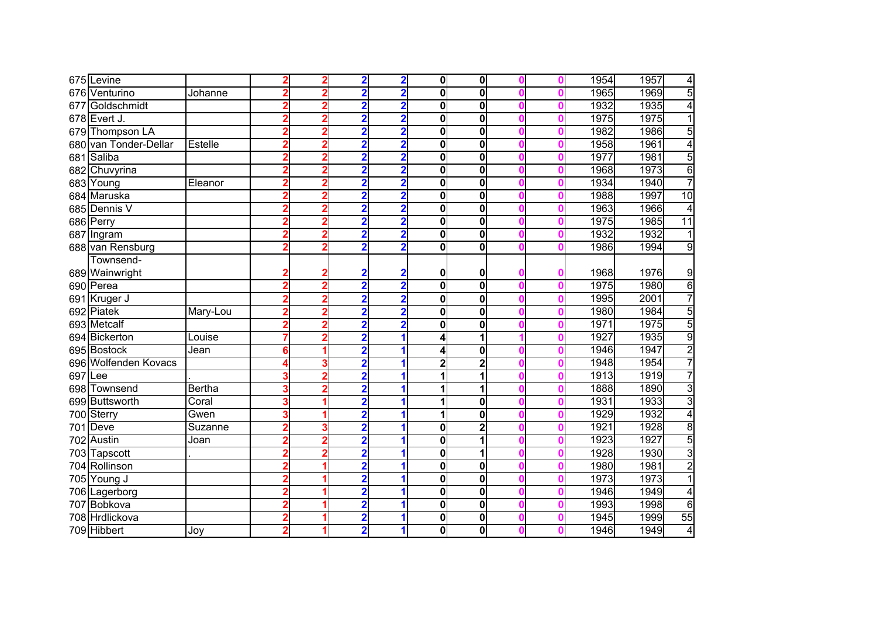|         | 675 Levine            |               | 2 | 2              | $\overline{2}$          | $\overline{\mathbf{2}}$ | $\mathbf{0}$   | $\mathbf{0}$   |   | 1954 | 1957 | $\overline{4}$  |
|---------|-----------------------|---------------|---|----------------|-------------------------|-------------------------|----------------|----------------|---|------|------|-----------------|
|         | 676 Venturino         | Johanne       | 2 | $\overline{2}$ | $\overline{2}$          | $\overline{2}$          | $\bf{0}$       | 0              |   | 1965 | 1969 | 5               |
| 677     | Goldschmidt           |               |   | 2              | $\overline{2}$          | $\overline{2}$          | $\bf{0}$       | 0              |   | 1932 | 1935 | $\overline{4}$  |
|         | 678 Evert J.          |               |   | 2              | $\overline{\mathbf{2}}$ | $\overline{2}$          | $\bf{0}$       | 0              | Λ | 1975 | 1975 | 1               |
|         | 679 Thompson LA       |               |   | 2              | $\overline{\mathbf{2}}$ | $\overline{2}$          | $\bf{0}$       | 0              |   | 1982 | 1986 | 5               |
|         | 680 van Tonder-Dellar | Estelle       |   | 2              | $\overline{\mathbf{2}}$ | $\overline{2}$          | $\bf{0}$       | 0              | Λ | 1958 | 1961 | 4               |
|         | 681 Saliba            |               |   | 2              | $\overline{\mathbf{2}}$ | 2                       | $\mathbf 0$    | 0              | Λ | 1977 | 1981 | $\overline{5}$  |
|         | 682 Chuvyrina         |               |   | $\overline{2}$ | $\overline{\mathbf{2}}$ | $\overline{2}$          | $\bf{0}$       | 0              |   | 1968 | 1973 | $\overline{6}$  |
|         | 683 Young             | Eleanor       | 2 | $\overline{2}$ | $\overline{2}$          | $\overline{\mathbf{2}}$ | $\bf{0}$       | 0              |   | 1934 | 1940 | $\overline{7}$  |
|         | 684 Maruska           |               | 2 | $\overline{2}$ | $\overline{2}$          | $\overline{\mathbf{2}}$ | $\bf{0}$       | 0              |   | 1988 | 1997 | $\overline{10}$ |
|         | 685 Dennis V          |               |   | $\overline{2}$ | $\overline{\mathbf{2}}$ | $\overline{\mathbf{2}}$ | $\bf{0}$       | 0              |   | 1963 | 1966 | 4               |
|         | 686 Perry             |               |   | 2              | $\overline{\mathbf{2}}$ | $\overline{\mathbf{2}}$ | $\bf{0}$       | 0              |   | 1975 | 1985 | $\overline{11}$ |
|         | 687 Ingram            |               |   | $\overline{2}$ | $\overline{2}$          | $\overline{\mathbf{2}}$ | $\bf{0}$       | $\mathbf{0}$   |   | 1932 | 1932 | 1               |
|         | 688 van Rensburg      |               |   | 2              | $\overline{2}$          | 2                       | $\mathbf 0$    | $\mathbf{0}$   |   | 1986 | 1994 | $\overline{9}$  |
|         | Townsend-             |               |   |                |                         |                         |                |                |   |      |      |                 |
|         | 689 Wainwright        |               |   | 2              | 2                       | 2                       | 0              | 0              |   | 1968 | 1976 | 9               |
|         | 690 Perea             |               |   | $\overline{2}$ | $\overline{2}$          | $\overline{\mathbf{2}}$ | $\mathbf 0$    | $\mathbf 0$    |   | 1975 | 1980 | $\overline{6}$  |
|         | 691 Kruger J          |               | 2 | $\overline{2}$ | $\overline{\mathbf{2}}$ | $\overline{2}$          | $\bf{0}$       | 0              |   | 1995 | 2001 | 7               |
|         | 692 Piatek            | Mary-Lou      |   | 2              | $\overline{2}$          | $\overline{2}$          | $\bf{0}$       | 0              |   | 1980 | 1984 | $\overline{5}$  |
|         | 693 Metcalf           |               |   | 2              | $\overline{\mathbf{2}}$ | $\overline{\mathbf{2}}$ | $\bf{0}$       | 0              |   | 1971 | 1975 | 5               |
|         | 694 Bickerton         | Louise        |   | 2              | $\overline{\mathbf{2}}$ |                         | 4              | 1              |   | 1927 | 1935 | $\overline{9}$  |
|         | 695 Bostock           | Jean          | 6 |                | $\overline{\mathbf{2}}$ |                         | 4              | 0              |   | 1946 | 1947 | $\overline{2}$  |
|         | 696 Wolfenden Kovacs  |               |   | 3              | $\overline{\mathbf{2}}$ |                         | $\overline{2}$ | $\overline{2}$ |   | 1948 | 1954 | 7               |
| 697 Lee |                       |               |   | 2              | $\overline{\mathbf{2}}$ |                         | 1              |                |   | 1913 | 1919 | 7               |
|         | 698 Townsend          | <b>Bertha</b> | 3 | 2              | $\overline{\mathbf{2}}$ |                         | 1              | 1              |   | 1888 | 1890 | $\overline{3}$  |
|         | 699 Buttsworth        | Coral         | 3 | 1              | $\overline{\mathbf{2}}$ | 1                       | 1              | $\mathbf{0}$   | Λ | 1931 | 1933 | $\overline{3}$  |
|         | 700 Sterry            | Gwen          | 3 | 1              | $\overline{\mathbf{2}}$ |                         | 1              | 0              |   | 1929 | 1932 | 4               |
|         | <b>701 Deve</b>       | Suzanne       | 2 | 3              | $\overline{\mathbf{2}}$ |                         | 0              | $\mathbf{z}$   |   | 1921 | 1928 | $\overline{8}$  |
|         | 702 Austin            | Joan          |   | 2              | $\overline{\mathbf{2}}$ |                         | 0              | 1              |   | 1923 | 1927 | 5               |
|         | 703 Tapscott          |               |   | 2              | $\overline{2}$          |                         | 0              | 1              |   | 1928 | 1930 | $\overline{3}$  |
|         | 704 Rollinson         |               |   |                | $\overline{\mathbf{2}}$ |                         | 0              | $\mathbf{0}$   |   | 1980 | 1981 | $\overline{2}$  |
|         | 705 Young J           |               |   |                | 2                       |                         | 0              | 0              |   | 1973 | 1973 | 1               |
|         | 706 Lagerborg         |               |   |                | $\overline{\mathbf{2}}$ |                         | $\mathbf 0$    | $\mathbf{0}$   |   | 1946 | 1949 | $\overline{4}$  |
| 707     | Bobkova               |               |   |                | $\overline{\mathbf{2}}$ |                         | 0              | 0              |   | 1993 | 1998 | $\overline{6}$  |
| 708     | Hrdlickova            |               | 2 | 1              | $\overline{\mathbf{2}}$ | 1                       | 0              | 0              | Λ | 1945 | 1999 | 55              |
|         | 709 Hibbert           | Joy           | 2 | 1              | $\overline{\mathbf{2}}$ |                         | 0              | 0              |   | 1946 | 1949 | 4               |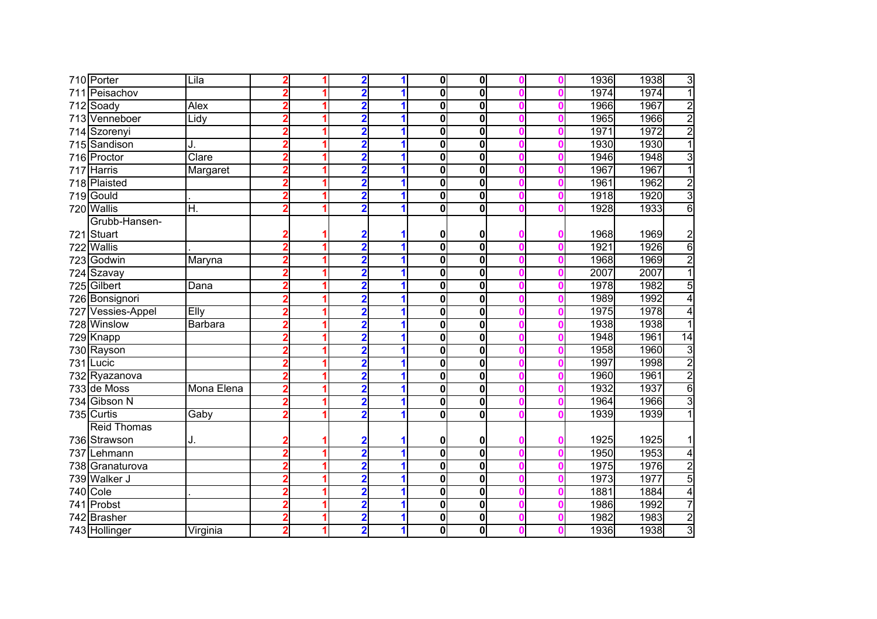|     | 710 Porter           | Lila       |   | $\overline{\mathbf{2}}$ |   | $\mathbf 0$  | $\mathbf 0$ |  | 1936 | $\overline{3}$<br>1938          |
|-----|----------------------|------------|---|-------------------------|---|--------------|-------------|--|------|---------------------------------|
|     | 711 Peisachov        |            |   | $\overline{2}$          |   | $\mathbf{0}$ | $\mathbf 0$ |  | 1974 | $\overline{1}$<br>1974          |
|     | 712 Soady            | Alex       |   | 2                       |   | $\mathbf 0$  | $\mathbf 0$ |  | 1966 | $\overline{2}$<br>1967          |
|     | 713 Venneboer        | Lidy       | 1 | 2                       |   | $\mathbf 0$  | $\mathbf 0$ |  | 1965 | $\overline{2}$<br>1966          |
|     | 714 Szorenyi         |            |   | 2                       |   | $\bf{0}$     | $\mathbf 0$ |  | 1971 | $\overline{2}$<br>1972          |
|     | 715 Sandison         | J.         | 1 | 2                       |   | $\bf{0}$     | $\mathbf 0$ |  | 1930 | $\overline{1}$<br>1930          |
|     | 716 Proctor          | Clare      | 1 | $\overline{2}$          |   | $\bf{0}$     | 0           |  | 1946 | $\overline{3}$<br>1948          |
|     | 717 Harris           | Margaret   | и | $\overline{2}$          |   | $\mathbf 0$  | 0           |  | 1967 | $\overline{1}$<br>1967          |
|     | 718 Plaisted         |            | и | $\overline{2}$          |   | $\mathbf 0$  | 0           |  | 1961 | $\overline{2}$<br>1962          |
|     | 719 Gould            |            | 1 | $\overline{2}$          | 1 | $\bf{0}$     | 0           |  | 1918 | $\overline{3}$<br>1920          |
|     | 720 Wallis           | H.         |   | $\overline{2}$          |   | $\mathbf 0$  | 0           |  | 1928 | $\overline{6}$<br>1933          |
|     | Grubb-Hansen-        |            |   |                         |   |              |             |  |      |                                 |
|     | 721 Stuart           |            |   | 2                       |   | 0            | 0           |  | 1968 | 1969<br>$\overline{\mathbf{c}}$ |
|     | 722 Wallis           |            |   | $\overline{2}$          |   | $\mathbf 0$  | $\mathbf 0$ |  | 1921 | 1926<br>$\overline{6}$          |
|     | 723 Godwin           | Maryna     |   | $\overline{2}$          |   | $\mathbf 0$  | $\mathbf 0$ |  | 1968 | $\overline{2}$<br>1969          |
|     | 724 Szavay           |            |   | $\overline{\mathbf{2}}$ |   | $\mathbf 0$  | 0           |  | 2007 | 2007                            |
| 725 | Gilbert              | Dana       |   | $\overline{2}$          |   | $\mathbf 0$  | $\mathbf 0$ |  | 1978 | 1982<br>5                       |
|     | 726 Bonsignori       |            |   | $\overline{2}$          |   | $\bf{0}$     | 0           |  | 1989 | 1992<br>4                       |
| 727 | <b>Vessies-Appel</b> | Elly       |   | $\overline{\mathbf{2}}$ |   | $\mathbf 0$  | 0           |  | 1975 | 1978<br>4                       |
|     | 728 Winslow          | Barbara    |   | 2                       |   | $\mathbf 0$  | $\mathbf 0$ |  | 1938 | 1938                            |
|     | 729 Knapp            |            |   | 2                       |   | 0            | $\mathbf 0$ |  | 1948 | 1961<br>$\overline{14}$         |
|     | 730 Rayson           |            |   | 2                       |   | 0            | $\mathbf 0$ |  | 1958 | $\overline{3}$<br>1960          |
|     | 731 Lucic            |            |   | 2                       |   | $\mathbf 0$  | $\mathbf 0$ |  | 1997 | $\overline{2}$<br>1998          |
|     | 732 Ryazanova        |            |   |                         |   | $\mathbf 0$  | 0           |  | 1960 | $\overline{2}$<br>1961          |
|     | 733 de Moss          | Mona Elena | 1 | $\overline{2}$          |   | $\mathbf 0$  | 0           |  | 1932 | $\overline{6}$<br>1937          |
|     | 734 Gibson N         |            |   | $\overline{\mathbf{2}}$ | 1 | $\mathbf 0$  | $\mathbf 0$ |  | 1964 | $\overline{3}$<br>1966          |
|     | 735 Curtis           | Gaby       |   | 2                       |   | $\mathbf 0$  | $\mathbf 0$ |  | 1939 | 1<br>1939                       |
|     | Reid Thomas          |            |   |                         |   |              |             |  |      |                                 |
|     | 736 Strawson         | J.         |   | $\mathbf 2$             |   | 0            | 0           |  | 1925 | 1925<br>1                       |
|     | 737 Lehmann          |            |   | $\overline{\mathbf{2}}$ |   | $\mathbf 0$  | $\mathbf 0$ |  | 1950 | 1953<br>4                       |
|     | 738 Granaturova      |            |   | 2                       |   | $\mathbf 0$  | $\mathbf 0$ |  | 1975 | 1976<br>$\overline{2}$          |
|     | 739 Walker J         |            |   | 2                       |   | 0            | 0           |  | 1973 | 1977<br>5                       |
|     | 740 Cole             |            |   | $\overline{\mathbf{2}}$ |   | $\mathbf 0$  | $\mathbf 0$ |  | 1881 | 1884<br>$\overline{4}$          |
|     | 741 Probst           |            | 1 | $\overline{\mathbf{2}}$ | 1 | 0            | $\mathbf 0$ |  | 1986 | 7<br>1992                       |
|     | 742 Brasher          |            | 1 | $\overline{\mathbf{2}}$ | 1 | 0            | 0           |  | 1982 | $\overline{2}$<br>1983          |
|     | 743 Hollinger        | Virginia   | 1 | $\overline{\mathbf{2}}$ |   | 0            | 0           |  | 1936 | $\overline{3}$<br>1938          |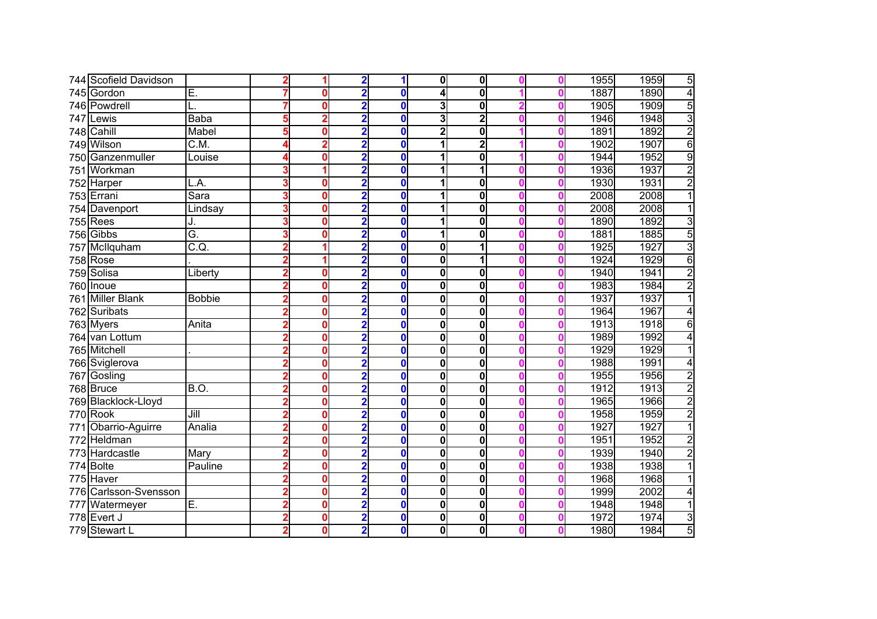|     | 744 Scofield Davidson |                    |   |   | 2                       |              | 0                       | $\mathbf{0}$            |   | 1955 | 5<br>1959              |
|-----|-----------------------|--------------------|---|---|-------------------------|--------------|-------------------------|-------------------------|---|------|------------------------|
|     | 745 Gordon            | Ē.                 |   | 0 | $\overline{2}$          | 0            | $\overline{\mathbf{A}}$ | 0                       |   | 1887 | $\overline{4}$<br>1890 |
|     | 746 Powdrell          |                    |   | 0 | $\overline{\mathbf{2}}$ | $\bf{0}$     | 3                       | $\mathbf{0}$            |   | 1905 | 5<br>1909              |
| 747 | Lewis                 | Baba               | 5 | 2 | $\overline{\mathbf{2}}$ | $\mathbf{0}$ | 3                       | $\overline{\mathbf{2}}$ |   | 1946 | $\overline{3}$<br>1948 |
|     | 748 Cahill            | Mabel              |   | 0 | 2                       | $\bf{0}$     | $\overline{2}$          | 0                       |   | 1891 | $\overline{2}$<br>1892 |
|     | 749 Wilson            | C.M.               |   | 2 | $\overline{\mathbf{2}}$ | $\bf{0}$     | 1                       | $\overline{\mathbf{2}}$ |   | 1902 | $\overline{6}$<br>1907 |
|     | 750 Ganzenmuller      | Louise             |   | 0 | $\overline{\mathbf{2}}$ | $\mathbf{0}$ | 1                       | 0                       |   | 1944 | $\overline{9}$<br>1952 |
|     | 751 Workman           |                    |   | 4 | $\overline{2}$          | $\mathbf{0}$ | 1                       | 1                       |   | 1936 | $\overline{2}$<br>1937 |
|     | 752 Harper            | L.A.               |   | 0 | $\overline{\mathbf{2}}$ | 0            | 1                       | 0                       |   | 1930 | $\overline{2}$<br>1931 |
|     | 753 Errani            | Sara               | 3 | 0 | $\overline{2}$          | $\bf{0}$     | 1                       | 0                       |   | 2008 | 2008<br>1              |
|     | 754 Davenport         | Lindsay            | 3 | 0 | $\overline{\mathbf{2}}$ | $\bf{0}$     | 1                       | 0                       |   | 2008 | 2008<br>1              |
|     | $755$ Rees            | J.                 | 3 | 0 | $\overline{\mathbf{2}}$ | $\bf{0}$     | 1                       | 0                       |   | 1890 | $\overline{3}$<br>1892 |
|     | 756 Gibbs             | Ğ.                 | 3 | 0 | $\overline{\mathbf{2}}$ | 0            | 1                       | 0                       |   | 1881 | 5<br>1885              |
|     | 757 McIlquham         | $\overline{C.Q}$ . |   |   | $\overline{2}$          | $\bf{0}$     | 0                       |                         |   | 1925 | $\overline{3}$<br>1927 |
|     | <b>758 Rose</b>       |                    |   |   | 2                       | $\bf{0}$     | $\mathbf 0$             |                         |   | 1924 | 6<br>1929              |
|     | 759 Solisa            | Liberty            |   | 0 | 2                       | 0            | 0                       | 0                       |   | 1940 | $\overline{2}$<br>1941 |
|     | 760 Inoue             |                    |   | 0 | $\overline{\mathbf{2}}$ | 0            | 0                       | 0                       |   | 1983 | 1984<br>$\overline{2}$ |
|     | 761 Miller Blank      | <b>Bobbie</b>      |   | 0 | $\overline{\mathbf{2}}$ | 0            | $\bf{0}$                | 0                       |   | 1937 | 1937                   |
|     | 762 Suribats          |                    |   | 0 | $\overline{2}$          | $\mathbf{0}$ | $\mathbf 0$             | 0                       |   | 1964 | 1967<br>4              |
|     | 763 Myers             | Anita              |   | 0 | $\overline{\mathbf{2}}$ | $\bf{0}$     | $\overline{\mathbf{0}}$ | 0                       |   | 1913 | 1918<br>$\overline{6}$ |
|     | 764 van Lottum        |                    |   | 0 | $\overline{\mathbf{2}}$ | $\bf{0}$     | $\bf{0}$                | 0                       |   | 1989 | 1992<br>4              |
|     | 765 Mitchell          |                    |   | 0 | $\overline{\mathbf{2}}$ | $\bf{0}$     | $\bf{0}$                | 0                       |   | 1929 | 1929<br>1              |
|     | 766 Sviglerova        |                    |   | 0 | $\overline{2}$          | $\bf{0}$     | $\bf{0}$                | 0                       |   | 1988 | 1991<br>4              |
|     | 767 Gosling           |                    |   | 0 | $\overline{2}$          | $\mathbf{0}$ | $\mathbf 0$             | 0                       |   | 1955 | $\overline{2}$<br>1956 |
|     | 768 Bruce             | B.O.               |   | 0 | $\overline{\mathbf{2}}$ | $\bf{0}$     | $\mathbf 0$             | 0                       |   | 1912 | $\overline{2}$<br>1913 |
|     | 769 Blacklock-Lloyd   |                    |   | 0 | $\overline{2}$          | $\bf{0}$     | $\mathbf 0$             | 0                       |   | 1965 | $\overline{2}$<br>1966 |
|     | 770 Rook              | Jill               |   | 0 | $\overline{\mathbf{2}}$ | $\mathbf{0}$ | $\bf{0}$                | 0                       |   | 1958 | $\overline{2}$<br>1959 |
|     | 771 Obarrio-Aguirre   | Analia             |   | 0 | $\overline{\mathbf{2}}$ | $\mathbf{0}$ | 0                       | 0                       |   | 1927 | 1927<br>1              |
|     | 772 Heldman           |                    |   | 0 | $\overline{2}$          | $\mathbf{0}$ | 0                       | 0                       |   | 1951 | $\overline{2}$<br>1952 |
|     | 773 Hardcastle        | Mary               |   | 0 | $\overline{\mathbf{2}}$ | $\bf{0}$     | 0                       | $\mathbf{0}$            |   | 1939 | $\overline{2}$<br>1940 |
|     | 774 Bolte             | Pauline            |   | 0 | $\overline{\mathbf{2}}$ | 0            | 0                       | $\mathbf{0}$            |   | 1938 | 1938                   |
|     | 775 Haver             |                    |   | 0 | 2                       | O            | 0                       | 0                       |   | 1968 | 1968                   |
| 776 | Carlsson-Svensson     |                    |   | 0 | $\overline{\mathbf{2}}$ | 0            | $\mathbf 0$             | 0                       |   | 1999 | 2002<br>4              |
| 777 | Watermeyer            | E.                 |   | 0 | $\overline{\mathbf{2}}$ | 0            | 0                       | 0                       |   | 1948 | 1948<br>1              |
|     | 778 Evert J           |                    | 2 | 0 | $\overline{\mathbf{2}}$ | 0            | 0                       | $\mathbf{0}$            | Λ | 1972 | 3<br>1974              |
|     | 779 Stewart L         |                    |   | 0 | $\overline{\mathbf{2}}$ | $\bf{0}$     | 0                       | 0                       |   | 1980 | $\overline{5}$<br>1984 |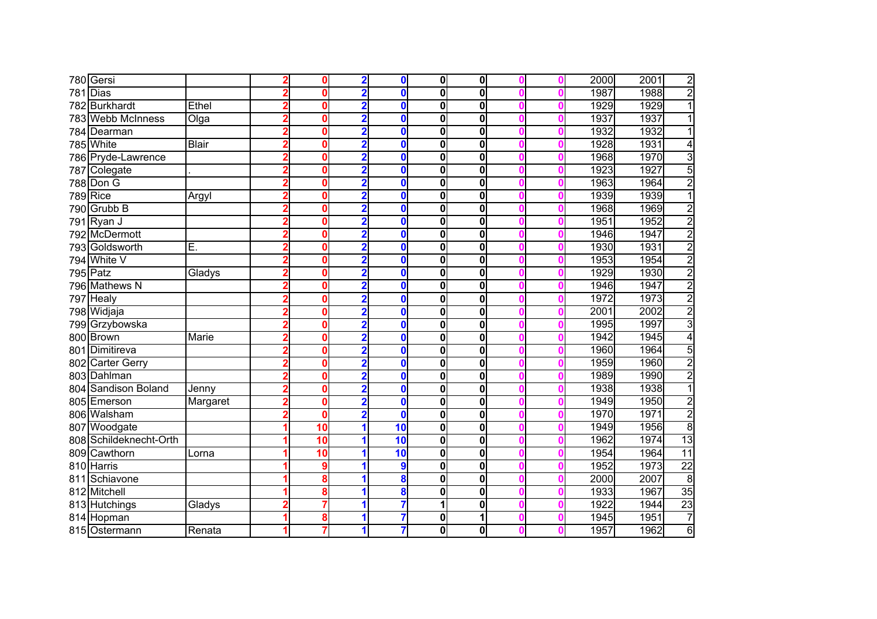|     | 780 Gersi              |              | 0           | $\overline{\mathbf{2}}$ | $\bf{0}$        | $\mathbf 0$  | $\mathbf 0$  |   | 2000 | 2001 | $\overline{2}$  |
|-----|------------------------|--------------|-------------|-------------------------|-----------------|--------------|--------------|---|------|------|-----------------|
|     | $781$ Dias             |              | 0           | $\overline{\mathbf{2}}$ | $\mathbf{0}$    | $\mathbf{0}$ | 0            |   | 1987 | 1988 | $\overline{2}$  |
|     | 782 Burkhardt          | Ethel        | 0           | 2                       | $\mathbf{0}$    | $\bf{0}$     | 0            |   | 1929 | 1929 | $\overline{1}$  |
|     | 783 Webb McInness      | Olga         | 0           | 2                       | $\bf{0}$        | $\bf{0}$     | 0            | Λ | 1937 | 1937 | 1               |
|     | 784 Dearman            |              | 0           | $\overline{2}$          | $\bf{0}$        | $\bf{0}$     | $\mathbf{0}$ |   | 1932 | 1932 | 1               |
|     | 785 White              | Blair        | O           | 2                       | $\mathbf{0}$    | $\bf{0}$     | $\mathbf{0}$ | Λ | 1928 | 1931 | 4               |
|     | 786 Pryde-Lawrence     |              | 0           | 2                       | $\mathbf{0}$    | $\bf{0}$     | 0            |   | 1968 | 1970 | $\overline{3}$  |
|     | 787 Colegate           |              | $\Omega$    | 2                       | $\mathbf{0}$    | $\bf{0}$     | $\mathbf 0$  |   | 1923 | 1927 | $\overline{5}$  |
|     | 788 Don G              |              | 0           | $\overline{\mathbf{2}}$ | $\bf{0}$        | $\mathbf 0$  | 0            |   | 1963 | 1964 | $\overline{2}$  |
|     | $789$ Rice             | Argyl        | $\mathbf 0$ | $\overline{\mathbf{2}}$ | $\bf{0}$        | $\bf{0}$     | 0            |   | 1939 | 1939 | $\overline{1}$  |
|     | 790 Grubb B            |              | 0           | $\overline{\mathbf{2}}$ | $\bf{0}$        | $\mathbf 0$  | 0            |   | 1968 | 1969 | $\overline{2}$  |
|     | 791 Ryan J             |              | 0           | $\overline{\mathbf{2}}$ | $\bf{0}$        | 0            | 0            |   | 1951 | 1952 | $\overline{2}$  |
|     | 792 McDermott          |              | 0           | $\overline{2}$          | $\mathbf{0}$    | $\bf{0}$     | $\mathbf 0$  |   | 1946 | 1947 | $\overline{2}$  |
|     | 793 Goldsworth         | Е.           | 0           | $\overline{2}$          | $\bf{0}$        | $\mathbf 0$  | $\mathbf{0}$ |   | 1930 | 1931 | $\overline{2}$  |
|     | 794 White V            |              | 0           | $\overline{\mathbf{2}}$ | $\mathbf{0}$    | $\mathbf 0$  | $\mathbf 0$  |   | 1953 | 1954 | $\overline{2}$  |
|     | $795$ Patz             | Gladys       | 0           | $\overline{\mathbf{2}}$ | 0               | $\bf{0}$     | 0            |   | 1929 | 1930 | $\overline{2}$  |
|     | 796 Mathews N          |              | 0           | $\overline{\mathbf{2}}$ | 0               | $\bf{0}$     | 0            |   | 1946 | 1947 | $\overline{2}$  |
|     | 797 Healy              |              | 0           | $\overline{\mathbf{2}}$ | 0               | $\mathbf 0$  | 0            |   | 1972 | 1973 | $\overline{2}$  |
|     | 798 Widjaja            |              | 0           | $\overline{\mathbf{2}}$ | 0               | $\mathbf 0$  | 0            |   | 2001 | 2002 | $\overline{2}$  |
|     | 799 Grzybowska         |              | 0           | 2                       | $\mathbf{0}$    | $\mathbf 0$  | 0            |   | 1995 | 1997 | $\overline{3}$  |
|     | 800 Brown              | <b>Marie</b> | 0           | 2                       | $\mathbf{0}$    | $\mathbf 0$  | 0            |   | 1942 | 1945 | $\overline{4}$  |
| 801 | Dimitireva             |              | 0           | 2                       | 0               | $\mathbf 0$  | $\mathbf 0$  |   | 1960 | 1964 | $\overline{5}$  |
|     | 802 Carter Gerry       |              | 0           | 2                       | 0               | $\mathbf 0$  | 0            |   | 1959 | 1960 | $\overline{2}$  |
|     | 803 Dahlman            |              | 0           |                         | $\mathbf{0}$    | $\mathbf 0$  | 0            |   | 1989 | 1990 | $\overline{2}$  |
|     | 804 Sandison Boland    | Jenny        | 0           | 2                       | $\mathbf{0}$    | $\mathbf 0$  | 0            |   | 1938 | 1938 | $\overline{1}$  |
|     | 805 Emerson            | Margaret     | 0           | $\overline{\mathbf{2}}$ | $\bf{0}$        | 0            | 0            | Λ | 1949 | 1950 | $\overline{2}$  |
|     | 806 Walsham            |              | 0           | $\overline{\mathbf{2}}$ | $\bf{0}$        | $\mathbf 0$  | 0            | Ω | 1970 | 1971 | $\overline{2}$  |
|     | 807 Woodgate           |              | 10          |                         | $\overline{10}$ | 0            | 0            |   | 1949 | 1956 | $\overline{8}$  |
|     | 808 Schildeknecht-Orth |              | 10          |                         | 10              | 0            | $\mathbf 0$  |   | 1962 | 1974 | $\overline{13}$ |
|     | 809 Cawthorn           | Lorna        | 10          |                         | $\overline{10}$ | 0            | $\mathbf 0$  |   | 1954 | 1964 | $\overline{11}$ |
|     | 810 Harris             |              | 9           |                         | 9               | 0            | $\mathbf 0$  |   | 1952 | 1973 | $\overline{22}$ |
| 811 | Schiavone              |              | 8           |                         | 8               | 0            | 0            |   | 2000 | 2007 | $\overline{8}$  |
| 812 | Mitchell               |              | 8           |                         | 8               | $\mathbf 0$  | 0            |   | 1933 | 1967 | $\overline{35}$ |
|     | 813 Hutchings          | Gladys       | 7           |                         | 7               | 1            | 0            |   | 1922 | 1944 | $\overline{23}$ |
|     | 814 Hopman             |              | 8           | 1                       | 7               | 0            | 1            | Λ | 1945 | 1951 | $\overline{7}$  |
|     | 815 Ostermann          | Renata       |             |                         | 7               | 0            | 0            |   | 1957 | 1962 | 6               |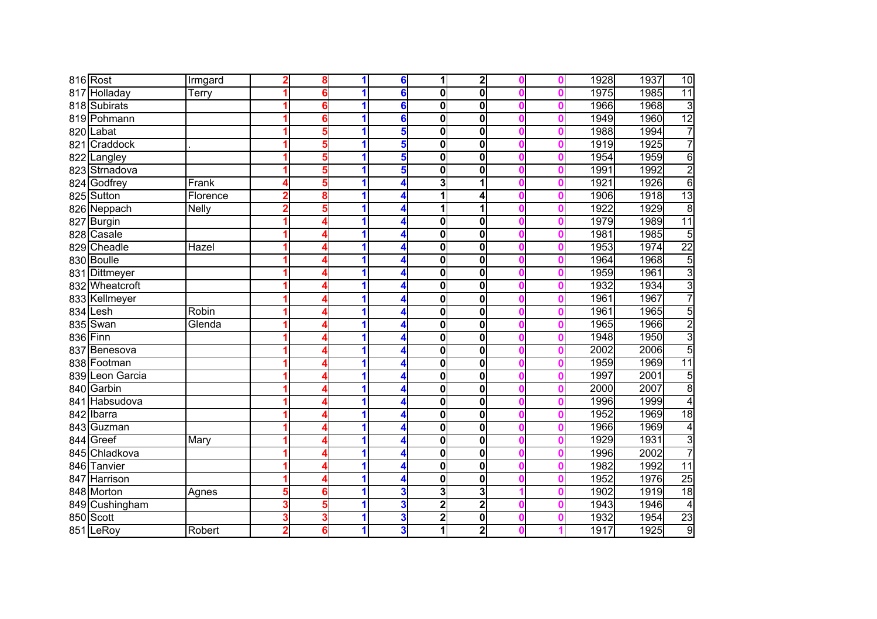|     | 816 Rost       | Irmgard      |                         | 8 | 1 | 6 | 1                       | $\mathbf{2}$ |   | 1928 | 1937 | $\overline{10}$ |
|-----|----------------|--------------|-------------------------|---|---|---|-------------------------|--------------|---|------|------|-----------------|
| 817 | Holladay       | Terry        |                         | 6 |   | 6 | $\bf{0}$                | $\mathbf{0}$ |   | 1975 | 1985 | $\overline{11}$ |
|     | 818 Subirats   |              |                         | 6 | 1 | 6 | $\bf{0}$                | 0            | Λ | 1966 | 1968 | $\overline{3}$  |
|     | 819 Pohmann    |              |                         | 6 |   | 6 | $\bf{0}$                | 0            |   | 1949 | 1960 | 12              |
|     | 820 Labat      |              |                         | 5 | 1 | 5 | $\bf{0}$                | 0            | Λ | 1988 | 1994 | 7               |
|     | 821 Craddock   |              |                         | 5 | 1 | 5 | $\bf{0}$                | 0            |   | 1919 | 1925 | 7               |
|     | 822 Langley    |              |                         | 5 | 1 | 5 | $\bf{0}$                | 0            |   | 1954 | 1959 | $\overline{6}$  |
|     | 823 Strnadova  |              |                         | 5 | 1 | 5 | $\bf{0}$                | 0            |   | 1991 | 1992 | $\overline{2}$  |
|     | 824 Godfrey    | Frank        |                         | 5 |   | 4 | 3                       |              |   | 1921 | 1926 | $\overline{6}$  |
|     | 825 Sutton     | Florence     | 2                       | 8 | 1 | 4 | 1                       | 4            |   | 1906 | 1918 | 13              |
|     | 826 Neppach    | <b>Nelly</b> | $\overline{2}$          | 5 | 1 | 4 | 1                       | 1            | Λ | 1922 | 1929 | $\overline{8}$  |
|     | 827 Burgin     |              |                         | 4 | 1 | 4 | 0                       | 0            | Λ | 1979 | 1989 | 11              |
|     | 828 Casale     |              |                         |   | 1 | 4 | 0                       | 0            |   | 1981 | 1985 | 5               |
|     | 829 Cheadle    | Hazel        |                         |   | 1 |   | $\mathbf 0$             | $\mathbf{0}$ |   | 1953 | 1974 | $\overline{22}$ |
|     | 830 Boulle     |              |                         |   | 1 |   | $\mathbf 0$             | $\mathbf{0}$ |   | 1964 | 1968 | 5               |
|     | 831 Dittmeyer  |              |                         |   |   |   | 0                       | 0            |   | 1959 | 1961 | $\overline{3}$  |
|     | 832 Wheatcroft |              |                         |   |   |   | 0                       | 0            |   | 1932 | 1934 | 3               |
|     | 833 Kellmeyer  |              |                         |   |   | 4 | $\mathbf 0$             | 0            |   | 1961 | 1967 | 7               |
|     | 834 Lesh       | Robin        |                         | 4 |   | 4 | $\mathbf 0$             | 0            |   | 1961 | 1965 | $\overline{5}$  |
|     | 835 Swan       | Glenda       |                         | 4 |   | 4 | $\overline{\mathbf{0}}$ | 0            |   | 1965 | 1966 | $\overline{2}$  |
|     | 836 Finn       |              |                         | Δ | 1 | 4 | $\bf{0}$                | 0            | Λ | 1948 | 1950 | $\overline{3}$  |
|     | 837 Benesova   |              |                         | Δ | 1 | 4 | $\bf{0}$                | 0            |   | 2002 | 2006 | 5               |
|     | 838 Footman    |              |                         | Δ | 1 | 4 | $\mathbf 0$             | 0            |   | 1959 | 1969 | $\overline{11}$ |
| 839 | Leon Garcia    |              |                         | 4 | 1 | 4 | $\mathbf 0$             | 0            |   | 1997 | 2001 | 5               |
|     | 840 Garbin     |              |                         | 4 |   | 4 | $\mathbf 0$             | 0            |   | 2000 | 2007 | $\overline{8}$  |
|     | 841 Habsudova  |              |                         | 4 | 1 | 4 | $\bf{0}$                | 0            |   | 1996 | 1999 | $\overline{4}$  |
|     | 842 Ibarra     |              |                         | 4 | 1 | 4 | $\bf{0}$                | 0            | Λ | 1952 | 1969 | 18              |
|     | 843 Guzman     |              |                         | 4 | 1 | 4 | 0                       | 0            |   | 1966 | 1969 | 4               |
|     | 844 Greef      | Mary         |                         | Δ | 1 | 4 | 0                       | 0            |   | 1929 | 1931 | $\overline{3}$  |
|     | 845 Chladkova  |              |                         | Δ | 1 | 4 | 0                       | $\mathbf{0}$ |   | 1996 | 2002 | 7               |
|     | 846 Tanvier    |              |                         | Δ |   |   | 0                       | $\mathbf{0}$ |   | 1982 | 1992 | $\overline{11}$ |
|     | 847 Harrison   |              |                         | 4 |   |   | 0                       | 0            |   | 1952 | 1976 | 25              |
|     | 848 Morton     | Agnes        |                         | 6 |   | 3 | 3                       | 3            |   | 1902 | 1919 | 18              |
|     | 849 Cushingham |              | 3                       | 5 | 1 | 3 | $\mathbf 2$             | $\mathbf 2$  |   | 1943 | 1946 | $\overline{4}$  |
|     | 850 Scott      |              | 3                       | 3 | 1 | 3 | $\overline{\mathbf{2}}$ | 0            | Λ | 1932 | 1954 | 23              |
|     | 851 LeRoy      | Robert       | $\overline{\mathbf{c}}$ | 6 |   | 3 | 1                       | $\mathbf{z}$ |   | 1917 | 1925 | 9               |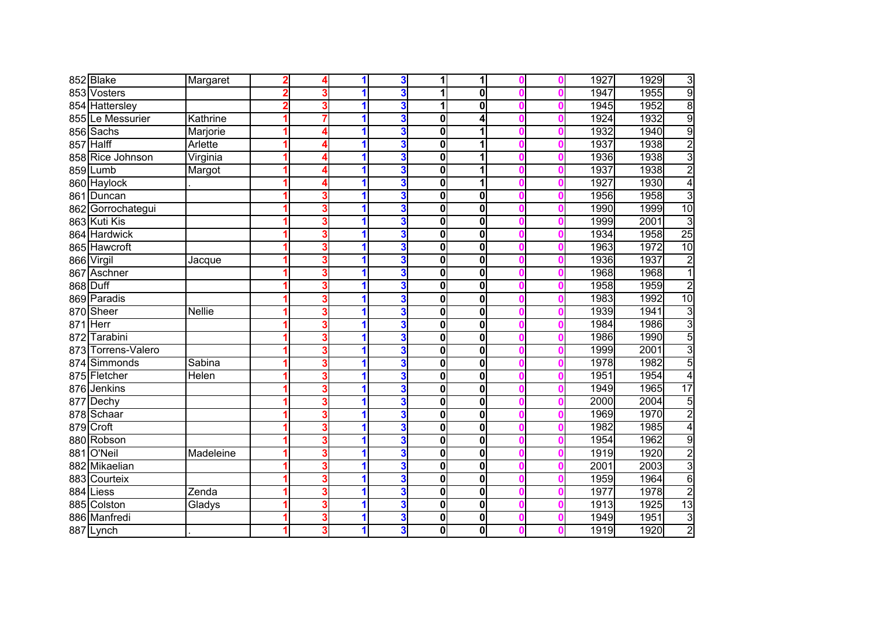|     | 852 Blake         | Margaret      | Δ |   | 3 |             | 1            |   | 1927 | 1929<br>3               |
|-----|-------------------|---------------|---|---|---|-------------|--------------|---|------|-------------------------|
|     | 853 Vosters       |               | 3 |   | 3 |             | 0            |   | 1947 | $\overline{9}$<br>1955  |
|     | 854 Hattersley    |               | 3 |   | 3 | 1           | 0            |   | 1945 | $\overline{8}$<br>1952  |
|     | 855 Le Messurier  | Kathrine      |   |   | 3 | 0           | 4            |   | 1924 | 9<br>1932               |
|     | 856 Sachs         | Marjorie      | Δ |   | 3 | 0           |              |   | 1932 | $\overline{9}$<br>1940  |
| 857 | <b>Halff</b>      | Arlette       | Δ |   | 3 | 0           |              |   | 1937 | $\overline{2}$<br>1938  |
|     | 858 Rice Johnson  | Virginia      | Δ | 1 | 3 | $\mathbf 0$ | 1            |   | 1936 | $\overline{3}$<br>1938  |
|     | 859 Lumb          | Margot        | Δ | 1 | 3 | $\mathbf 0$ |              |   | 1937 | $\overline{2}$<br>1938  |
|     | 860 Haylock       |               | 4 |   | 3 | 0           | 1            |   | 1927 | $\overline{4}$<br>1930  |
| 861 | Duncan            |               | 3 |   | 3 | 0           | 0            |   | 1956 | 3<br>1958               |
|     | 862 Gorrochategui |               | 3 |   | 3 | $\mathbf 0$ | 0            |   | 1990 | 10<br>1999              |
|     | 863 Kuti Kis      |               | 3 | 1 | 3 | 0           | 0            |   | 1999 | 3<br>2001               |
|     | 864 Hardwick      |               | 3 |   | 3 | $\bf{0}$    | 0            |   | 1934 | 25<br>1958              |
|     | 865 Hawcroft      |               | 3 | 1 | 3 | 0           | $\mathbf 0$  |   | 1963 | 1972<br>10              |
|     | 866 Virgil        | Jacque        | 3 | 1 | 3 | $\mathbf 0$ | $\mathbf{0}$ |   | 1936 | $\overline{2}$<br>1937  |
|     | 867 Aschner       |               | 3 |   | 3 | $\mathbf 0$ | $\mathbf 0$  |   | 1968 | $\overline{1}$<br>1968  |
|     | 868 Duff          |               | 3 |   | 3 | $\mathbf 0$ | 0            |   | 1958 | 1959<br>$\overline{2}$  |
|     | 869 Paradis       |               | 3 |   | 3 | $\mathbf 0$ | $\mathbf 0$  |   | 1983 | 10<br>1992              |
| 870 | Sheer             | <b>Nellie</b> | 3 |   | 3 | $\mathbf 0$ | 0            |   | 1939 | 3<br>1941               |
| 871 | Herr              |               | 3 |   | 3 | $\mathbf 0$ | 0            |   | 1984 | $\overline{3}$<br>1986  |
| 872 | Tarabini          |               | 3 |   | 3 | 0           | 0            |   | 1986 | $\overline{5}$<br>1990  |
| 873 | Torrens-Valero    |               | 3 | 1 | 3 | 0           | $\mathbf 0$  |   | 1999 | $\overline{3}$<br>2001  |
| 874 | Simmonds          | Sabina        | 3 | 1 | 3 | 0           | $\mathbf 0$  | Ω | 1978 | $\overline{5}$<br>1982  |
| 875 | Fletcher          | Helen         | 3 |   | 3 | 0           | 0            |   | 1951 | 1954<br>4               |
|     | 876 Jenkins       |               | 3 |   | 3 | $\bf{0}$    | 0            |   | 1949 | 17<br>1965              |
| 877 | Dechy             |               | 3 |   | 3 | $\bf{0}$    | 0            |   | 2000 | $\overline{5}$<br>2004  |
|     | 878 Schaar        |               | 3 | 1 | 3 | $\bf{0}$    | 0            | Λ | 1969 | $\overline{2}$<br>1970  |
|     | 879 Croft         |               | 3 |   | 3 | 0           | 0            |   | 1982 | 1985<br>$\overline{4}$  |
|     | 880 Robson        |               | 3 |   | 3 | 0           | 0            |   | 1954 | $\overline{9}$<br>1962  |
|     | 881 O'Neil        | Madeleine     | 3 |   | 3 | 0           | $\mathbf 0$  |   | 1919 | $\overline{2}$<br>1920  |
|     | 882 Mikaelian     |               | 3 |   | 3 | 0           | $\mathbf 0$  |   | 2001 | $\overline{3}$<br>2003  |
|     | 883 Courteix      |               | 3 |   | 3 | 0           | 0            |   | 1959 | $\overline{6}$<br>1964  |
| 884 | Liess             | Zenda         | 3 |   | 3 | 0           | 0            |   | 1977 | $\overline{2}$<br>1978  |
|     | 885 Colston       | Gladys        | 3 |   | 3 | $\mathbf 0$ | 0            |   | 1913 | $\overline{13}$<br>1925 |
|     | 886 Manfredi      |               | 3 | 1 | 3 | 0           | 0            | Ω | 1949 | 3<br>1951               |
|     | 887 Lynch         |               | 3 |   | 3 | 0           | 0            |   | 1919 | $\overline{c}$<br>1920  |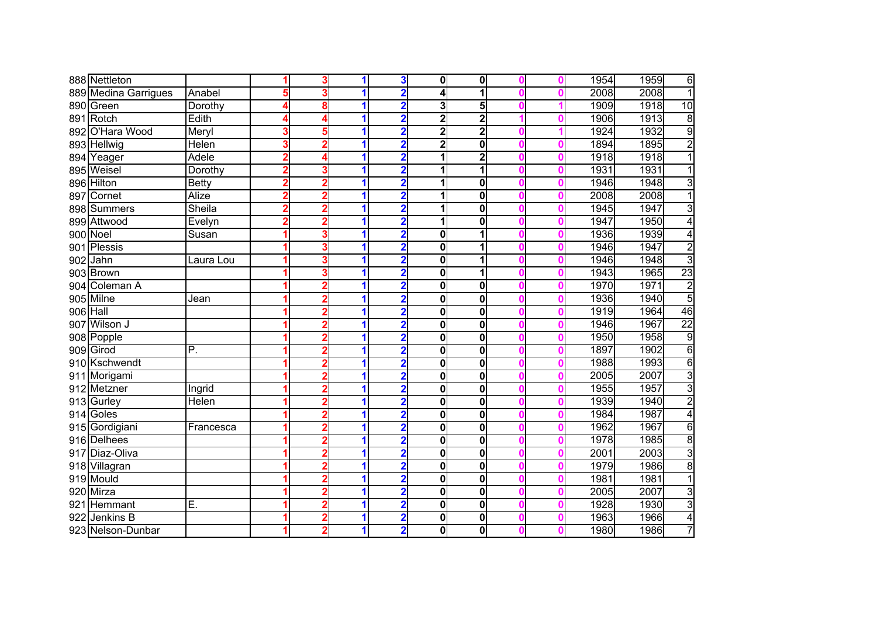|          | 888 Nettleton        |              |                | 3              |   | 3                       | $\mathbf{0}$            | $\mathbf{0}$            |   | 1954 | 1959 | 6                       |
|----------|----------------------|--------------|----------------|----------------|---|-------------------------|-------------------------|-------------------------|---|------|------|-------------------------|
|          | 889 Medina Garrigues | Anabel       |                | 3              |   | 2                       | $\overline{\mathbf{A}}$ |                         |   | 2008 | 2008 | 1                       |
|          | 890 Green            | Dorothy      |                | 8              |   | $\overline{\mathbf{2}}$ | 3                       | 5                       |   | 1909 | 1918 | 10                      |
|          | 891 Rotch            | Edith        |                | 4              |   | 2                       | $\overline{\mathbf{2}}$ | $\overline{\mathbf{2}}$ |   | 1906 | 1913 | $\overline{8}$          |
|          | 892 O'Hara Wood      | Meryl        | 3              | 5              |   | $\overline{\mathbf{2}}$ | $\overline{2}$          | $\overline{\mathbf{2}}$ |   | 1924 | 1932 | $\overline{9}$          |
|          | 893 Hellwig          | Helen        |                | 2              | 1 | $\overline{\mathbf{2}}$ | $\overline{2}$          | 0                       |   | 1894 | 1895 | $\overline{2}$          |
|          | 894 Yeager           | Adele        |                | Δ              | 1 | 2                       | 1                       | $\overline{2}$          |   | 1918 | 1918 | $\overline{1}$          |
|          | 895 Weisel           | Dorothy      |                | 3              | 1 |                         | 1                       | 1                       |   | 1931 | 1931 | $\overline{1}$          |
|          | 896 Hilton           | <b>Betty</b> |                | 2              |   | 2                       | 1                       | 0                       |   | 1946 | 1948 | 3                       |
|          | 897 Cornet           | Alize        | 2              | $\overline{2}$ | 1 | $\overline{\mathbf{2}}$ | 1                       | 0                       |   | 2008 | 2008 | $\overline{1}$          |
|          | 898 Summers          | Sheila       | $\overline{2}$ | $\overline{2}$ | 1 | $\overline{2}$          | 1                       | 0                       |   | 1945 | 1947 | $\overline{3}$          |
|          | 899 Attwood          | Evelyn       | 2              | 2              | 1 | $\overline{\mathbf{2}}$ | 1                       | 0                       |   | 1947 | 1950 | 4                       |
|          | 900 Noel             | Susan        |                | 3              |   | 2                       | 0                       |                         |   | 1936 | 1939 | 4                       |
|          | 901 Plessis          |              |                | 3              |   | $\overline{\mathbf{2}}$ | $\mathbf 0$             |                         |   | 1946 | 1947 | $\overline{2}$          |
|          | 902 Jahn             | Laura Lou    |                | 3              |   |                         | $\mathbf 0$             |                         |   | 1946 | 1948 | $\overline{3}$          |
|          | 903 Brown            |              |                | 3              |   |                         | 0                       |                         |   | 1943 | 1965 | 23                      |
|          | 904 Coleman A        |              |                | 2              |   | 2                       | 0                       | 0                       |   | 1970 | 1971 | $\overline{\mathbf{c}}$ |
|          | 905 Milne            | Jean         |                | $\overline{2}$ |   | 2                       | $\mathbf 0$             | 0                       |   | 1936 | 1940 | $\overline{5}$          |
| 906 Hall |                      |              |                | $\overline{2}$ |   | $\overline{2}$          | $\mathbf 0$             | 0                       |   | 1919 | 1964 | 46                      |
| 907      | Wilson J             |              |                | 2              |   | $\overline{2}$          | $\overline{\mathbf{0}}$ | 0                       |   | 1946 | 1967 | $\overline{22}$         |
|          | 908 Popple           |              |                | 2              |   | $\overline{2}$          | $\bf{0}$                | 0                       |   | 1950 | 1958 | $\overline{9}$          |
|          | 909 Girod            | P.           |                | $\overline{2}$ |   | $\overline{\mathbf{2}}$ | $\mathbf 0$             | 0                       |   | 1897 | 1902 | 6                       |
|          | 910 Kschwendt        |              |                | 2              | 1 | 2                       | $\mathbf 0$             | $\mathbf{0}$            |   | 1988 | 1993 | 6                       |
|          | 911 Morigami         |              |                | 2              |   |                         | $\mathbf 0$             | 0                       |   | 2005 | 2007 | 3                       |
|          | 912 Metzner          | Ingrid       |                | 2              |   | 2                       | $\mathbf 0$             | $\overline{\mathbf{0}}$ |   | 1955 | 1957 | 3                       |
|          | 913 Gurley           | Helen        |                | $\overline{2}$ |   | $\overline{\mathbf{2}}$ | $\bf{0}$                | 0                       |   | 1939 | 1940 | $\overline{2}$          |
|          | 914 Goles            |              |                | $\overline{2}$ | 1 | $\overline{\mathbf{2}}$ | $\bf{0}$                | 0                       |   | 1984 | 1987 | 4                       |
|          | 915 Gordigiani       | Francesca    |                | 2              |   | $\overline{\mathbf{2}}$ | 0                       | 0                       |   | 1962 | 1967 | 6                       |
|          | 916 Delhees          |              |                | 2              |   | $\overline{\mathbf{2}}$ | 0                       | 0                       |   | 1978 | 1985 | $\overline{8}$          |
|          | 917 Diaz-Oliva       |              |                | 2              | 1 | $\overline{\mathbf{2}}$ | 0                       | $\mathbf{0}$            |   | 2001 | 2003 | $\overline{3}$          |
|          | 918 Villagran        |              |                | $\overline{2}$ |   |                         | 0                       | $\mathbf{0}$            |   | 1979 | 1986 | $\overline{8}$          |
|          | 919 Mould            |              |                | 2              |   |                         | 0                       | 0                       |   | 1981 | 1981 | 1                       |
|          | 920 Mirza            |              |                | $\overline{2}$ |   | 2                       | $\mathbf 0$             | $\mathbf{0}$            |   | 2005 | 2007 | $\overline{3}$          |
|          | 921 Hemmant          | Ē.           |                | $\overline{2}$ |   | $\overline{\mathbf{2}}$ | 0                       | $\mathbf{0}$            |   | 1928 | 1930 | $\overline{3}$          |
| 922      | Jenkins B            |              |                | $\overline{2}$ | 1 | $\overline{\mathbf{2}}$ | 0                       | $\mathbf{0}$            | Λ | 1963 | 1966 | $\overline{4}$          |
|          | 923 Nelson-Dunbar    |              |                | $\overline{2}$ |   | $\overline{\mathbf{2}}$ | 0                       | $\mathbf{0}$            |   | 1980 | 1986 | $\overline{7}$          |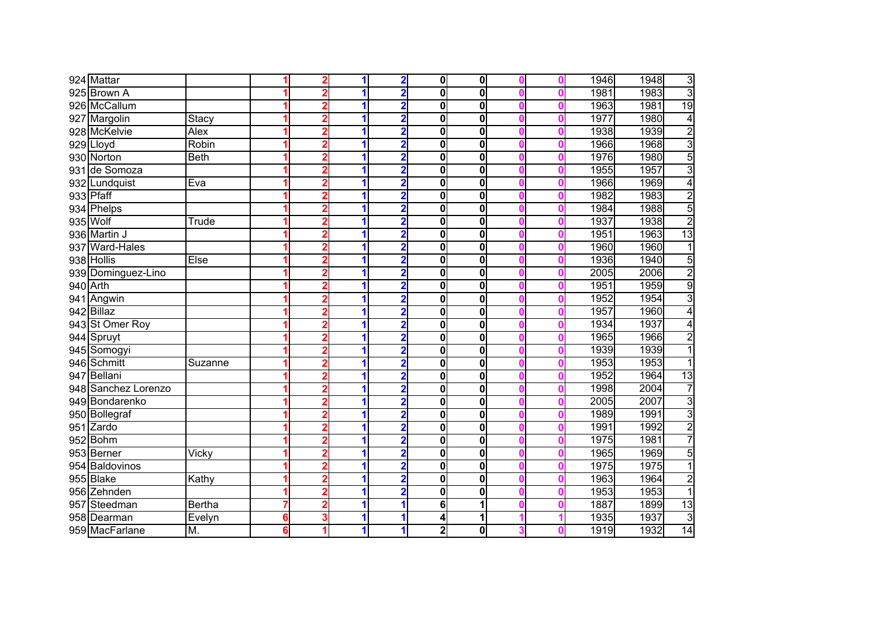|     | 924 Mattar          |               |   | 2              | 1 | $\overline{\mathbf{2}}$ | $\mathbf{0}$            | $\mathbf{0}$ |   | 1946 | 1948 | 3               |
|-----|---------------------|---------------|---|----------------|---|-------------------------|-------------------------|--------------|---|------|------|-----------------|
|     | 925 Brown A         |               |   | $\overline{2}$ | 1 | $\overline{\mathbf{2}}$ | $\bf{0}$                | 0            |   | 1981 | 1983 | $\overline{3}$  |
|     | 926 McCallum        |               |   | 2              |   | $\overline{2}$          | $\bf{0}$                | 0            |   | 1963 | 1981 | 19              |
|     | 927 Margolin        | Stacy         |   | 2              |   | $\overline{2}$          | $\bf{0}$                | 0            | Λ | 1977 | 1980 | $\overline{4}$  |
|     | 928 McKelvie        | <b>Alex</b>   |   | 2              |   | $\overline{2}$          | $\bf{0}$                | 0            |   | 1938 | 1939 | $\overline{2}$  |
|     | 929 Lloyd           | <b>Robin</b>  |   | 2              | 1 | $\overline{2}$          | $\bf{0}$                | 0            |   | 1966 | 1968 | $\overline{3}$  |
|     | 930 Norton          | <b>Beth</b>   |   | 2              | 1 | 2                       | $\mathbf 0$             | 0            | Λ | 1976 | 1980 | $\overline{5}$  |
|     | 931 de Somoza       |               |   | 2              |   | 2                       | $\bf{0}$                | 0            |   | 1955 | 1957 | $\overline{3}$  |
|     | 932 Lundquist       | Eva           |   | $\overline{2}$ |   | $\overline{\mathbf{2}}$ | $\bf{0}$                | 0            |   | 1966 | 1969 | $\overline{4}$  |
|     | 933 Pfaff           |               |   | $\overline{2}$ | 1 | $\overline{\mathbf{2}}$ | $\bf{0}$                | 0            |   | 1982 | 1983 | $\overline{2}$  |
|     | 934 Phelps          |               |   | 2              | 1 | $\overline{\mathbf{2}}$ | $\bf{0}$                | 0            |   | 1984 | 1988 | 5               |
|     | 935 Wolf            | Trude         |   | 2              | 1 | $\overline{\mathbf{2}}$ | 0                       | 0            |   | 1937 | 1938 | $\overline{2}$  |
|     | 936 Martin J        |               |   | 2              | 1 | $\overline{\mathbf{2}}$ | $\mathbf 0$             | 0            |   | 1951 | 1963 | 13              |
|     | 937 Ward-Hales      |               |   | 2              | 1 | 2                       | $\mathbf 0$             | 0            |   | 1960 | 1960 | 1               |
|     | 938 Hollis          | <b>Else</b>   |   | 2              |   | 2                       | $\mathbf 0$             | $\mathbf{0}$ |   | 1936 | 1940 | $\overline{5}$  |
|     | 939 Dominguez-Lino  |               |   | 2              |   | 2                       | $\mathbf 0$             | 0            |   | 2005 | 2006 | $\overline{2}$  |
|     | 940 Arth            |               |   | $\overline{2}$ |   | $\overline{\mathbf{2}}$ | $\mathbf 0$             | 0            |   | 1951 | 1959 | $\overline{9}$  |
|     | 941 Angwin          |               |   | $\overline{2}$ |   | $\overline{2}$          | $\bf{0}$                | 0            |   | 1952 | 1954 | $\overline{3}$  |
|     | 942 Billaz          |               |   | 2              |   | $\overline{\mathbf{2}}$ | $\bf{0}$                | 0            |   | 1957 | 1960 | 4               |
|     | 943 St Omer Roy     |               |   | 2              |   | $\overline{\mathbf{2}}$ | $\bf{0}$                | 0            |   | 1934 | 1937 | 4               |
|     | 944 Spruyt          |               |   | 2              |   | $\overline{2}$          | $\bf{0}$                | 0            |   | 1965 | 1966 | $\overline{2}$  |
|     | 945 Somogyi         |               |   | 2              | 1 | 2                       | 0                       | 0            |   | 1939 | 1939 | 1               |
|     | 946 Schmitt         | Suzanne       |   | 2              | 1 |                         | $\bf{0}$                | 0            |   | 1953 | 1953 | 1               |
|     | 947 Bellani         |               |   | 2              |   | 2                       | $\mathbf 0$             | 0            |   | 1952 | 1964 | 13              |
|     | 948 Sanchez Lorenzo |               |   | $\overline{2}$ | 1 | $\overline{\mathbf{2}}$ | 0                       | 0            |   | 1998 | 2004 | 7               |
|     | 949 Bondarenko      |               |   | $\overline{2}$ | 1 | $\overline{\mathbf{2}}$ | 0                       | 0            | Λ | 2005 | 2007 | $\overline{3}$  |
|     | 950 Bollegraf       |               |   | $\overline{2}$ | 1 | $\overline{\mathbf{2}}$ | 0                       | 0            |   | 1989 | 1991 | 3               |
|     | 951 Zardo           |               |   | 2              |   | $\overline{\mathbf{2}}$ | 0                       | 0            | Ω | 1991 | 1992 | $\overline{2}$  |
|     | 952 Bohm            |               |   | 2              |   | $\overline{\mathbf{2}}$ | 0                       | 0            |   | 1975 | 1981 | 7               |
|     | 953 Berner          | Vicky         |   | 2              | 1 | $\overline{\mathbf{2}}$ | 0                       | $\mathbf{0}$ |   | 1965 | 1969 | 5               |
|     | 954 Baldovinos      |               |   | $\overline{2}$ |   |                         | 0                       | $\mathbf{0}$ |   | 1975 | 1975 | 1               |
|     | 955 Blake           | Kathy         |   | 2              |   |                         | $\mathbf 0$             | 0            |   | 1963 | 1964 | $\overline{2}$  |
|     | 956 Zehnden         |               |   | $\overline{2}$ |   | 2                       | $\mathbf 0$             | 0            |   | 1953 | 1953 | 1               |
| 957 | Steedman            | <b>Bertha</b> |   | $\overline{2}$ | 1 | 1                       | 6                       |              |   | 1887 | 1899 | $\overline{13}$ |
|     | 958 Dearman         | Evelyn        | 6 | 3              | 1 | 1                       | 4                       | 1            |   | 1935 | 1937 | 3               |
|     | 959 MacFarlane      | M.            | 6 | 1              |   |                         | $\overline{\mathbf{2}}$ | $\mathbf 0$  |   | 1919 | 1932 | $\overline{14}$ |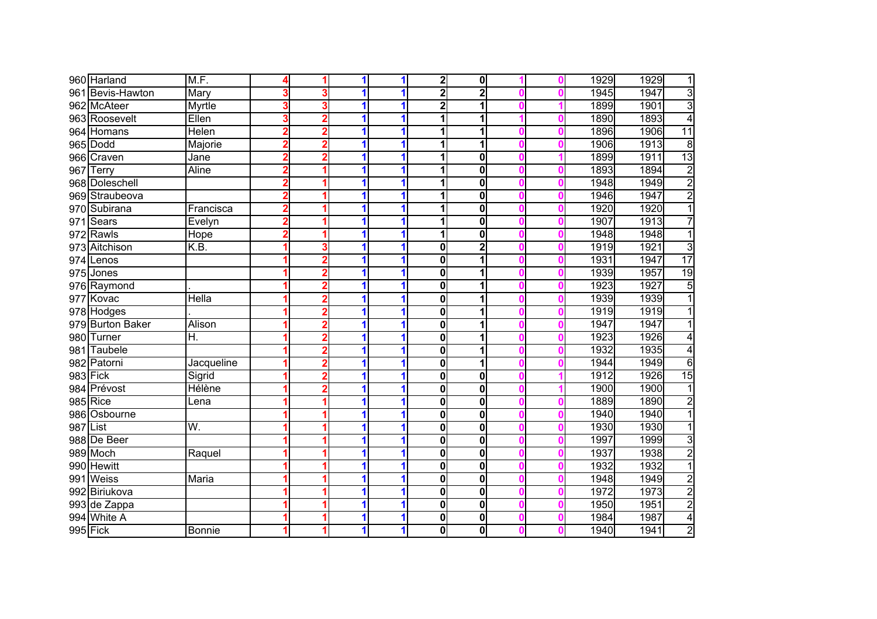|          | 960 Harland         | M.F.              |   |                         |   |   | $\overline{\mathbf{2}}$ | $\mathbf{0}$ |   | 1929 | 1929 | 1               |
|----------|---------------------|-------------------|---|-------------------------|---|---|-------------------------|--------------|---|------|------|-----------------|
|          | 961 Bevis-Hawton    | Mary              |   | 3                       |   |   | $\overline{2}$          | 2            |   | 1945 | 1947 | $\overline{3}$  |
|          | 962 McAteer         | Myrtle            |   | 3                       |   |   | $\overline{2}$          |              |   | 1899 | 1901 | 3               |
|          | 963 Roosevelt       | Ellen             | 3 | $\overline{2}$          |   |   | 1                       |              |   | 1890 | 1893 | 4               |
|          | 964 Homans          | Helen             |   | 2                       |   |   | 1                       | 1            |   | 1896 | 1906 | 11              |
|          | 965 Dodd            | Majorie           |   | 2                       |   |   | 1                       | 1            |   | 1906 | 1913 | $\overline{8}$  |
|          | 966 Craven          | Jane              |   | 2                       | 1 |   | 1                       | $\mathbf{0}$ | Λ | 1899 | 1911 | 13              |
|          | 967 Terry           | Aline             |   | 1                       | 1 |   | 1                       | $\mathbf{0}$ | Λ | 1893 | 1894 | $\overline{2}$  |
|          | 968 Doleschell      |                   |   |                         |   |   | 1                       | 0            |   | 1948 | 1949 | $\overline{2}$  |
|          | 969 Straubeova      |                   |   |                         |   |   | 1                       | 0            |   | 1946 | 1947 | $\overline{2}$  |
|          | 970 Subirana        | Francisca         | 2 | 4                       | 1 |   | 1                       | 0            |   | 1920 | 1920 | $\overline{1}$  |
|          | 971 Sears           | Evelyn            | 2 | 1                       | 1 | 1 | 1                       | 0            |   | 1907 | 1913 | 7               |
|          | 972 Rawls           | Hope              |   |                         | 1 |   | 1                       | 0            |   | 1948 | 1948 | 1               |
|          | 973 Aitchison       | $\overline{K.B.}$ |   | 3                       | 1 |   | 0                       | 2            |   | 1919 | 1921 | $\overline{3}$  |
|          | 974 Lenos           |                   |   | 2                       | 1 |   | $\mathbf 0$             |              |   | 1931 | 1947 | $\overline{17}$ |
|          | 975 Jones           |                   |   | 2                       |   |   | $\mathbf 0$             |              |   | 1939 | 1957 | 19              |
|          | 976 Raymond         |                   |   | 2                       |   |   | $\mathbf 0$             |              |   | 1923 | 1927 | $\overline{5}$  |
|          | 977 Kovac           | Hella             |   | $\overline{2}$          |   |   | $\mathbf 0$             |              |   | 1939 | 1939 |                 |
|          | 978 Hodges          |                   |   | $\overline{2}$          |   |   | $\bf{0}$                |              |   | 1919 | 1919 |                 |
| 979      | <b>Burton Baker</b> | Alison            |   | $\overline{\mathbf{2}}$ |   |   | $\mathbf 0$             |              |   | 1947 | 1947 |                 |
| 980      | Turner              | Η.                |   | 2                       |   |   | $\bf{0}$                |              |   | 1923 | 1926 | 4               |
| 981      | Taubele             |                   |   | 2                       |   |   | $\bf{0}$                |              |   | 1932 | 1935 | 4               |
|          | 982 Patorni         | Jacqueline        |   | 2                       | 1 |   | 0                       | 1            |   | 1944 | 1949 | 6               |
|          | 983 Fick            | Sigrid            |   | $\overline{2}$          |   |   | $\mathbf 0$             | 0            |   | 1912 | 1926 | 15              |
|          | 984 Prévost         | Hélène            |   | 2                       |   |   | $\mathbf 0$             | 0            |   | 1900 | 1900 | 1               |
|          | $985$ Rice          | Lena              |   |                         |   |   | $\mathbf 0$             | $\mathbf{0}$ |   | 1889 | 1890 | $\overline{2}$  |
|          | 986 Osbourne        |                   |   |                         | 1 | 1 | $\bf{0}$                | 0            | Λ | 1940 | 1940 | $\overline{1}$  |
| 987 List |                     | W.                |   |                         |   |   | $\bf{0}$                | 0            |   | 1930 | 1930 | 1               |
|          | 988 De Beer         |                   |   |                         |   |   | $\bf{0}$                | 0            |   | 1997 | 1999 | 3               |
|          | 989 Moch            | Raquel            |   |                         | 1 |   | 0                       | $\mathbf{0}$ |   | 1937 | 1938 | $\overline{2}$  |
|          | 990 Hewitt          |                   |   |                         |   |   | $\mathbf 0$             | $\mathbf{0}$ |   | 1932 | 1932 | 1               |
|          | 991 Weiss           | Maria             |   |                         |   |   | $\mathbf 0$             | 0            |   | 1948 | 1949 | $\overline{2}$  |
|          | 992 Biriukova       |                   |   |                         |   |   | $\mathbf 0$             | $\mathbf{0}$ |   | 1972 | 1973 | $\overline{2}$  |
|          | 993 de Zappa        |                   |   |                         | 1 |   | $\mathbf 0$             | $\mathbf{0}$ |   | 1950 | 1951 | $\overline{2}$  |
|          | 994 White A         |                   |   | 1                       | 1 | 1 | 0                       | $\mathbf{0}$ | Λ | 1984 | 1987 | $\overline{4}$  |
|          | 995 Fick            | <b>Bonnie</b>     |   |                         |   |   | 0                       | $\mathbf{0}$ |   | 1940 | 1941 | $\overline{2}$  |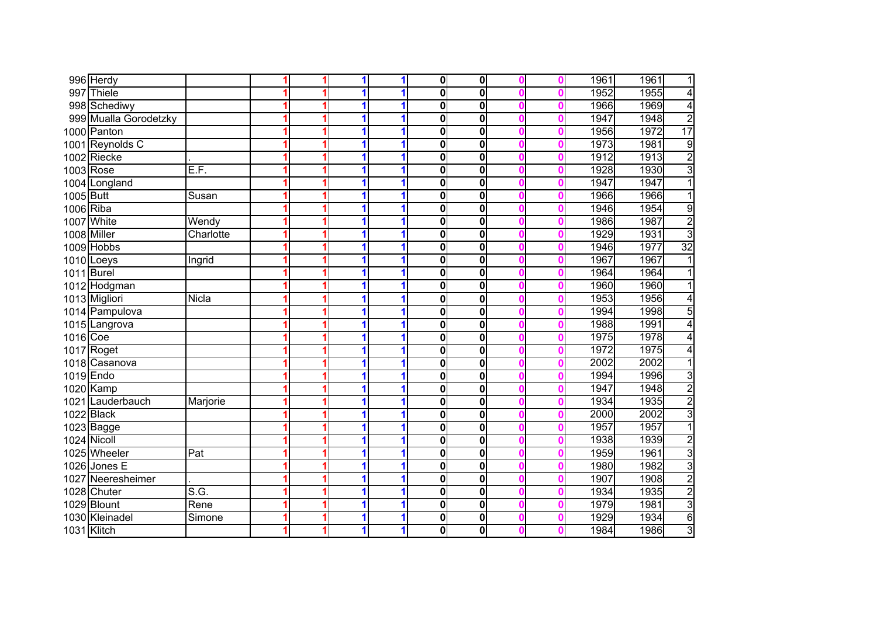|           | 996 Herdy             |                   |  | 1 |   | $\overline{\mathbf{0}}$ | $\overline{\mathbf{0}}$ |  | 1961 | 1961<br>1                       |
|-----------|-----------------------|-------------------|--|---|---|-------------------------|-------------------------|--|------|---------------------------------|
|           | 997 Thiele            |                   |  | 1 |   | $\mathbf{0}$            | $\overline{\mathbf{0}}$ |  | 1952 | $\overline{4}$<br>1955          |
|           | 998 Schediwy          |                   |  |   |   | 0                       | $\overline{\mathbf{0}}$ |  | 1966 | $\overline{4}$<br>1969          |
|           | 999 Mualla Gorodetzky |                   |  | 1 |   | 0                       | $\overline{\mathbf{0}}$ |  | 1947 | $\overline{2}$<br>1948          |
|           | 1000 Panton           |                   |  | 1 |   | $\bf{0}$                | $\overline{\mathbf{0}}$ |  | 1956 | 17<br>1972                      |
|           | 1001 Reynolds C       |                   |  | 1 |   | $\mathbf 0$             | $\overline{\mathbf{0}}$ |  | 1973 | 9<br>1981                       |
|           | 1002 Riecke           |                   |  | 1 |   | $\mathbf 0$             | $\mathbf 0$             |  | 1912 | $\frac{2}{3}$<br>1913           |
|           | 1003 Rose             | E.F.              |  | 1 |   | $\mathbf 0$             | $\mathbf 0$             |  | 1928 | 1930                            |
|           | 1004 Longland         |                   |  | 1 |   | $\bf{0}$                | $\mathbf 0$             |  | 1947 | $\overline{1}$<br>1947          |
| 1005 Butt |                       | Susan             |  | 1 |   | 0                       | $\mathbf 0$             |  | 1966 | $\overline{1}$<br>1966          |
| 1006 Riba |                       |                   |  | 1 | 1 | 0                       | $\bf{0}$                |  | 1946 | 9<br>1954                       |
|           | 1007 White            | Wendy             |  |   |   | 0                       | $\bf{0}$                |  | 1986 | $\overline{2}$<br>1987          |
|           | 1008 Miller           | Charlotte         |  | 1 |   | $\mathbf 0$             | $\mathbf 0$             |  | 1929 | 3<br>1931                       |
|           | 1009 Hobbs            |                   |  |   |   | $\mathbf 0$             | $\mathbf 0$             |  | 1946 | $\overline{32}$<br>1977         |
|           | 1010 Loeys            | Ingrid            |  |   |   | $\mathbf 0$             | $\mathbf 0$             |  | 1967 | 1967                            |
|           | 1011 Burel            |                   |  |   |   | 0                       | $\mathbf 0$             |  | 1964 | 1964                            |
|           | 1012 Hodgman          |                   |  |   |   | 0                       | $\mathbf 0$             |  | 1960 | 1960                            |
|           | 1013 Migliori         | Nicla             |  |   |   | 0                       | $\mathbf 0$             |  | 1953 | 1956<br>4                       |
|           | 1014 Pampulova        |                   |  |   |   | 0                       | $\mathbf 0$             |  | 1994 | 1998<br>5                       |
|           | 1015 Langrova         |                   |  |   |   | 0                       | $\mathbf 0$             |  | 1988 | 1991<br>4                       |
| 1016 Coe  |                       |                   |  |   |   | 0                       | $\overline{\mathbf{0}}$ |  | 1975 | 1978<br>4                       |
|           | 1017 Roget            |                   |  | 1 |   | 0                       | $\mathbf 0$             |  | 1972 | 1975<br>4                       |
|           | 1018 Casanova         |                   |  |   |   | $\mathbf 0$             | $\mathbf 0$             |  | 2002 | 2002<br>$\mathbf{1}$            |
|           | 1019 Endo             |                   |  |   |   | $\mathbf{0}$            | $\bf{0}$                |  | 1994 | $\overline{3}$<br>1996          |
|           | 1020 Kamp             |                   |  | 1 |   | $\mathbf 0$             | $\overline{\mathbf{0}}$ |  | 1947 | $\overline{2}$<br>1948          |
|           | 1021 Lauderbauch      | Marjorie          |  | 1 |   | $\mathbf 0$             | $\mathbf 0$             |  | 1934 | $\overline{\mathbf{c}}$<br>1935 |
|           | 1022 Black            |                   |  | 1 | 1 | $\mathbf 0$             | $\mathbf 0$             |  | 2000 | $\overline{3}$<br>2002          |
|           | 1023 Bagge            |                   |  | 1 |   | $\mathbf 0$             | $\mathbf 0$             |  | 1957 | $\overline{1}$<br>1957          |
|           | 1024 Nicoll           |                   |  |   |   | $\mathbf 0$             | $\overline{\mathbf{0}}$ |  | 1938 | $\overline{2}$<br>1939          |
|           | 1025 Wheeler          | Pat               |  |   |   | $\mathbf 0$             | 0                       |  | 1959 | 3<br>1961                       |
|           | 1026 Jones E          |                   |  |   |   | $\mathbf 0$             | $\mathbf 0$             |  | 1980 | $\overline{3}$<br>1982          |
|           | 1027 Neeresheimer     |                   |  |   |   | $\mathbf 0$             | $\mathbf 0$             |  | 1907 | $\overline{2}$<br>1908          |
|           | 1028 Chuter           | $\overline{S.G.}$ |  |   |   | $\mathbf 0$             | $\mathbf 0$             |  | 1934 | $\overline{2}$<br>1935          |
|           | 1029 Blount           | Rene              |  | 1 |   | 0                       | $\mathbf 0$             |  | 1979 | $\overline{3}$<br>1981          |
|           | 1030 Kleinadel        | Simone            |  | 1 |   | 0                       | $\pmb{0}$               |  | 1929 | $\overline{6}$<br>1934          |
|           | 1031 Klitch           |                   |  | 1 | 1 | 0                       | $\mathbf 0$             |  | 1984 | $\overline{3}$<br>1986          |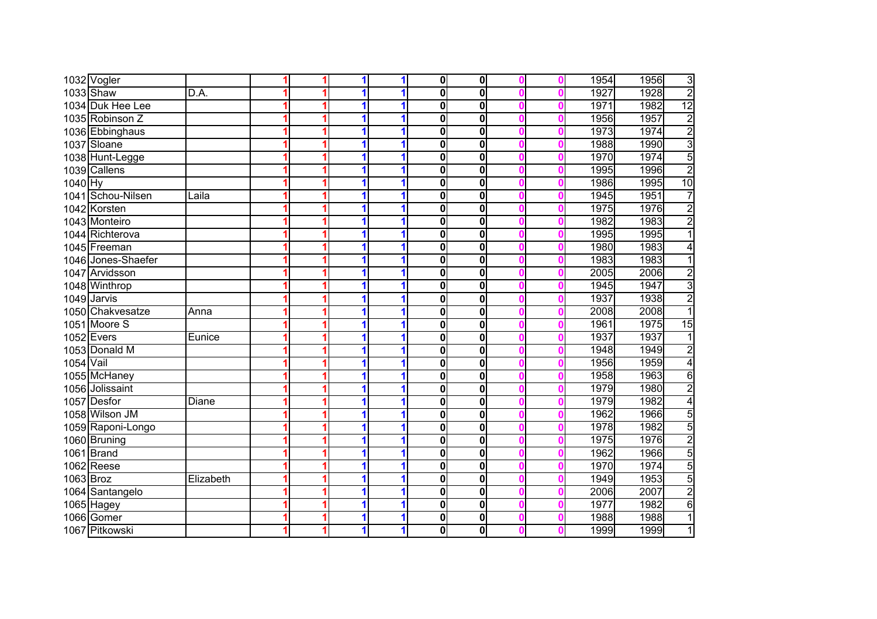|           | 1032 Vogler        |           |  | 1 | 1 | $\mathbf{0}$ | $\bf{0}$                |  | 1954 | 1956 | 3               |
|-----------|--------------------|-----------|--|---|---|--------------|-------------------------|--|------|------|-----------------|
|           | 1033 Shaw          | D.A.      |  | 1 |   | $\mathbf{0}$ | $\overline{\mathbf{0}}$ |  | 1927 | 1928 | $\overline{2}$  |
|           | 1034 Duk Hee Lee   |           |  |   |   | 0            | $\overline{\mathbf{0}}$ |  | 1971 | 1982 | $\overline{12}$ |
|           | 1035 Robinson Z    |           |  |   |   | 0            | $\overline{\mathbf{0}}$ |  | 1956 | 1957 |                 |
|           | 1036 Ebbinghaus    |           |  |   |   | $\mathbf{0}$ | $\overline{\mathbf{0}}$ |  | 1973 | 1974 | دا ادا د        |
|           | 1037 Sloane        |           |  | 1 | 1 | 0            | $\overline{\mathbf{0}}$ |  | 1988 | 1990 |                 |
|           | 1038 Hunt-Legge    |           |  | 1 | 1 | 0            | $\mathbf 0$             |  | 1970 | 1974 | $\overline{5}$  |
|           | 1039 Callens       |           |  | 4 |   | 0            | $\overline{\mathbf{0}}$ |  | 1995 | 1996 | $\overline{2}$  |
| $1040$ Hy |                    |           |  |   |   | 0            | $\mathbf 0$             |  | 1986 | 1995 | 10              |
|           | 1041 Schou-Nilsen  | Laila     |  | 1 | 1 | $\mathbf{0}$ | $\mathbf 0$             |  | 1945 | 1951 | $\overline{7}$  |
|           | 1042 Korsten       |           |  | 1 | 1 | 0            | $\mathbf 0$             |  | 1975 | 1976 | $\overline{c}$  |
|           | 1043 Monteiro      |           |  |   |   | 0            | 0                       |  | 1982 | 1983 | $\overline{2}$  |
|           | 1044 Richterova    |           |  |   | 1 | 0            | $\mathbf 0$             |  | 1995 | 1995 | $\overline{1}$  |
|           | 1045 Freeman       |           |  |   | 1 | 0            | $\mathbf 0$             |  | 1980 | 1983 | 4               |
|           | 1046 Jones-Shaefer |           |  |   |   | 0            | $\mathbf 0$             |  | 1983 | 1983 | 1               |
|           | 1047 Arvidsson     |           |  |   |   | 0            | $\mathbf 0$             |  | 2005 | 2006 | $\overline{2}$  |
|           | 1048 Winthrop      |           |  |   |   | 0            | $\mathbf 0$             |  | 1945 | 1947 | 3               |
|           | 1049 Jarvis        |           |  |   |   | 0            | $\mathbf 0$             |  | 1937 | 1938 | $\overline{2}$  |
|           | 1050 Chakvesatze   | Anna      |  | 1 |   | 0            | $\mathbf 0$             |  | 2008 | 2008 | 1               |
|           | 1051 Moore S       |           |  | 1 |   | 0            | $\overline{\mathbf{0}}$ |  | 1961 | 1975 | 15              |
|           | $1052$ Evers       | Eunice    |  |   |   | 0            | $\overline{\mathbf{0}}$ |  | 1937 | 1937 | 1               |
|           | 1053 Donald M      |           |  | 1 | 1 | 0            | $\bf{0}$                |  | 1948 | 1949 | $\overline{2}$  |
| 1054 Vail |                    |           |  | 1 |   | 0            | $\bf{0}$                |  | 1956 | 1959 | $\overline{4}$  |
|           | 1055 McHaney       |           |  |   |   | 0            | $\overline{\mathbf{0}}$ |  | 1958 | 1963 | 6               |
|           | 1056 Jolissaint    |           |  |   |   | 0            | $\overline{\mathbf{0}}$ |  | 1979 | 1980 | $\overline{2}$  |
|           | 1057 Desfor        | Diane     |  | 1 | 1 | 0            | $\overline{\mathbf{0}}$ |  | 1979 | 1982 | $\overline{4}$  |
|           | 1058 Wilson JM     |           |  | 1 | 1 | 0            | $\bf{0}$                |  | 1962 | 1966 | $\overline{5}$  |
|           | 1059 Raponi-Longo  |           |  |   | 1 | 0            | $\bf{0}$                |  | 1978 | 1982 | 5               |
|           | 1060 Bruning       |           |  |   |   | 0            | $\overline{\mathbf{0}}$ |  | 1975 | 1976 | $\overline{2}$  |
|           | 1061 Brand         |           |  |   | 1 | 0            | $\bf{0}$                |  | 1962 | 1966 | 5               |
|           | $1062$ Reese       |           |  |   |   | $\mathbf 0$  | $\bf{0}$                |  | 1970 | 1974 | 5               |
| 1063 Broz |                    | Elizabeth |  |   |   | 0            | $\bf{0}$                |  | 1949 | 1953 | 5               |
|           | 1064 Santangelo    |           |  |   |   | 0            | $\overline{\mathbf{0}}$ |  | 2006 | 2007 | $\overline{2}$  |
|           | 1065 Hagey         |           |  | 1 | 1 | 0            | $\bf{0}$                |  | 1977 | 1982 | $\overline{6}$  |
|           | 1066 Gomer         |           |  | 1 | 1 | 0            | $\bf{0}$                |  | 1988 | 1988 | $\mathbf{1}$    |
|           | 1067 Pitkowski     |           |  | 1 | 1 | 0            | $\bf{0}$                |  | 1999 | 1999 | $\mathbf{1}$    |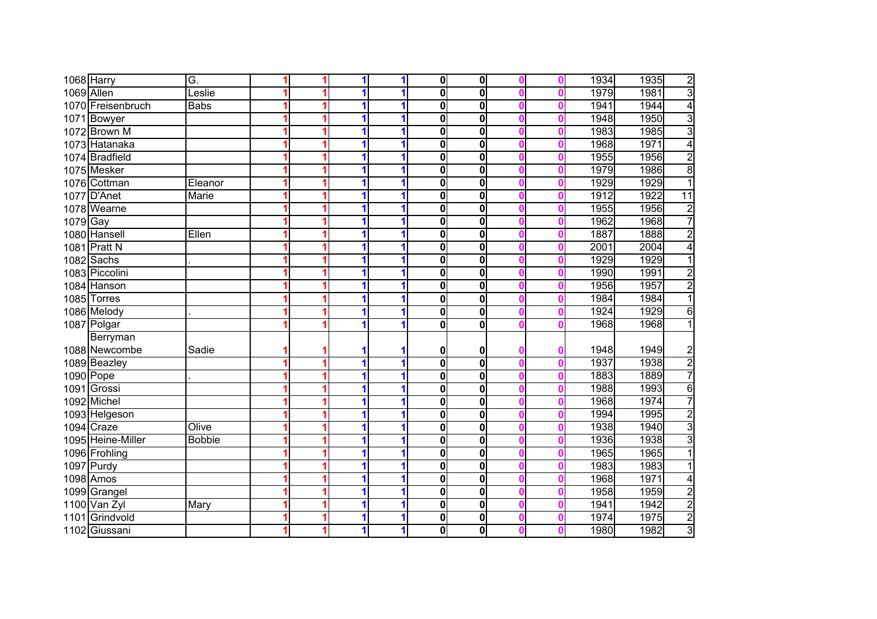|            | 1068 Harry        | Ğ.            |  | 1 |   | 0 | $\mathbf 0$             |  | 1934 | $\overline{2}$<br>1935          |
|------------|-------------------|---------------|--|---|---|---|-------------------------|--|------|---------------------------------|
| 1069 Allen |                   | Leslie        |  |   |   | 0 | $\overline{\mathbf{0}}$ |  | 1979 | 3<br>1981                       |
|            | 1070 Freisenbruch | <b>Babs</b>   |  | 1 | 1 | 0 | $\overline{\mathbf{0}}$ |  | 1941 | 4<br>1944                       |
|            | 1071 Bowyer       |               |  | 1 |   | 0 | $\overline{\mathbf{0}}$ |  | 1948 | $\overline{3}$<br>1950          |
|            | 1072 Brown M      |               |  | 1 |   | 0 | $\overline{\mathbf{0}}$ |  | 1983 | $\overline{3}$<br>1985          |
|            | 1073 Hatanaka     |               |  | 1 |   | 0 | $\overline{\mathbf{0}}$ |  | 1968 | 4<br>1971                       |
|            | 1074 Bradfield    |               |  | 1 |   | 0 | $\mathbf 0$             |  | 1955 | $\overline{2}$<br>1956          |
|            | 1075 Mesker       |               |  | 1 |   | 0 | $\mathbf 0$             |  | 1979 | $\overline{8}$<br>1986          |
|            | 1076 Cottman      | Eleanor       |  | и |   | 0 | $\mathbf 0$             |  | 1929 | $\overline{1}$<br>1929          |
|            | 1077 D'Anet       | Marie         |  | 1 |   | 0 | $\mathbf 0$             |  | 1912 | 11<br>1922                      |
|            | 1078 Wearne       |               |  | 1 | 1 | 0 | $\mathbf 0$             |  | 1955 | $\overline{2}$<br>1956          |
| $1079$ Gay |                   |               |  | 1 |   | 0 | $\bf{0}$                |  | 1962 | $\overline{7}$<br>1968          |
|            | 1080 Hansell      | Ellen         |  |   |   | 0 | $\bf{0}$                |  | 1887 | $\overline{2}$<br>1888          |
|            | 1081 Pratt N      |               |  |   |   | 0 | $\mathbf 0$             |  | 2001 | 2004<br>$\overline{4}$          |
|            | 1082 Sachs        |               |  |   |   | 0 | $\mathbf 0$             |  | 1929 | 1929<br>1                       |
|            | 1083 Piccolini    |               |  |   |   | 0 | $\bf{0}$                |  | 1990 | $\overline{2}$<br>1991          |
|            | 1084 Hanson       |               |  |   |   | 0 | $\bf{0}$                |  | 1956 | $\overline{2}$<br>1957          |
|            | 1085 Torres       |               |  | 1 |   | 0 | $\mathbf 0$             |  | 1984 | 1984<br>1                       |
|            | 1086 Melody       |               |  | 1 | 1 | 0 | $\overline{\mathbf{0}}$ |  | 1924 | 1929<br>6                       |
|            | 1087 Polgar       |               |  |   |   | 0 | $\overline{\mathbf{0}}$ |  | 1968 | 1968                            |
|            | Berryman          |               |  |   |   |   |                         |  |      |                                 |
|            | 1088 Newcombe     | Sadie         |  |   |   | 0 | 0                       |  | 1948 | 1949<br>$\overline{\mathbf{c}}$ |
|            | 1089 Beazley      |               |  | 1 | 1 | 0 | $\overline{\mathbf{0}}$ |  | 1937 | $\overline{2}$<br>1938          |
| 1090 Pope  |                   |               |  | 1 | 1 | 0 | $\overline{\mathbf{0}}$ |  | 1883 | $\overline{7}$<br>1889          |
|            | 1091 Grossi       |               |  | 1 |   | 0 | $\overline{\mathbf{0}}$ |  | 1988 | $\overline{6}$<br>1993          |
|            | 1092 Michel       |               |  | 1 | 1 | 0 | $\overline{\mathbf{0}}$ |  | 1968 | $\overline{7}$<br>1974          |
|            | 1093 Helgeson     |               |  | 1 | 1 | 0 | $\overline{\mathbf{0}}$ |  | 1994 | $\overline{\mathbf{c}}$<br>1995 |
|            | 1094 Craze        | Olive         |  |   | 1 | 0 | $\bf{0}$                |  | 1938 | $\overline{3}$<br>1940          |
|            | 1095 Heine-Miller | <b>Bobbie</b> |  |   |   | 0 | $\overline{\mathbf{0}}$ |  | 1936 | $\overline{3}$<br>1938          |
|            | 1096 Frohling     |               |  |   | 1 | 0 | $\bf{0}$                |  | 1965 | $\overline{1}$<br>1965          |
|            | 1097 Purdy        |               |  |   |   | 0 | $\bf{0}$                |  | 1983 | 1<br>1983                       |
|            | 1098 Amos         |               |  |   |   | 0 | $\overline{\mathbf{0}}$ |  | 1968 | 1971<br>4                       |
|            | 1099 Grangel      |               |  |   |   | 0 | $\overline{\mathbf{0}}$ |  | 1958 | $\overline{2}$<br>1959          |
|            | 1100 Van Zyl      | Mary          |  | 1 | 1 | 0 | $\bf{0}$                |  | 1941 | $\overline{2}$<br>1942          |
|            | 1101 Grindvold    |               |  | 1 | 1 | 0 | $\bf{0}$                |  | 1974 | $\frac{2}{3}$<br>1975           |
|            | 1102 Giussani     |               |  | 1 | 1 | 0 | $\mathbf 0$             |  | 1980 | 1982                            |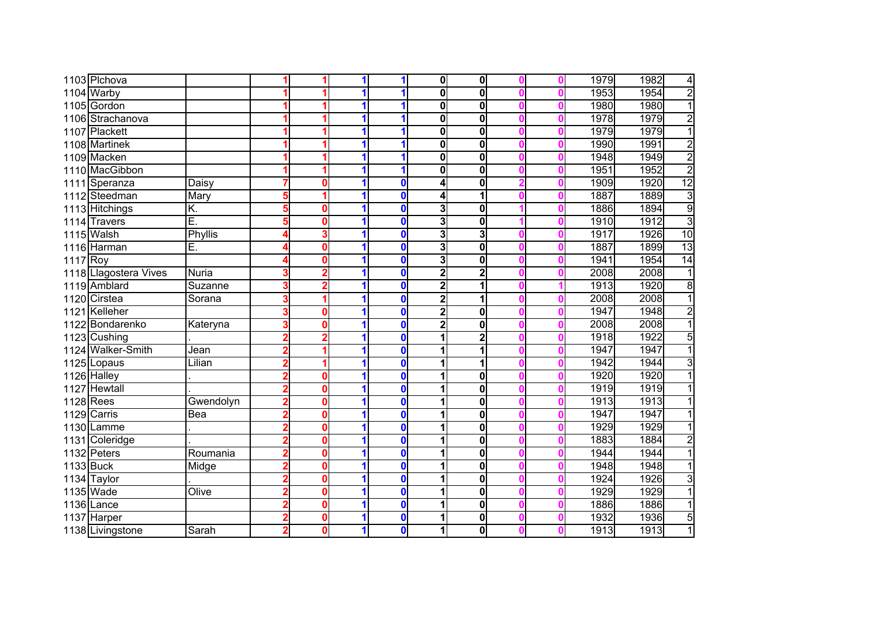|             | 1103 Plchova          |           |   |   |   | 1                | 0                       | 0                       |  | 1979 | 1982 | 4              |
|-------------|-----------------------|-----------|---|---|---|------------------|-------------------------|-------------------------|--|------|------|----------------|
|             | 1104 Warby            |           |   |   |   |                  | 0                       | 0                       |  | 1953 | 1954 | $\overline{2}$ |
|             | 1105 Gordon           |           |   |   |   |                  | 0                       | 0                       |  | 1980 | 1980 | $\overline{1}$ |
|             | 1106 Strachanova      |           |   |   |   |                  | 0                       | 0                       |  | 1978 | 1979 | $\overline{2}$ |
|             | 1107 Plackett         |           |   |   |   | 1                | 0                       | $\bf{0}$                |  | 1979 | 1979 | $\overline{1}$ |
|             | 1108 Martinek         |           |   |   |   | 1                | 0                       | $\mathbf 0$             |  | 1990 | 1991 | $\overline{2}$ |
|             | 1109 Macken           |           |   |   |   |                  | 0                       | 0                       |  | 1948 | 1949 | $\overline{2}$ |
|             | 1110 MacGibbon        |           |   |   |   | 1                | 0                       | 0                       |  | 1951 | 1952 | $\overline{2}$ |
|             | 1111 Speranza         | Daisy     |   |   |   | $\bf{0}$         | 4                       | 0                       |  | 1909 | 1920 | 12             |
|             | 1112 Steedman         | Mary      | 5 |   |   | $\mathbf 0$      | 4                       | 1                       |  | 1887 | 1889 | $\overline{3}$ |
|             | 1113 Hitchings        | K.        | 5 | 0 |   | $\bf{0}$         | 3                       | 0                       |  | 1886 | 1894 | 9              |
|             | 1114 Travers          | Ē.        | 5 | 0 |   | $\boldsymbol{0}$ | 3                       | 0                       |  | 1910 | 1912 | $\overline{3}$ |
|             | 1115 Walsh            | Phyllis   |   |   |   | $\mathbf 0$      | 3                       | 3                       |  | 1917 | 1926 | 10             |
|             | 1116 Harman           | Ε.        |   | Ω |   | $\mathbf 0$      | 3                       | $\mathbf 0$             |  | 1887 | 1899 | 13             |
| 1117 Roy    |                       |           |   |   |   | $\bf{0}$         | 3                       | 0                       |  | 1941 | 1954 | 14             |
|             | 1118 Llagostera Vives | Nuria     |   |   |   | $\bf{0}$         | 2                       | $\overline{\mathbf{c}}$ |  | 2008 | 2008 | 1              |
|             | 1119 Amblard          | Suzanne   |   |   |   | $\bf{0}$         | $\mathbf{2}$            | 1                       |  | 1913 | 1920 | $\overline{8}$ |
|             | 1120 Cirstea          | Sorana    |   |   |   | $\bf{0}$         | $\overline{\mathbf{2}}$ | 1                       |  | 2008 | 2008 | 1              |
|             | 1121 Kelleher         |           |   | 0 |   | $\bf{0}$         | 2                       | 0                       |  | 1947 | 1948 | $\overline{2}$ |
|             | 1122 Bondarenko       | Kateryna  |   | 0 |   | $\bf{0}$         | 2                       | 0                       |  | 2008 | 2008 | $\overline{1}$ |
|             | 1123 Cushing          |           |   |   |   | $\mathbf 0$      |                         | $\overline{\mathbf{2}}$ |  | 1918 | 1922 | $\overline{5}$ |
|             | 1124 Walker-Smith     | Jean      |   |   |   | $\boldsymbol{0}$ |                         | 1                       |  | 1947 | 1947 | $\overline{1}$ |
|             | 1125 Lopaus           | Lilian    |   |   |   | $\mathbf 0$      |                         | 1                       |  | 1942 | 1944 | $\overline{3}$ |
|             | 1126 Halley           |           |   | Ω |   | $\bf{0}$         |                         | 0                       |  | 1920 | 1920 | $\overline{1}$ |
|             | 1127 Hewtall          |           |   |   |   | $\mathbf 0$      |                         | $\overline{\mathbf{0}}$ |  | 1919 | 1919 | 1              |
| $1128$ Rees |                       | Gwendolyn | 2 | 0 |   | $\bf{0}$         |                         | 0                       |  | 1913 | 1913 | 1              |
|             | 1129 Carris           | Bea       | 2 | 0 |   | $\bf{0}$         |                         | 0                       |  | 1947 | 1947 | 1              |
|             | 1130 Lamme            |           |   | 0 |   | $\boldsymbol{0}$ |                         | 0                       |  | 1929 | 1929 | 1              |
|             | 1131 Coleridge        |           |   | Ω |   | $\boldsymbol{0}$ |                         | 0                       |  | 1883 | 1884 | $\overline{2}$ |
|             | 1132 Peters           | Roumania  |   | 0 |   | $\mathbf 0$      |                         | $\mathbf 0$             |  | 1944 | 1944 |                |
| 1133 Buck   |                       | Midge     |   | o |   | $\mathbf 0$      |                         | 0                       |  | 1948 | 1948 | 1              |
|             | 1134 Taylor           |           |   | 0 |   | $\mathbf 0$      |                         | 0                       |  | 1924 | 1926 | 3              |
|             | 1135 Wade             | Olive     |   |   |   | $\bf{0}$         |                         | $\bf{0}$                |  | 1929 | 1929 | 1              |
|             | $1136$ Lance          |           |   | 0 |   | $\bf{0}$         |                         | $\bf{0}$                |  | 1886 | 1886 | 1              |
|             | 1137 Harper           |           | 2 | 0 |   | $\mathbf 0$      |                         | $\mathbf{0}$            |  | 1932 | 1936 | $\overline{5}$ |
|             | 1138 Livingstone      | Sarah     | 2 | 0 | 1 | $\mathbf 0$      | 1                       | 0                       |  | 1913 | 1913 | $\overline{1}$ |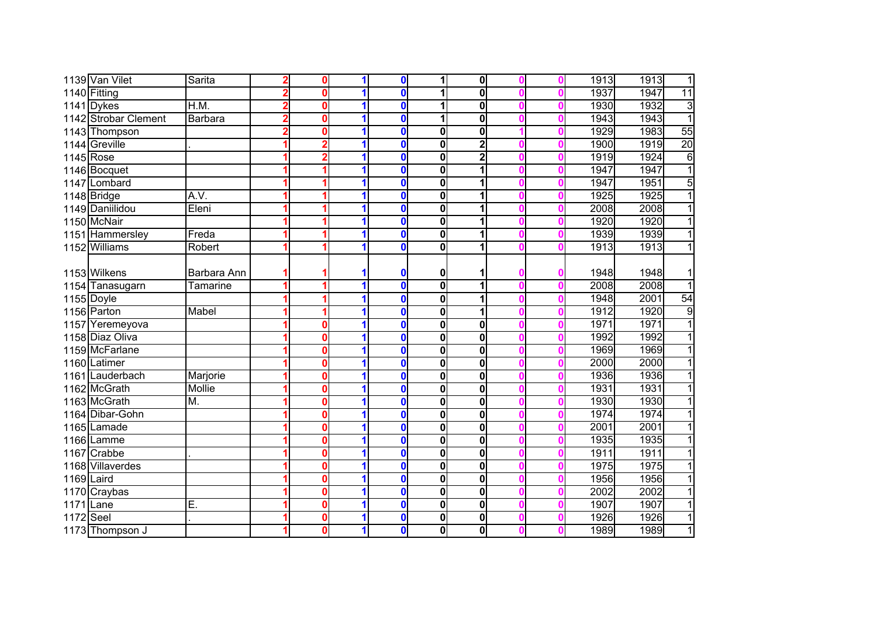|             | 1139 Van Vilet       | Sarita          |                | 0 |   | $\mathbf 0$             |              | $\mathbf 0$             |  | 1913 | 1913 | $\overline{1}$ |
|-------------|----------------------|-----------------|----------------|---|---|-------------------------|--------------|-------------------------|--|------|------|----------------|
|             | 1140 Fitting         |                 |                | 0 |   | $\bf{0}$                |              | 0                       |  | 1937 | 1947 | 11             |
|             | $1141$ Dykes         | H.M.            | $\overline{2}$ | 0 |   | $\bf{0}$                |              | $\overline{\mathbf{0}}$ |  | 1930 | 1932 | 3              |
|             | 1142 Strobar Clement | <b>Barbara</b>  | $\overline{2}$ | 0 | 1 | $\mathbf 0$             |              | 0                       |  | 1943 | 1943 | $\overline{1}$ |
|             | 1143 Thompson        |                 | 2              | በ |   | $\bf{0}$                | 0            | 0                       |  | 1929 | 1983 | 55             |
|             | 1144 Greville        |                 |                |   |   | $\mathbf 0$             | $\bf{0}$     | $\overline{2}$          |  | 1900 | 1919 | 20             |
|             | 1145 Rose            |                 |                |   |   | $\mathbf 0$             | 0            | $\overline{2}$          |  | 1919 | 1924 | 6              |
|             | 1146 Bocquet         |                 |                |   | 1 | $\mathbf 0$             | 0            | 1                       |  | 1947 | 1947 | $\overline{1}$ |
|             | 1147 Lombard         |                 |                |   |   | $\mathbf 0$             | 0            | 1                       |  | 1947 | 1951 | 5              |
|             | 1148 Bridge          | A.V.            |                |   |   | $\bf{0}$                | 0            |                         |  | 1925 | 1925 | $\overline{1}$ |
|             | 1149 Daniilidou      | Eleni           |                |   |   | $\bf{0}$                | $\bf{0}$     | 1                       |  | 2008 | 2008 | $\overline{1}$ |
|             | 1150 McNair          |                 |                |   | 1 | $\mathbf 0$             | 0            | 1                       |  | 1920 | 1920 | $\overline{1}$ |
|             | 1151 Hammersley      | Freda           |                |   | 1 | $\mathbf 0$             | $\bf{0}$     | 1                       |  | 1939 | 1939 | $\overline{1}$ |
|             | 1152 Williams        | Robert          |                |   |   | $\mathbf 0$             | $\bf{0}$     |                         |  | 1913 | 1913 | $\overline{1}$ |
|             |                      |                 |                |   |   |                         |              |                         |  |      |      |                |
|             | 1153 Wilkens         | Barbara Ann     |                |   |   | $\mathbf 0$             | 0            |                         |  | 1948 | 1948 | $\mathbf{1}$   |
|             | 1154 Tanasugarn      | <b>Tamarine</b> |                |   |   | $\mathbf 0$             | $\mathbf 0$  | 1                       |  | 2008 | 2008 | $\overline{1}$ |
|             | 1155 Doyle           |                 |                |   |   | $\mathbf 0$             | $\bf{0}$     |                         |  | 1948 | 2001 | 54             |
|             | 1156 Parton          | Mabel           |                |   |   | $\mathbf 0$             | $\bf{0}$     | 1                       |  | 1912 | 1920 | $\overline{9}$ |
| 1157        | Yeremeyova           |                 |                | 0 | 1 | $\mathbf 0$             | $\bf{0}$     | 0                       |  | 1971 | 1971 | $\overline{1}$ |
|             | 1158 Diaz Oliva      |                 |                | 0 | 1 | $\mathbf 0$             | 0            | 0                       |  | 1992 | 1992 | $\overline{1}$ |
|             | 1159 McFarlane       |                 |                | 0 |   | $\overline{\textbf{0}}$ | $\bf{0}$     | 0                       |  | 1969 | 1969 | $\overline{1}$ |
|             | 1160 Latimer         |                 |                | 0 | 1 | $\mathbf 0$             | 0            | $\bf{0}$                |  | 2000 | 2000 | $\overline{1}$ |
|             | 1161 Lauderbach      | Marjorie        |                | 0 |   | $\mathbf 0$             | 0            | 0                       |  | 1936 | 1936 | $\overline{1}$ |
|             | 1162 McGrath         | Mollie          |                | Ô |   | $\mathbf{0}$            | $\bf{0}$     | 0                       |  | 1931 | 1931 | $\overline{1}$ |
|             | 1163 McGrath         | M.              |                | 0 |   | $\mathbf{0}$            | $\mathbf{0}$ | $\overline{\mathbf{0}}$ |  | 1930 | 1930 | $\overline{1}$ |
|             | 1164 Dibar-Gohn      |                 |                | O | 1 | $\mathbf 0$             | $\bf{0}$     | 0                       |  | 1974 | 1974 | $\overline{1}$ |
|             | 1165 Lamade          |                 |                | 0 |   | $\mathbf 0$             | $\bf{0}$     | 0                       |  | 2001 | 2001 | $\overline{1}$ |
|             | 1166 Lamme           |                 |                | 0 |   | $\mathbf 0$             | $\bf{0}$     | 0                       |  | 1935 | 1935 | $\overline{1}$ |
|             | 1167 Crabbe          |                 |                | 0 |   | $\mathbf 0$             | 0            | 0                       |  | 1911 | 1911 | $\overline{1}$ |
|             | 1168 Villaverdes     |                 |                | 0 |   | $\mathbf 0$             | 0            | $\mathbf 0$             |  | 1975 | 1975 | $\overline{1}$ |
| 1169 Laird  |                      |                 |                | 0 |   | $\mathbf 0$             | 0            | $\mathbf 0$             |  | 1956 | 1956 | $\overline{1}$ |
|             | 1170 Craybas         |                 |                | 0 |   | $\mathbf 0$             | $\mathbf 0$  | $\mathbf 0$             |  | 2002 | 2002 | $\overline{1}$ |
| 1171 Lane   |                      | $\overline{E}$  |                | 0 | 1 | $\mathbf 0$             | 0            | 0                       |  | 1907 | 1907 | $\overline{1}$ |
| $1172$ Seel |                      |                 |                | 0 | 1 | $\boldsymbol{0}$        | 0            | $\bf{0}$                |  | 1926 | 1926 | $\overline{1}$ |
|             | 1173 Thompson J      |                 |                | 0 | 1 | $\mathbf 0$             | 0            | $\mathbf 0$             |  | 1989 | 1989 | 1              |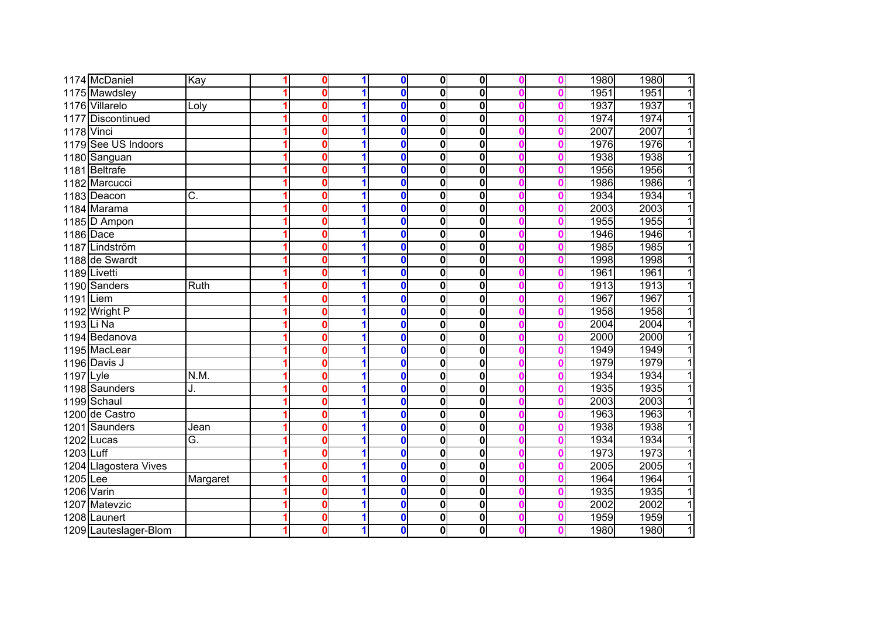|            | 1174 McDaniel         | Kay         | o | $\mathbf 0$      | $\mathbf{0}$ | 0                       |  | 1980 | 1980<br>1            |
|------------|-----------------------|-------------|---|------------------|--------------|-------------------------|--|------|----------------------|
|            | 1175 Mawdsley         |             | 0 | $\mathbf 0$      | 0            | 0                       |  | 1951 | 1951                 |
|            | 1176 Villarelo        | Loly        | 0 | $\mathbf 0$      | 0            | 0                       |  | 1937 | 1937                 |
|            | 1177 Discontinued     |             | 0 | $\bf{0}$         | $\bf{0}$     | 0                       |  | 1974 | 1974                 |
| 1178 Vinci |                       |             | o | $\mathbf 0$      | 0            | 0                       |  | 2007 | 2007                 |
|            | 1179 See US Indoors   |             | 0 | $\mathbf 0$      | 0            | 0                       |  | 1976 | 1976                 |
|            | 1180 Sanguan          |             | 0 | $\bf{0}$         | $\bf{0}$     | 0                       |  | 1938 | 1938<br>1            |
|            | 1181 Beltrafe         |             | 0 | $\mathbf 0$      | $\bf{0}$     | 0                       |  | 1956 | 1956<br>1            |
|            | 1182 Marcucci         |             | Ω | $\mathbf 0$      | 0            | 0                       |  | 1986 | 1986<br>1            |
|            | 1183 Deacon           | C.          | Ω | $\bf{0}$         | 0            | 0                       |  | 1934 | 1<br>1934            |
|            | 1184 Marama           |             | Ω | $\bf{0}$         | 0            | 0                       |  | 2003 | 2003<br>1            |
|            | 1185 D Ampon          |             | 0 | $\mathbf 0$      | $\mathbf 0$  | 0                       |  | 1955 | 1955<br>1            |
|            | 1186 Dace             |             | 0 | $\bf{0}$         | $\mathbf{0}$ | 0                       |  | 1946 | 1946<br>1            |
|            | 1187 Lindström        |             | 0 | $\bf{0}$         | $\bf{0}$     | 0                       |  | 1985 | 1985<br>1            |
|            | 1188 de Swardt        |             | 0 | $\mathbf 0$      | $\mathbf 0$  | 0                       |  | 1998 | 1998<br>1            |
|            | 1189 Livetti          |             | 0 | $\boldsymbol{0}$ | 0            | 0                       |  | 1961 | 1961                 |
|            | 1190 Sanders          | <b>Ruth</b> | Ω | $\mathbf 0$      | $\bf{0}$     | 0                       |  | 1913 | 1913                 |
| 1191 Liem  |                       |             | Ω | $\mathbf 0$      | 0            | 0                       |  | 1967 | 1967                 |
|            | 1192 Wright P         |             |   | $\mathbf 0$      | 0            | 0                       |  | 1958 | 1958                 |
| 1193 Li Na |                       |             |   | $\mathbf{0}$     | 0            | 0                       |  | 2004 | 2004                 |
|            | 1194 Bedanova         |             |   | $\mathbf 0$      | 0            | 0                       |  | 2000 | 2000                 |
|            | 1195 MacLear          |             |   | $\bf{0}$         | $\bf{0}$     | $\overline{\mathbf{0}}$ |  | 1949 | 1949                 |
|            | 1196 Davis J          |             | 0 | $\bf{0}$         | 0            | 0                       |  | 1979 | 1979                 |
| 1197 Lyle  |                       | N.M.        | 0 | $\bf{0}$         | 0            | 0                       |  | 1934 | 1934                 |
|            | 1198 Saunders         | J.          | Ω | $\bf{0}$         | 0            | 0                       |  | 1935 | 1935                 |
|            | 1199 Schaul           |             | Ω | $\mathbf 0$      | 0            | 0                       |  | 2003 | 2003                 |
|            | 1200 de Castro        |             | Ω | $\mathbf 0$      | $\bf{0}$     | 0                       |  | 1963 | 1963                 |
|            | 1201 Saunders         | Jean        | Ω | $\mathbf 0$      | $\bf{0}$     | 0                       |  | 1938 | 1938<br>1            |
|            | 1202 Lucas            | Ğ.          | Λ | $\mathbf{0}$     | $\bf{0}$     | $\overline{\mathbf{0}}$ |  | 1934 | 1934<br>1            |
| 1203 Luff  |                       |             | Ω | $\mathbf 0$      | 0            | 0                       |  | 1973 | 1973<br>1            |
|            | 1204 Llagostera Vives |             | Ω | $\bf{0}$         | $\mathbf 0$  | 0                       |  | 2005 | 2005<br>1            |
| $1205$ Lee |                       | Margaret    | 0 | $\mathbf 0$      | $\mathbf 0$  | 0                       |  | 1964 | 1964<br>1            |
| 1206 Varin |                       |             | 0 | $\mathbf 0$      | $\bf{0}$     | 0                       |  | 1935 | 1935<br>1            |
|            | 1207 Matevzic         |             | Ω | $\mathbf 0$      | $\bf{0}$     | 0                       |  | 2002 | 2002<br>1            |
|            | 1208 Launert          |             | 0 | $\mathbf 0$      | 0            | 0                       |  | 1959 | 1959<br>1            |
|            | 1209 Lauteslager-Blom |             | 0 | $\mathbf 0$      | $\mathbf 0$  | 0                       |  | 1980 | 1980<br>$\mathbf{1}$ |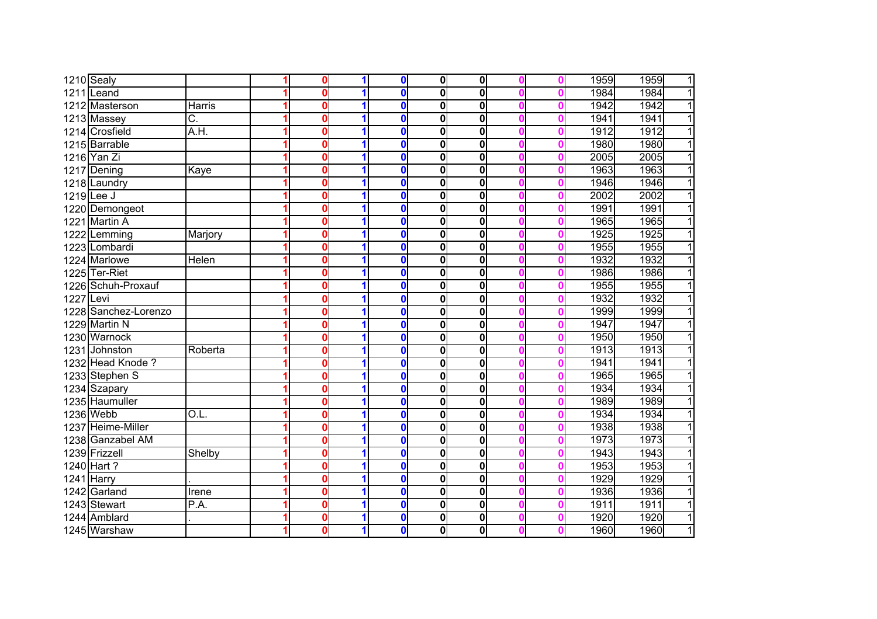|           | 1210 Sealy           |                         | 0 | $\mathbf 0$             | $\mathbf{0}$ | $\mathbf{0}$            |  | 1959 | 1959<br>$\overline{1}$ |
|-----------|----------------------|-------------------------|---|-------------------------|--------------|-------------------------|--|------|------------------------|
|           | 1211 Leand           |                         | 0 | $\mathbf 0$             | $\mathbf 0$  | 0                       |  | 1984 | $\overline{1}$<br>1984 |
|           | 1212 Masterson       | Harris                  | 0 | $\mathbf{0}$            | $\mathbf 0$  | 0                       |  | 1942 | $\overline{1}$<br>1942 |
|           | 1213 Massey          | $\overline{\mathrm{C}}$ | 0 | $\mathbf{0}$            | $\mathbf 0$  | 0                       |  | 1941 | 1941<br>$\overline{1}$ |
|           | 1214 Crosfield       | A.H.                    | 0 | $\mathbf 0$             | $\mathbf 0$  | $\overline{\mathbf{0}}$ |  | 1912 | $\overline{1}$<br>1912 |
|           | 1215 Barrable        |                         | Ω | $\mathbf 0$             | $\mathbf 0$  | 0                       |  | 1980 | 1980<br>$\overline{1}$ |
|           | 1216 Yan Zi          |                         | 0 | $\mathbf 0$             | $\mathbf 0$  | $\mathbf 0$             |  | 2005 | $\overline{1}$<br>2005 |
|           | 1217 Dening          | Kaye                    | 0 | $\bf{0}$                | $\mathbf 0$  | $\mathbf 0$             |  | 1963 | $\overline{1}$<br>1963 |
|           | 1218 Laundry         |                         | Ω | $\bf{0}$                | $\mathbf 0$  | $\mathbf 0$             |  | 1946 | $\overline{1}$<br>1946 |
|           | $1219$ Lee J         |                         | 0 | $\mathbf 0$             | $\mathbf 0$  | $\mathbf 0$             |  | 2002 | $\overline{1}$<br>2002 |
|           | 1220 Demongeot       |                         | 0 | $\bf{0}$                | $\mathbf 0$  | $\mathbf{0}$            |  | 1991 | $\overline{1}$<br>1991 |
|           | 1221 Martin A        |                         | 0 | $\bf{0}$                | $\mathbf 0$  | $\mathbf 0$             |  | 1965 | $\overline{1}$<br>1965 |
|           | 1222 Lemming         | Marjory                 | 0 | $\mathbf 0$             | 0            | 0                       |  | 1925 | 1925<br>$\overline{1}$ |
|           | 1223 Lombardi        |                         | 0 | $\mathbf 0$             | $\mathbf 0$  | 0                       |  | 1955 | 1955<br>$\mathbf{1}$   |
|           | 1224 Marlowe         | Helen                   | 0 | $\mathbf 0$             | $\mathbf 0$  | 0                       |  | 1932 | 1932<br>$\overline{1}$ |
|           | 1225 Ter-Riet        |                         | Ω | $\mathbf 0$             | $\mathbf 0$  | 0                       |  | 1986 | $\overline{1}$<br>1986 |
|           | 1226 Schuh-Proxauf   |                         |   | $\bf{0}$                | $\mathbf 0$  | 0                       |  | 1955 | 1955<br>$\overline{1}$ |
| 1227 Levi |                      |                         |   | $\mathbf 0$             | $\mathbf 0$  | 0                       |  | 1932 | 1932<br>11             |
|           | 1228 Sanchez-Lorenzo |                         |   | $\mathbf 0$             | $\mathbf 0$  | $\mathbf 0$             |  | 1999 | 1999<br>$\overline{1}$ |
|           | 1229 Martin N        |                         | Ω | $\mathbf 0$             | $\mathbf 0$  | $\overline{\mathbf{0}}$ |  | 1947 | 1947<br>$\mathbf{1}$   |
|           | 1230 Warnock         |                         | 0 | $\mathbf 0$             | $\mathbf 0$  | 0                       |  | 1950 | 1950<br>11             |
|           | 1231 Johnston        | Roberta                 | Ω | $\bf{0}$                | 0            | $\mathbf{0}$            |  | 1913 | 1913<br>1              |
|           | 1232 Head Knode ?    |                         | Ω | $\mathbf 0$             | $\mathbf 0$  | $\overline{\mathbf{0}}$ |  | 1941 | 1941<br>$\overline{1}$ |
|           | 1233 Stephen S       |                         | Λ | $\overline{\mathbf{0}}$ | $\mathbf 0$  | $\mathbf{0}$            |  | 1965 | 1965<br>$\overline{1}$ |
|           | 1234 Szapary         |                         | Ω | $\overline{\mathbf{0}}$ | $\mathbf 0$  | $\overline{\mathbf{0}}$ |  | 1934 | 1934<br>$\overline{1}$ |
|           | 1235 Haumuller       |                         | Ω | $\mathbf 0$             | $\mathbf 0$  | $\mathbf 0$             |  | 1989 | $\overline{1}$<br>1989 |
|           | 1236 Webb            | O.L.                    | Ω | $\mathbf 0$             | $\mathbf 0$  | $\mathbf 0$             |  | 1934 | 1934<br>$\overline{1}$ |
|           | 1237 Heime-Miller    |                         | Ω | $\mathbf 0$             | $\mathbf 0$  | $\overline{\mathbf{0}}$ |  | 1938 | 1938<br>$\overline{1}$ |
|           | 1238 Ganzabel AM     |                         | Ω | $\mathbf 0$             | $\mathbf 0$  | 0                       |  | 1973 | 1973<br>$\overline{1}$ |
|           | 1239 Frizzell        | Shelby                  | 0 | $\mathbf 0$             | $\mathbf 0$  | 0                       |  | 1943 | 1943<br>$\overline{1}$ |
|           | 1240 Hart ?          |                         | Ω | $\mathbf 0$             | $\mathbf 0$  | 0                       |  | 1953 | 1953<br>$\overline{1}$ |
|           | 1241 Harry           |                         | 0 | $\mathbf 0$             | $\mathbf 0$  | 0                       |  | 1929 | $\overline{1}$<br>1929 |
|           | 1242 Garland         | Irene                   | 0 | $\mathbf 0$             | $\mathbf 0$  | 0                       |  | 1936 | $\overline{1}$<br>1936 |
|           | 1243 Stewart         | P.A.                    | 0 | $\overline{\mathbf{0}}$ | $\mathbf 0$  | $\overline{\mathbf{0}}$ |  | 1911 | $\overline{1}$<br>1911 |
|           | 1244 Amblard         |                         | 0 | $\mathbf 0$             | $\mathbf 0$  | $\mathbf 0$             |  | 1920 | $\overline{1}$<br>1920 |
|           | 1245 Warshaw         |                         |   | $\mathbf{0}$            | $\mathbf 0$  | $\mathbf{0}$            |  | 1960 | $\overline{1}$<br>1960 |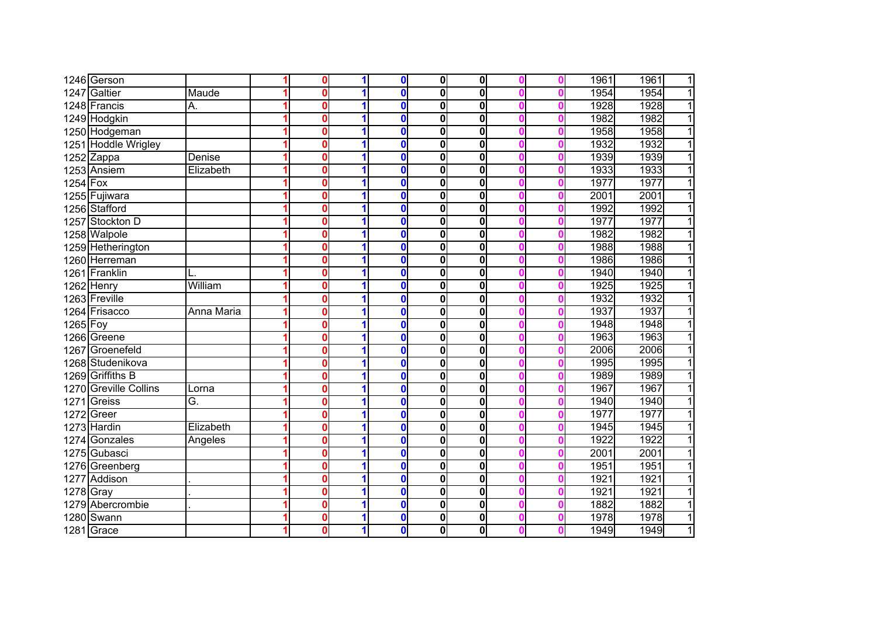|             | 1246 Gerson           |            | $\Omega$ |   | $\mathbf{0}$ | $\mathbf{0}$ | $\mathbf{0}$            |  | 1961 | 1961<br>$\mathbf{1}$   |
|-------------|-----------------------|------------|----------|---|--------------|--------------|-------------------------|--|------|------------------------|
|             | 1247 Galtier          | Maude      | 0        |   | $\mathbf{0}$ | $\bf{0}$     | $\overline{\mathbf{0}}$ |  | 1954 | $\overline{1}$<br>1954 |
|             | 1248 Francis          | А.         | 0        |   | $\mathbf{0}$ | $\bf{0}$     | 0                       |  | 1928 | 1928<br>$\overline{1}$ |
|             | 1249 Hodgkin          |            | 0        |   | $\mathbf{0}$ | $\bf{0}$     | $\overline{\mathbf{0}}$ |  | 1982 | $\overline{1}$<br>1982 |
|             | 1250 Hodgeman         |            | 0        |   | $\bf{0}$     | $\bf{0}$     | 0                       |  | 1958 | 1958<br>$\overline{1}$ |
|             | 1251 Hoddle Wrigley   |            | 0        |   | $\bf{0}$     | $\bf{0}$     | 0                       |  | 1932 | 1932<br>$\overline{1}$ |
|             | $1252$ Zappa          | Denise     | U        |   | $\mathbf 0$  | $\bf{0}$     | 0                       |  | 1939 | $\overline{1}$<br>1939 |
|             | 1253 Ansiem           | Elizabeth  | 0        |   | $\mathbf 0$  | 0            | 0                       |  | 1933 | 1933<br>$\overline{1}$ |
| $1254$ Fox  |                       |            | 0        |   | $\Omega$     | 0            | 0                       |  | 1977 | 1977<br>$\overline{1}$ |
|             | 1255 Fujiwara         |            | 0        |   | $\mathbf 0$  | 0            | 0                       |  | 2001 | 2001<br>$\overline{1}$ |
|             | 1256 Stafford         |            | 0        |   | $\mathbf 0$  | $\bf{0}$     | 0                       |  | 1992 | 1992<br>$\overline{1}$ |
|             | 1257 Stockton D       |            | 0        |   | $\mathbf 0$  | 0            | 0                       |  | 1977 | 1977<br>$\overline{1}$ |
|             | 1258 Walpole          |            | 0        |   | $\mathbf{0}$ | 0            | 0                       |  | 1982 | 1982<br>$\mathbf{1}$   |
|             | 1259 Hetherington     |            | 0        |   | $\mathbf 0$  | $\bf{0}$     | 0                       |  | 1988 | 1988<br>$\overline{1}$ |
|             | 1260 Herreman         |            | 0        |   | $\mathbf 0$  | 0            | 0                       |  | 1986 | 1986<br>$\mathbf{1}$   |
|             | 1261 Franklin         |            | 0        |   | $\mathbf 0$  | 0            | 0                       |  | 1940 | $\overline{1}$<br>1940 |
|             | 1262 Henry            | William    | 0        |   | $\mathbf 0$  | 0            | 0                       |  | 1925 | 1925<br>1              |
|             | 1263 Freville         |            | 0        |   | $\mathbf 0$  | 0            | 0                       |  | 1932 | 1932<br>$\mathbf{1}$   |
|             | 1264 Frisacco         | Anna Maria | 0        |   | $\Omega$     | $\bf{0}$     | 0                       |  | 1937 | 1937<br>11             |
| $1265$ Foy  |                       |            | 0        |   | $\mathbf{0}$ | $\bf{0}$     | 0                       |  | 1948 | 1948<br>1              |
|             | 1266 Greene           |            | 0        |   | $\bf{0}$     | $\bf{0}$     | 0                       |  | 1963 | 1963<br>$\overline{1}$ |
|             | 1267 Groenefeld       |            | n        |   | $\mathbf{0}$ | $\bf{0}$     | $\overline{\mathbf{0}}$ |  | 2006 | 2006<br>$\overline{1}$ |
|             | 1268 Studenikova      |            | 0        | 1 | $\mathbf 0$  | $\bf{0}$     | $\overline{\mathbf{0}}$ |  | 1995 | 1995<br>$\overline{1}$ |
|             | 1269 Griffiths B      |            | 0        |   | $\mathbf{0}$ | $\bf{0}$     | $\overline{\mathbf{0}}$ |  | 1989 | 1989<br>$\overline{1}$ |
|             | 1270 Greville Collins | Lorna      | 0        |   | $\mathbf 0$  | $\mathbf 0$  | $\overline{\mathbf{0}}$ |  | 1967 | 1967<br>$\overline{1}$ |
|             | 1271 Greiss           | G.         | 0        |   | $\mathbf 0$  | $\mathbf 0$  | 0                       |  | 1940 | $\overline{1}$<br>1940 |
|             | 1272 Green            |            | 0        |   | $\mathbf 0$  | $\bf{0}$     | 0                       |  | 1977 | 1977<br>$\overline{1}$ |
|             | 1273 Hardin           | Elizabeth  | 0        |   | $\bf{0}$     | 0            | 0                       |  | 1945 | 1945<br>$\overline{1}$ |
|             | 1274 Gonzales         | Angeles    | 0        |   | $\mathbf 0$  | $\mathbf 0$  | 0                       |  | 1922 | 1922<br>$\overline{1}$ |
|             | 1275 Gubasci          |            | 0        |   | $\mathbf 0$  | $\mathbf 0$  | 0                       |  | 2001 | 2001<br>$\overline{1}$ |
|             | 1276 Greenberg        |            | 0        |   | $\mathbf 0$  | 0            | $\mathbf 0$             |  | 1951 | 1951<br>$\overline{1}$ |
|             | 1277 Addison          |            | 0        |   | $\mathbf 0$  | 0            | $\mathbf 0$             |  | 1921 | 1921<br>$\mathbf{1}$   |
| $1278$ Gray |                       |            | 0        |   | $\mathbf 0$  | 0            | $\overline{\textbf{0}}$ |  | 1921 | $\overline{1}$<br>1921 |
|             | 1279 Abercrombie      |            | 0        |   | $\mathbf 0$  | 0            | 0                       |  | 1882 | 1882<br>$\mathbf{1}$   |
|             | 1280 Swann            |            | 0        | 1 | $\mathbf 0$  | 0            | 0                       |  | 1978 | 1<br>1978              |
|             | 1281 Grace            |            | 0        | 1 | $\mathbf 0$  | 0            | 0                       |  | 1949 | 1<br>1949              |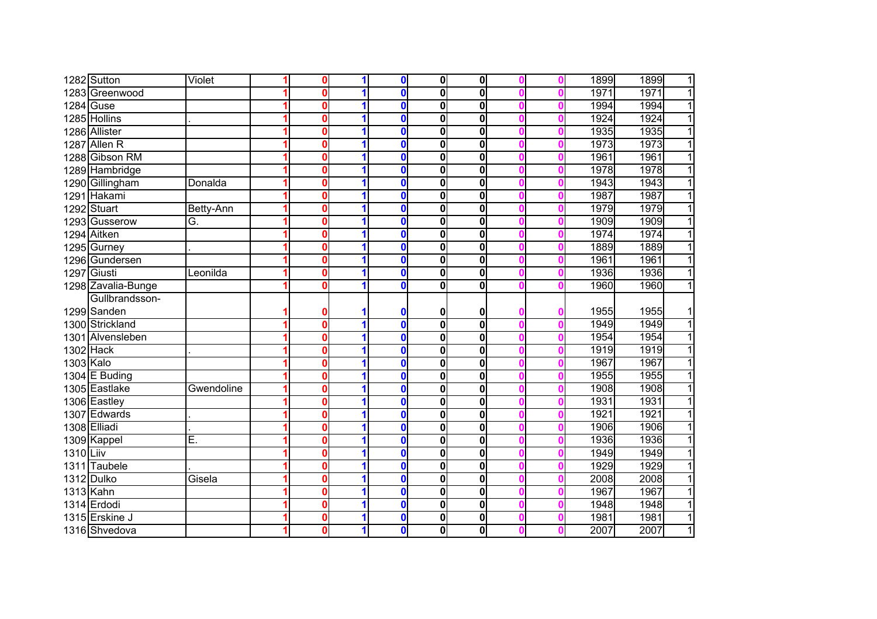|           | 1282 Sutton        | Violet     | $\Omega$     |   | $\mathbf 0$  | $\mathbf{0}$            | $\mathbf{0}$            |  | 1899 | 1899<br>$\mathbf{1}$   |
|-----------|--------------------|------------|--------------|---|--------------|-------------------------|-------------------------|--|------|------------------------|
|           | 1283 Greenwood     |            | 0            |   | $\mathbf{0}$ | $\bf{0}$                | $\overline{\mathbf{0}}$ |  | 1971 | 1971<br>$\overline{1}$ |
|           | 1284 Guse          |            | 0            |   | $\mathbf 0$  | $\bf{0}$                | $\overline{\mathbf{0}}$ |  | 1994 | $\overline{1}$<br>1994 |
|           | 1285 Hollins       |            | 0            |   | $\Omega$     | $\bf{0}$                | 0                       |  | 1924 | $\overline{1}$<br>1924 |
|           | 1286 Allister      |            | 0            |   | $\bf{0}$     | $\bf{0}$                | 0                       |  | 1935 | 1935<br>$\overline{1}$ |
|           | 1287 Allen R       |            | 0            |   | $\mathbf 0$  | $\bf{0}$                | 0                       |  | 1973 | 1973<br>$\overline{1}$ |
|           | 1288 Gibson RM     |            | U            |   | $\mathbf{0}$ | $\bf{0}$                | 0                       |  | 1961 | $\overline{1}$<br>1961 |
|           | 1289 Hambridge     |            | 0            |   | $\mathbf 0$  | 0                       | 0                       |  | 1978 | 1978<br>$\overline{1}$ |
|           | 1290 Gillingham    | Donalda    | 0            |   | $\mathbf 0$  | 0                       | 0                       |  | 1943 | $\overline{1}$<br>1943 |
|           | 1291 Hakami        |            | $\mathbf{0}$ |   | $\mathbf 0$  | $\mathbf 0$             | 0                       |  | 1987 | $\overline{1}$<br>1987 |
|           | 1292 Stuart        | Betty-Ann  | 0            |   | $\mathbf 0$  | $\mathbf 0$             | 0                       |  | 1979 | 1979<br>$\overline{1}$ |
|           | 1293 Gusserow      | G.         | 0            |   | $\mathbf 0$  | 0                       | 0                       |  | 1909 | 1909<br>$\overline{1}$ |
|           | 1294 Aitken        |            | 0            |   | $\mathbf 0$  | 0                       | 0                       |  | 1974 | 1974<br>$\mathbf{1}$   |
|           | 1295 Gurney        |            | 0            |   | $\mathbf 0$  | $\bf{0}$                | 0                       |  | 1889 | $\overline{1}$<br>1889 |
|           | 1296 Gundersen     |            | 0            |   | $\mathbf 0$  | 0                       | 0                       |  | 1961 | $\overline{1}$<br>1961 |
|           | 1297 Giusti        | Leonilda   | 0            |   | $\mathbf 0$  | 0                       | $\mathbf 0$             |  | 1936 | $\overline{1}$<br>1936 |
|           | 1298 Zavalia-Bunge |            | 0            |   | $\mathbf 0$  | 0                       | $\mathbf 0$             |  | 1960 | 11<br>1960             |
|           | Gullbrandsson-     |            |              |   |              |                         |                         |  |      |                        |
|           | 1299 Sanden        |            | 0            |   | 0            | 0                       | 0                       |  | 1955 | 1955<br>11             |
|           | 1300 Strickland    |            | 0            |   | $\Omega$     | $\overline{\mathbf{0}}$ | 0                       |  | 1949 | 1949<br>$\overline{1}$ |
|           | 1301 Alvensleben   |            | 0            |   | $\mathbf{0}$ | $\bf{0}$                | 0                       |  | 1954 | 1954<br>$\overline{1}$ |
| 1302 Hack |                    |            | U            |   | $\mathbf{0}$ | $\bf{0}$                | $\overline{\mathbf{0}}$ |  | 1919 | $\overline{1}$<br>1919 |
| 1303 Kalo |                    |            | 0            | 1 | $\mathbf 0$  | $\bf{0}$                | $\overline{\mathbf{0}}$ |  | 1967 | 1967<br>$\overline{1}$ |
|           | 1304 E Buding      |            | 0            |   | $\mathbf{0}$ | $\mathbf 0$             | 0                       |  | 1955 | $\overline{1}$<br>1955 |
|           | 1305 Eastlake      | Gwendoline | 0            |   | $\mathbf 0$  | $\mathbf 0$             | $\overline{\mathbf{0}}$ |  | 1908 | 1908<br>$\overline{1}$ |
|           | 1306 Eastley       |            | 0            |   | $\mathbf 0$  | $\mathbf 0$             | 0                       |  | 1931 | 1931<br>$\overline{1}$ |
|           | 1307 Edwards       |            | 0            |   | $\mathbf 0$  | $\mathbf 0$             | 0                       |  | 1921 | 1921<br>$\overline{1}$ |
|           | 1308 Elliadi       |            | 0            |   | $\mathbf 0$  | 0                       | 0                       |  | 1906 | 1906<br>$\overline{1}$ |
|           | 1309 Kappel        | Ē.         | 0            |   | $\mathbf 0$  | $\mathbf 0$             | 0                       |  | 1936 | 1936<br>$\overline{1}$ |
| 1310 Liiv |                    |            | 0            |   | $\mathbf 0$  | $\mathbf 0$             | 0                       |  | 1949 | $\overline{1}$<br>1949 |
|           | 1311 Taubele       |            | 0            |   | $\mathbf 0$  | 0                       | $\mathbf 0$             |  | 1929 | 1929<br>$\overline{1}$ |
|           | 1312 Dulko         | Gisela     | 0            |   | $\mathbf 0$  | 0                       | $\mathbf 0$             |  | 2008 | $\overline{1}$<br>2008 |
| 1313 Kahn |                    |            | 0            |   | $\mathbf 0$  | 0                       | 0                       |  | 1967 | 1967<br>$\overline{1}$ |
|           | 1314 Erdodi        |            | 0            |   | $\mathbf 0$  | 0                       | 0                       |  | 1948 | 1948<br>$\overline{1}$ |
|           | 1315 Erskine J     |            | 0            | 1 | $\mathbf 0$  | 0                       | 0                       |  | 1981 | $\mathbf{1}$<br>1981   |
|           | 1316 Shvedova      |            | 0            | 1 | $\mathbf 0$  | 0                       | $\mathbf 0$             |  | 2007 | $\overline{1}$<br>2007 |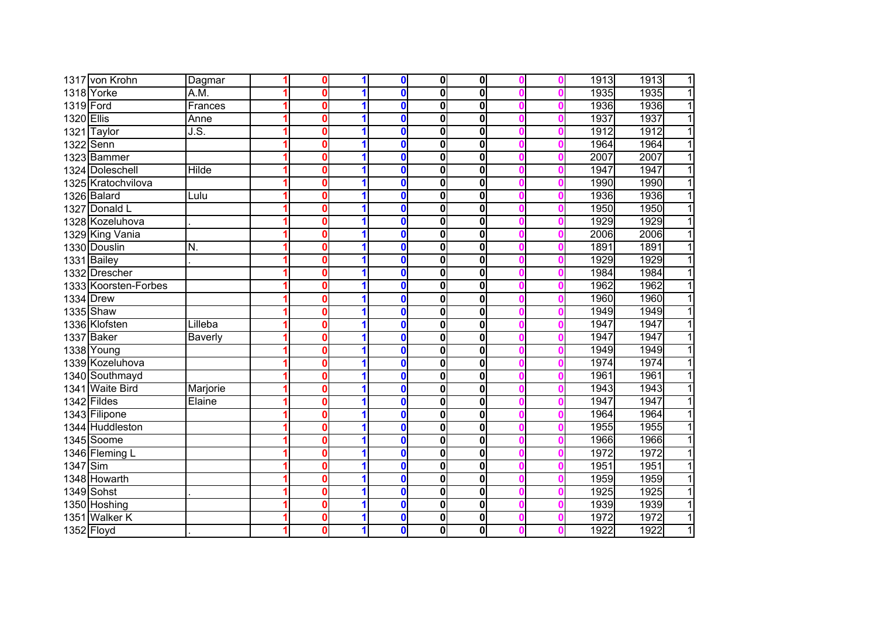|            | 1317 von Krohn       | Dagmar                              | 0            | 1 | $\mathbf 0$  | 0            | $\mathbf{0}$            |  | 1913 | 1913<br>$\overline{1}$ |
|------------|----------------------|-------------------------------------|--------------|---|--------------|--------------|-------------------------|--|------|------------------------|
|            | 1318 Yorke           | $\overline{\mathsf{A}.\mathsf{M}}.$ | 0            |   | $\mathbf{0}$ | $\mathbf 0$  | 0                       |  | 1935 | $\overline{1}$<br>1935 |
| 1319 Ford  |                      | Frances                             | 0            |   | $\mathbf 0$  | $\mathbf 0$  | 0                       |  | 1936 | 1936<br>$\overline{1}$ |
| 1320 Ellis |                      | Anne                                | 0            |   | $\mathbf 0$  | 0            | 0                       |  | 1937 | 1937<br>$\overline{1}$ |
|            | 1321 Taylor          | J.S.                                | 0            |   | $\bf{0}$     | $\mathbf 0$  | 0                       |  | 1912 | 1912<br>$\overline{1}$ |
|            | 1322 Senn            |                                     | 0            |   | $\bf{0}$     | 0            | 0                       |  | 1964 | 1964<br>$\mathbf{1}$   |
|            | 1323 Bammer          |                                     | 0            |   | $\mathbf 0$  | 0            | 0                       |  | 2007 | $\overline{1}$<br>2007 |
|            | 1324 Doleschell      | Hilde                               | 0            |   | $\mathbf 0$  | $\bf{0}$     | 0                       |  | 1947 | $\overline{1}$<br>1947 |
|            | 1325 Kratochvilova   |                                     | 0            |   | $\mathbf 0$  | 0            | 0                       |  | 1990 | $\overline{1}$<br>1990 |
|            | 1326 Balard          | Lulu                                | U            |   | $\Omega$     | $\mathbf{0}$ | 0                       |  | 1936 | 1936<br>$\overline{1}$ |
|            | 1327 Donald L        |                                     | 0            |   | $\mathbf 0$  | $\mathbf 0$  | 0                       |  | 1950 | 1950<br>$\overline{1}$ |
|            | 1328 Kozeluhova      |                                     | $\mathbf{0}$ |   | $\mathbf{0}$ | $\mathbf{0}$ | 0                       |  | 1929 | 1929<br>$\overline{1}$ |
|            | 1329 King Vania      |                                     | 0            |   | $\mathbf 0$  | 0            | 0                       |  | 2006 | 2006<br>$\overline{1}$ |
|            | 1330 Douslin         | N.                                  | Λ            |   | $\bf{0}$     | 0            | 0                       |  | 1891 | 1891<br>$\overline{1}$ |
|            | 1331 Bailey          |                                     | 0            |   | $\mathbf 0$  | $\bf{0}$     | 0                       |  | 1929 | 1929<br>$\overline{1}$ |
|            | 1332 Drescher        |                                     | O            |   | $\mathbf 0$  | 0            | 0                       |  | 1984 | 1984<br>$\mathbf{1}$   |
|            | 1333 Koorsten-Forbes |                                     | O            |   | $\mathbf 0$  | 0            | $\mathbf 0$             |  | 1962 | 1962<br>$\overline{1}$ |
|            | <b>1334 Drew</b>     |                                     | O            |   | $\mathbf 0$  | 0            | 0                       |  | 1960 | 1960<br>1              |
|            | 1335 Shaw            |                                     | ŋ            |   | $\mathbf 0$  | $\bf{0}$     | 0                       |  | 1949 | 1949<br>$\mathbf{1}$   |
|            | 1336 Klofsten        | Lilleba                             | 0            |   | $\mathbf 0$  | $\bf{0}$     | 0                       |  | 1947 | 1947<br>11             |
|            | 1337 Baker           | <b>Baverly</b>                      | 0            |   | $\mathbf{0}$ | 0            | 0                       |  | 1947 | 1947<br>1              |
|            | 1338 Young           |                                     | 0            |   | $\bf{0}$     | $\bf{0}$     | 0                       |  | 1949 | 1949<br>$\overline{1}$ |
|            | 1339 Kozeluhova      |                                     | 0            |   | $\mathbf 0$  | 0            | 0                       |  | 1974 | 1974<br>$\overline{1}$ |
|            | 1340 Southmayd       |                                     | 0            |   | $\bf{0}$     | 0            | 0                       |  | 1961 | 1961<br>$\overline{1}$ |
|            | 1341 Waite Bird      | Marjorie                            | 0            |   | $\mathbf 0$  | $\mathbf 0$  | $\mathbf 0$             |  | 1943 | 1943<br>$\mathbf{1}$   |
|            | 1342 Fildes          | Elaine                              | 0            |   | $\mathbf 0$  | 0            | $\overline{\textbf{0}}$ |  | 1947 | 1947<br>$\overline{1}$ |
|            | 1343 Filipone        |                                     | 0            |   | $\mathbf 0$  | $\mathbf 0$  | $\mathbf 0$             |  | 1964 | $\overline{1}$<br>1964 |
|            | 1344 Huddleston      |                                     | 0            |   | $\bf{0}$     | 0            | 0                       |  | 1955 | 1955<br>$\overline{1}$ |
|            | 1345 Soome           |                                     | 0            |   | $\bf{0}$     | $\bf{0}$     | 0                       |  | 1966 | 1966<br>$\overline{1}$ |
|            | 1346 Fleming L       |                                     | 0            |   | $\bullet$    | $\mathbf 0$  | 0                       |  | 1972 | $\overline{1}$<br>1972 |
| 1347 Sim   |                      |                                     | 0            |   | $\mathbf 0$  | $\mathbf 0$  | $\mathbf 0$             |  | 1951 | 1951<br>$\overline{1}$ |
|            | 1348 Howarth         |                                     | 0            |   | $\mathbf 0$  | 0            | $\mathbf 0$             |  | 1959 | 1959<br>$\overline{1}$ |
|            | 1349 Sohst           |                                     | 0            |   | $\mathbf 0$  | 0            | 0                       |  | 1925 | 1925<br>$\overline{1}$ |
|            | 1350 Hoshing         |                                     | 0            |   | $\mathbf 0$  | 0            | $\bf{0}$                |  | 1939 | 1939<br>$\overline{1}$ |
|            | 1351 Walker K        |                                     | 0            | 1 | $\mathbf 0$  | 0            | $\mathbf 0$             |  | 1972 | $\overline{1}$<br>1972 |
|            | 1352 Floyd           |                                     | 0            | 1 | $\mathbf 0$  | 0            | $\mathbf 0$             |  | 1922 | $\overline{1}$<br>1922 |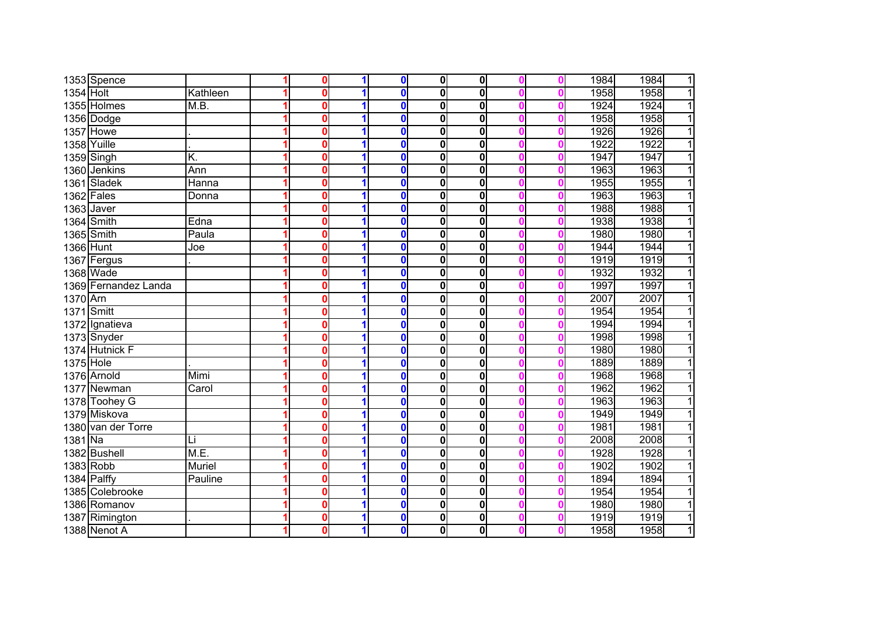|           | 1353 Spence          |          | 0 |   | $\mathbf 0$  | $\mathbf{0}$ | 0           |  | 1984 | 1984<br>$\mathbf{1}$   |
|-----------|----------------------|----------|---|---|--------------|--------------|-------------|--|------|------------------------|
| 1354 Holt |                      | Kathleen | 0 |   | $\bf{0}$     | 0            | $\mathbf 0$ |  | 1958 | 1958<br>$\overline{1}$ |
|           | 1355 Holmes          | M.B.     | 0 |   | $\mathbf 0$  | 0            | 0           |  | 1924 | 1924<br>$\overline{1}$ |
|           | 1356 Dodge           |          | 0 |   | $\bf{0}$     | 0            | $\mathbf 0$ |  | 1958 | 1958<br>$\overline{1}$ |
|           | <b>1357 Howe</b>     |          | 0 |   | $\mathbf{0}$ | 0            | 0           |  | 1926 | 1926<br>$\mathbf{1}$   |
|           | 1358 Yuille          |          | 0 |   | $\bf{0}$     | 0            | 0           |  | 1922 | 1922<br>$\overline{1}$ |
|           | $1359$ Singh         | K.       | 0 |   | $\mathbf 0$  | 0            | 0           |  | 1947 | $\overline{1}$<br>1947 |
|           | 1360 Jenkins         | Ann      | 0 | 1 | $\mathbf 0$  | 0            | 0           |  | 1963 | $\overline{1}$<br>1963 |
|           | 1361 Sladek          | Hanna    | 0 |   | $\mathbf 0$  | 0            | 0           |  | 1955 | $\overline{1}$<br>1955 |
|           | $1362$ Fales         | Donna    | 0 |   | $\mathbf 0$  | 0            | 0           |  | 1963 | $\overline{1}$<br>1963 |
|           | 1363 Javer           |          | 0 |   | $\mathbf 0$  | $\mathbf 0$  | 0           |  | 1988 | $\overline{1}$<br>1988 |
|           | 1364 Smith           | Edna     | 0 |   | $\mathbf 0$  | 0            | 0           |  | 1938 | 1938<br>$\overline{1}$ |
|           | 1365 Smith           | Paula    | 0 |   | $\mathbf{0}$ | 0            | 0           |  | 1980 | 1980<br>$\overline{1}$ |
| 1366 Hunt |                      | Joe      | 0 |   | $\mathbf 0$  | 0            | 0           |  | 1944 | 1944<br>$\overline{1}$ |
|           | 1367 Fergus          |          | 0 |   | $\mathbf 0$  | 0            | 0           |  | 1919 | 1919<br>$\overline{1}$ |
|           | 1368 Wade            |          | 0 |   | $\mathbf 0$  | 0            | $\mathbf 0$ |  | 1932 | 1932<br>$\overline{1}$ |
|           | 1369 Fernandez Landa |          | 0 |   | $\mathbf 0$  | 0            | 0           |  | 1997 | 1997<br>$\overline{1}$ |
| 1370 Arn  |                      |          | 0 |   | $\mathbf 0$  | 0            | 0           |  | 2007 | 2007<br>1              |
|           | 1371 Smitt           |          | 0 |   | $\mathbf 0$  | 0            | 0           |  | 1954 | 1954<br>$\mathbf{1}$   |
|           | 1372 Ignatieva       |          | 0 |   | $\mathbf 0$  | 0            | 0           |  | 1994 | 1994<br>11             |
|           | 1373 Snyder          |          | 0 |   | $\mathbf 0$  | 0            | $\mathbf 0$ |  | 1998 | 1998<br>1              |
|           | 1374 Hutnick F       |          | 0 |   | $\bf{0}$     | 0            | 0           |  | 1980 | 1980<br>1              |
| 1375 Hole |                      |          | 0 |   | $\mathbf 0$  | 0            | 0           |  | 1889 | 1889<br>$\overline{1}$ |
|           | 1376 Arnold          | Mimi     | 0 | 1 | $\mathbf 0$  | 0            | 0           |  | 1968 | 1968<br>$\overline{1}$ |
|           | 1377 Newman          | Carol    | 0 |   | $\bf{0}$     | 0            | 0           |  | 1962 | 1962<br>$\mathbf{1}$   |
|           | 1378 Toohey G        |          | 0 |   | $\mathbf 0$  | 0            | $\mathbf 0$ |  | 1963 | $\mathbf{1}$<br>1963   |
|           | 1379 Miskova         |          | 0 |   | $\mathbf 0$  | 0            | 0           |  | 1949 | $\overline{1}$<br>1949 |
|           | 1380 van der Torre   |          | 0 |   | $\mathbf 0$  | 0            | 0           |  | 1981 | $\overline{1}$<br>1981 |
| $1381$ Na |                      | Li       | 0 |   | $\mathbf 0$  | 0            | 0           |  | 2008 | 2008<br>$\overline{1}$ |
|           | 1382 Bushell         | M.E.     | 0 |   | $\mathbf 0$  | 0            | 0           |  | 1928 | 1928<br>$\overline{1}$ |
| 1383 Robb |                      | Muriel   | 0 |   | $\mathbf 0$  | $\mathbf 0$  | 0           |  | 1902 | $\overline{1}$<br>1902 |
|           | 1384 Palffy          | Pauline  | 0 |   | $\mathbf 0$  | 0            | 0           |  | 1894 | $\overline{1}$<br>1894 |
|           | 1385 Colebrooke      |          | 0 |   | $\mathbf 0$  | 0            | $\mathbf 0$ |  | 1954 | $\overline{1}$<br>1954 |
|           | 1386 Romanov         |          | 0 |   | $\mathbf 0$  | 0            | $\mathbf 0$ |  | 1980 | $\overline{1}$<br>1980 |
|           | 1387 Rimington       |          | 0 |   | $\mathbf 0$  | 0            | 0           |  | 1919 | $\overline{1}$<br>1919 |
|           | 1388 Nenot A         |          | 0 |   | $\mathbf 0$  | 0            | $\mathbf 0$ |  | 1958 | $\overline{1}$<br>1958 |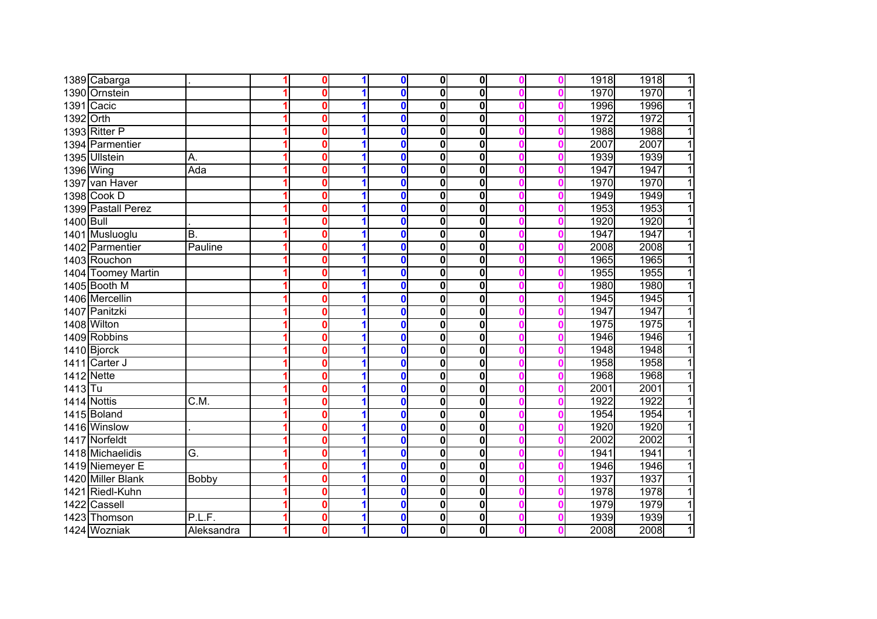|           | 1389 Cabarga       |                   | $\bf{0}$     | 1 | $\mathbf 0$  | $\mathbf{0}$ | $\mathbf{0}$            |  | 1918 | 1918<br>$\overline{1}$ |
|-----------|--------------------|-------------------|--------------|---|--------------|--------------|-------------------------|--|------|------------------------|
|           | 1390 Ornstein      |                   | 0            |   | $\bf{0}$     | $\mathbf 0$  | 0                       |  | 1970 | 1970<br>$\overline{1}$ |
|           | 1391 Cacic         |                   | 0            |   | $\mathbf{0}$ | $\bf{0}$     | 0                       |  | 1996 | $\overline{1}$<br>1996 |
| 1392 Orth |                    |                   | 0            |   | $\bf{0}$     | $\bf{0}$     | $\overline{\mathbf{0}}$ |  | 1972 | 1972<br>$\overline{1}$ |
|           | 1393 Ritter P      |                   | 0            |   | $\mathbf{0}$ | $\bf{0}$     | $\overline{\mathbf{0}}$ |  | 1988 | $\overline{1}$<br>1988 |
|           | 1394 Parmentier    |                   | 0            |   | $\mathbf 0$  | $\bf{0}$     | $\overline{\mathbf{0}}$ |  | 2007 | $\overline{1}$<br>2007 |
|           | 1395 Ullstein      | A.                | 0            |   | $\Omega$     | $\bf{0}$     | 0                       |  | 1939 | $\overline{1}$<br>1939 |
| 1396 Wing |                    | Ada               | 0            |   | $\Omega$     | $\bf{0}$     | 0                       |  | 1947 | $\overline{1}$<br>1947 |
|           | 1397 van Haver     |                   | $\Omega$     |   | $\mathbf 0$  | $\mathbf 0$  | 0                       |  | 1970 | 1970<br>$\overline{1}$ |
|           | 1398 Cook D        |                   | $\mathbf{0}$ |   | $\mathbf 0$  | $\mathbf{0}$ | 0                       |  | 1949 | $\overline{1}$<br>1949 |
|           | 1399 Pastall Perez |                   | 0            |   | $\mathbf 0$  | $\bf{0}$     | 0                       |  | 1953 | 1953<br>$\overline{1}$ |
| 1400 Bull |                    |                   | 0            |   | $\mathbf 0$  | $\bf{0}$     | 0                       |  | 1920 | $\overline{1}$<br>1920 |
|           | 1401 Musluoglu     | B.                | 0            |   | $\mathbf 0$  | $\bf{0}$     | 0                       |  | 1947 | $\overline{1}$<br>1947 |
|           | 1402 Parmentier    | Pauline           | 0            |   | $\mathbf 0$  | $\bf{0}$     | 0                       |  | 2008 | 2008<br>$\overline{1}$ |
|           | 1403 Rouchon       |                   | 0            |   | $\mathbf 0$  | 0            | $\mathbf 0$             |  | 1965 | 1965<br>$\overline{1}$ |
|           | 1404 Toomey Martin |                   | 0            |   | $\mathbf 0$  | 0            | 0                       |  | 1955 | 1955<br>$\overline{1}$ |
|           | 1405 Booth M       |                   | 0            |   | $\mathbf 0$  | 0            | 0                       |  | 1980 | 1980<br>$\mathbf{1}$   |
|           | 1406 Mercellin     |                   | 0            |   | $\mathbf 0$  | $\bf{0}$     | 0                       |  | 1945 | 1945<br>$\mathbf{1}$   |
|           | 1407 Panitzki      |                   | 0            |   | $\mathbf 0$  | 0            | 0                       |  | 1947 | 1947<br>11             |
|           | 1408 Wilton        |                   | 0            |   | $\bf{0}$     | 0            | 0                       |  | 1975 | 1975<br>1              |
|           | 1409 Robbins       |                   | 0            |   | $\mathbf 0$  | 0            | $\overline{\textbf{0}}$ |  | 1946 | 1946<br>$\overline{1}$ |
|           | 1410 Bjorck        |                   | 0            |   | $\mathbf 0$  | $\mathbf 0$  | 0                       |  | 1948 | 1948<br>$\overline{1}$ |
|           | 1411 Carter J      |                   | 0            |   | $\mathbf 0$  | 0            | 0                       |  | 1958 | 1958<br>$\overline{1}$ |
|           | <b>1412</b> Nette  |                   | 0            |   | $\mathbf 0$  | $\mathbf 0$  | 0                       |  | 1968 | $\overline{1}$<br>1968 |
| $1413$ Tu |                    |                   | 0            |   | $\mathbf 0$  | 0            | $\overline{\textbf{0}}$ |  | 2001 | 2001<br>$\overline{1}$ |
|           | 1414 Nottis        | $\overline{C.M.}$ | 0            |   | $\mathbf 0$  | $\mathbf 0$  | 0                       |  | 1922 | 1922<br>$\overline{1}$ |
|           | 1415 Boland        |                   | 0            |   | $\mathbf 0$  | $\mathbf 0$  | 0                       |  | 1954 | 1954<br>$\overline{1}$ |
|           | 1416 Winslow       |                   | 0            |   | $\mathbf 0$  | 0            | 0                       |  | 1920 | 1920<br>$\overline{1}$ |
|           | 1417 Norfeldt      |                   | 0            |   | $\mathbf 0$  | $\mathbf 0$  | 0                       |  | 2002 | $\overline{1}$<br>2002 |
|           | 1418 Michaelidis   | G.                | 0            |   | $\mathbf 0$  | 0            | $\mathbf 0$             |  | 1941 | $\overline{1}$<br>1941 |
|           | 1419 Niemeyer E    |                   | 0            |   | $\mathbf 0$  | 0            | $\mathbf 0$             |  | 1946 | $\overline{1}$<br>1946 |
|           | 1420 Miller Blank  | <b>Bobby</b>      | 0            |   | $\mathbf 0$  | 0            | $\mathbf 0$             |  | 1937 | $\overline{1}$<br>1937 |
|           | 1421 Riedl-Kuhn    |                   | 0            |   | $\mathbf 0$  | 0            | 0                       |  | 1978 | 1978<br>$\overline{1}$ |
|           | 1422 Cassell       |                   | 0            |   | $\mathbf 0$  | 0            | 0                       |  | 1979 | $\overline{1}$<br>1979 |
|           | 1423 Thomson       | P.L.F.            | 0            | 1 | $\mathbf 0$  | 0            | 0                       |  | 1939 | $\overline{1}$<br>1939 |
|           | 1424 Wozniak       | Aleksandra        | 0            | 1 | $\mathbf 0$  | 0            | $\mathbf 0$             |  | 2008 | $\overline{1}$<br>2008 |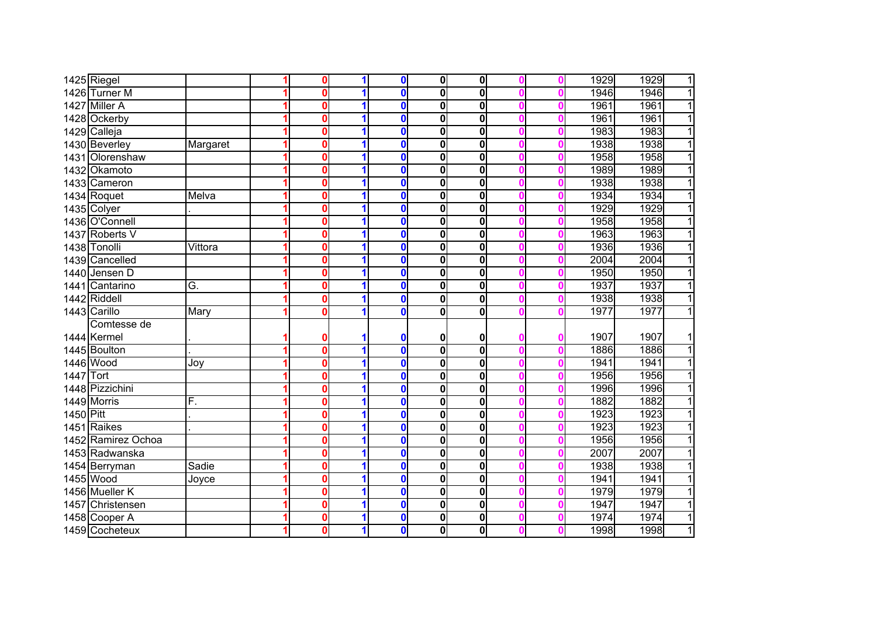|           | 1425 Riegel        |          | $\mathbf{0}$ | 1 | $\mathbf 0$  | 0            | $\overline{\mathbf{0}}$ |  | 1929 | 1929<br>$\overline{1}$ |
|-----------|--------------------|----------|--------------|---|--------------|--------------|-------------------------|--|------|------------------------|
|           | 1426 Turner M      |          | 0            | 1 | $\bf{0}$     | 0            | 0                       |  | 1946 | $\overline{1}$<br>1946 |
|           | 1427 Miller A      |          | 0            | 1 | $\mathbf{0}$ | 0            | $\overline{\mathbf{0}}$ |  | 1961 | 1961<br>$\overline{1}$ |
|           | 1428 Ockerby       |          | 0            | 1 | $\mathbf{0}$ | 0            | $\overline{\mathbf{0}}$ |  | 1961 | $\overline{1}$<br>1961 |
|           | 1429 Calleja       |          | 0            | 1 | $\mathbf{0}$ | 0            | $\overline{\mathbf{0}}$ |  | 1983 | $\overline{1}$<br>1983 |
|           | 1430 Beverley      | Margaret | 0            | 1 | $\bf{0}$     | 0            | $\overline{\mathbf{0}}$ |  | 1938 | $\overline{1}$<br>1938 |
|           | 1431 Olorenshaw    |          | 0            | 1 | $\mathbf{0}$ | 0            | $\mathbf 0$             |  | 1958 | $\overline{1}$<br>1958 |
|           | 1432 Okamoto       |          | 0            | 1 | $\bf{0}$     | 0            | $\mathbf 0$             |  | 1989 | $\overline{1}$<br>1989 |
|           | 1433 Cameron       |          | 0            | 1 | $\bf{0}$     | $\mathbf{0}$ | $\mathbf 0$             |  | 1938 | $\overline{1}$<br>1938 |
|           | 1434 Roquet        | Melva    | $\Omega$     | 1 | $\mathbf{0}$ | 0            | $\mathbf 0$             |  | 1934 | $\overline{1}$<br>1934 |
|           | 1435 Colyer        |          | 0            | 1 | $\mathbf 0$  | 0            | $\mathbf 0$             |  | 1929 | $\overline{1}$<br>1929 |
|           | 1436 O'Connell     |          | 0            |   | $\mathbf 0$  | 0            | 0                       |  | 1958 | 1958<br>$\overline{1}$ |
|           | 1437 Roberts V     |          | 0            |   | $\mathbf 0$  | 0            | $\mathbf 0$             |  | 1963 | $\overline{1}$<br>1963 |
|           | 1438 Tonolli       | Vittora  | $\mathbf{0}$ |   | $\bf{0}$     | 0            | $\mathbf 0$             |  | 1936 | $\overline{1}$<br>1936 |
|           | 1439 Cancelled     |          | 0            |   | $\bf{0}$     | 0            | $\mathbf 0$             |  | 2004 | $\overline{1}$<br>2004 |
| 1440      | Jensen D           |          | 0            |   | $\bf{0}$     | 0            | $\mathbf 0$             |  | 1950 | 1950<br>$\overline{1}$ |
|           | 1441 Cantarino     | G.       | 0            |   | $\mathbf 0$  | 0            | $\mathbf 0$             |  | 1937 | 1937<br>$\overline{1}$ |
|           | 1442 Riddell       |          | 0            | 1 | $\mathbf{0}$ | 0            | $\mathbf 0$             |  | 1938 | 1938<br>$\overline{1}$ |
|           | 1443 Carillo       | Mary     | 0            |   | $\mathbf{0}$ | 0            | $\mathbf 0$             |  | 1977 | 1977<br>$\mathbf{1}$   |
|           | Comtesse de        |          |              |   |              |              |                         |  |      |                        |
|           | 1444 Kermel        |          | 0            |   | 0            | 0            | 0                       |  | 1907 | 1907<br>$\mathbf{1}$   |
|           | 1445 Boulton       |          | 0            | 1 | $\mathbf 0$  | 0            | $\overline{\mathbf{0}}$ |  | 1886 | $\overline{1}$<br>1886 |
|           | 1446 Wood          | Joy      | 0            | 1 | $\mathbf 0$  | 0            | $\mathbf 0$             |  | 1941 | $\overline{1}$<br>1941 |
| 1447 Tort |                    |          | 0            | 1 | $\bf{0}$     | 0            | 0                       |  | 1956 | $\overline{1}$<br>1956 |
|           | 1448 Pizzichini    |          | 0            | 1 | $\mathbf 0$  | $\mathbf{0}$ | $\overline{\mathbf{0}}$ |  | 1996 | 1996<br>$\overline{1}$ |
|           | 1449 Morris        | F.       | $\bf{0}$     | 1 | $\bf{0}$     | 0            | 0                       |  | 1882 | 1882<br>$\overline{1}$ |
| 1450 Pitt |                    |          | $\bf{0}$     | 1 | $\bf{0}$     | 0            | $\mathbf 0$             |  | 1923 | 1923<br>$\overline{1}$ |
|           | 1451 Raikes        |          | 0            | 1 | $\mathbf 0$  | 0            | $\mathbf 0$             |  | 1923 | 1923<br>$\overline{1}$ |
|           | 1452 Ramirez Ochoa |          | 0            |   | $\mathbf 0$  | 0            | $\mathbf 0$             |  | 1956 | $\overline{1}$<br>1956 |
|           | 1453 Radwanska     |          | 0            | 1 | $\mathbf 0$  | $\mathbf{0}$ | $\mathbf 0$             |  | 2007 | $\overline{1}$<br>2007 |
|           | 1454 Berryman      | Sadie    | 0            |   | $\bf{0}$     | 0            | $\mathbf 0$             |  | 1938 | $\overline{1}$<br>1938 |
|           | 1455 Wood          | Joyce    | 0            |   | $\mathbf 0$  | 0            | $\mathbf 0$             |  | 1941 | $\overline{1}$<br>1941 |
|           | 1456 Mueller K     |          | 0            |   | $\mathbf 0$  | 0            | $\overline{\mathbf{0}}$ |  | 1979 | $\overline{1}$<br>1979 |
| 1457      | Christensen        |          | 0            | 1 | $\mathbf 0$  | 0            | $\mathbf 0$             |  | 1947 | $\overline{1}$<br>1947 |
|           | 1458 Cooper A      |          | 0            | 1 | $\mathbf 0$  | 0            | 0                       |  | 1974 | $\overline{1}$<br>1974 |
|           | 1459 Cocheteux     |          | 0            | 1 | $\mathbf 0$  | 0            | 0                       |  | 1998 | 1<br>1998              |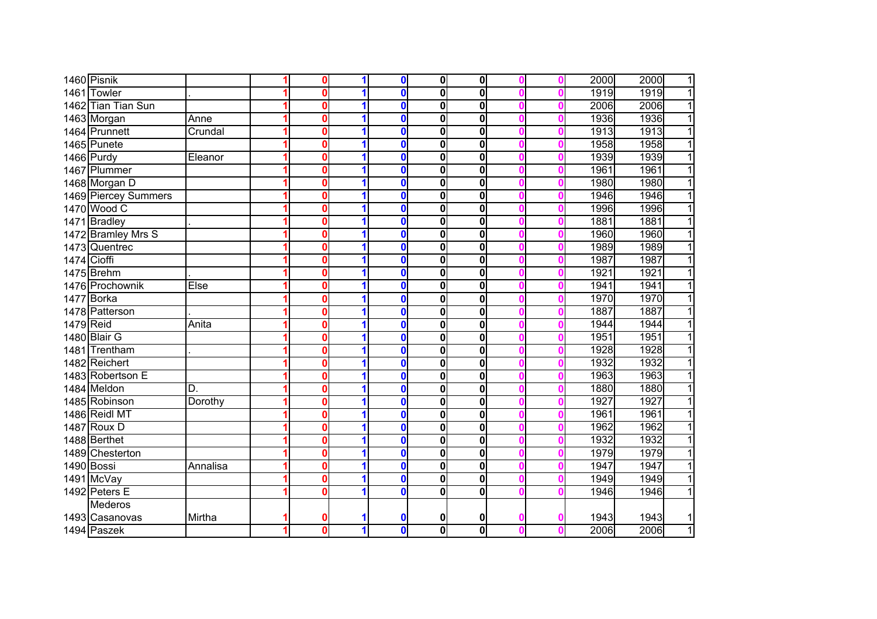|             | 1460 Pisnik          |          | $\bf{0}$     | 1 | $\mathbf 0$             | 0            | $\mathbf{0}$            |  | 2000 | 2000<br>$\overline{1}$ |
|-------------|----------------------|----------|--------------|---|-------------------------|--------------|-------------------------|--|------|------------------------|
|             | 1461 Towler          |          | 0            |   | $\bf{0}$                | 0            | $\overline{\mathbf{0}}$ |  | 1919 | $\overline{1}$<br>1919 |
|             | 1462 Tian Tian Sun   |          | 0            | 1 | $\bf{0}$                | 0            | $\overline{\mathbf{0}}$ |  | 2006 | $\overline{1}$<br>2006 |
|             | 1463 Morgan          | Anne     | 0            | 1 | $\bf{0}$                | 0            | $\overline{\mathbf{0}}$ |  | 1936 | $\overline{1}$<br>1936 |
|             | 1464 Prunnett        | Crundal  | 0            |   | $\overline{\mathbf{0}}$ | 0            | $\overline{\mathbf{0}}$ |  | 1913 | 1913<br>$\overline{1}$ |
|             | 1465 Punete          |          | 0            |   | $\overline{\mathbf{0}}$ | 0            | $\overline{\mathbf{0}}$ |  | 1958 | $\overline{1}$<br>1958 |
|             | $1466$ Purdy         | Eleanor  | $\Omega$     | 1 | $\bf{0}$                | 0            | $\mathbf 0$             |  | 1939 | $\overline{1}$<br>1939 |
|             | 1467 Plummer         |          | 0            | 1 | $\mathbf{0}$            | 0            | $\mathbf 0$             |  | 1961 | $\overline{1}$<br>1961 |
|             | 1468 Morgan D        |          | $\Omega$     |   | $\mathbf{0}$            | 0            | $\mathbf 0$             |  | 1980 | $\overline{1}$<br>1980 |
|             | 1469 Piercey Summers |          | $\mathbf{0}$ | 1 | $\mathbf 0$             | $\mathbf{0}$ | $\mathbf 0$             |  | 1946 | $\overline{1}$<br>1946 |
|             | 1470 Wood C          |          | $\mathbf{0}$ | 1 | $\mathbf 0$             | 0            | $\mathbf 0$             |  | 1996 | 1996<br>$\overline{1}$ |
|             | 1471 Bradley         |          | 0            | 1 | $\mathbf 0$             | 0            | $\mathbf 0$             |  | 1881 | 1881<br>$\overline{1}$ |
|             | 1472 Bramley Mrs S   |          | 0            |   | $\mathbf 0$             | 0            | $\mathbf 0$             |  | 1960 | $\overline{1}$<br>1960 |
|             | 1473 Quentrec        |          | $\mathbf{0}$ |   | $\mathbf 0$             | 0            | $\mathbf 0$             |  | 1989 | $\overline{1}$<br>1989 |
| 1474 Cioffi |                      |          | 0            |   | $\mathbf 0$             | 0            | $\mathbf 0$             |  | 1987 | $\overline{1}$<br>1987 |
|             | 1475 Brehm           |          | 0            |   | $\bf{0}$                | 0            | $\mathbf 0$             |  | 1921 | 1921<br>$\overline{1}$ |
|             | 1476 Prochownik      | Else     | 0            |   | $\mathbf 0$             | 0            | $\mathbf 0$             |  | 1941 | $\overline{1}$<br>1941 |
|             | 1477 Borka           |          | 0            |   | $\mathbf 0$             | 0            | $\mathbf 0$             |  | 1970 | 1970<br>$\overline{1}$ |
|             | 1478 Patterson       |          | $\Omega$     |   | $\overline{\mathbf{0}}$ | 0            | $\mathbf 0$             |  | 1887 | 1887<br>$\overline{1}$ |
| 1479 Reid   |                      | Anita    | 0            | 1 | $\mathbf{0}$            | 0            | $\overline{\mathbf{0}}$ |  | 1944 | $\overline{1}$<br>1944 |
|             | 1480 Blair G         |          | 0            | 1 | $\overline{\mathbf{0}}$ | 0            | $\overline{\mathbf{0}}$ |  | 1951 | 1951<br>$\overline{1}$ |
|             | 1481 Trentham        |          | $\Omega$     |   | $\overline{\mathbf{0}}$ | 0            | $\overline{\mathbf{0}}$ |  | 1928 | 1928<br>$\overline{1}$ |
|             | 1482 Reichert        |          | $\Omega$     | 1 | $\overline{\mathbf{0}}$ | 0            | $\overline{\mathbf{0}}$ |  | 1932 | $\overline{1}$<br>1932 |
|             | 1483 Robertson E     |          | $\Omega$     |   | $\mathbf{0}$            | 0            | $\overline{\mathbf{0}}$ |  | 1963 | $\overline{1}$<br>1963 |
|             | 1484 Meldon          | D.       | 0            | 1 | $\overline{\mathbf{0}}$ | $\mathbf{0}$ | $\overline{\mathbf{0}}$ |  | 1880 | $\overline{1}$<br>1880 |
|             | 1485 Robinson        | Dorothy  | $\bf{0}$     | 1 | $\overline{\mathbf{0}}$ | $\mathbf{0}$ | $\overline{\mathbf{0}}$ |  | 1927 | 1927<br>$\overline{1}$ |
|             | 1486 Reidl MT        |          | $\mathbf{0}$ | 1 | $\overline{\mathbf{0}}$ | $\mathbf{0}$ | $\overline{\mathbf{0}}$ |  | 1961 | $\overline{1}$<br>1961 |
|             | 1487 Roux D          |          | 0            | 1 | $\mathbf 0$             | 0            | 0                       |  | 1962 | $\overline{1}$<br>1962 |
|             | 1488 Berthet         |          | 0            |   | $\bullet$               | 0            | $\overline{\mathbf{0}}$ |  | 1932 | 1932<br>$\overline{1}$ |
|             | 1489 Chesterton      |          | 0            |   | $\mathbf 0$             | $\mathbf{0}$ | $\mathbf 0$             |  | 1979 | $\overline{1}$<br>1979 |
|             | 1490 Bossi           | Annalisa | 0            |   | $\mathbf 0$             | 0            | $\overline{\mathbf{0}}$ |  | 1947 | $\overline{1}$<br>1947 |
|             | 1491 McVay           |          | 0            |   | $\bf{0}$                | 0            | $\mathbf 0$             |  | 1949 | 1949<br>$\overline{1}$ |
|             | 1492 Peters E        |          | 0            |   | $\mathbf 0$             | 0            | $\overline{\mathbf{0}}$ |  | 1946 | $\overline{1}$<br>1946 |
|             | <b>Mederos</b>       |          |              |   |                         |              |                         |  |      |                        |
|             | 1493 Casanovas       | Mirtha   | 0            |   | 0                       | 0            | 0                       |  | 1943 | 1943<br>$\mathbf{1}$   |
|             | 1494 Paszek          |          | $\bf{0}$     | 1 | $\mathbf 0$             | $\mathbf{0}$ | $\overline{\mathbf{0}}$ |  | 2006 | $\overline{1}$<br>2006 |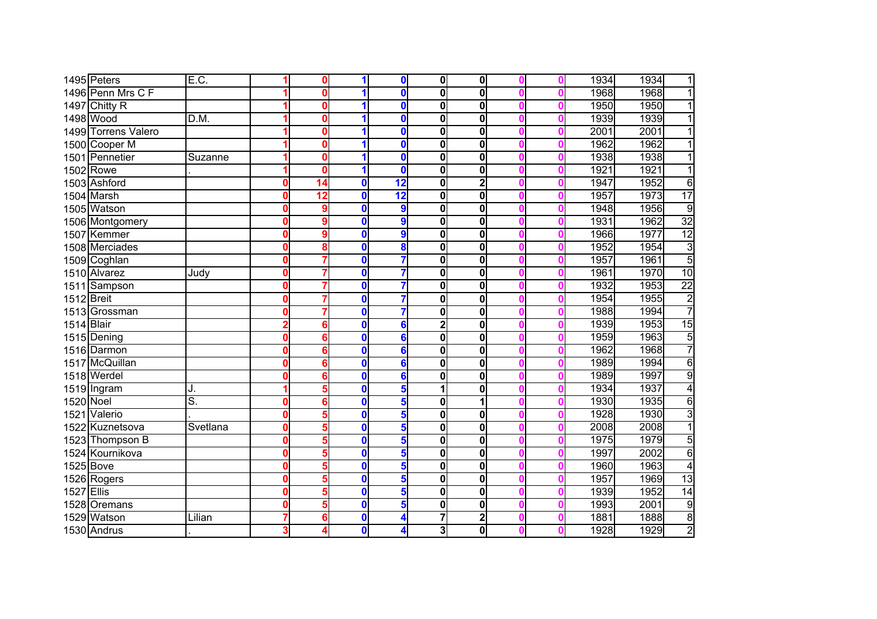|                   | 1495 Peters         | E.C.              |   | 0        | 1                       | $\mathbf 0$     | $\mathbf{0}$ | $\mathbf 0$             |  | 1934 | 1934 | 1               |
|-------------------|---------------------|-------------------|---|----------|-------------------------|-----------------|--------------|-------------------------|--|------|------|-----------------|
|                   | 1496 Penn Mrs C F   |                   |   | n        |                         | $\bf{0}$        | 0            | $\overline{\mathbf{0}}$ |  | 1968 | 1968 |                 |
|                   | 1497 Chitty R       |                   |   | 0        | 1                       | $\mathbf 0$     | 0            | $\overline{\mathbf{0}}$ |  | 1950 | 1950 |                 |
|                   | 1498 Wood           | $\overline{D.M.}$ |   | 0        | 1                       | $\mathbf 0$     | 0            | $\overline{\mathbf{0}}$ |  | 1939 | 1939 |                 |
|                   | 1499 Torrens Valero |                   |   | 0        | 1                       | $\bf{0}$        | 0            | $\overline{\mathbf{0}}$ |  | 2001 | 2001 |                 |
|                   | 1500 Cooper M       |                   |   | 0        | 1                       | $\mathbf 0$     | 0            | $\overline{\mathbf{0}}$ |  | 1962 | 1962 | 1               |
|                   | 1501 Pennetier      | Suzanne           |   | 0        | 1                       | $\mathbf 0$     | $\mathbf{0}$ | $\mathbf 0$             |  | 1938 | 1938 | 1               |
|                   | $1502$ Rowe         |                   |   | $\Omega$ | 1                       | $\mathbf{0}$    | $\mathbf{0}$ | $\mathbf 0$             |  | 1921 | 1921 | 1               |
|                   | 1503 Ashford        |                   |   | 14       | $\bf{0}$                | $\overline{12}$ | $\mathbf{0}$ | $\overline{2}$          |  | 1947 | 1952 | 6               |
|                   | 1504 Marsh          |                   |   | 12       | 0                       | $\overline{12}$ | $\mathbf{0}$ | $\mathbf 0$             |  | 1957 | 1973 | $\overline{17}$ |
|                   | 1505 Watson         |                   |   | 9        | $\bf{0}$                | 9               | 0            | $\mathbf 0$             |  | 1948 | 1956 | $\overline{9}$  |
|                   | 1506 Montgomery     |                   |   | 9        | 0                       | 9               | 0            | $\mathbf 0$             |  | 1931 | 1962 | $\overline{32}$ |
|                   | 1507 Kemmer         |                   |   | 9        | $\bf{0}$                | 9               | 0            | $\mathbf 0$             |  | 1966 | 1977 | 12              |
|                   | 1508 Merciades      |                   |   | 8        | $\bf{0}$                | 8               | $\mathbf{0}$ | $\mathbf 0$             |  | 1952 | 1954 | $\overline{3}$  |
|                   | 1509 Coghlan        |                   |   |          | $\bf{0}$                | 7               | 0            | $\mathbf 0$             |  | 1957 | 1961 | 5               |
|                   | 1510 Alvarez        | Judy              |   |          | $\bf{0}$                | 7               | 0            | $\mathbf 0$             |  | 1961 | 1970 | 10              |
|                   | 1511 Sampson        |                   |   |          | $\bf{0}$                | 7               | 0            | $\mathbf 0$             |  | 1932 | 1953 | $\overline{22}$ |
| 1512 Breit        |                     |                   |   |          | $\bf{0}$                | 7               | 0            | $\mathbf 0$             |  | 1954 | 1955 | $\overline{2}$  |
|                   | 1513 Grossman       |                   |   |          | $\bf{0}$                | $\overline{7}$  | 0            | $\mathbf 0$             |  | 1988 | 1994 | 7               |
| 1514 Blair        |                     |                   |   | 6        | $\bf{0}$                | 6               | 2            | $\overline{\mathbf{0}}$ |  | 1939 | 1953 | 15              |
|                   | 1515 Dening         |                   |   | 6        | 0                       | 6               | 0            | $\overline{\mathbf{0}}$ |  | 1959 | 1963 | $\overline{5}$  |
|                   | 1516 Darmon         |                   |   | 6        | 0                       | 6               | 0            | $\overline{\mathbf{0}}$ |  | 1962 | 1968 | 7               |
|                   | 1517 McQuillan      |                   |   | 6        | 0                       | 6               | $\mathbf{0}$ | $\mathbf 0$             |  | 1989 | 1994 | $\overline{6}$  |
|                   | 1518 Werdel         |                   |   | 6        | $\bf{0}$                | 6               | $\mathbf{0}$ | $\mathbf 0$             |  | 1989 | 1997 | 9               |
|                   | 1519 Ingram         | J.                |   |          | O                       | 5               |              | 0                       |  | 1934 | 1937 | $\overline{4}$  |
| 1520 Noel         |                     | s.                |   | 6        | $\overline{\mathbf{0}}$ | 5               | $\mathbf{0}$ | 1                       |  | 1930 | 1935 | 6               |
|                   | 1521 Valerio        |                   | 0 | 5        | $\bf{0}$                | 5               | $\mathbf{0}$ | $\overline{\mathbf{0}}$ |  | 1928 | 1930 | 3               |
|                   | 1522 Kuznetsova     | Svetlana          |   | 5        | 0                       | 5               | 0            | $\overline{\mathbf{0}}$ |  | 2008 | 2008 | $\overline{1}$  |
|                   | 1523 Thompson B     |                   |   | 5        | 0                       | 5               | 0            | $\overline{\mathbf{0}}$ |  | 1975 | 1979 | 5               |
|                   | 1524 Kournikova     |                   |   | 5        | 0                       | 5               | $\mathbf{0}$ | $\overline{\mathbf{0}}$ |  | 1997 | 2002 | $\overline{6}$  |
| 1525 Bove         |                     |                   |   | 5        | $\bf{0}$                | 5               | $\mathbf{0}$ | $\overline{\mathbf{0}}$ |  | 1960 | 1963 | $\overline{4}$  |
|                   | 1526 Rogers         |                   |   | 5        | 0                       | 5               | $\mathbf{0}$ | $\overline{\mathbf{0}}$ |  | 1957 | 1969 | 13              |
| <b>1527 Ellis</b> |                     |                   |   | 5        | $\mathbf 0$             | 5               | $\mathbf{0}$ | $\overline{\mathbf{0}}$ |  | 1939 | 1952 | 14              |
|                   | 1528 Oremans        |                   |   | 5        | 0                       | 5               | $\mathbf{0}$ | $\overline{\mathbf{0}}$ |  | 1993 | 2001 | $\overline{9}$  |
|                   | 1529 Watson         | Lilian            |   | 6        | $\mathbf 0$             | 4               | 7            | $\overline{\mathbf{2}}$ |  | 1881 | 1888 | $\overline{8}$  |
|                   | 1530 Andrus         |                   |   |          | $\mathbf 0$             | 4               | 3            | $\mathbf 0$             |  | 1928 | 1929 | $\overline{2}$  |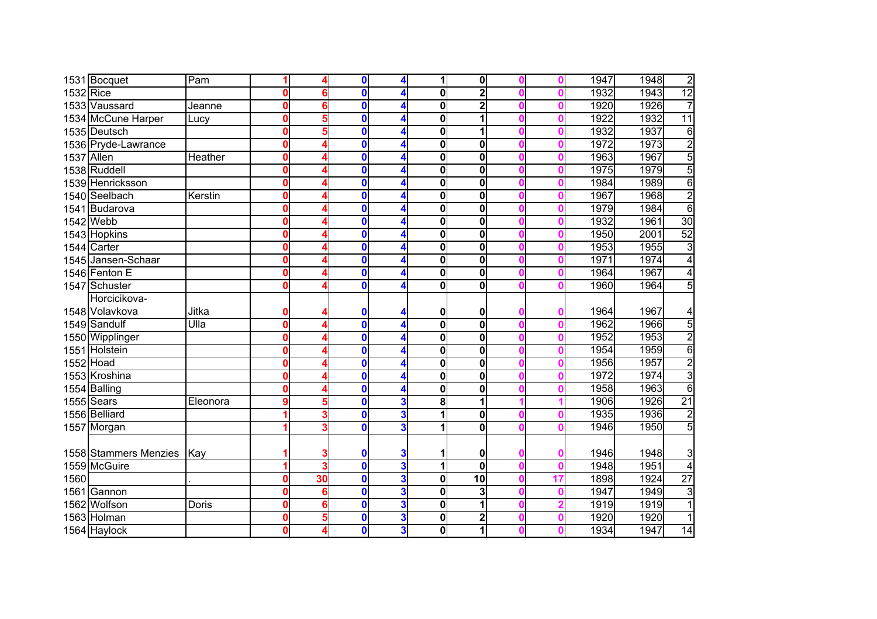|            | 1531 Bocquet          | Pam                      |              |    | $\mathbf 0$      | 4                       |              | $\mathbf 0$             |    | 1947 | 1948 | $\overline{2}$  |
|------------|-----------------------|--------------------------|--------------|----|------------------|-------------------------|--------------|-------------------------|----|------|------|-----------------|
| 1532 Rice  |                       |                          |              | 6  | $\bf{0}$         | 4                       | 0            | $\overline{\mathbf{2}}$ |    | 1932 | 1943 | 12              |
|            | 1533 Vaussard         | Jeanne                   | Ω            | 6  | $\bf{0}$         | 4                       | 0            | $\overline{2}$          |    | 1920 | 1926 | $\overline{7}$  |
|            | 1534 McCune Harper    | Lucy                     | n            | 5  | $\bf{0}$         | 4                       | 0            | 1                       |    | 1922 | 1932 | $\overline{11}$ |
|            | 1535 Deutsch          |                          | Ω            | 5  | 0                | 4                       | 0            | 1                       |    | 1932 | 1937 | $\overline{6}$  |
|            | 1536 Pryde-Lawrance   |                          | 0            |    | $\bf{0}$         | 4                       | $\mathbf{0}$ | 0                       |    | 1972 | 1973 | $\frac{1}{5}$   |
| 1537 Allen |                       | Heather                  | $\mathbf{0}$ |    | $\bf{0}$         | 4                       | $\mathbf{0}$ | $\mathbf 0$             |    | 1963 | 1967 |                 |
|            | 1538 Ruddell          |                          | 0            |    | $\bf{0}$         | 4                       | 0            | $\mathbf 0$             |    | 1975 | 1979 | $\overline{5}$  |
|            | 1539 Henricksson      |                          | 0            |    | $\bf{0}$         | 4                       | 0            | $\mathbf 0$             |    | 1984 | 1989 | 6               |
|            | 1540 Seelbach         | Kerstin                  | 0            |    | $\bf{0}$         | 4                       | 0            | $\mathbf 0$             |    | 1967 | 1968 | $\overline{2}$  |
|            | 1541 Budarova         |                          | 0            |    | $\bf{0}$         | 4                       | $\mathbf{0}$ | $\mathbf 0$             |    | 1979 | 1984 | $\overline{6}$  |
|            | 1542 Webb             |                          |              |    | $\bf{0}$         | 4                       | 0            | $\mathbf 0$             |    | 1932 | 1961 | 30              |
|            | 1543 Hopkins          |                          |              |    | 0                | 4                       | 0            | $\mathbf 0$             |    | 1950 | 2001 | 52              |
|            | 1544 Carter           |                          |              |    | $\bf{0}$         | 4                       | 0            | $\mathbf 0$             |    | 1953 | 1955 | $\overline{3}$  |
|            | 1545 Jansen-Schaar    |                          |              |    | $\bf{0}$         | 4                       | 0            | $\mathbf 0$             |    | 1971 | 1974 | $\overline{4}$  |
|            | 1546 Fenton E         |                          |              |    | $\mathbf 0$      | 4                       | 0            | $\mathbf 0$             |    | 1964 | 1967 | 4               |
|            | 1547 Schuster         |                          |              |    | $\bf{0}$         | 4                       | 0            | $\mathbf 0$             |    | 1960 | 1964 | 5               |
|            | Horcicikova-          |                          |              |    |                  |                         |              |                         |    |      |      |                 |
|            | 1548 Volavkova        | Jitka                    |              |    | 0                | 4                       | 0            | 0                       |    | 1964 | 1967 | 4               |
|            | 1549 Sandulf          | $\overline{\text{Ulla}}$ | n            |    | $\bf{0}$         | 4                       | 0            | $\overline{\mathbf{0}}$ |    | 1962 | 1966 | $\overline{5}$  |
|            | 1550 Wipplinger       |                          | Ω            |    | 0                | 4                       | 0            | $\overline{\mathbf{0}}$ |    | 1952 | 1953 | $\overline{2}$  |
|            | 1551 Holstein         |                          |              |    | $\bf{0}$         | 4                       | $\mathbf{0}$ | $\overline{\mathbf{0}}$ |    | 1954 | 1959 | 6               |
| 1552 Hoad  |                       |                          | 0            |    | $\bf{0}$         | 4                       | $\mathbf{0}$ | $\overline{\mathbf{0}}$ |    | 1956 | 1957 | $\overline{2}$  |
|            | 1553 Kroshina         |                          | Λ            |    | $\bf{0}$         | 4                       | $\mathbf{0}$ | $\overline{\mathbf{0}}$ |    | 1972 | 1974 | $\overline{3}$  |
|            | 1554 Balling          |                          |              |    | $\bf{0}$         | 4                       | 0            | $\overline{\mathbf{0}}$ |    | 1958 | 1963 | $\overline{6}$  |
|            | $1555$ Sears          | Eleonora                 |              |    | $\bf{0}$         | 3                       | 8            | 1                       |    | 1906 | 1926 | $\overline{21}$ |
|            | 1556 Belliard         |                          |              | 3  | $\mathbf 0$      | 3                       |              | $\mathbf 0$             |    | 1935 | 1936 | $\overline{2}$  |
|            | 1557 Morgan           |                          |              |    | 0                | 3                       |              | 0                       |    | 1946 | 1950 | $\overline{5}$  |
|            |                       |                          |              |    |                  |                         |              |                         |    |      |      |                 |
|            | 1558 Stammers Menzies | Kay                      |              |    | 0                | 3                       |              | 0                       |    | 1946 | 1948 | 3               |
|            | 1559 McGuire          |                          |              |    | $\bf{0}$         | 3                       |              | $\overline{\mathbf{0}}$ |    | 1948 | 1951 | $\overline{4}$  |
| 1560       |                       |                          |              | 30 | 0                | 3                       | $\mathbf{0}$ | 10                      | 17 | 1898 | 1924 | $\overline{27}$ |
|            | 1561 Gannon           |                          |              | 6  | $\mathbf 0$      | $\overline{\mathbf{3}}$ | 0            | 3                       |    | 1947 | 1949 | 3               |
|            | 1562 Wolfson          | Doris                    | Ω            | 6  | 0                | $\overline{\mathbf{3}}$ | 0            | 1                       |    | 1919 | 1919 | $\overline{1}$  |
|            | 1563 Holman           |                          | 0            | 5  | 0                | $\overline{\mathbf{3}}$ | 0            | 2                       |    | 1920 | 1920 | $\mathbf{1}$    |
|            | 1564 Haylock          |                          |              |    | $\boldsymbol{0}$ | $\mathbf{3}$            | 0            | 1                       |    | 1934 | 1947 | $\overline{14}$ |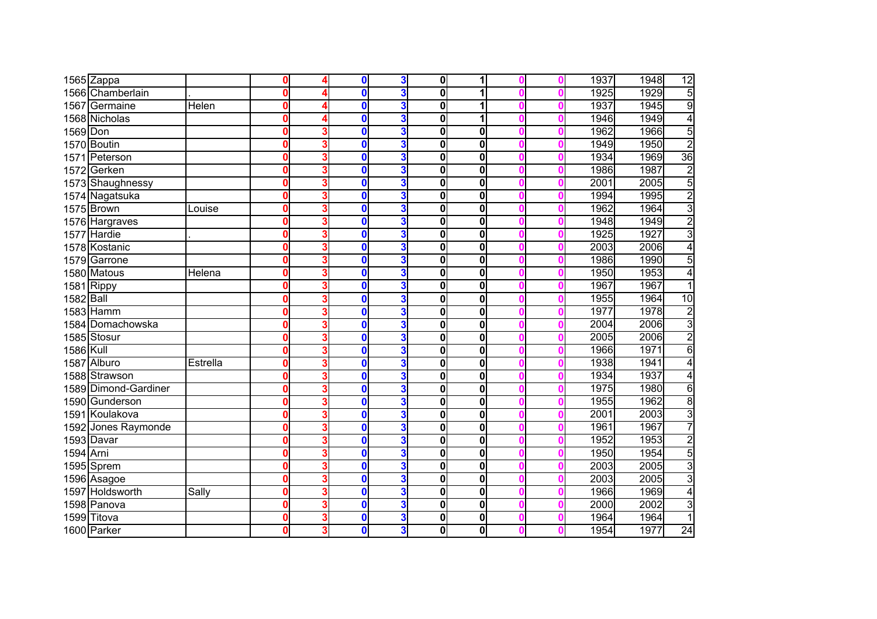|                  | 1565 Zappa           |          | $\mathbf{0}$ | $\mathbf 0$  | 3                       | 0            | 1                       |  | 1937 | 1948 | $\overline{12}$ |
|------------------|----------------------|----------|--------------|--------------|-------------------------|--------------|-------------------------|--|------|------|-----------------|
|                  | 1566 Chamberlain     |          | O            | $\mathbf 0$  | 3                       | $\mathbf{0}$ | 1                       |  | 1925 | 1929 | $\overline{5}$  |
|                  | 1567 Germaine        | Helen    | $\mathbf{0}$ | $\mathbf{0}$ | 3                       | 0            | 1                       |  | 1937 | 1945 | 9               |
|                  | 1568 Nicholas        |          | O            | 0            | $\overline{\mathbf{3}}$ | 0            | 1                       |  | 1946 | 1949 | 4               |
| 1569 Don         |                      |          | O            | $\bf{0}$     | $\overline{\mathbf{3}}$ | $\mathbf{0}$ | $\mathbf 0$             |  | 1962 | 1966 | 5               |
|                  | 1570 Boutin          |          | O            | $\bf{0}$     | $\overline{\mathbf{3}}$ | $\mathbf{0}$ | $\overline{\mathbf{0}}$ |  | 1949 | 1950 | $\overline{2}$  |
|                  | 1571 Peterson        |          | $\mathbf{0}$ | $\bf{0}$     | $\overline{\mathbf{3}}$ | $\mathbf{0}$ | $\mathbf 0$             |  | 1934 | 1969 | 36              |
|                  | 1572 Gerken          |          | $\mathbf{0}$ | $\bf{0}$     | $\overline{\mathbf{3}}$ | 0            | $\mathbf 0$             |  | 1986 | 1987 | <u>տ </u>       |
|                  | 1573 Shaughnessy     |          | $\mathbf{0}$ | $\bf{0}$     | $\overline{\mathbf{3}}$ | O            | $\mathbf 0$             |  | 2001 | 2005 |                 |
|                  | 1574 Nagatsuka       |          | $\mathbf{0}$ | $\bf{0}$     | $\overline{\mathbf{3}}$ | $\mathbf{0}$ | $\mathbf 0$             |  | 1994 | 1995 | $\overline{2}$  |
|                  | 1575 Brown           | Louise   | 0            | $\bf{0}$     | $\overline{\mathbf{3}}$ | 0            | $\mathbf 0$             |  | 1962 | 1964 | $\overline{3}$  |
|                  | 1576 Hargraves       |          | O            | 0            | $\overline{\mathbf{3}}$ | 0            | $\mathbf 0$             |  | 1948 | 1949 | 2               |
|                  | 1577 Hardie          |          | O            | $\bf{0}$     | $\overline{\mathbf{3}}$ | $\mathbf{0}$ | $\mathbf 0$             |  | 1925 | 1927 | $\overline{3}$  |
|                  | 1578 Kostanic        |          | ŋ            | $\bf{0}$     | $\overline{\mathbf{3}}$ | $\mathbf{0}$ | $\mathbf 0$             |  | 2003 | 2006 | 4               |
|                  | 1579 Garrone         |          | $\mathbf{0}$ | $\mathbf{0}$ | $\overline{\mathbf{3}}$ | 0            | $\mathbf 0$             |  | 1986 | 1990 | $\overline{5}$  |
|                  | 1580 Matous          | Helena   | O            | 0            | $\overline{\mathbf{3}}$ | 0            | $\mathbf 0$             |  | 1950 | 1953 | 4               |
|                  | 1581 Rippy           |          | O            | $\bf{0}$     | $\overline{\mathbf{3}}$ | 0            | $\mathbf 0$             |  | 1967 | 1967 |                 |
| 1582 Ball        |                      |          | $\mathbf 0$  | $\bf{0}$     | $\overline{\mathbf{3}}$ | 0            | $\mathbf 0$             |  | 1955 | 1964 | 10              |
|                  | 1583 Hamm            |          | $\mathbf 0$  | $\mathbf 0$  | $\overline{\mathbf{3}}$ | 0            | $\mathbf 0$             |  | 1977 | 1978 | $\overline{2}$  |
|                  | 1584 Domachowska     |          | Ω            | 0            | 3                       | 0            | $\mathbf 0$             |  | 2004 | 2006 | $\overline{3}$  |
|                  | 1585 Stosur          |          | Ω            | $\bf{0}$     | 3                       | 0            | $\overline{\mathbf{0}}$ |  | 2005 | 2006 | $\overline{2}$  |
| <b>1586 Kull</b> |                      |          | O            | 0            | 3                       | 0            | $\mathbf 0$             |  | 1966 | 1971 | $\overline{6}$  |
|                  | 1587 Alburo          | Estrella | $\mathbf{0}$ | $\bf{0}$     | 3                       | 0            | $\mathbf 0$             |  | 1938 | 1941 | 4               |
|                  | 1588 Strawson        |          | 0            | $\bf{0}$     | 3                       | O            | $\mathbf 0$             |  | 1934 | 1937 | $\overline{4}$  |
|                  | 1589 Dimond-Gardiner |          | 0            | $\bf{0}$     | 3                       | $\mathbf{0}$ | $\overline{\mathbf{0}}$ |  | 1975 | 1980 | $\overline{6}$  |
|                  | 1590 Gunderson       |          | 0            | $\bf{0}$     | 3                       | O            | $\mathbf 0$             |  | 1955 | 1962 | $\overline{8}$  |
|                  | 1591 Koulakova       |          | 0            | 0            | 3                       | O            | $\mathbf 0$             |  | 2001 | 2003 | 3               |
|                  | 1592 Jones Raymonde  |          | Ω            | 0            | 3                       | 0            | $\mathbf 0$             |  | 1961 | 1967 | 7               |
|                  | 1593 Davar           |          | Ω            | 0            | 3                       | 0            | $\mathbf 0$             |  | 1952 | 1953 | $\overline{2}$  |
| 1594 Arni        |                      |          | 0            | $\bf{0}$     | $\overline{\mathbf{3}}$ | $\mathbf{0}$ | $\mathbf 0$             |  | 1950 | 1954 | $\overline{5}$  |
|                  | 1595 Sprem           |          | Ω            | $\mathbf 0$  | $\overline{\mathbf{3}}$ | $\mathbf{0}$ | $\mathbf 0$             |  | 2003 | 2005 | $\overline{3}$  |
|                  | 1596 Asagoe          |          | 0            | 0            | $\overline{\mathbf{3}}$ | 0            | $\mathbf 0$             |  | 2003 | 2005 | $\overline{3}$  |
|                  | 1597 Holdsworth      | Sally    | 0            | $\bf{0}$     | $\overline{\mathbf{3}}$ | $\mathbf{0}$ | $\mathbf 0$             |  | 1966 | 1969 | $\overline{4}$  |
|                  | 1598 Panova          |          | 0            | $\bf{0}$     | $\overline{\mathbf{3}}$ | 0            | $\mathbf 0$             |  | 2000 | 2002 | $\overline{3}$  |
|                  | 1599 Titova          |          | 0            | $\bf{0}$     | $\overline{\mathbf{3}}$ | 0            | $\pmb{0}$               |  | 1964 | 1964 | $\overline{1}$  |
|                  | 1600 Parker          |          | 0            | $\mathbf 0$  | $\mathbf{3}$            | $\mathbf{0}$ | $\mathbf 0$             |  | 1954 | 1977 | $\overline{24}$ |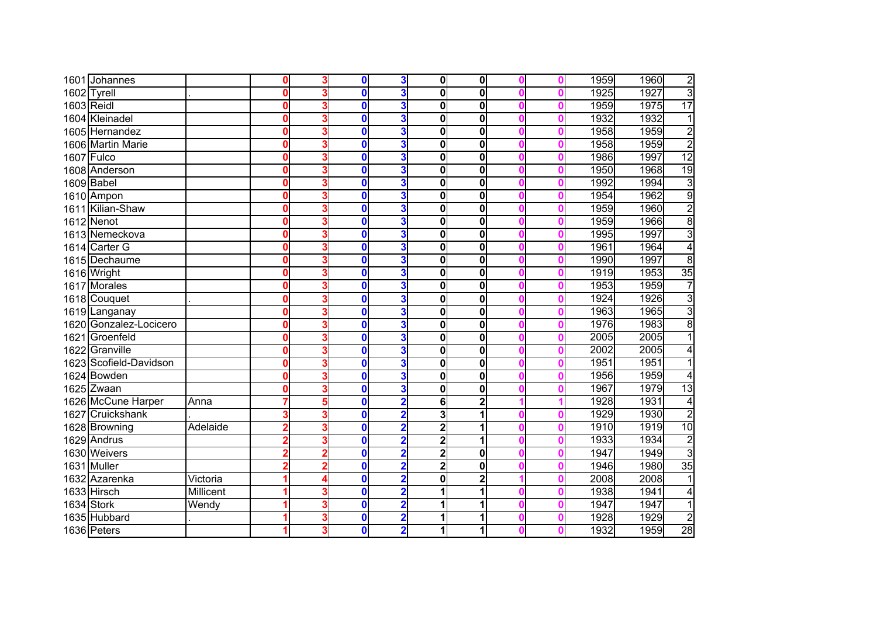|            | 1601 Johannes          |           | 0 | 3 | $\bf{0}$ | 3                       | $\mathbf{0}$            | $\mathbf 0$             |  | 1959 | 1960 | $\overline{2}$  |
|------------|------------------------|-----------|---|---|----------|-------------------------|-------------------------|-------------------------|--|------|------|-----------------|
|            | 1602 Tyrell            |           | 0 | 3 | 0        | 3                       | $\mathbf{0}$            | $\overline{\mathbf{0}}$ |  | 1925 | 1927 | $\overline{3}$  |
| 1603 Reidl |                        |           | Λ | 3 | 0        | 3                       | 0                       | $\overline{\mathbf{0}}$ |  | 1959 | 1975 | $\overline{17}$ |
|            | 1604 Kleinadel         |           | U | 3 | 0        | 3                       | 0                       | $\overline{\mathbf{0}}$ |  | 1932 | 1932 | $\overline{1}$  |
|            | 1605 Hernandez         |           | Λ | 3 | $\bf{0}$ | 3                       | $\mathbf 0$             | $\overline{\mathbf{0}}$ |  | 1958 | 1959 | $\overline{2}$  |
|            | 1606 Martin Marie      |           | 0 |   | $\bf{0}$ | 3                       | $\mathbf 0$             | $\overline{\mathbf{0}}$ |  | 1958 | 1959 | $\overline{2}$  |
|            | 1607 Fulco             |           | 0 |   | $\bf{0}$ | $\overline{\mathbf{3}}$ | 0                       | $\bf{0}$                |  | 1986 | 1997 | 12              |
|            | 1608 Anderson          |           | O |   | $\bf{0}$ | 3                       | 0                       | $\overline{\mathbf{0}}$ |  | 1950 | 1968 | 19              |
|            | 1609 Babel             |           | 0 | 3 | $\bf{0}$ | $\overline{\mathbf{3}}$ | 0                       | $\mathbf 0$             |  | 1992 | 1994 | $\overline{3}$  |
|            | 1610 Ampon             |           | 0 | 3 | $\bf{0}$ | $\mathbf{3}$            | 0                       | $\overline{\mathbf{0}}$ |  | 1954 | 1962 | 9               |
|            | 1611 Kilian-Shaw       |           | 0 | 3 | 0        | $\overline{\mathbf{3}}$ | 0                       | $\bf{0}$                |  | 1959 | 1960 | $\overline{2}$  |
|            | 1612 Nenot             |           | Λ |   | 0        | $\overline{\mathbf{3}}$ | 0                       | $\mathbf 0$             |  | 1959 | 1966 | 8               |
|            | 1613 Nemeckova         |           | Ω |   | 0        | $\overline{\mathbf{3}}$ | $\mathbf 0$             | $\mathbf 0$             |  | 1995 | 1997 | $\overline{3}$  |
|            | 1614 Carter G          |           | Ω |   | 0        | 3                       | 0                       | $\bf{0}$                |  | 1961 | 1964 | $\overline{4}$  |
|            | 1615 Dechaume          |           | Ω |   | 0        | $\overline{\mathbf{3}}$ | 0                       | $\bf{0}$                |  | 1990 | 1997 | $\overline{8}$  |
|            | 1616 Wright            |           |   |   | 0        | 3                       | 0                       | $\bf{0}$                |  | 1919 | 1953 | 35              |
|            | 1617 Morales           |           |   |   | 0        | $\overline{\mathbf{3}}$ | 0                       | $\mathbf 0$             |  | 1953 | 1959 | 7               |
|            | 1618 Couquet           |           | Ω | 3 | 0        | 3                       | 0                       | $\bf{0}$                |  | 1924 | 1926 | $\overline{3}$  |
|            | 1619 Langanay          |           | Λ | 3 | 0        | 3                       | 0                       | $\bf{0}$                |  | 1963 | 1965 | $\overline{3}$  |
|            | 1620 Gonzalez-Locicero |           | Ω |   | 0        | 3                       | 0                       | $\overline{\mathbf{0}}$ |  | 1976 | 1983 | $\overline{8}$  |
|            | 1621 Groenfeld         |           | Ω |   | 0        | 3                       | 0                       | $\overline{\mathbf{0}}$ |  | 2005 | 2005 | $\overline{1}$  |
|            | 1622 Granville         |           | 0 |   | 0        | 3                       | $\mathbf 0$             | $\bf{0}$                |  | 2002 | 2005 | 4               |
|            | 1623 Scofield-Davidson |           | 0 |   | 0        | 3                       | 0                       | $\overline{\mathbf{0}}$ |  | 1951 | 1951 | 1               |
|            | 1624 Bowden            |           | 0 |   | 0        | 3                       | 0                       | $\overline{\mathbf{0}}$ |  | 1956 | 1959 | 4               |
|            | 1625 Zwaan             |           | Ω |   | $\bf{0}$ | 3                       | 0                       | $\overline{\mathbf{0}}$ |  | 1967 | 1979 | 13              |
|            | 1626 McCune Harper     | Anna      |   | 5 | 0        | $\overline{\mathbf{c}}$ | 6                       | $\overline{2}$          |  | 1928 | 1931 | 4               |
|            | 1627 Cruickshank       |           |   | 3 | 0        | $\overline{\mathbf{2}}$ | 3                       | 1                       |  | 1929 | 1930 | $\overline{2}$  |
|            | 1628 Browning          | Adelaide  |   | 3 | 0        | $\overline{\mathbf{2}}$ | $\overline{\mathbf{2}}$ | 1                       |  | 1910 | 1919 | 10              |
|            | 1629 Andrus            |           |   |   | 0        | $\overline{\mathbf{2}}$ | $\overline{\mathbf{2}}$ | 1                       |  | 1933 | 1934 | $\overline{2}$  |
|            | 1630 Weivers           |           |   |   | 0        | $\overline{\mathbf{2}}$ | 2                       | $\bf{0}$                |  | 1947 | 1949 | $\overline{3}$  |
|            | 1631 Muller            |           |   |   | 0        | $\overline{2}$          | 2                       | $\bf{0}$                |  | 1946 | 1980 | $\overline{35}$ |
|            | 1632 Azarenka          | Victoria  |   |   | 0        | $\overline{2}$          | 0                       | $\overline{\mathbf{c}}$ |  | 2008 | 2008 | 1               |
|            | 1633 Hirsch            | Millicent |   |   | 0        | $\overline{\mathbf{2}}$ |                         | 1                       |  | 1938 | 1941 | 4               |
|            | 1634 Stork             | Wendy     |   | 3 | 0        | $\overline{\mathbf{2}}$ |                         | 1                       |  | 1947 | 1947 | 1               |
|            | 1635 Hubbard           |           |   | 3 | 0        | $\overline{\mathbf{2}}$ |                         | 1                       |  | 1928 | 1929 | $\overline{2}$  |
|            | 1636 Peters            |           |   | 3 | 0        | $\overline{\mathbf{2}}$ | 1                       | 1                       |  | 1932 | 1959 | 28              |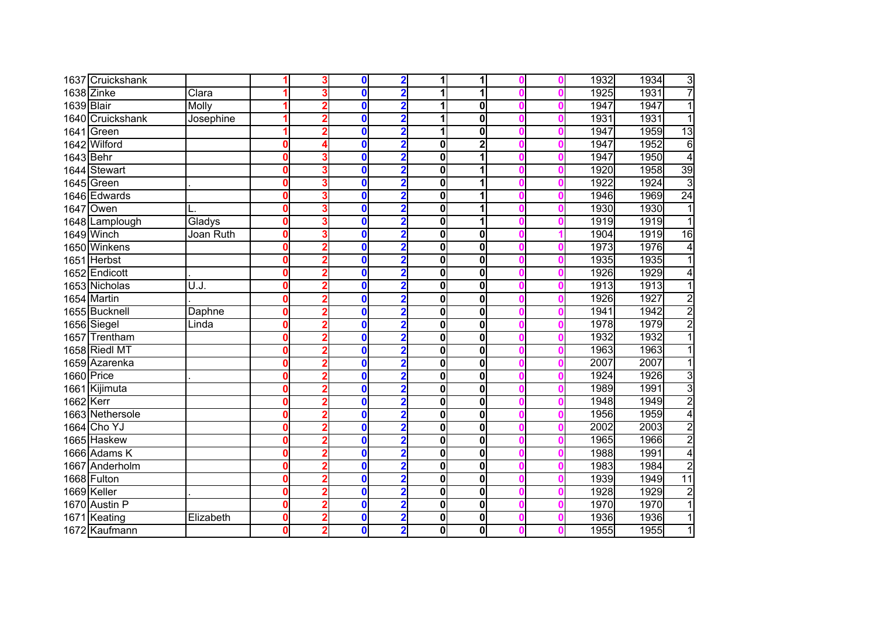|            | 1637 Cruickshank |              |              |   | 0        | $\overline{\mathbf{2}}$ |   | 1                       |  | 1932 | 1934 | 3               |
|------------|------------------|--------------|--------------|---|----------|-------------------------|---|-------------------------|--|------|------|-----------------|
|            | $1638$ Zinke     | Clara        |              |   | $\bf{0}$ | $\overline{2}$          |   | 1                       |  | 1925 | 1931 | $\overline{7}$  |
| 1639 Blair |                  | <b>Molly</b> |              |   | 0        | $\overline{\mathbf{2}}$ |   | $\mathbf 0$             |  | 1947 | 1947 | 1               |
|            | 1640 Cruickshank | Josephine    |              |   | 0        | $\overline{2}$          |   | $\overline{\mathbf{0}}$ |  | 1931 | 1931 | 1               |
|            | 1641 Green       |              |              |   | 0        | $\overline{\mathbf{2}}$ |   | $\overline{\mathbf{0}}$ |  | 1947 | 1959 | 13              |
|            | 1642 Wilford     |              | 0            |   | 0        | $\overline{\mathbf{2}}$ | 0 | $\overline{2}$          |  | 1947 | 1952 | $\overline{6}$  |
| 1643 Behr  |                  |              | 0            | 3 | $\bf{0}$ | $\overline{2}$          | 0 | 1                       |  | 1947 | 1950 | $\overline{4}$  |
|            | 1644 Stewart     |              | 0            |   | $\bf{0}$ | $\overline{2}$          | 0 | 1                       |  | 1920 | 1958 | 39              |
|            | 1645 Green       |              | 0            | 3 | 0        | $\overline{2}$          | 0 | 1                       |  | 1922 | 1924 | 3               |
|            | 1646 Edwards     |              | 0            | 3 | $\bf{0}$ | $\overline{\mathbf{2}}$ | 0 | 1                       |  | 1946 | 1969 | $\overline{24}$ |
|            | 1647 Owen        |              | $\bf{0}$     | 3 | 0        | $\overline{2}$          | 0 | 1                       |  | 1930 | 1930 | 1               |
|            | 1648 Lamplough   | Gladys       | 0            | 3 | 0        | $\overline{\mathbf{2}}$ | 0 | 1                       |  | 1919 | 1919 | 1               |
|            | 1649 Winch       | Joan Ruth    | 0            | 3 | 0        | $\overline{\mathbf{2}}$ | 0 | $\mathbf 0$             |  | 1904 | 1919 | 16              |
|            | 1650 Winkens     |              | 0            |   | 0        | $\overline{\mathbf{2}}$ | 0 | $\mathbf 0$             |  | 1973 | 1976 | 4               |
|            | 1651 Herbst      |              | $\Omega$     |   | 0        | $\overline{\mathbf{2}}$ | 0 | $\bf{0}$                |  | 1935 | 1935 |                 |
|            | 1652 Endicott    |              | 0            |   | 0        | $\overline{2}$          | 0 | $\mathbf 0$             |  | 1926 | 1929 | 4               |
|            | 1653 Nicholas    | U.J.         | 0            |   | 0        | $\overline{\mathbf{2}}$ | 0 | $\mathbf 0$             |  | 1913 | 1913 |                 |
|            | 1654 Martin      |              | 0            |   | 0        | $\overline{\mathbf{2}}$ | 0 | $\bf{0}$                |  | 1926 | 1927 | $\overline{2}$  |
|            | 1655 Bucknell    | Daphne       | $\mathbf{0}$ |   | 0        | $\overline{\mathbf{2}}$ | 0 | $\mathbf 0$             |  | 1941 | 1942 | $\overline{2}$  |
|            | 1656 Siegel      | Linda        | $\mathbf{0}$ |   | 0        | $\overline{2}$          | 0 | $\overline{\mathbf{0}}$ |  | 1978 | 1979 | $\overline{2}$  |
|            | 1657 Trentham    |              | $\mathbf{0}$ |   | 0        | $\overline{\mathbf{2}}$ | 0 | $\overline{\mathbf{0}}$ |  | 1932 | 1932 | 1               |
|            | 1658 Riedl MT    |              | 0            |   | 0        | $\overline{\mathbf{2}}$ | 0 | $\overline{\mathbf{0}}$ |  | 1963 | 1963 | 1               |
|            | 1659 Azarenka    |              | $\mathbf{0}$ |   | 0        | $\overline{\mathbf{2}}$ | 0 | $\overline{\mathbf{0}}$ |  | 2007 | 2007 | 1               |
| 1660 Price |                  |              | 0            |   | $\bf{0}$ | $\overline{\mathbf{2}}$ | 0 | $\overline{\mathbf{0}}$ |  | 1924 | 1926 | $\overline{3}$  |
|            | 1661 Kijimuta    |              | 0            |   | 0        | $\overline{\mathbf{2}}$ | 0 | $\overline{\mathbf{0}}$ |  | 1989 | 1991 | $\overline{3}$  |
| 1662 Kerr  |                  |              | 0            | 2 | 0        | $\overline{\mathbf{2}}$ | 0 | $\overline{\mathbf{0}}$ |  | 1948 | 1949 | $\overline{2}$  |
|            | 1663 Nethersole  |              | 0            | 2 | 0        | $\overline{\mathbf{2}}$ | 0 | $\mathbf 0$             |  | 1956 | 1959 | 4               |
|            | 1664 Cho YJ      |              | 0            | 2 | 0        | $\overline{\mathbf{2}}$ | 0 | 0                       |  | 2002 | 2003 | $\overline{2}$  |
|            | 1665 Haskew      |              | 0            |   | 0        | $\overline{\mathbf{2}}$ | 0 | $\overline{\mathbf{0}}$ |  | 1965 | 1966 | $\overline{2}$  |
|            | 1666 Adams K     |              | 0            |   | 0        | $\overline{2}$          | 0 | 0                       |  | 1988 | 1991 | $\overline{4}$  |
|            | 1667 Anderholm   |              | 0            |   | 0        | $\overline{\mathbf{2}}$ | 0 | $\bf{0}$                |  | 1983 | 1984 | $\overline{2}$  |
|            | 1668 Fulton      |              | 0            |   | 0        | $\overline{2}$          | 0 | $\bf{0}$                |  | 1939 | 1949 | $\overline{11}$ |
|            | 1669 Keller      |              | 0            |   | 0        | $\overline{\mathbf{2}}$ | 0 | $\overline{\mathbf{0}}$ |  | 1928 | 1929 | $\overline{2}$  |
|            | 1670 Austin P    |              | 0            | 2 | 0        | $\overline{2}$          | 0 | $\bf{0}$                |  | 1970 | 1970 | 1               |
|            | 1671 Keating     | Elizabeth    | 0            | 2 | 0        | $\overline{\mathbf{2}}$ | 0 | $\bf{0}$                |  | 1936 | 1936 | 1               |
|            | 1672 Kaufmann    |              | 0            | 2 | 0        | $\overline{\mathbf{2}}$ | 0 | $\bf{0}$                |  | 1955 | 1955 | 1               |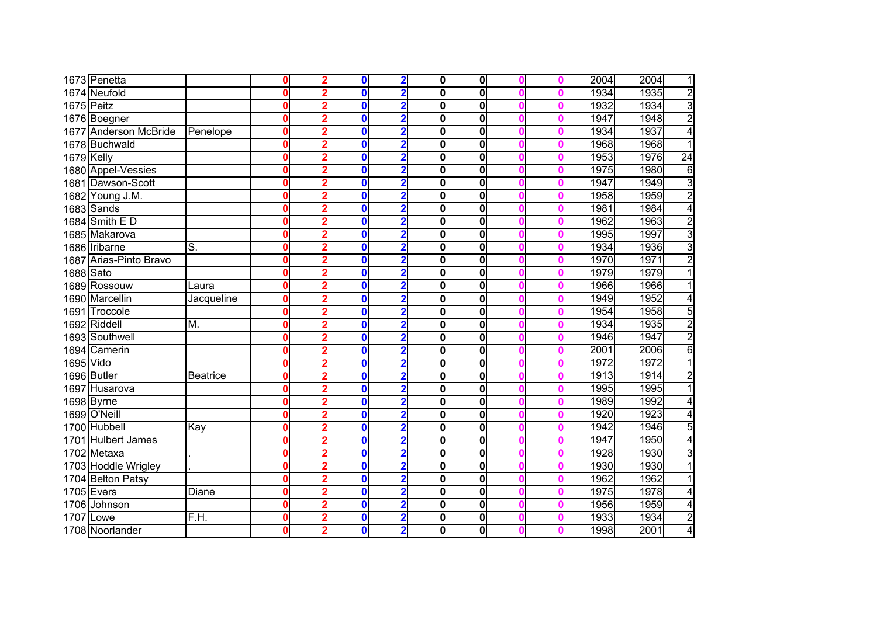|            | 1673 Penetta           |                 | Λ |   | 0        | $\overline{\mathbf{2}}$ | 0l          | $\mathbf 0$             |  | 2004 | 2004 | 1               |
|------------|------------------------|-----------------|---|---|----------|-------------------------|-------------|-------------------------|--|------|------|-----------------|
|            | 1674 Neufold           |                 |   |   | $\bf{0}$ | 2                       | 0           | $\overline{\mathbf{0}}$ |  | 1934 | 1935 | $\overline{2}$  |
|            | 1675 Peitz             |                 | Ω |   | 0        | $\overline{\mathbf{c}}$ | 0           | $\overline{\mathbf{0}}$ |  | 1932 | 1934 | $\overline{3}$  |
|            | 1676 Boegner           |                 | Λ |   | 0        | 2                       | 0           | $\overline{\mathbf{0}}$ |  | 1947 | 1948 | $\overline{2}$  |
|            | 1677 Anderson McBride  | Penelope        | 0 |   | 0        | 2                       | 0           | $\overline{\mathbf{0}}$ |  | 1934 | 1937 | 4               |
|            | 1678 Buchwald          |                 | 0 |   | 0        | $\overline{\mathbf{2}}$ | 0           | $\overline{\mathbf{0}}$ |  | 1968 | 1968 | 1               |
| 1679 Kelly |                        |                 | Λ |   | 0        | $\overline{2}$          | 0           | $\bf{0}$                |  | 1953 | 1976 | $\overline{24}$ |
|            | 1680 Appel-Vessies     |                 | 0 |   | $\bf{0}$ | $\overline{2}$          | 0           | $\bf{0}$                |  | 1975 | 1980 | $6\phantom{1}$  |
|            | 1681 Dawson-Scott      |                 | 0 |   | 0        | $\overline{\mathbf{2}}$ | 0           | $\mathbf 0$             |  | 1947 | 1949 | 3               |
|            | 1682 Young J.M.        |                 | 0 | 2 | $\bf{0}$ | $\overline{\mathbf{2}}$ | 0           | $\mathbf 0$             |  | 1958 | 1959 | $\overline{2}$  |
|            | 1683 Sands             |                 | 0 | 2 | 0        | $\overline{\mathbf{2}}$ | 0           | $\bf{0}$                |  | 1981 | 1984 | 4               |
|            | 1684 Smith E D         |                 | Ω |   | 0        | $\overline{\mathbf{2}}$ | 0           | $\bf{0}$                |  | 1962 | 1963 | $\overline{2}$  |
|            | 1685 Makarova          |                 |   |   | 0        | $\overline{\mathbf{2}}$ | 0           | 0                       |  | 1995 | 1997 | $\overline{3}$  |
|            | 1686 Iribarne          | S.              | Ω |   | 0        | $\overline{\mathbf{c}}$ | 0           | 0                       |  | 1934 | 1936 | $\overline{3}$  |
|            | 1687 Arias-Pinto Bravo |                 | 0 |   | 0        | $\overline{2}$          | $\bf{0}$    | $\bf{0}$                |  | 1970 | 1971 | $\overline{2}$  |
| 1688 Sato  |                        |                 |   |   | 0        | $\overline{2}$          | 0           | $\bf{0}$                |  | 1979 | 1979 |                 |
|            | 1689 Rossouw           | Laura           |   |   | 0        | $\overline{\mathbf{2}}$ | 0           | $\bf{0}$                |  | 1966 | 1966 |                 |
|            | 1690 Marcellin         | Jacqueline      |   |   | 0        | $\overline{\mathbf{2}}$ | 0           | $\bf{0}$                |  | 1949 | 1952 | 4               |
|            | 1691 Troccole          |                 | Λ |   | 0        | 2                       | 0           | $\mathbf 0$             |  | 1954 | 1958 | $\overline{5}$  |
|            | 1692 Riddell           | М.              | Λ |   | 0        | 2                       | 0           | $\overline{\mathbf{0}}$ |  | 1934 | 1935 | $\overline{2}$  |
|            | 1693 Southwell         |                 | U |   | 0        | $\overline{\mathbf{2}}$ | 0           | $\overline{\mathbf{0}}$ |  | 1946 | 1947 | $\overline{2}$  |
|            | 1694 Camerin           |                 | Λ |   | 0        | $\overline{\mathbf{2}}$ | 0           | $\overline{\mathbf{0}}$ |  | 2001 | 2006 | $\overline{6}$  |
| 1695 Vido  |                        |                 | 0 |   | 0        | $\overline{\mathbf{2}}$ | 0           | $\overline{\mathbf{0}}$ |  | 1972 | 1972 | $\overline{1}$  |
|            | 1696 Butler            | <b>Beatrice</b> | 0 |   | 0        | $\overline{\mathbf{2}}$ | 0           | $\overline{\mathbf{0}}$ |  | 1913 | 1914 | $\overline{2}$  |
|            | 1697 Husarova          |                 | Ω |   | 0        | 2                       | 0           | $\overline{\mathbf{0}}$ |  | 1995 | 1995 | 1               |
|            | 1698 Byrne             |                 | Ω |   | 0        | $\overline{\mathbf{2}}$ | 0           | $\overline{\mathbf{0}}$ |  | 1989 | 1992 | 4               |
|            | 1699 O'Neill           |                 | 0 |   | 0        | $\overline{\mathbf{2}}$ | 0           | $\bf{0}$                |  | 1920 | 1923 | 4               |
|            | 1700 Hubbell           | Kay             | Ω |   | 0        | 2                       | 0           | $\bf{0}$                |  | 1942 | 1946 | 5               |
|            | 1701 Hulbert James     |                 | Ω |   | 0        | 2                       | 0           | $\overline{\mathbf{0}}$ |  | 1947 | 1950 | 4               |
|            | 1702 Metaxa            |                 | Ω |   | 0        | $\overline{\mathbf{2}}$ | $\mathbf 0$ | $\bf{0}$                |  | 1928 | 1930 | $\overline{3}$  |
|            | 1703 Hoddle Wrigley    |                 | Ω |   | 0        | $\overline{2}$          | $\mathbf 0$ | $\bf{0}$                |  | 1930 | 1930 |                 |
|            | 1704 Belton Patsy      |                 | Ω |   | 0        | $\overline{2}$          | 0           | $\bf{0}$                |  | 1962 | 1962 |                 |
|            | 1705 Evers             | Diane           | Ω |   | 0        | $\overline{\mathbf{2}}$ | 0           | $\overline{\mathbf{0}}$ |  | 1975 | 1978 | 4               |
|            | 1706 Johnson           |                 | 0 | 2 | 0        | $\overline{\mathbf{2}}$ | 0           | $\bf{0}$                |  | 1956 | 1959 | 4               |
| 1707       | Lowe                   | Ē.H.            | 0 | 2 | 0        | $\overline{\mathbf{2}}$ | 0           | $\bf{0}$                |  | 1933 | 1934 | $\overline{2}$  |
|            | 1708 Noorlander        |                 | 0 | 2 | 0        | $\overline{\mathbf{2}}$ | 0           | $\bf{0}$                |  | 1998 | 2001 | 4               |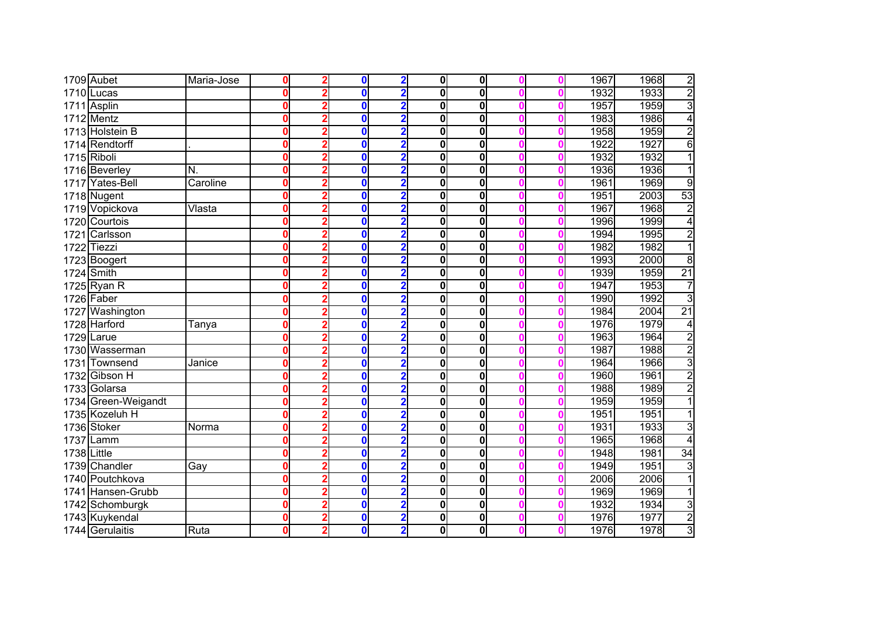|             | 1709 Aubet          | Maria-Jose | $\mathbf{0}$ |   | $\bf{0}$ | $\overline{2}$          | $\mathbf{0}$ | $\mathbf 0$             |  | 1967 | 1968 | $\overline{2}$  |
|-------------|---------------------|------------|--------------|---|----------|-------------------------|--------------|-------------------------|--|------|------|-----------------|
|             | $1710$ Lucas        |            | Λ            |   | $\bf{0}$ |                         | 0            | $\overline{\mathbf{0}}$ |  | 1932 | 1933 | $\overline{2}$  |
|             | 1711 Asplin         |            | $\mathbf{0}$ |   | $\bf{0}$ | $\overline{2}$          | 0            | $\overline{\mathbf{0}}$ |  | 1957 | 1959 | $\overline{3}$  |
|             | $1712$ Mentz        |            | 0            |   | $\bf{0}$ | $\overline{2}$          | 0            | $\overline{\mathbf{0}}$ |  | 1983 | 1986 | $\overline{4}$  |
|             | 1713 Holstein B     |            | 0            |   | 0        | $\overline{2}$          | 0            | 0                       |  | 1958 | 1959 | $\overline{2}$  |
|             | 1714 Rendtorff      |            | 0            |   | $\bf{0}$ | $\overline{\mathbf{2}}$ | 0            | $\overline{\mathbf{0}}$ |  | 1922 | 1927 | 6               |
|             | 1715 Riboli         |            | $\mathbf{0}$ |   | $\bf{0}$ | $\overline{2}$          | 0            | $\mathbf 0$             |  | 1932 | 1932 | $\overline{1}$  |
|             | 1716 Beverley       | N.         | $\bf{0}$     |   | $\bf{0}$ | $\overline{2}$          | 0            | $\mathbf 0$             |  | 1936 | 1936 | 1               |
|             | 1717 Yates-Bell     | Caroline   | $\mathbf{0}$ |   | $\bf{0}$ | $\overline{2}$          | 0            | $\mathbf 0$             |  | 1961 | 1969 | g               |
|             | 1718 Nugent         |            | 0            |   | $\bf{0}$ | $\overline{\mathbf{2}}$ | 0            | $\mathbf 0$             |  | 1951 | 2003 | 53              |
|             | 1719 Vopickova      | Vlasta     | $\bf{0}$     |   | $\bf{0}$ | $\overline{2}$          | 0            | $\mathbf 0$             |  | 1967 | 1968 | $\overline{2}$  |
|             | 1720 Courtois       |            | 0            | 2 | $\bf{0}$ | $\overline{2}$          | 0            | $\mathbf 0$             |  | 1996 | 1999 | 4               |
|             | 1721 Carlsson       |            | 0            |   | $\bf{0}$ | $\overline{2}$          | 0            | $\mathbf 0$             |  | 1994 | 1995 | $\overline{2}$  |
|             | 1722 Tiezzi         |            | 0            |   | $\bf{0}$ | $\overline{\mathbf{2}}$ | 0            | $\mathbf 0$             |  | 1982 | 1982 | $\overline{1}$  |
|             | 1723 Boogert        |            | O            |   | $\bf{0}$ | $\overline{2}$          | $\mathbf{0}$ | $\mathbf 0$             |  | 1993 | 2000 | $\overline{8}$  |
|             | 1724 Smith          |            | O            |   | $\bf{0}$ | $\overline{2}$          | 0            | $\mathbf 0$             |  | 1939 | 1959 | $\overline{21}$ |
|             | 1725 Ryan R         |            | Ω            |   | $\bf{0}$ |                         | 0            | $\mathbf 0$             |  | 1947 | 1953 | 7               |
|             | 1726 Faber          |            | O            |   | $\bf{0}$ | $\overline{2}$          | 0            | $\mathbf 0$             |  | 1990 | 1992 | $\overline{3}$  |
|             | 1727 Washington     |            | O            |   | $\bf{0}$ | $\overline{2}$          | 0            | $\mathbf 0$             |  | 1984 | 2004 | $\overline{21}$ |
|             | 1728 Harford        | Tanya      | 0            |   | $\bf{0}$ | $\overline{2}$          | 0            | $\mathbf 0$             |  | 1976 | 1979 | 4               |
| 1729        | Larue               |            | 0            |   | 0        | $\overline{2}$          | 0            | $\mathbf 0$             |  | 1963 | 1964 | $\overline{2}$  |
|             | 1730 Wasserman      |            | 0            |   | $\bf{0}$ | $\overline{\mathbf{2}}$ | 0            | $\overline{\mathbf{0}}$ |  | 1987 | 1988 | $\overline{2}$  |
| 1731        | Townsend            | Janice     | $\bf{0}$     |   | $\bf{0}$ | $\overline{2}$          | 0            | $\bf{0}$                |  | 1964 | 1966 | 3               |
|             | 1732 Gibson H       |            | 0            |   | $\bf{0}$ | $\overline{2}$          | 0            | $\bf{0}$                |  | 1960 | 1961 | $\overline{2}$  |
|             | 1733 Golarsa        |            | O            |   | $\bf{0}$ | $\overline{2}$          | $\mathbf{0}$ | 0                       |  | 1988 | 1989 | $\overline{2}$  |
|             | 1734 Green-Weigandt |            | 0            |   | $\bf{0}$ | $\overline{\mathbf{2}}$ | 0            | $\overline{\mathbf{0}}$ |  | 1959 | 1959 | $\overline{1}$  |
|             | 1735 Kozeluh H      |            | 0            |   | $\bf{0}$ | 2                       | 0            | $\overline{\mathbf{0}}$ |  | 1951 | 1951 | $\overline{1}$  |
|             | 1736 Stoker         | Norma      | $\bf{0}$     |   | $\bf{0}$ | 2                       | 0            | $\overline{\mathbf{0}}$ |  | 1931 | 1933 | $\overline{3}$  |
|             | 1737 Lamm           |            | 0            |   | 0        | 2                       | 0            | $\overline{\mathbf{0}}$ |  | 1965 | 1968 | 4               |
| 1738 Little |                     |            | 0            |   | $\bf{0}$ | $\overline{\mathbf{2}}$ | 0            | 0                       |  | 1948 | 1981 | 34              |
|             | 1739 Chandler       | Gay        | $\bf{0}$     |   | $\bf{0}$ | $\overline{2}$          | 0            | $\bf{0}$                |  | 1949 | 1951 | $\overline{3}$  |
|             | 1740 Poutchkova     |            | O            |   | $\bf{0}$ | $\overline{2}$          | 0            | $\overline{\mathbf{0}}$ |  | 2006 | 2006 | 1               |
|             | 1741 Hansen-Grubb   |            | 0            |   | $\bf{0}$ | $\overline{2}$          | 0            | $\overline{\mathbf{0}}$ |  | 1969 | 1969 | 1               |
|             | 1742 Schomburgk     |            | $\bf{0}$     |   | $\bf{0}$ | $\overline{2}$          | 0            | $\bf{0}$                |  | 1932 | 1934 | $\overline{3}$  |
|             | 1743 Kuykendal      |            | 0            |   | $\bf{0}$ | $\overline{\mathbf{2}}$ | 0            | $\bf{0}$                |  | 1976 | 1977 | $\overline{2}$  |
|             | 1744 Gerulaitis     | Ruta       | 0            | 2 | $\bf{0}$ | $\overline{\mathbf{2}}$ | 0            | $\mathbf 0$             |  | 1976 | 1978 | 3               |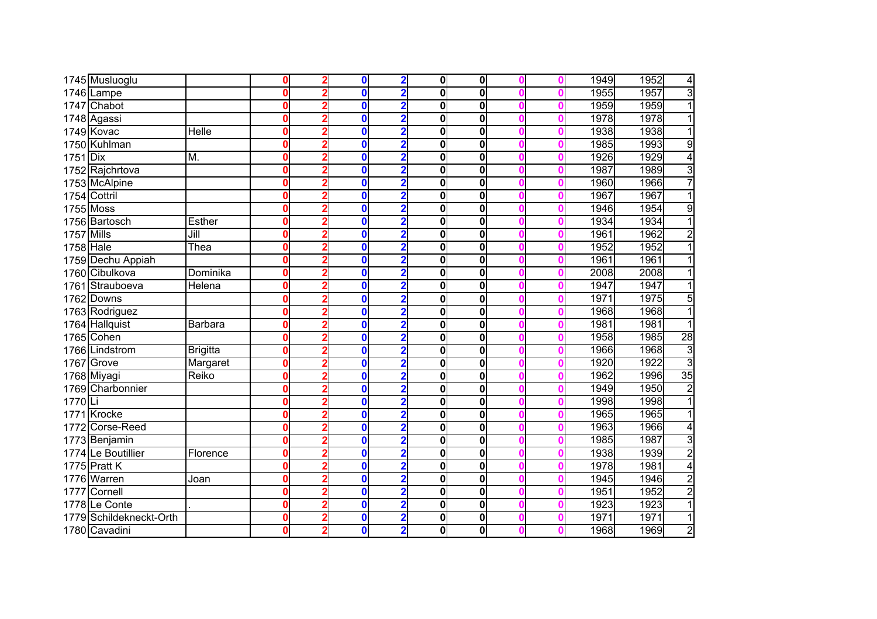|            | 1745 Musluoglu          |                 | 0            | $\bf{0}$ | $\overline{\mathbf{2}}$ | $\mathbf{0}$ | $\mathbf 0$             |  | 1949 | 1952<br>4               |
|------------|-------------------------|-----------------|--------------|----------|-------------------------|--------------|-------------------------|--|------|-------------------------|
|            | 1746 Lampe              |                 | $\mathbf{0}$ | $\bf{0}$ | $\overline{2}$          | 0            | $\overline{\mathbf{0}}$ |  | 1955 | $\overline{3}$<br>1957  |
|            | 1747 Chabot             |                 | $\bf{0}$     | $\bf{0}$ | $\overline{2}$          | 0            | $\overline{\mathbf{0}}$ |  | 1959 | $\overline{1}$<br>1959  |
|            | 1748 Agassi             |                 | 0            | $\bf{0}$ | $\overline{2}$          | 0            | $\overline{\mathbf{0}}$ |  | 1978 | 1978<br>$\overline{1}$  |
|            | 1749 Kovac              | Helle           | 0            | $\bf{0}$ | $\overline{2}$          | 0            | $\overline{\mathbf{0}}$ |  | 1938 | 1938<br>1               |
|            | 1750 Kuhlman            |                 | $\bf{0}$     | $\bf{0}$ | $\overline{\mathbf{2}}$ | 0            | 0                       |  | 1985 | 1993<br>9               |
| $1751$ Dix |                         | M.              | $\mathbf{0}$ | $\bf{0}$ | $\overline{2}$          | $\mathbf{0}$ | $\mathbf 0$             |  | 1926 | $\overline{4}$<br>1929  |
|            | 1752 Rajchrtova         |                 | $\mathbf{0}$ | $\bf{0}$ | $\overline{2}$          | 0            | $\mathbf 0$             |  | 1987 | $\overline{3}$<br>1989  |
|            | 1753 McAlpine           |                 | 0            | $\bf{0}$ | $\overline{2}$          | 0            | $\mathbf 0$             |  | 1960 | 7<br>1966               |
|            | 1754 Cottril            |                 | 0            | $\bf{0}$ | $\overline{2}$          | 0            | $\mathbf 0$             |  | 1967 | $\overline{1}$<br>1967  |
|            | 1755 Moss               |                 | $\bf{0}$     | $\bf{0}$ | $\overline{2}$          | 0            | $\bf{0}$                |  | 1946 | 9<br>1954               |
|            | 1756 Bartosch           | <b>Esther</b>   | 0            | $\bf{0}$ | $\overline{2}$          | 0            | $\bf{0}$                |  | 1934 | $\overline{1}$<br>1934  |
| 1757 Mills |                         | Jill            | $\bf{0}$     | 0        | $\overline{\mathbf{2}}$ | 0            | $\bf{0}$                |  | 1961 | $\overline{2}$<br>1962  |
| 1758 Hale  |                         | Thea            | 0            | $\bf{0}$ | $\overline{\mathbf{2}}$ | 0            | $\bf{0}$                |  | 1952 | 1952<br>1               |
|            | 1759 Dechu Appiah       |                 | 0            | 0        | $\overline{2}$          | 0            | $\bf{0}$                |  | 1961 | 1961                    |
|            | 1760 Cibulkova          | Dominika        | 0            | $\bf{0}$ |                         | 0            | $\bf{0}$                |  | 2008 | 2008                    |
| 1761       | Strauboeva              | Helena          | Ω            | 0        | $\overline{\mathbf{2}}$ | 0            | $\bf{0}$                |  | 1947 | 1947                    |
|            | 1762 Downs              |                 | Ω            | $\bf{0}$ | $\overline{2}$          | 0            | $\bf{0}$                |  | 1971 | 1975<br>5               |
|            | 1763 Rodriguez          |                 | $\bf{0}$     | $\bf{0}$ | $\overline{2}$          | 0            | $\mathbf 0$             |  | 1968 | 1968                    |
|            | 1764 Hallquist          | Barbara         | 0            | $\bf{0}$ | $\overline{2}$          | 0            | $\overline{\mathbf{0}}$ |  | 1981 | 1981                    |
|            | 1765 Cohen              |                 | 0            | 0        | $\overline{\mathbf{2}}$ | 0            | $\overline{\mathbf{0}}$ |  | 1958 | 28<br>1985              |
|            | 1766 Lindstrom          | <b>Brigitta</b> | Ō            | $\bf{0}$ | $\overline{\mathbf{2}}$ | 0            | $\overline{\mathbf{0}}$ |  | 1966 | $\overline{3}$<br>1968  |
|            | 1767 Grove              | Margaret        | 0            | $\bf{0}$ | $\overline{\mathbf{2}}$ | 0            | $\bf{0}$                |  | 1920 | $\overline{3}$<br>1922  |
|            | 1768 Miyagi             | Reiko           | 0            | $\bf{0}$ | $\overline{2}$          | 0            | $\overline{\mathbf{0}}$ |  | 1962 | $\overline{35}$<br>1996 |
|            | 1769 Charbonnier        |                 | O            | $\bf{0}$ | $\overline{\mathbf{2}}$ | 0            | $\overline{\mathbf{0}}$ |  | 1949 | $\overline{2}$<br>1950  |
| $1770$ Li  |                         |                 | 0            | $\bf{0}$ | $\overline{\mathbf{2}}$ | 0            | $\overline{\mathbf{0}}$ |  | 1998 | $\overline{1}$<br>1998  |
|            | 1771 Krocke             |                 | 0            | $\bf{0}$ | $\overline{\mathbf{2}}$ | 0            | $\bf{0}$                |  | 1965 | 1<br>1965               |
|            | 1772 Corse-Reed         |                 | 0            | 0        | $\overline{2}$          | 0            | $\bf{0}$                |  | 1963 | 1966<br>4               |
|            | 1773 Benjamin           |                 | 0            | 0        | $\overline{\mathbf{2}}$ | 0            | $\bf{0}$                |  | 1985 | $\overline{3}$<br>1987  |
|            | 1774 Le Boutillier      | Florence        | $\mathbf{0}$ | 0        | $\overline{2}$          | 0            | 0                       |  | 1938 | $\overline{2}$<br>1939  |
|            | 1775 Pratt K            |                 | $\bf{0}$     | 0        | $\overline{2}$          | 0            | $\bf{0}$                |  | 1978 | 1981<br>4               |
|            | 1776 Warren             | Joan            | 0            | 0        | $\overline{2}$          | 0            | $\bf{0}$                |  | 1945 | $\overline{2}$<br>1946  |
| 1777       | Cornell                 |                 | 0            | $\bf{0}$ | $\overline{\mathbf{2}}$ | 0            | $\bf{0}$                |  | 1951 | $\overline{2}$<br>1952  |
|            | 1778 Le Conte           |                 | $\bf{0}$     | $\bf{0}$ | $\overline{2}$          | 0            | $\bf{0}$                |  | 1923 | $\overline{1}$<br>1923  |
|            | 1779 Schildekneckt-Orth |                 | 0            | $\bf{0}$ | $\overline{\mathbf{2}}$ | 0            | $\bf{0}$                |  | 1971 | 1971<br>1               |
|            | 1780 Cavadini           |                 | 0            | $\bf{0}$ | $\overline{\mathbf{2}}$ | 0            | $\bf{0}$                |  | 1968 | $\overline{2}$<br>1969  |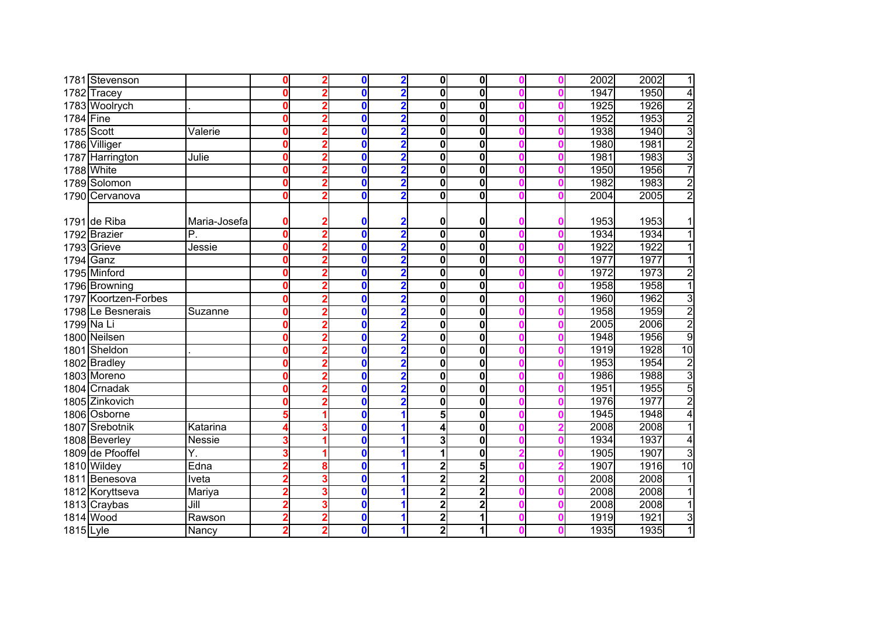|           | 1781 Stevenson       |              | 0           |   | 0           | $\overline{\mathbf{2}}$ | $\mathbf{0}$ | $\bf{0}$                |  | 2002 | 2002 | 1              |
|-----------|----------------------|--------------|-------------|---|-------------|-------------------------|--------------|-------------------------|--|------|------|----------------|
|           | 1782 Tracey          |              | 0           |   | 0           | $\overline{\mathbf{2}}$ | 0            | $\bf{0}$                |  | 1947 | 1950 | 4              |
|           | 1783 Woolrych        |              | 0           |   | 0           | 2                       | 0            | $\bf{0}$                |  | 1925 | 1926 | $\overline{2}$ |
| 1784 Fine |                      |              | 0           |   | 0           | 2                       | 0            | $\overline{\mathbf{0}}$ |  | 1952 | 1953 | $\overline{2}$ |
|           | 1785 Scott           | Valerie      | 0           |   | 0           | $\overline{\mathbf{2}}$ | $\mathbf 0$  | $\bf{0}$                |  | 1938 | 1940 | $\overline{3}$ |
|           | 1786 Villiger        |              | 0           |   | 0           | $\overline{2}$          | 0            | $\bf{0}$                |  | 1980 | 1981 | $\overline{2}$ |
|           | 1787 Harrington      | Julie        | 0           |   | 0           | $\overline{\mathbf{2}}$ | 0            | $\bf{0}$                |  | 1981 | 1983 | $\overline{3}$ |
|           | 1788 White           |              | 0           |   | 0           | $\overline{\mathbf{2}}$ | 0            | $\bf{0}$                |  | 1950 | 1956 | $\overline{7}$ |
|           | 1789 Solomon         |              | 0           | 2 | $\mathbf 0$ | $\overline{\mathbf{2}}$ | 0            | $\bf{0}$                |  | 1982 | 1983 | $\overline{2}$ |
|           | 1790 Cervanova       |              | Ω           | 2 | 0           | $\overline{\mathbf{2}}$ | 0            | $\bf{0}$                |  | 2004 | 2005 | $\overline{2}$ |
|           | 1791 de Riba         | Maria-Josefa | 0           |   | O           | $\overline{\mathbf{2}}$ | 0            | 0                       |  | 1953 | 1953 | 1              |
|           | 1792 Brazier         | P.           | $\bf{0}$    |   | 0           | 2                       | $\mathbf 0$  | $\overline{\mathbf{0}}$ |  | 1934 | 1934 | $\overline{1}$ |
|           | 1793 Grieve          | Jessie       | $\mathbf 0$ |   | 0           | $\overline{2}$          | $\bf{0}$     | $\bf{0}$                |  | 1922 | 1922 |                |
|           | 1794 Ganz            |              | Ω           |   | 0           | $\overline{2}$          | 0            | $\bf{0}$                |  | 1977 | 1977 |                |
|           | 1795 Minford         |              | Ω           |   | 0           | $\overline{\mathbf{2}}$ | 0            | $\bf{0}$                |  | 1972 | 1973 | $\overline{2}$ |
|           | 1796 Browning        |              |             |   | 0           | $\overline{\mathbf{2}}$ | 0            | $\bf{0}$                |  | 1958 | 1958 | 1              |
|           | 1797 Koortzen-Forbes |              | Ω           |   | 0           | $\overline{\mathbf{2}}$ | 0            | $\bf{0}$                |  | 1960 | 1962 | $\overline{3}$ |
|           | 1798 Le Besnerais    | Suzanne      | 0           |   | 0           | $\overline{\mathbf{2}}$ | 0            | $\bf{0}$                |  | 1958 | 1959 | $\overline{2}$ |
|           | 1799 Na Li           |              | Ω           |   | 0           | 2                       | 0            | $\bf{0}$                |  | 2005 | 2006 | $\overline{2}$ |
|           | 1800 Neilsen         |              | Ω           |   | 0           | $\overline{\mathbf{c}}$ | 0            | $\overline{\mathbf{0}}$ |  | 1948 | 1956 | 9              |
|           | 1801 Sheldon         |              | 0           |   | 0           | $\overline{\mathbf{2}}$ | $\mathbf 0$  | $\bf{0}$                |  | 1919 | 1928 | 10             |
|           | 1802 Bradley         |              | 0           |   | 0           | $\overline{\mathbf{2}}$ | 0            | $\bf{0}$                |  | 1953 | 1954 | $\overline{2}$ |
|           | 1803 Moreno          |              | Ω           |   | 0           | $\overline{\mathbf{2}}$ | 0            | $\bf{0}$                |  | 1986 | 1988 | $\overline{3}$ |
|           | 1804 Crnadak         |              |             |   | 0           | $\overline{\mathbf{2}}$ | 0            | $\overline{\mathbf{0}}$ |  | 1951 | 1955 | 5              |
|           | 1805 Zinkovich       |              |             |   | 0           | $\overline{\mathbf{c}}$ | 0            | $\bf{0}$                |  | 1976 | 1977 | $\overline{2}$ |
|           | 1806 Osborne         |              |             |   | 0           | 1                       | 5            | $\bf{0}$                |  | 1945 | 1948 | 4              |
|           | 1807 Srebotnik       | Katarina     |             |   | 0           | 1                       | 4            | $\bf{0}$                |  | 2008 | 2008 | $\overline{1}$ |
|           | 1808 Beverley        | Nessie       |             |   | 0           | 1                       | 3            | $\bf{0}$                |  | 1934 | 1937 | 4              |
|           | 1809 de Pfooffel     | Υ.           |             |   | 0           | 1                       |              | $\bf{0}$                |  | 1905 | 1907 | $\overline{3}$ |
|           | 1810 Wildey          | Edna         |             | 8 | 0           | 1                       | 2            | 5                       |  | 1907 | 1916 | 10             |
|           | 1811 Benesova        | Iveta        |             |   | 0           | 1                       | 2            | $\overline{\mathbf{2}}$ |  | 2008 | 2008 |                |
|           | 1812 Koryttseva      | Mariya       |             |   | 0           | 1                       | 2            | $\overline{\mathbf{2}}$ |  | 2008 | 2008 |                |
|           | 1813 Craybas         | Jill         |             |   | 0           | 1                       | $\mathbf{2}$ | $\overline{2}$          |  | 2008 | 2008 | 1              |
|           | 1814 Wood            | Rawson       |             |   | $\bf{0}$    | 1                       | 2            | 1                       |  | 1919 | 1921 | $\overline{3}$ |
| 1815 Lyle |                      | Nancy        |             | 2 | 0           | 1                       | $\mathbf{2}$ | 1                       |  | 1935 | 1935 | $\overline{1}$ |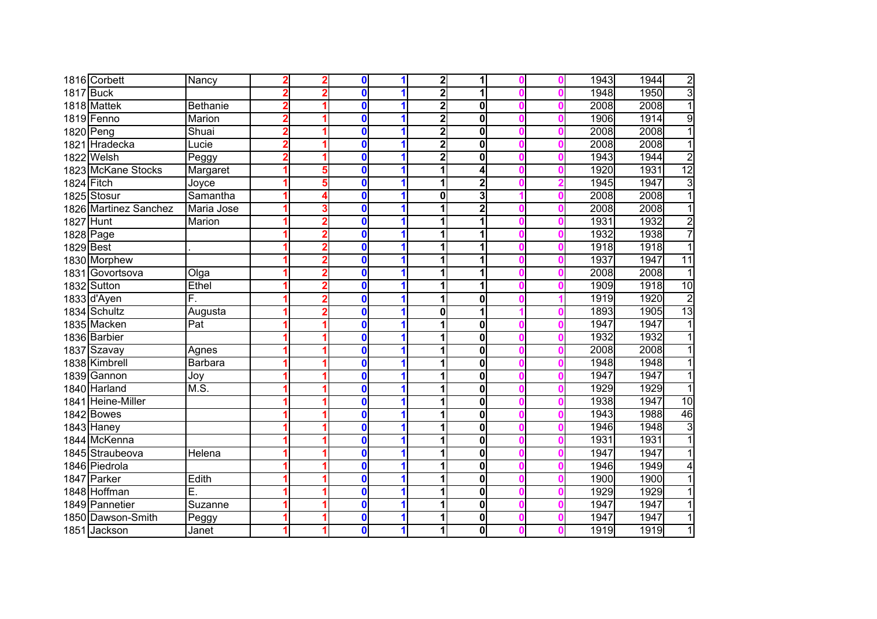|                  | 1816 Corbett          | Nancy           |   | $\mathbf 0$      | 1 | $\overline{\mathbf{2}}$ | 1                       |  | 1943 | 1944<br>$\overline{2}$  |
|------------------|-----------------------|-----------------|---|------------------|---|-------------------------|-------------------------|--|------|-------------------------|
| <b>1817</b> Buck |                       |                 |   | 0                |   | $\overline{2}$          | 1                       |  | 1948 | 3<br>1950               |
|                  | 1818 Mattek           | <b>Bethanie</b> |   | 0                |   | 2                       | $\overline{\mathbf{0}}$ |  | 2008 | 2008<br>$\mathbf{1}$    |
|                  | 1819 Fenno            | Marion          |   | 0                | 1 | $\mathbf{2}$            | $\overline{\mathbf{0}}$ |  | 1906 | 1914<br>$\overline{9}$  |
| 1820 Peng        |                       | Shuai           |   | 0                | 1 | $\overline{\mathbf{2}}$ | $\bf{0}$                |  | 2008 | $\mathbf{1}$<br>2008    |
|                  | 1821 Hradecka         | Lucie           |   | 0                | 1 | $\mathbf{2}$            | $\bf{0}$                |  | 2008 | 2008<br>1               |
|                  | 1822 Welsh            | Peggy           |   | 0                | 1 | $\mathbf{2}$            | $\bf{0}$                |  | 1943 | $\overline{2}$<br>1944  |
|                  | 1823 McKane Stocks    | Margaret        |   | 0                | 1 |                         | 4                       |  | 1920 | 12<br>1931              |
| 1824 Fitch       |                       | Joyce           | 5 | 0                | 1 |                         | $\overline{\mathbf{c}}$ |  | 1945 | 3<br>1947               |
|                  | 1825 Stosur           | Samantha        |   | $\bf{0}$         | 1 | 0                       | 3                       |  | 2008 | $\overline{1}$<br>2008  |
|                  | 1826 Martinez Sanchez | Maria Jose      |   | $\bf{0}$         | 1 |                         | $\overline{2}$          |  | 2008 | $\overline{1}$<br>2008  |
| 1827 Hunt        |                       | Marion          | 2 | $\bf{0}$         | 1 |                         | $\overline{\mathbf{1}}$ |  | 1931 | $\overline{2}$<br>1932  |
| 1828 Page        |                       |                 |   | 0                | 1 |                         | 1                       |  | 1932 | 7<br>1938               |
| 1829 Best        |                       |                 |   | 0                | 1 |                         | 1                       |  | 1918 | 1918                    |
|                  | 1830 Morphew          |                 |   | 0                | 1 |                         | 1                       |  | 1937 | 1947<br>11              |
|                  | 1831 Govortsova       | Olga            |   | 0                | 1 |                         | 1                       |  | 2008 | 2008                    |
|                  | 1832 Sutton           | Ethel           |   | 0                |   |                         | 1                       |  | 1909 | 10<br>1918              |
|                  | 1833 d'Ayen           | F.              |   | 0                |   |                         | $\bf{0}$                |  | 1919 | $\overline{c}$<br>1920  |
|                  | 1834 Schultz          | Augusta         |   | 0                | 1 | 0                       | 1                       |  | 1893 | $\overline{13}$<br>1905 |
|                  | 1835 Macken           | Pat             |   | 0                | 1 |                         | $\bf{0}$                |  | 1947 | 1947                    |
|                  | 1836 Barbier          |                 |   | 0                | 1 |                         | $\bf{0}$                |  | 1932 | 1932                    |
|                  | 1837 Szavay           | Agnes           |   | 0                | 1 |                         | $\overline{\mathbf{0}}$ |  | 2008 | 2008                    |
|                  | 1838 Kimbrell         | <b>Barbara</b>  |   | 0                | 1 |                         | $\bf{0}$                |  | 1948 | 1948<br>1               |
|                  | 1839 Gannon           | Joy             |   | 0                | 1 |                         | $\bf{0}$                |  | 1947 | 1947<br>1               |
|                  | 1840 Harland          | M.S.            |   | 0                | 1 |                         | $\overline{\mathbf{0}}$ |  | 1929 | 1929<br>1               |
|                  | 1841 Heine-Miller     |                 |   | $\bf{0}$         | 1 |                         | $\overline{\mathbf{0}}$ |  | 1938 | 1947<br>10              |
|                  | <b>1842</b> Bowes     |                 |   | 0                | 1 |                         | $\bf{0}$                |  | 1943 | 1988<br>46              |
|                  | 1843 Haney            |                 |   | 0                | 1 |                         | 0                       |  | 1946 | $\overline{3}$<br>1948  |
|                  | 1844 McKenna          |                 |   | 0                | 1 |                         | $\overline{\mathbf{0}}$ |  | 1931 | $\overline{1}$<br>1931  |
|                  | 1845 Straubeova       | Helena          |   | 0                | 1 |                         | $\overline{\mathbf{0}}$ |  | 1947 | 1947<br>1               |
|                  | 1846 Piedrola         |                 |   | 0                | 1 |                         | $\bf{0}$                |  | 1946 | 1949<br>4               |
|                  | 1847 Parker           | Edith           |   | 0                | 1 |                         | $\bf{0}$                |  | 1900 | 1900                    |
|                  | 1848 Hoffman          | Ē.              |   | 0                | 1 |                         | $\overline{\mathbf{0}}$ |  | 1929 | 1929                    |
|                  | 1849 Pannetier        | Suzanne         |   | $\boldsymbol{0}$ | 1 |                         | $\bf{0}$                |  | 1947 | 1947                    |
|                  | 1850 Dawson-Smith     | Peggy           |   | $\bf{0}$         | 1 |                         | $\bf{0}$                |  | 1947 | 1947                    |
|                  | 1851 Jackson          | Janet           |   | 0                | 1 | 1                       | $\bf{0}$                |  | 1919 | 1919<br>1               |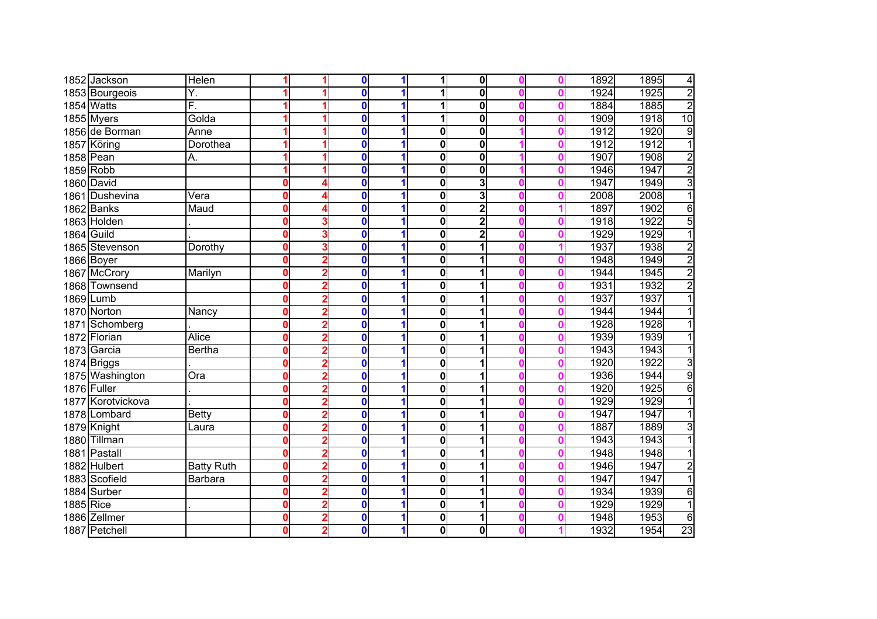|            | 1852 Jackson      | Helen             |   |   | 0           | 1                    |              | $\mathbf 0$             |  | 1892 | 1895<br>4               |
|------------|-------------------|-------------------|---|---|-------------|----------------------|--------------|-------------------------|--|------|-------------------------|
|            | 1853 Bourgeois    | Υ.                |   |   | O           |                      |              | $\overline{\mathbf{0}}$ |  | 1924 | $\overline{2}$<br>1925  |
|            | 1854 Watts        | F.                |   |   | $\bf{0}$    |                      |              | $\overline{\mathbf{0}}$ |  | 1884 | $\overline{2}$<br>1885  |
|            | 1855 Myers        | Golda             |   |   | $\bf{0}$    | 1                    |              | $\mathbf 0$             |  | 1909 | 10<br>1918              |
|            | 1856 de Borman    | Anne              |   |   | 0           |                      | 0            | 0                       |  | 1912 | $\overline{9}$<br>1920  |
|            | 1857 Köring       | Dorothea          |   |   | 0           |                      | 0            | $\overline{\mathbf{0}}$ |  | 1912 | $\overline{1}$<br>1912  |
|            | 1858 Pean         | А.                |   |   | $\bf{0}$    |                      | 0            | $\mathbf 0$             |  | 1907 | $\overline{2}$<br>1908  |
|            | 1859 Robb         |                   |   |   | $\bf{0}$    | 1                    | 0            | $\mathbf 0$             |  | 1946 | $\overline{2}$<br>1947  |
|            | 1860 David        |                   |   |   | $\bf{0}$    |                      | 0            | 3                       |  | 1947 | $\overline{3}$<br>1949  |
|            | 1861 Dushevina    | Vera              | 0 |   | 0           |                      | 0            | 3                       |  | 2008 | 2008<br>$\mathbf{1}$    |
|            | 1862 Banks        | Maud              | 0 |   | $\bf{0}$    | 1                    | 0            | $\overline{\mathbf{2}}$ |  | 1897 | $\overline{6}$<br>1902  |
|            | 1863 Holden       |                   |   |   | 0           | 1                    | 0            | $\overline{\mathbf{2}}$ |  | 1918 | 5<br>1922               |
| 1864 Guild |                   |                   | 0 |   | O           | 1                    | 0            | $\overline{2}$          |  | 1929 | $\overline{1}$<br>1929  |
|            | 1865 Stevenson    | Dorothy           | 0 |   | O           |                      | 0            | 1                       |  | 1937 | 1938<br>$\overline{2}$  |
|            | 1866 Boyer        |                   |   |   | O           |                      | 0            | 1                       |  | 1948 | $\overline{2}$<br>1949  |
|            | 1867 McCrory      | Marilyn           |   |   | $\bf{0}$    |                      | 0            | 1                       |  | 1944 | $\overline{2}$<br>1945  |
|            | 1868 Townsend     |                   |   |   | O           |                      | 0            |                         |  | 1931 | $\overline{2}$<br>1932  |
|            | 1869 Lumb         |                   |   |   | $\bf{0}$    |                      | 0            | 1                       |  | 1937 | 1937                    |
|            | 1870 Norton       | Nancy             |   |   | $\bf{0}$    |                      | 0            | 1                       |  | 1944 | 1944                    |
|            | 1871 Schomberg    |                   |   |   | $\bf{0}$    | 1                    | 0            | 1                       |  | 1928 | 1928                    |
|            | 1872 Florian      | <b>Alice</b>      |   |   | 0           |                      | 0            | 1                       |  | 1939 | 1939                    |
|            | 1873 Garcia       | <b>Bertha</b>     |   |   | 0           |                      | 0            | 1                       |  | 1943 | 1943<br>1               |
|            | 1874 Briggs       |                   | 0 |   | 0           | 1                    | 0            | 1                       |  | 1920 | $\overline{3}$<br>1922  |
|            | 1875 Washington   | Ora               | 0 |   | 0           |                      | 0            | 1                       |  | 1936 | 9<br>1944               |
|            | 1876 Fuller       |                   | 0 |   | O           |                      | 0            | 1                       |  | 1920 | 6<br>1925               |
|            | 1877 Korotvickova |                   |   |   | 0           |                      | 0            | 1                       |  | 1929 | 1929<br>$\mathbf{1}$    |
|            | 1878 Lombard      | <b>Betty</b>      | 0 |   | 0           | 1                    | 0            | 1                       |  | 1947 | 1947<br>$\overline{1}$  |
|            | 1879 Knight       | Laura             |   |   | 0           | 1                    | 0            | 1                       |  | 1887 | $\overline{3}$<br>1889  |
|            | 1880 Tillman      |                   |   |   | 0           |                      | 0            | 1                       |  | 1943 | 1943<br>$\overline{1}$  |
|            | 1881 Pastall      |                   |   |   | 0           |                      | $\mathbf{0}$ | 1                       |  | 1948 | 1948<br>1               |
|            | 1882 Hulbert      | <b>Batty Ruth</b> | 0 |   | $\bf{0}$    |                      | $\mathbf{0}$ |                         |  | 1946 | $\overline{2}$<br>1947  |
|            | 1883 Scofield     | Barbara           | n |   | 0           |                      | 0            |                         |  | 1947 | 1<br>1947               |
|            | 1884 Surber       |                   |   |   | 0           |                      | 0            | 1                       |  | 1934 | $\overline{6}$<br>1939  |
| 1885 Rice  |                   |                   |   |   | 0           | $\blacktriangleleft$ | 0            | 1                       |  | 1929 | 1929<br>1               |
|            | 1886 Zellmer      |                   | Ω |   | 0           | 1                    | 0            | 1                       |  | 1948 | $6\phantom{1}6$<br>1953 |
|            | 1887 Petchell     |                   |   | 2 | $\mathbf 0$ | 1                    | 0            | $\mathbf 0$             |  | 1932 | 23<br>1954              |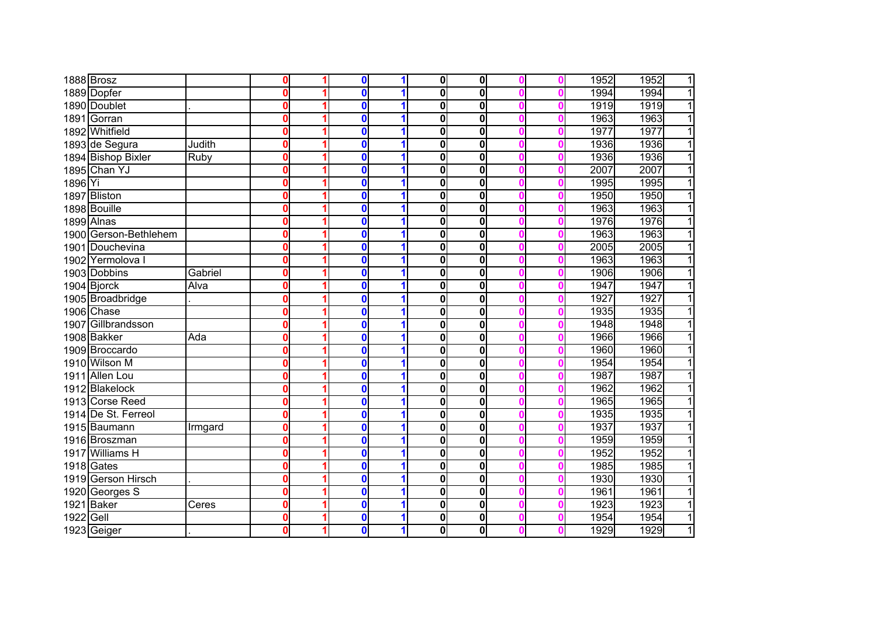|           | 1888 Brosz            |         | U            | $\bf{0}$ |   | $\mathbf{0}$ | $\mathbf{0}$            |  | 1952 | 1952<br>$\mathbf{1}$   |
|-----------|-----------------------|---------|--------------|----------|---|--------------|-------------------------|--|------|------------------------|
|           | 1889 Dopfer           |         | 0            | $\bf{0}$ |   | $\bf{0}$     | $\overline{\mathbf{0}}$ |  | 1994 | $\overline{1}$<br>1994 |
|           | 1890 Doublet          |         | 0            | $\bf{0}$ | 1 | $\bf{0}$     | $\overline{\mathbf{0}}$ |  | 1919 | 1919<br>$\overline{1}$ |
|           | 1891 Gorran           |         | 0            | $\bf{0}$ |   | $\bf{0}$     | 0                       |  | 1963 | $\overline{1}$<br>1963 |
|           | 1892 Whitfield        |         | 0            | $\bf{0}$ |   | $\bf{0}$     | 0                       |  | 1977 | 1977<br>$\overline{1}$ |
|           | 1893 de Segura        | Judith  | 0            | $\bf{0}$ |   | 0            | 0                       |  | 1936 | 1936<br>$\overline{1}$ |
|           | 1894 Bishop Bixler    | Ruby    | 0            | $\bf{0}$ |   | $\bf{0}$     | 0                       |  | 1936 | $\overline{1}$<br>1936 |
|           | 1895 Chan YJ          |         | 0            | $\bf{0}$ |   | 0            | 0                       |  | 2007 | $\overline{1}$<br>2007 |
| 1896 Yi   |                       |         | 0            | $\bf{0}$ |   | 0            | 0                       |  | 1995 | $\overline{1}$<br>1995 |
|           | 1897 Bliston          |         | 0            | $\bf{0}$ |   | $\mathbf 0$  | 0                       |  | 1950 | $\overline{1}$<br>1950 |
|           | 1898 Bouille          |         | 0            | $\bf{0}$ | 1 | $\mathbf 0$  | 0                       |  | 1963 | 1963<br>$\overline{1}$ |
|           | 1899 Alnas            |         | 0            | $\bf{0}$ |   | 0            | 0                       |  | 1976 | 1976<br>$\overline{1}$ |
|           | 1900 Gerson-Bethlehem |         | 0            | 0        |   | 0            | 0                       |  | 1963 | 1963<br>$\mathbf{1}$   |
|           | 1901 Douchevina       |         | 0            | $\bf{0}$ |   | $\bf{0}$     | 0                       |  | 2005 | 2005<br>$\overline{1}$ |
|           | 1902 Yermolova I      |         | 0            | $\bf{0}$ |   | 0            | 0                       |  | 1963 | 1963<br>1              |
|           | 1903 Dobbins          | Gabriel | 0            | $\bf{0}$ |   | 0            | $\mathbf 0$             |  | 1906 | $\overline{1}$<br>1906 |
|           | 1904 Bjorck           | Alva    | 0            | $\bf{0}$ |   | 0            | $\mathbf 0$             |  | 1947 | 1947<br>1              |
|           | 1905 Broadbridge      |         | 0            | $\bf{0}$ |   | 0            | 0                       |  | 1927 | 1927<br>$\mathbf{1}$   |
|           | 1906 Chase            |         | 0            | $\bf{0}$ |   | $\bf{0}$     | 0                       |  | 1935 | 1935<br>11             |
|           | 1907 Gillbrandsson    |         | 0            | $\bf{0}$ |   | $\bf{0}$     | 0                       |  | 1948 | 1948<br>1              |
|           | 1908 Bakker           | Ada     | $\mathbf{0}$ | $\bf{0}$ |   | $\bf{0}$     | $\overline{\mathbf{0}}$ |  | 1966 | 1966<br>$\overline{1}$ |
|           | 1909 Broccardo        |         | 0            | $\bf{0}$ |   | $\bf{0}$     | $\overline{\mathbf{0}}$ |  | 1960 | $\overline{1}$<br>1960 |
|           | 1910 Wilson M         |         | $\mathbf{0}$ | $\bf{0}$ | 1 | $\bf{0}$     | $\overline{\mathbf{0}}$ |  | 1954 | 1954<br>$\overline{1}$ |
|           | 1911 Allen Lou        |         | $\mathbf{0}$ | $\bf{0}$ |   | $\mathbf 0$  | 0                       |  | 1987 | 1987<br>$\overline{1}$ |
|           | 1912 Blakelock        |         | 0            | $\bf{0}$ |   | $\mathbf 0$  | $\overline{\mathbf{0}}$ |  | 1962 | $\overline{1}$<br>1962 |
|           | 1913 Corse Reed       |         | 0            | $\bf{0}$ |   | $\mathbf 0$  | 0                       |  | 1965 | 1965<br>$\overline{1}$ |
|           | 1914 De St. Ferreol   |         | 0            | $\bf{0}$ | 1 | $\mathbf 0$  | 0                       |  | 1935 | 1935<br>$\overline{1}$ |
|           | 1915 Baumann          | Irmgard | 0            | 0        |   | 0            | 0                       |  | 1937 | 1937<br>$\overline{1}$ |
|           | 1916 Broszman         |         | 0            | $\bf{0}$ |   | $\mathbf 0$  | 0                       |  | 1959 | 1959<br>$\overline{1}$ |
|           | 1917 Williams H       |         | 0            | $\bf{0}$ | 1 | $\mathbf 0$  | 0                       |  | 1952 | 1952<br>$\overline{1}$ |
|           | 1918 Gates            |         | 0            | $\bf{0}$ |   | 0            | $\mathbf 0$             |  | 1985 | $\overline{1}$<br>1985 |
|           | 1919 Gerson Hirsch    |         | Ω            | $\bf{0}$ |   | 0            | $\mathbf 0$             |  | 1930 | 1930<br>$\mathbf{1}$   |
|           | 1920 Georges S        |         | 0            | $\bf{0}$ |   | 0            | $\overline{\textbf{0}}$ |  | 1961 | $\overline{1}$<br>1961 |
|           | 1921 Baker            | Ceres   | 0            | $\bf{0}$ |   | 0            | 0                       |  | 1923 | 1923<br>$\mathbf{1}$   |
| 1922 Gell |                       |         | 0            | $\bf{0}$ | 1 | 0            | 0                       |  | 1954 | $\mathbf{1}$<br>1954   |
|           | 1923 Geiger           |         | 0            | $\bf{0}$ | 1 | 0            | 0                       |  | 1929 | 1<br>1929              |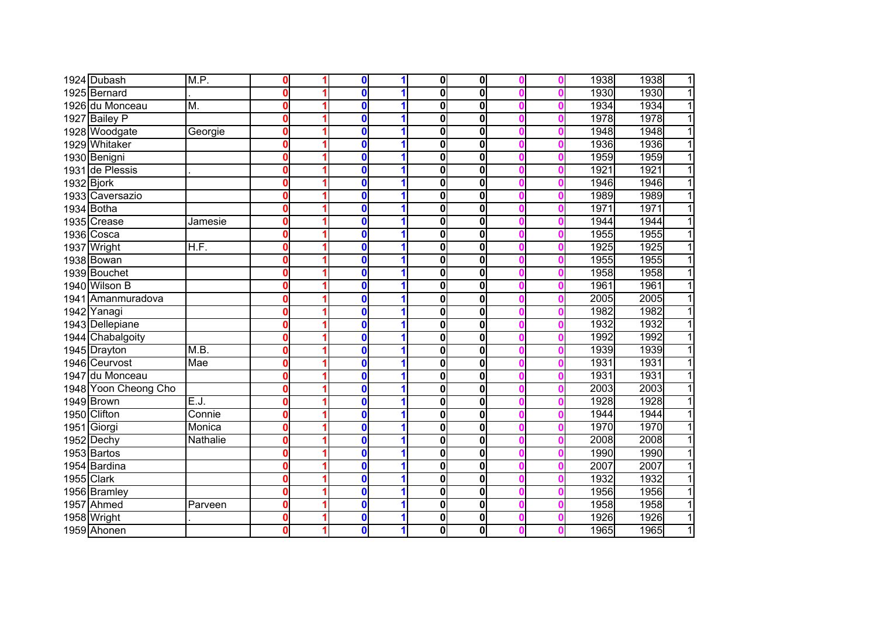|            | 1924 Dubash          | M.P.                      | Ω | $\boldsymbol{0}$ | 1           | $\mathbf{0}$ | $\mathbf 0$             |  | 1938 | 1938<br>1 |
|------------|----------------------|---------------------------|---|------------------|-------------|--------------|-------------------------|--|------|-----------|
|            | 1925 Bernard         |                           |   | $\bf{0}$         | 1           | 0            | $\overline{\mathbf{0}}$ |  | 1930 | 1930<br>1 |
|            | 1926 du Monceau      | $\overline{\mathsf{M}}$ . | 0 | 0                | 1           | 0            | $\overline{\mathbf{0}}$ |  | 1934 | 1934      |
|            | 1927 Bailey P        |                           | Ω | 0                | 1           | 0            | $\overline{\mathbf{0}}$ |  | 1978 | 1978      |
|            | 1928 Woodgate        | Georgie                   | 0 | 0                | 1           | 0            | $\overline{\mathbf{0}}$ |  | 1948 | 1948      |
|            | 1929 Whitaker        |                           | Λ | 0                | 1           | 0            | $\overline{\mathbf{0}}$ |  | 1936 | 1936      |
|            | 1930 Benigni         |                           | Λ | $\bf{0}$         | 1           | 0            | $\mathbf 0$             |  | 1959 | 1959      |
|            | 1931 de Plessis      |                           | 0 | $\bf{0}$         | 1           | 0            | $\mathbf 0$             |  | 1921 | 1921<br>1 |
| 1932 Bjork |                      |                           | Λ | $\bf{0}$         | 1           | 0            | $\mathbf 0$             |  | 1946 | 1946<br>1 |
|            | 1933 Caversazio      |                           | Ω | $\bf{0}$         | 1           | 0            | $\mathbf 0$             |  | 1989 | 1989<br>1 |
|            | 1934 Botha           |                           | 0 | 0                | $\mathbf 1$ | 0            | $\mathbf 0$             |  | 1971 | 1971<br>1 |
|            | 1935 Crease          | Jamesie                   | Ω | 0                | 1           | 0            | $\mathbf 0$             |  | 1944 | 1944<br>1 |
|            | 1936 Cosca           |                           | Ω | 0                | 1           | 0            | $\mathbf 0$             |  | 1955 | 1955      |
|            | 1937 Wright          | H.F.                      | Ω | 0                | 1           | 0            | $\mathbf 0$             |  | 1925 | 1925      |
|            | 1938 Bowan           |                           | n | 0                | 1           | 0            | $\mathbf 0$             |  | 1955 | 1955      |
|            | 1939 Bouchet         |                           |   | 0                | 1           | 0            | $\mathbf 0$             |  | 1958 | 1958      |
|            | 1940 Wilson B        |                           |   | 0                |             | 0            | $\mathbf 0$             |  | 1961 | 1961      |
|            | 1941 Amanmuradova    |                           |   | $\mathbf 0$      | 1           | 0            | $\mathbf 0$             |  | 2005 | 2005      |
|            | 1942 Yanagi          |                           |   | $\bf{0}$         | 1           | 0            | $\mathbf 0$             |  | 1982 | 1982      |
|            | 1943 Dellepiane      |                           |   | 0                | 1           | 0            | $\overline{\mathbf{0}}$ |  | 1932 | 1932      |
|            | 1944 Chabalgoity     |                           | Λ | 0                | 1           | 0            | $\overline{\mathbf{0}}$ |  | 1992 | 1992      |
|            | 1945 Drayton         | M.B.                      | 0 | $\bf{0}$         | 1           | 0            | $\overline{\mathbf{0}}$ |  | 1939 | 1939      |
|            | 1946 Ceurvost        | Mae                       | 0 | $\bf{0}$         | 1           | 0            | $\overline{\mathbf{0}}$ |  | 1931 | 1931<br>1 |
|            | 1947 du Monceau      |                           | n | $\bf{0}$         | 1           | 0            | $\overline{\mathbf{0}}$ |  | 1931 | 1931      |
|            | 1948 Yoon Cheong Cho |                           | 0 | $\bf{0}$         | 1           | 0            | $\overline{\mathbf{0}}$ |  | 2003 | 2003<br>1 |
|            | 1949 Brown           | E.J.                      | 0 | $\bf{0}$         | 1           | 0            | $\overline{\mathbf{0}}$ |  | 1928 | 1928<br>1 |
|            | 1950 Clifton         | Connie                    | 0 | 0                | 1           | 0            | $\overline{\mathbf{0}}$ |  | 1944 | 1944<br>1 |
|            | 1951 Giorgi          | Monica                    | Ω | 0                | 1           | 0            | $\bf{0}$                |  | 1970 | 1970      |
|            | 1952 Dechy           | Nathalie                  | Ω | 0                | 1           | 0            | $\overline{\mathbf{0}}$ |  | 2008 | 2008      |
|            | 1953 Bartos          |                           | Ω | 0                | 1           | $\mathbf 0$  | $\bf{0}$                |  | 1990 | 1990      |
|            | 1954 Bardina         |                           |   | 0                | 1           | $\mathbf 0$  | $\bf{0}$                |  | 2007 | 2007      |
| 1955 Clark |                      |                           |   | 0                | 1           | 0            | $\bf{0}$                |  | 1932 | 1932      |
|            | 1956 Bramley         |                           |   | 0                | 1           | 0            | $\overline{\mathbf{0}}$ |  | 1956 | 1956      |
|            | 1957 Ahmed           | Parveen                   |   | 0                | 1           | 0            | $\bf{0}$                |  | 1958 | 1958      |
|            | 1958 Wright          |                           | 0 | $\bf{0}$         | 1           | 0            | $\bf{0}$                |  | 1926 | 1926      |
|            | 1959 Ahonen          |                           | 0 | 0                | 1           | 0            | $\bf{0}$                |  | 1965 | 1965<br>1 |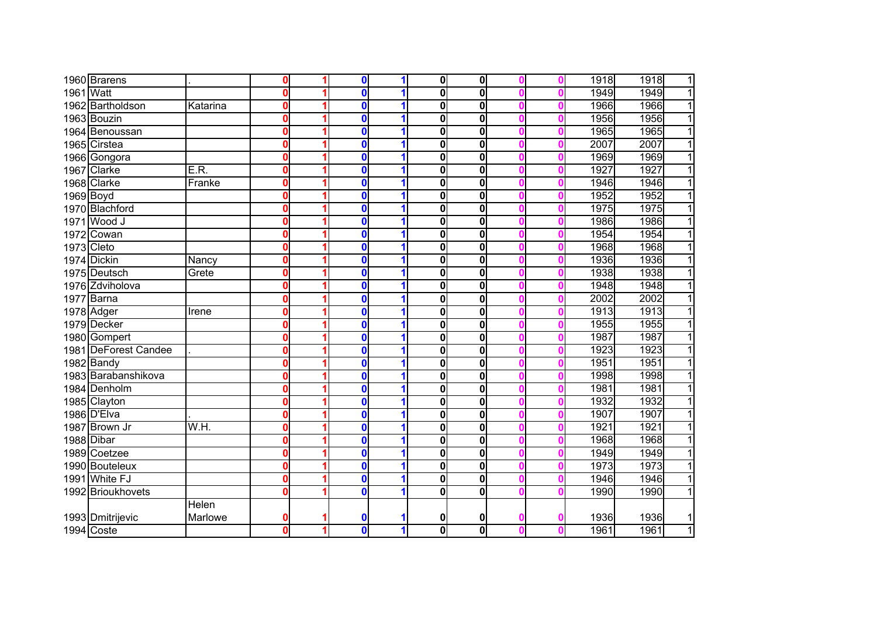|            | 1960 Brarens         |          | $\Omega$     | 0            | 1 | $\overline{\textbf{0}}$ | $\overline{\mathbf{0}}$ |  | 1918 | 1918<br>$\overline{1}$ |
|------------|----------------------|----------|--------------|--------------|---|-------------------------|-------------------------|--|------|------------------------|
| 1961 Watt  |                      |          | O            | 0            | 1 | $\mathbf{0}$            | $\overline{\mathbf{0}}$ |  | 1949 | $\overline{1}$<br>1949 |
|            | 1962 Bartholdson     | Katarina | $\mathbf{0}$ | $\bf{0}$     | 1 | 0                       | $\overline{\mathbf{0}}$ |  | 1966 | 1966<br>$\overline{1}$ |
|            | 1963 Bouzin          |          | $\mathbf{0}$ | 0            | 1 | 0                       | $\overline{\mathbf{0}}$ |  | 1956 | 1956<br>$\overline{1}$ |
|            | 1964 Benoussan       |          | $\mathbf{0}$ | $\bf{0}$     |   | 0                       | $\overline{\mathbf{0}}$ |  | 1965 | $\overline{1}$<br>1965 |
|            | 1965 Cirstea         |          | $\mathbf{0}$ | $\bf{0}$     | 1 | 0                       | $\overline{\mathbf{0}}$ |  | 2007 | $\overline{1}$<br>2007 |
|            | 1966 Gongora         |          | $\mathbf{0}$ | $\bf{0}$     | 1 | 0                       | $\overline{\mathbf{0}}$ |  | 1969 | $\overline{1}$<br>1969 |
|            | 1967 Clarke          | E.R.     | $\mathbf{0}$ | $\bf{0}$     | 1 | 0                       | $\mathbf 0$             |  | 1927 | $\overline{1}$<br>1927 |
|            | 1968 Clarke          | Franke   | 0            | $\bf{0}$     | 1 | $\mathbf{0}$            | $\mathbf 0$             |  | 1946 | $\overline{1}$<br>1946 |
| 1969 Boyd  |                      |          | $\mathbf{0}$ | $\bf{0}$     | 1 | 0                       | $\mathbf 0$             |  | 1952 | $\overline{1}$<br>1952 |
|            | 1970 Blachford       |          | 0            | $\bf{0}$     | 1 | 0                       | $\mathbf 0$             |  | 1975 | 1975<br>$\overline{1}$ |
|            | 1971 Wood J          |          | O            | 0            | 1 | 0                       | $\mathbf 0$             |  | 1986 | 1986<br>$\overline{1}$ |
|            | 1972 Cowan           |          | O            | $\bf{0}$     | 1 | $\mathbf{0}$            | $\mathbf 0$             |  | 1954 | 1954<br>$\overline{1}$ |
| 1973 Cleto |                      |          | O            | $\bf{0}$     | 1 | 0                       | $\mathbf 0$             |  | 1968 | $\overline{1}$<br>1968 |
|            | 1974 Dickin          | Nancy    | O            | $\bf{0}$     |   | 0                       | $\mathbf 0$             |  | 1936 | $\overline{1}$<br>1936 |
|            | 1975 Deutsch         | Grete    | O            | 0            |   | 0                       | $\mathbf 0$             |  | 1938 | 1938<br>$\overline{1}$ |
|            | 1976 Zdviholova      |          | Ω            | 0            |   | 0                       | $\mathbf 0$             |  | 1948 | 1948<br>$\overline{1}$ |
|            | 1977 Barna           |          | 0            | 0            |   | 0                       | $\mathbf 0$             |  | 2002 | 2002<br>$\overline{1}$ |
|            | 1978 Adger           | Irene    | 0            | $\bf{0}$     |   | 0                       | $\mathbf 0$             |  | 1913 | 1913<br>$\mathbf{1}$   |
|            | 1979 Decker          |          | Ω            | 0            |   | 0                       | $\overline{\mathbf{0}}$ |  | 1955 | 1955<br>$\overline{1}$ |
|            | 1980 Gompert         |          | 0            | 0            |   | 0                       | $\overline{\mathbf{0}}$ |  | 1987 | 1987<br>$\overline{1}$ |
|            | 1981 DeForest Candee |          | 0            | 0            |   | 0                       | $\mathbf 0$             |  | 1923 | 1923<br>$\overline{1}$ |
|            | 1982 Bandy           |          | 0            | 0            |   | 0                       | $\overline{\mathbf{0}}$ |  | 1951 | 1951<br>$\overline{1}$ |
|            | 1983 Barabanshikova  |          | 0            | $\bf{0}$     |   | 0                       | $\overline{\mathbf{0}}$ |  | 1998 | $\overline{1}$<br>1998 |
|            | 1984 Denholm         |          | 0            | $\bf{0}$     |   | $\mathbf{0}$            | $\overline{\mathbf{0}}$ |  | 1981 | $\overline{1}$<br>1981 |
|            | 1985 Clayton         |          | 0            | 0            | 1 | $\mathbf{0}$            | 0                       |  | 1932 | 1932<br>$\overline{1}$ |
|            | 1986 D'Elva          |          | 0            | 0            | 1 | 0                       | $\mathbf 0$             |  | 1907 | 1907<br>$\overline{1}$ |
|            | 1987 Brown Jr        | W.H.     | 0            | 0            | 1 | 0                       | $\mathbf 0$             |  | 1921 | 1921<br>$\overline{1}$ |
|            | 1988 Dibar           |          | 0            | 0            | 1 | $\mathbf{0}$            | $\overline{\mathbf{0}}$ |  | 1968 | $\overline{1}$<br>1968 |
|            | 1989 Coetzee         |          | 0            | 0            | 1 | $\mathbf{0}$            | $\mathbf 0$             |  | 1949 | $\overline{1}$<br>1949 |
|            | 1990 Bouteleux       |          | O            | 0            |   | 0                       | $\overline{\mathbf{0}}$ |  | 1973 | $\overline{1}$<br>1973 |
|            | 1991 White FJ        |          | 0            | 0            |   | 0                       | 0                       |  | 1946 | $\overline{1}$<br>1946 |
|            | 1992 Brioukhovets    |          |              | 0            |   | 0                       | $\overline{\mathbf{0}}$ |  | 1990 | $\overline{1}$<br>1990 |
|            |                      | Helen    |              |              |   |                         |                         |  |      |                        |
|            | 1993 Dmitrijevic     | Marlowe  | 0            | 0            |   | 0                       | 0                       |  | 1936 | 1936<br>1              |
|            | 1994 Coste           |          | 0            | $\mathbf{0}$ | 1 | $\mathbf{0}$            | $\overline{\mathbf{0}}$ |  | 1961 | $\overline{1}$<br>1961 |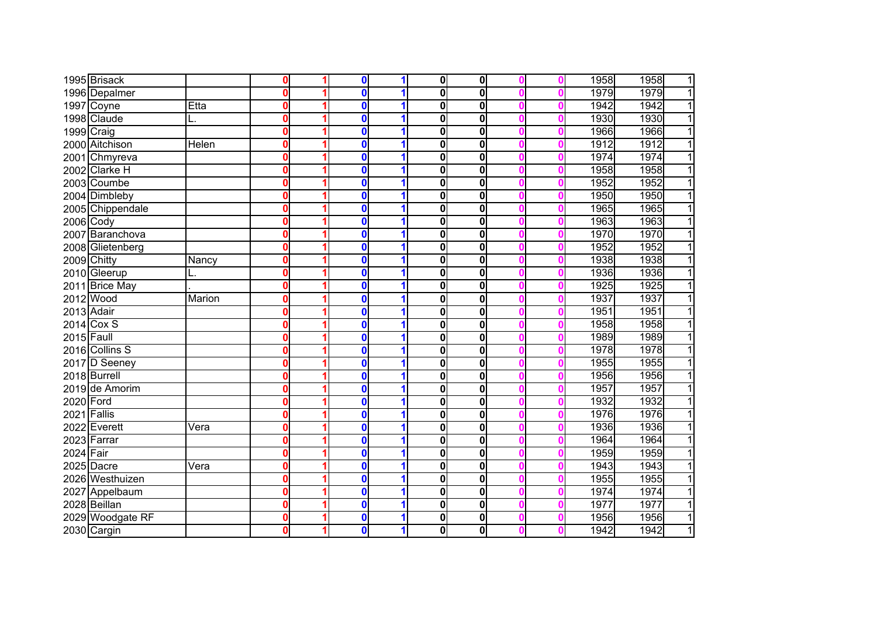|             | 1995 Brisack     |        | U        | 0        | 1 | $\overline{\mathbf{0}}$ | 0                       |  | 1958 | 1958<br>$\mathbf{1}$   |
|-------------|------------------|--------|----------|----------|---|-------------------------|-------------------------|--|------|------------------------|
|             | 1996 Depalmer    |        | 0        | $\bf{0}$ |   | 0                       | $\overline{\mathbf{0}}$ |  | 1979 | 1979<br>$\overline{1}$ |
|             | 1997 Coyne       | Etta   | 0        | $\bf{0}$ | 1 | 0                       | $\mathbf{0}$            |  | 1942 | 1942<br>$\overline{1}$ |
|             | 1998 Claude      |        | 0        | $\bf{0}$ | 1 | $\overline{\mathbf{0}}$ | $\mathbf{0}$            |  | 1930 | $\overline{1}$<br>1930 |
|             | 1999 Craig       |        | 0        | 0        | 1 | $\mathbf 0$             | 0                       |  | 1966 | 1966<br>$\overline{1}$ |
|             | 2000 Aitchison   | Helen  | 0        | $\bf{0}$ | 1 | 0                       | 0                       |  | 1912 | 1912<br>$\overline{1}$ |
|             | 2001 Chmyreva    |        | 0        | $\bf{0}$ | 1 | 0                       | $\mathbf 0$             |  | 1974 | $\overline{1}$<br>1974 |
|             | 2002 Clarke H    |        | 0        | $\bf{0}$ | 1 | 0                       | 0                       |  | 1958 | 1958<br>$\overline{1}$ |
|             | 2003 Coumbe      |        | 0        | $\bf{0}$ | 1 | 0                       | 0                       |  | 1952 | 1952<br>$\overline{1}$ |
|             | 2004 Dimbleby    |        | 0        | $\bf{0}$ | 1 | 0                       | 0                       |  | 1950 | $\overline{1}$<br>1950 |
|             | 2005 Chippendale |        | 0        | $\bf{0}$ | 1 | 0                       | 0                       |  | 1965 | 1965<br>$\overline{1}$ |
| 2006 Cody   |                  |        | 0        | 0        | 1 | $\mathbf 0$             | $\mathbf 0$             |  | 1963 | 1963<br>$\overline{1}$ |
|             | 2007 Baranchova  |        | 0        | 0        | 1 | 0                       | 0                       |  | 1970 | 1970<br>$\mathbf{1}$   |
|             | 2008 Glietenberg |        | $\bf{0}$ | 0        | 1 | $\mathbf 0$             | 0                       |  | 1952 | 1952<br>$\overline{1}$ |
|             | 2009 Chitty      | Nancy  | 0        | 0        | 1 | $\mathbf 0$             | 0                       |  | 1938 | 1938<br>1              |
|             | 2010 Gleerup     | L.     | 0        | 0        |   | $\mathbf 0$             | $\mathbf 0$             |  | 1936 | 1936<br>11             |
|             | 2011 Brice May   |        | 0        | 0        |   | 0                       | 0                       |  | 1925 | 1925<br>1              |
|             | 2012 Wood        | Marion | 0        | 0        |   | $\mathbf 0$             | 0                       |  | 1937 | 1937<br>1              |
| 2013 Adair  |                  |        | 0        | $\bf{0}$ |   | $\mathbf 0$             | $\mathbf 0$             |  | 1951 | 1951<br>1              |
|             | $2014$ Cox S     |        | 0        | $\bf{0}$ |   | $\overline{\mathbf{0}}$ | $\mathbf{0}$            |  | 1958 | 1958<br>$\overline{1}$ |
| 2015 Faull  |                  |        | 0        | 0        |   | $\overline{\mathbf{0}}$ | 0                       |  | 1989 | 1989<br>1              |
|             | 2016 Collins S   |        | 0        | $\bf{0}$ | 1 | 0                       | $\overline{\mathbf{0}}$ |  | 1978 | 1978<br>$\overline{1}$ |
|             | 2017 D Seeney    |        | 0        | $\bf{0}$ | 1 | 0                       | 0                       |  | 1955 | 1955<br>$\overline{1}$ |
|             | 2018 Burrell     |        | 0        | $\bf{0}$ | 1 | 0                       | $\overline{\mathbf{0}}$ |  | 1956 | 1956<br>$\overline{1}$ |
|             | 2019 de Amorim   |        | 0        | $\bf{0}$ |   | 0                       | $\overline{\mathbf{0}}$ |  | 1957 | 1957<br>$\overline{1}$ |
| 2020 Ford   |                  |        | 0        | $\bf{0}$ | 1 | 0                       | $\overline{\mathbf{0}}$ |  | 1932 | 1932<br>$\overline{1}$ |
| 2021 Fallis |                  |        | 0        | $\bf{0}$ | 1 | 0                       | 0                       |  | 1976 | 1976<br>$\mathbf{1}$   |
|             | 2022 Everett     | Vera   | 0        | 0        | 1 | $\mathbf 0$             | 0                       |  | 1936 | 1936<br>1              |
|             | 2023 Farrar      |        | 0        | 0        | 1 | $\overline{\mathbf{0}}$ | $\mathbf 0$             |  | 1964 | 1964<br>$\overline{1}$ |
| 2024 Fair   |                  |        | $\bf{0}$ | 0        | 1 | $\mathbf 0$             | $\mathbf 0$             |  | 1959 | 1959<br>$\overline{1}$ |
|             | 2025 Dacre       | Vera   | 0        | 0        | 1 | $\mathbf 0$             | $\mathbf 0$             |  | 1943 | 1943<br>$\overline{1}$ |
|             | 2026 Westhuizen  |        | 0        | 0        |   | $\mathbf 0$             | 0                       |  | 1955 | 1955<br>$\mathbf{1}$   |
|             | 2027 Appelbaum   |        | 0        | 0        |   | $\mathbf 0$             | $\mathbf 0$             |  | 1974 | 1974<br>$\overline{1}$ |
|             | 2028 Beillan     |        | 0        | 0        | 1 | $\boldsymbol{0}$        | 0                       |  | 1977 | 1977<br>1              |
|             | 2029 Woodgate RF |        | 0        | 0        | 1 | $\boldsymbol{0}$        | $\mathbf 0$             |  | 1956 | 1956<br>1              |
|             | 2030 Cargin      |        | 0        | 0        | 1 | $\mathbf{0}$            | $\mathbf 0$             |  | 1942 | 1<br>1942              |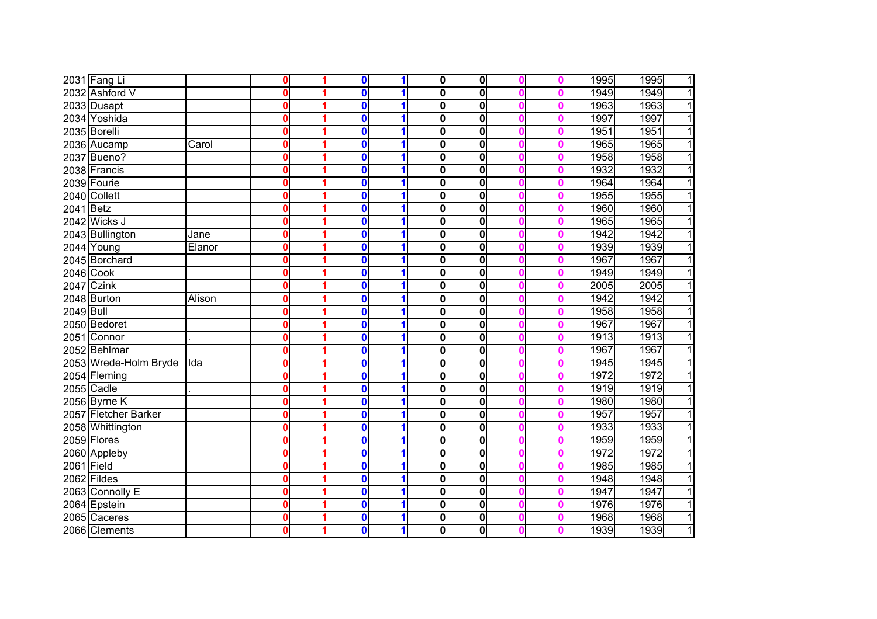|            | 2031 Fang Li          |        | 0        | $\bf{0}$     |   | $\mathbf 0$             | $\mathbf 0$ |   | 1995 | 1995<br>$\overline{1}$ |
|------------|-----------------------|--------|----------|--------------|---|-------------------------|-------------|---|------|------------------------|
|            | 2032 Ashford V        |        | 0        | $\mathbf{0}$ |   | $\overline{\mathbf{0}}$ | 0           |   | 1949 | $\overline{1}$<br>1949 |
|            | 2033 Dusapt           |        | 0        | $\mathbf{0}$ |   | 0                       | 0           |   | 1963 | $\overline{1}$<br>1963 |
|            | 2034 Yoshida          |        | 0        | $\mathbf{0}$ |   | $\overline{\mathbf{0}}$ | 0           |   | 1997 | 1997<br>$\overline{1}$ |
|            | 2035 Borelli          |        | 0        | $\mathbf{0}$ |   | 0                       | 0           |   | 1951 | $\overline{1}$<br>1951 |
|            | 2036 Aucamp           | Carol  | $\bf{0}$ | $\mathbf{0}$ |   | 0                       | 0           | Ω | 1965 | 1965<br>$\overline{1}$ |
|            | 2037 Bueno?           |        | $\bf{0}$ | $\mathbf{0}$ |   | O                       | 0           | Λ | 1958 | $\overline{1}$<br>1958 |
|            | 2038 Francis          |        | $\bf{0}$ | $\Omega$     |   | O                       | 0           |   | 1932 | $\overline{1}$<br>1932 |
|            | 2039 Fourie           |        | 0        | $\mathbf 0$  |   | 0                       | 0           | Ω | 1964 | $\overline{1}$<br>1964 |
|            | 2040 Collett          |        | 0        | $\mathbf{0}$ |   | 0                       | 0           |   | 1955 | $\overline{1}$<br>1955 |
| 2041 Betz  |                       |        | $\bf{0}$ | $\mathbf{0}$ | 1 | 0                       | $\mathbf 0$ | Λ | 1960 | 1960<br>$\overline{1}$ |
|            | 2042 Wicks J          |        | 0        | $\mathbf{0}$ | 1 | 0                       | 0           | Ω | 1965 | 1965<br>$\overline{1}$ |
|            | 2043 Bullington       | Jane   | 0        | $\mathbf 0$  |   | O                       | 0           | Λ | 1942 | 1942<br>$\overline{1}$ |
|            | 2044 Young            | Elanor | 0        | $\mathbf{0}$ |   | 0                       | 0           |   | 1939 | 1939<br>$\overline{1}$ |
|            | 2045 Borchard         |        | 0        | $\mathbf{0}$ |   | 0                       | $\mathbf 0$ |   | 1967 | 1967<br>$\overline{1}$ |
| 2046 Cook  |                       |        | 0        | $\Omega$     |   | 0                       | 0           |   | 1949 | 1<br>1949              |
|            | 2047 Czink            |        | 0        | 0            |   | O                       | 0           |   | 2005 | 2005<br>1              |
|            | 2048 Burton           | Alison | $\bf{0}$ | $\mathbf{0}$ |   | 0                       | 0           |   | 1942 | 1942<br>1              |
| 2049 Bull  |                       |        | 0        | $\mathbf{0}$ |   | 0                       | 0           |   | 1958 | 1958<br>1              |
|            | 2050 Bedoret          |        | 0        | $\mathbf{0}$ |   | 0                       | 0           |   | 1967 | 1967<br>1              |
|            | 2051 Connor           |        | 0        | $\bf{0}$     |   | $\overline{\mathbf{0}}$ | 0           |   | 1913 | 1913<br>1              |
|            | 2052 Behlmar          |        | 0        | $\bf{0}$     |   | 0                       | 0           |   | 1967 | 1967<br>$\mathbf{1}$   |
|            | 2053 Wrede-Holm Bryde | Ida    | $\bf{0}$ | $\mathbf{0}$ |   | 0                       | $\mathbf 0$ |   | 1945 | 1945<br>$\mathbf{1}$   |
|            | 2054 Fleming          |        | 0        | $\mathbf{0}$ |   | 0                       | $\mathbf 0$ |   | 1972 | 1972<br>11             |
|            | 2055 Cadle            |        | 0        | $\mathbf{0}$ |   | $\overline{\mathbf{0}}$ | $\mathbf 0$ | n | 1919 | $\overline{1}$<br>1919 |
|            | 2056 Byrne K          |        | 0        | $\bf{0}$     |   | 0                       | 0           | Ω | 1980 | 1980<br>$\mathbf{1}$   |
|            | 2057 Fletcher Barker  |        | 0        | $\mathbf{0}$ |   | $\bf{0}$                | 0           | Ω | 1957 | 1957<br>$\overline{1}$ |
|            | 2058 Whittington      |        | 0        | 0            | 1 | $\bf{0}$                | 0           | n | 1933 | 1933<br>$\mathbf{1}$   |
|            | 2059 Flores           |        | 0        | $\bf{0}$     | 1 | $\bf{0}$                | 0           | Ω | 1959 | $\overline{1}$<br>1959 |
|            | 2060 Appleby          |        | 0        | $\mathbf 0$  |   | $\bf{0}$                | 0           | n | 1972 | 1972<br>$\mathbf{1}$   |
| 2061 Field |                       |        | 0        | $\mathbf{0}$ |   | $\bf{0}$                | 0           |   | 1985 | $\overline{1}$<br>1985 |
|            | 2062 Fildes           |        | 0        | $\mathbf 0$  |   | $\bf{0}$                | 0           |   | 1948 | $\mathbf{1}$<br>1948   |
|            | 2063 Connolly E       |        | 0        | $\mathbf 0$  |   | $\bf{0}$                | 0           |   | 1947 | $\overline{1}$<br>1947 |
|            | 2064 Epstein          |        | 0        | $\mathbf 0$  |   | $\bf{0}$                | 0           |   | 1976 | 1976<br>1              |
|            | 2065 Caceres          |        | 0        | $\bf{0}$     |   | 0                       | 0           |   | 1968 | 1968<br>1              |
|            | 2066 Clements         |        | 0        | $\bf{0}$     |   | 0                       | 0           |   | 1939 | 1<br>1939              |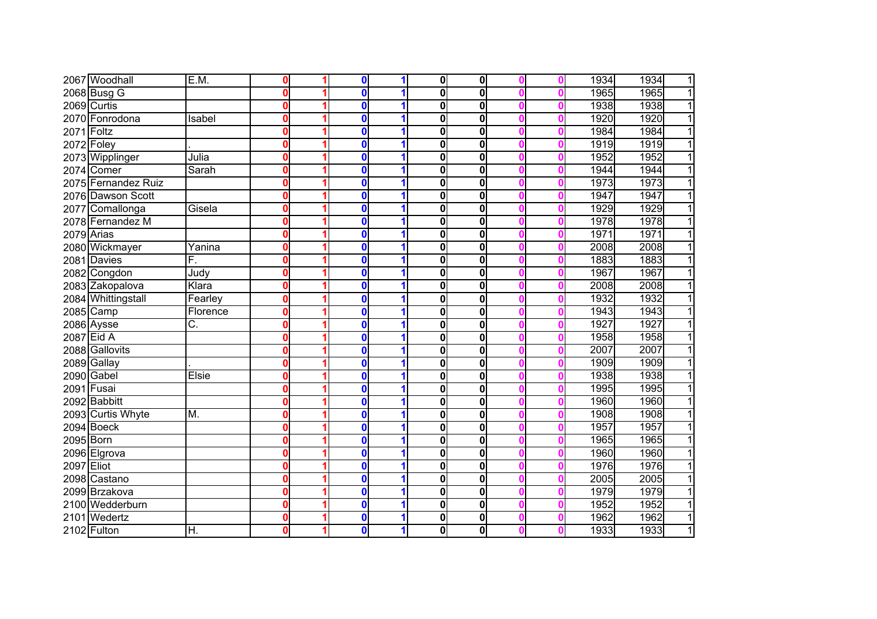|            | 2067 Woodhall       | E.M.     | 0        | $\bf{0}$     | 1 | $\mathbf{0}$            | 0                       |  | 1934 | 1934<br>1 |
|------------|---------------------|----------|----------|--------------|---|-------------------------|-------------------------|--|------|-----------|
|            | 2068 Busg G         |          | Ω        | $\mathbf{0}$ |   | $\overline{\mathbf{0}}$ | $\mathbf{0}$            |  | 1965 | 1965      |
|            | 2069 Curtis         |          | 0        | 0            |   | $\mathbf 0$             | 0                       |  | 1938 | 1938      |
|            | 2070 Fonrodona      | Isabel   | 0        | $\bf{0}$     |   | $\mathbf 0$             | 0                       |  | 1920 | 1920      |
| 2071 Foltz |                     |          | 0        | $\bf{0}$     |   | $\mathbf 0$             | 0                       |  | 1984 | 1984      |
|            | 2072 Foley          |          | 0        | 0            |   | $\mathbf 0$             | 0                       |  | 1919 | 1919<br>1 |
|            | 2073 Wipplinger     | Julia    | 0        | 0            |   | $\mathbf 0$             | 0                       |  | 1952 | 1952<br>1 |
|            | 2074 Comer          | Sarah    | 0        | 0            | 1 | $\mathbf 0$             | $\mathbf 0$             |  | 1944 | 1944<br>1 |
|            | 2075 Fernandez Ruiz |          | 0        | $\bf{0}$     | 1 | $\mathbf 0$             | $\mathbf 0$             |  | 1973 | 1973<br>1 |
|            | 2076 Dawson Scott   |          | 0        | $\bf{0}$     | 1 | 0                       | $\mathbf 0$             |  | 1947 | 1947<br>1 |
|            | 2077 Comallonga     | Gisela   | 0        | $\bf{0}$     | 1 | $\mathbf 0$             | $\mathbf 0$             |  | 1929 | 1929<br>1 |
|            | 2078 Fernandez M    |          | 0        | $\bf{0}$     | 1 | $\mathbf 0$             | $\mathbf 0$             |  | 1978 | 1978<br>1 |
| 2079 Arias |                     |          | 0        | $\bf{0}$     | 1 | $\mathbf 0$             | 0                       |  | 1971 | 1971<br>1 |
|            | 2080 Wickmayer      | Yanina   | 0        | 0            | 1 | $\mathbf 0$             | 0                       |  | 2008 | 2008      |
|            | 2081 Davies         | F.       | $\bf{0}$ | 0            | 1 | $\mathbf 0$             | 0                       |  | 1883 | 1883      |
|            | 2082 Congdon        | Judy     | 0        | $\bf{0}$     | 1 | $\mathbf 0$             | 0                       |  | 1967 | 1967      |
|            | 2083 Zakopalova     | Klara    | Ω        | 0            |   | 0                       | $\bf{0}$                |  | 2008 | 2008      |
|            | 2084 Whittingstall  | Fearley  | Ω        | 0            |   | 0                       | 0                       |  | 1932 | 1932      |
|            | 2085 Camp           | Florence | Ω        | $\bf{0}$     |   | $\mathbf 0$             | $\mathbf 0$             |  | 1943 | 1943      |
|            | 2086 Aysse          | C.       | 0        | 0            |   | $\mathbf 0$             | 0                       |  | 1927 | 1927      |
|            | 2087 Eid A          |          | Ω        | $\bf{0}$     |   | $\bf{0}$                | $\mathbf{0}$            |  | 1958 | 1958      |
|            | 2088 Gallovits      |          | 0        | 0            |   | 0                       | 0                       |  | 2007 | 2007      |
|            | 2089 Gallay         |          | 0        | 0            | 1 | $\mathbf 0$             | 0                       |  | 1909 | 1909      |
|            | 2090 Gabel          | Elsie    | 0        | $\bf{0}$     | 1 | 0                       | 0                       |  | 1938 | 1938      |
|            | 2091 Fusai          |          | Ω        | $\bf{0}$     |   | $\mathbf 0$             | 0                       |  | 1995 | 1995      |
|            | 2092 Babbitt        |          | 0        | 0            |   | 0                       | $\overline{\mathbf{0}}$ |  | 1960 | 1960      |
|            | 2093 Curtis Whyte   | M.       | 0        | 0            | 1 | 0                       | 0                       |  | 1908 | 1908<br>1 |
|            | 2094 Boeck          |          | 0        | $\bf{0}$     | 1 | $\mathbf 0$             | $\mathbf 0$             |  | 1957 | 1957<br>1 |
| 2095 Born  |                     |          | 0        | $\bf{0}$     | 1 | $\overline{\mathbf{0}}$ | 0                       |  | 1965 | 1965      |
|            | 2096 Elgrova        |          | 0        | $\bf{0}$     | 1 | $\mathbf 0$             | $\mathbf 0$             |  | 1960 | 1960      |
| 2097 Eliot |                     |          | 0        | $\bf{0}$     | 1 | $\mathbf 0$             | 0                       |  | 1976 | 1976      |
|            | 2098 Castano        |          | Ω        | $\bf{0}$     |   | $\mathbf 0$             | 0                       |  | 2005 | 2005      |
|            | 2099 Brzakova       |          | Ω        | 0            |   | $\mathbf 0$             | $\mathbf 0$             |  | 1979 | 1979      |
|            | 2100 Wedderburn     |          | Ω        | 0            | 1 | $\mathbf 0$             | 0                       |  | 1952 | 1952      |
|            | 2101 Wedertz        |          | 0        | 0            | 1 | 0                       | $\mathbf 0$             |  | 1962 | 1962      |
|            | 2102 Fulton         | Η.       | 0        | 0            | 1 | $\mathbf 0$             | $\mathbf 0$             |  | 1933 | 1933<br>1 |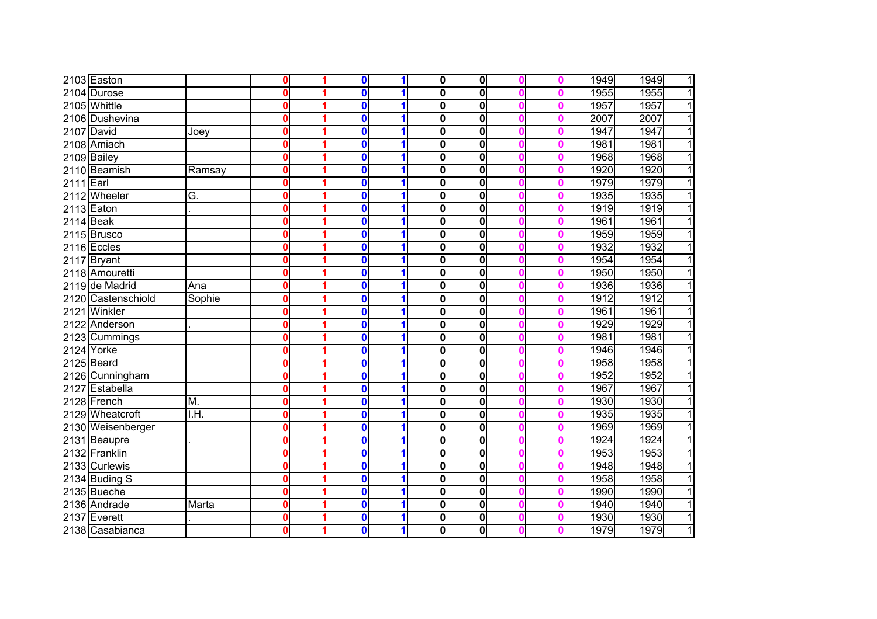|           | 2103 Easton        |        | 0           | $\bf{0}$     |   | $\overline{\mathbf{0}}$ | $\mathbf 0$             |   | 1949 | 1949<br>1 |
|-----------|--------------------|--------|-------------|--------------|---|-------------------------|-------------------------|---|------|-----------|
|           | 2104 Durose        |        | 0           | $\mathbf 0$  |   | $\overline{\mathbf{0}}$ | 0                       |   | 1955 | 1955<br>1 |
|           | 2105 Whittle       |        | 0           | $\Omega$     |   | $\overline{\mathbf{0}}$ | $\overline{\mathbf{0}}$ |   | 1957 | 1957<br>1 |
|           | 2106 Dushevina     |        | 0           | $\mathbf 0$  |   | $\overline{\mathbf{0}}$ | $\overline{\mathbf{0}}$ |   | 2007 | 2007<br>1 |
|           | 2107 David         | Joey   | 0           | $\mathbf{0}$ |   | 0                       | 0                       |   | 1947 | 1947<br>1 |
|           | 2108 Amiach        |        | $\bf{0}$    | $\mathbf{0}$ |   | 0                       | 0                       |   | 1981 | 1981<br>1 |
|           | 2109 Bailey        |        | $\bf{0}$    | $\mathbf{0}$ |   | O                       | $\mathbf 0$             |   | 1968 | 1968<br>1 |
|           | 2110 Beamish       | Ramsay | 0           | $\Omega$     |   | 0                       | 0                       |   | 1920 | 1920<br>1 |
| 2111 Earl |                    |        | 0           | $\mathbf 0$  |   | 0                       | 0                       |   | 1979 | 1979<br>1 |
|           | 2112 Wheeler       | G.     | $\mathbf 0$ | $\mathbf{0}$ |   | $\mathbf 0$             | $\mathbf 0$             |   | 1935 | 1935<br>1 |
|           | 2113 Eaton         |        | 0           | $\mathbf{0}$ |   | 0                       | $\mathbf{0}$            |   | 1919 | 1919<br>1 |
| 2114 Beak |                    |        | 0           | $\mathbf{0}$ | 1 | 0                       | $\bf{0}$                |   | 1961 | 1961<br>1 |
|           | 2115 Brusco        |        | 0           | $\bf{0}$     | 1 | $\mathbf 0$             | 0                       |   | 1959 | 1959      |
|           | 2116 Eccles        |        | 0           | $\mathbf{0}$ |   | 0                       | $\bf{0}$                |   | 1932 | 1932      |
|           | 2117 Bryant        |        | 0           | $\mathbf{0}$ |   | 0                       | $\bf{0}$                |   | 1954 | 1954      |
|           | 2118 Amouretti     |        | 0           | n            |   | 0                       | $\bf{0}$                |   | 1950 | 1950      |
|           | 2119 de Madrid     | Ana    | 0           | 0            |   | 0                       | 0                       |   | 1936 | 1936      |
|           | 2120 Castenschiold | Sophie | $\mathbf 0$ | $\mathbf 0$  |   | 0                       | 0                       |   | 1912 | 1912      |
| 2121      | Winkler            |        | 0           | $\mathbf 0$  |   | 0                       | $\mathbf 0$             |   | 1961 | 1961      |
|           | 2122 Anderson      |        | 0           | $\mathbf 0$  |   | 0                       | $\bf{0}$                |   | 1929 | 1929      |
|           | 2123 Cummings      |        | 0           | $\bf{0}$     |   | 0                       | $\bf{0}$                |   | 1981 | 1981      |
|           | 2124 Yorke         |        | 0           | $\bf{0}$     |   | 0                       | $\bf{0}$                |   | 1946 | 1946      |
|           | 2125 Beard         |        | 0           | $\mathbf{0}$ |   | 0                       | $\bf{0}$                |   | 1958 | 1958<br>1 |
|           | 2126 Cunningham    |        | 0           | $\mathbf 0$  |   | 0                       | $\bf{0}$                |   | 1952 | 1952<br>1 |
|           | 2127 Estabella     |        | 0           | $\mathbf 0$  |   | 0                       | $\bf{0}$                |   | 1967 | 1967<br>1 |
|           | 2128 French        | M.     | 0           | $\bf{0}$     |   | 0                       | 0                       | n | 1930 | 1930<br>1 |
|           | 2129 Wheatcroft    | I.H    | 0           | $\mathbf{0}$ |   | $\bf{0}$                | 0                       |   | 1935 | 1935<br>1 |
|           | 2130 Weisenberger  |        | 0           | $\mathbf 0$  | 1 | $\bf{0}$                | 0                       |   | 1969 | 1969      |
|           | 2131 Beaupre       |        | 0           | $\bf{0}$     | 1 | 0                       | 0                       |   | 1924 | 1924      |
|           | 2132 Franklin      |        | 0           | $\mathbf 0$  |   | 0                       | 0                       |   | 1953 | 1953      |
|           | 2133 Curlewis      |        | 0           | $\mathbf{0}$ |   | $\bf{0}$                | 0                       |   | 1948 | 1948      |
|           | 2134 Buding S      |        | 0           | $\mathbf 0$  |   | 0                       | 0                       |   | 1958 | 1958      |
|           | 2135 Bueche        |        | 0           | 0            |   | $\bf{0}$                | $\bf{0}$                |   | 1990 | 1990      |
|           | 2136 Andrade       | Marta  | 0           | 0            |   | $\bf{0}$                | 0                       |   | 1940 | 1940      |
|           | 2137 Everett       |        | 0           | $\mathbf 0$  |   | 0                       | $\mathbf{0}$            |   | 1930 | 1930<br>1 |
|           | 2138 Casabianca    |        | 0           | $\bf{0}$     |   | $\bf{0}$                | $\bf{0}$                |   | 1979 | 1979<br>1 |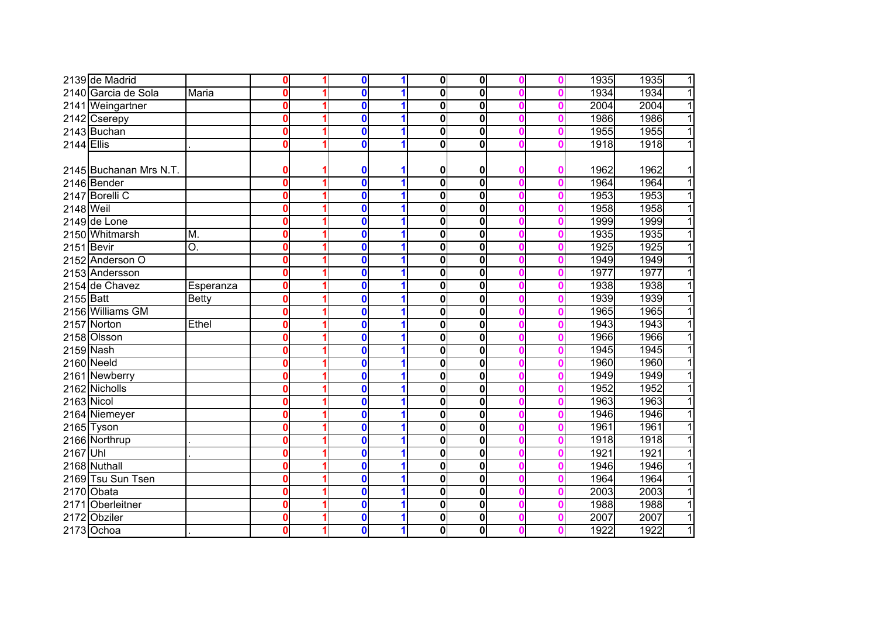|            | 2139 de Madrid         |                           | $\boldsymbol{0}$        | 0           |   | $\mathbf 0$  | $\mathbf{0}$ |   | 1935 | 1935<br>1              |
|------------|------------------------|---------------------------|-------------------------|-------------|---|--------------|--------------|---|------|------------------------|
|            | 2140 Garcia de Sola    | Maria                     | $\mathbf 0$             | 0           |   | 0            | 0            |   | 1934 | 1934<br>$\overline{1}$ |
|            | 2141 Weingartner       |                           | $\boldsymbol{0}$        | 0           | 1 | $\bf{0}$     | $\mathbf 0$  |   | 2004 | $\overline{1}$<br>2004 |
|            | 2142 Cserepy           |                           | $\mathbf 0$             | 0           |   | 0            | $\mathbf 0$  |   | 1986 | $\overline{1}$<br>1986 |
|            | 2143 Buchan            |                           | $\boldsymbol{0}$        | 0           |   | 0            | $\mathbf 0$  | o | 1955 | $\overline{1}$<br>1955 |
| 2144 Ellis |                        |                           | $\mathbf 0$             | $\mathbf 0$ |   | 0            | $\mathbf 0$  |   | 1918 | $\overline{1}$<br>1918 |
|            |                        |                           |                         |             |   |              |              |   |      |                        |
|            | 2145 Buchanan Mrs N.T. |                           | 0                       | 0           |   | 0            | 0            |   | 1962 | 1962<br>1              |
|            | 2146 Bender            |                           | $\overline{\mathbf{o}}$ | $\mathbf 0$ |   | $\mathbf{0}$ | $\mathbf 0$  | 0 | 1964 | $\overline{1}$<br>1964 |
|            | 2147 Borelli C         |                           | $\mathbf 0$             | $\mathbf 0$ | 1 | $\bf{0}$     | $\bf{0}$     | 0 | 1953 | 1953<br>$\overline{1}$ |
| 2148 Weil  |                        |                           | $\boldsymbol{0}$        | 0           | 1 | 0            | 0            | Ω | 1958 | $\overline{1}$<br>1958 |
|            | 2149 de Lone           |                           | $\boldsymbol{0}$        | 0           | 1 | 0            | 0            | n | 1999 | $\overline{1}$<br>1999 |
|            | 2150 Whitmarsh         | M.                        | $\mathbf 0$             | $\mathbf 0$ |   | $\bf{0}$     | 0            |   | 1935 | $\overline{1}$<br>1935 |
| 2151 Bevir |                        | $\overline{\mathrm{O}}$ . | $\mathbf 0$             | $\mathbf 0$ |   | 0            | 0            |   | 1925 | $\overline{1}$<br>1925 |
|            | 2152 Anderson O        |                           | $\mathbf 0$             | 0           |   | 0            | 0            |   | 1949 | $\overline{1}$<br>1949 |
|            | 2153 Andersson         |                           | $\boldsymbol{0}$        | 0           |   | 0            | 0            |   | 1977 | 1977<br>1              |
|            | 2154 de Chavez         | Esperanza                 | $\mathbf 0$             | 0           |   | $\bf{0}$     | $\bf{0}$     |   | 1938 | 1938<br>$\mathbf{1}$   |
| 2155 Batt  |                        | <b>Betty</b>              | $\mathbf 0$             | 0           |   | $\bf{0}$     | $\mathbf 0$  |   | 1939 | 1939<br>1              |
|            | 2156 Williams GM       |                           | $\mathbf 0$             | 0           |   | 0            | $\mathbf 0$  |   | 1965 | 1965<br>1              |
| 2157       | Norton                 | Ethel                     | $\mathbf 0$             | 0           |   | $\bf{0}$     | $\bf{0}$     |   | 1943 | 1943<br>1              |
|            | 2158 Olsson            |                           | $\mathbf 0$             | 0           |   | 0            | $\bf{0}$     |   | 1966 | 1966<br>$\overline{1}$ |
|            | 2159 Nash              |                           | $\boldsymbol{0}$        | 0           |   | $\bf{0}$     | 0            | Ω | 1945 | 1945<br>$\mathbf{1}$   |
|            | 2160 Neeld             |                           | $\mathbf 0$             | 0           |   | $\bf{0}$     | $\bf{0}$     |   | 1960 | $\overline{1}$<br>1960 |
|            | 2161 Newberry          |                           | $\mathbf 0$             | $\mathbf 0$ |   | $\bf{0}$     | 0            |   | 1949 | 1949<br>$\mathbf{1}$   |
|            | 2162 Nicholls          |                           | $\overline{\mathbf{0}}$ | $\mathbf 0$ |   | 0            | $\bf{0}$     |   | 1952 | $\overline{1}$<br>1952 |
| 2163 Nicol |                        |                           | $\boldsymbol{0}$        | 0           |   | 0            | 0            | 0 | 1963 | 1963<br>$\overline{1}$ |
|            | 2164 Niemeyer          |                           | $\boldsymbol{0}$        | 0           | 1 | 0            | 0            | o | 1946 | $\overline{1}$<br>1946 |
|            | 2165 Tyson             |                           | $\mathbf 0$             | 0           | 1 | 0            | 0            | o | 1961 | $\overline{1}$<br>1961 |
|            | 2166 Northrup          |                           | 0                       | 0           | 1 | $\bf{0}$     | 0            |   | 1918 | $\overline{1}$<br>1918 |
| 2167 Uhl   |                        |                           | $\mathbf 0$             | 0           |   | 0            | 0            |   | 1921 | $\overline{1}$<br>1921 |
|            | 2168 Nuthall           |                           | $\boldsymbol{0}$        | $\mathbf 0$ |   | 0            | 0            |   | 1946 | $\overline{1}$<br>1946 |
|            | 2169 Tsu Sun Tsen      |                           | $\boldsymbol{0}$        | 0           |   | 0            | 0            |   | 1964 | 1<br>1964              |
|            | 2170 Obata             |                           | $\boldsymbol{0}$        | 0           |   | $\mathbf 0$  | 0            |   | 2003 | $\overline{1}$<br>2003 |
| 2171       | Oberleitner            |                           | $\mathbf 0$             | 0           |   | $\bf{0}$     | 0            |   | 1988 | $\overline{1}$<br>1988 |
| 2172       | Obziler                |                           | $\mathbf 0$             | $\mathbf 0$ |   | 0            | $\pmb{0}$    |   | 2007 | $\mathbf{1}$<br>2007   |
|            | 2173 Ochoa             |                           | $\mathbf 0$             | 0           | 1 | $\bf{0}$     | $\mathbf{0}$ |   | 1922 | $\overline{1}$<br>1922 |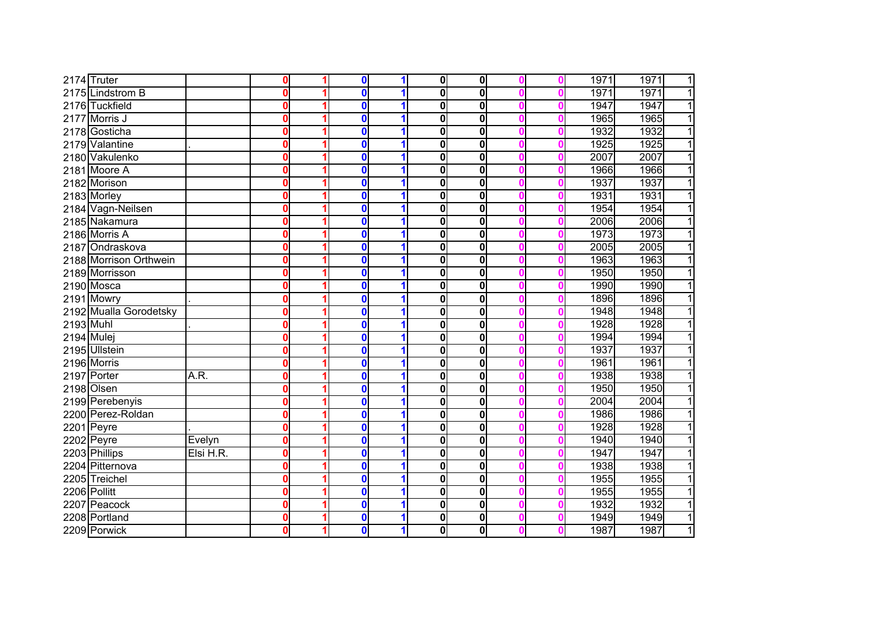|            | 2174 Truter            |           | $\boldsymbol{0}$        | 0           |   | $\mathbf 0$ | $\bf{0}$    |   | 1971 | 1971<br>$\mathbf{1}$   |
|------------|------------------------|-----------|-------------------------|-------------|---|-------------|-------------|---|------|------------------------|
|            | 2175 Lindstrom B       |           | $\mathbf 0$             | 0           |   | 0           | 0           |   | 1971 | 1971<br>$\mathbf{1}$   |
|            | 2176 Tuckfield         |           | $\mathbf 0$             | 0           |   | $\bf{0}$    | 0           |   | 1947 | 1947<br>$\overline{1}$ |
| 2177       | Morris J               |           | $\boldsymbol{0}$        | 0           |   | 0           | 0           |   | 1965 | 1965<br>$\overline{1}$ |
|            | 2178 Gosticha          |           | $\mathbf 0$             | 0           |   | 0           | 0           |   | 1932 | 1932<br>$\overline{1}$ |
|            | 2179 Valantine         |           | $\mathbf 0$             | $\mathbf 0$ |   | $\bf{0}$    | $\mathbf 0$ |   | 1925 | $\overline{1}$<br>1925 |
|            | 2180 Vakulenko         |           | $\bf{0}$                | $\mathbf 0$ |   | 0           | $\mathbf 0$ |   | 2007 | $\overline{1}$<br>2007 |
|            | 2181 Moore A           |           | $\mathbf 0$             | $\mathbf 0$ |   | 0           | 0           |   | 1966 | $\overline{1}$<br>1966 |
|            | 2182 Morison           |           | $\mathbf 0$             | 0           |   | 0           | 0           |   | 1937 | 1937<br>$\overline{1}$ |
|            | 2183 Morley            |           | $\bf{0}$                | 0           |   | $\bf{0}$    | $\mathbf 0$ |   | 1931 | $\overline{1}$<br>1931 |
|            | 2184 Vagn-Neilsen      |           | $\bf{0}$                | 0           | 1 | 0           | 0           |   | 1954 | 1954<br>$\overline{1}$ |
|            | 2185 Nakamura          |           | 0                       | 0           | 1 | 0           | 0           |   | 2006 | 2006<br>$\mathbf{1}$   |
|            | 2186 Morris A          |           | 0                       | $\mathbf 0$ |   | $\bf{0}$    | $\mathbf 0$ |   | 1973 | 1973<br>$\overline{1}$ |
|            | 2187 Ondraskova        |           | $\bf{0}$                | $\mathbf 0$ |   | 0           | 0           |   | 2005 | 2005<br>$\mathbf{1}$   |
|            | 2188 Morrison Orthwein |           | $\bf{0}$                | $\mathbf 0$ |   | 0           | 0           |   | 1963 | 1963<br>$\overline{1}$ |
|            | 2189 Morrisson         |           | $\bf{0}$                | 0           |   | 0           | 0           |   | 1950 | 1950<br>1              |
|            | 2190 Mosca             |           | $\mathbf 0$             | 0           |   | $\bf{0}$    | $\mathbf 0$ |   | 1990 | 1990<br>1              |
|            | 2191 Mowry             |           | $\boldsymbol{0}$        | 0           |   | $\bf{0}$    | $\mathbf 0$ |   | 1896 | 1896<br>1              |
|            | 2192 Mualla Gorodetsky |           | $\boldsymbol{0}$        | 0           |   | 0           | $\mathbf 0$ |   | 1948 | 1948<br>1              |
| 2193 Muhl  |                        |           | $\boldsymbol{0}$        | 0           |   | $\bf{0}$    | $\mathbf 0$ |   | 1928 | 1928<br>1              |
| 2194 Mulej |                        |           | $\boldsymbol{0}$        | 0           |   | 0           | 0           |   | 1994 | 1994<br>1              |
|            | 2195 Ullstein          |           | $\boldsymbol{0}$        | 0           |   | 0           | 0           | n | 1937 | 1937<br>$\mathbf{1}$   |
|            | 2196 Morris            |           | $\mathbf 0$             | 0           |   | $\bf{0}$    | $\mathbf 0$ |   | 1961 | 1961<br>$\mathbf{1}$   |
| 2197       | Porter                 | A.R.      | $\mathbf 0$             | 0           |   | $\bf{0}$    | 0           |   | 1938 | 1<br>1938              |
|            | 2198 Olsen             |           | $\overline{\mathbf{0}}$ | 0           |   | 0           | 0           |   | 1950 | 1950<br>$\overline{1}$ |
|            | 2199 Perebenyis        |           | $\boldsymbol{0}$        | 0           |   | 0           | 0           | 0 | 2004 | 2004<br>$\overline{1}$ |
|            | 2200 Perez-Roldan      |           | $\boldsymbol{0}$        | 0           | 1 | 0           | 0           | n | 1986 | 1986<br>$\overline{1}$ |
|            | 2201 Peyre             |           | $\mathbf 0$             | 0           | 1 | 0           | 0           | Ω | 1928 | 1928<br>$\mathbf{1}$   |
|            | 2202 Peyre             | Evelyn    | $\bf{0}$                | 0           |   | 0           | 0           |   | 1940 | $\overline{1}$<br>1940 |
|            | 2203 Phillips          | Elsi H.R. | $\mathbf 0$             | $\mathbf 0$ |   | 0           | 0           |   | 1947 | 1947<br>$\overline{1}$ |
|            | 2204 Pitternova        |           | $\boldsymbol{0}$        | $\mathbf 0$ |   | $\mathbf 0$ | 0           |   | 1938 | $\overline{1}$<br>1938 |
|            | 2205 Treichel          |           | $\boldsymbol{0}$        | 0           |   | 0           | 0           |   | 1955 | 1<br>1955              |
|            | 2206 Pollitt           |           | $\boldsymbol{0}$        | 0           |   | $\mathbf 0$ | 0           |   | 1955 | 1955<br>1              |
| 2207       | Peacock                |           | $\mathbf 0$             | 0           |   | 0           | 0           |   | 1932 | 1932<br>$\mathbf{1}$   |
|            | 2208 Portland          |           | $\mathbf 0$             | 0           |   | 0           | 0           |   | 1949 | 1<br>1949              |
|            | 2209 Porwick           |           | $\mathbf 0$             | 0           | 1 | 0           | $\mathbf 0$ |   | 1987 | 1<br>1987              |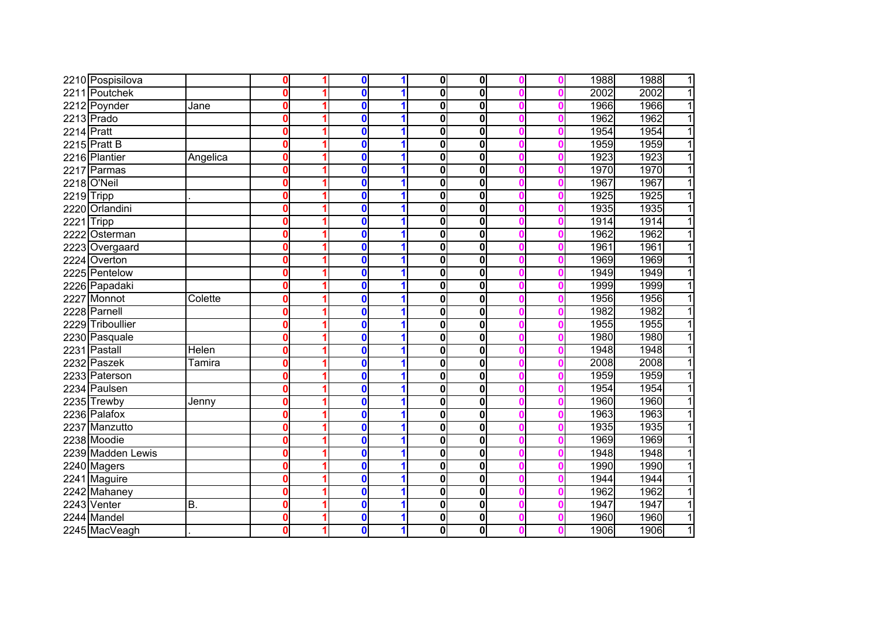|            | 2210 Pospisilova  |          | $\mathbf 0$             | $\mathbf 0$  |   | $\overline{\mathbf{0}}$ | $\mathbf{0}$            |   | 1988 | 1988<br>$\mathbf{1}$   |
|------------|-------------------|----------|-------------------------|--------------|---|-------------------------|-------------------------|---|------|------------------------|
|            | 2211 Poutchek     |          | $\overline{\mathbf{0}}$ | $\mathbf{0}$ |   | $\overline{\mathbf{0}}$ | $\overline{\mathbf{0}}$ |   | 2002 | $\overline{1}$<br>2002 |
|            | 2212 Poynder      | Jane     | $\overline{\mathbf{0}}$ | 0            |   | 0                       | 0                       |   | 1966 | 1966<br>$\overline{1}$ |
|            | 2213 Prado        |          | $\overline{\mathbf{0}}$ | $\mathbf 0$  |   | $\overline{\mathbf{0}}$ | $\overline{\mathbf{0}}$ |   | 1962 | 1962<br>$\overline{1}$ |
| 2214 Pratt |                   |          | $\mathbf 0$             | $\mathbf 0$  |   | $\overline{\mathbf{0}}$ | $\bf{0}$                |   | 1954 | 1954<br>$\overline{1}$ |
|            | 2215 Pratt B      |          | $\mathbf 0$             | 0            |   | 0                       | 0                       |   | 1959 | 1959<br>$\overline{1}$ |
|            | 2216 Plantier     | Angelica | $\mathbf 0$             | $\mathbf{0}$ |   | $\mathbf 0$             | $\mathbf 0$             |   | 1923 | $\overline{1}$<br>1923 |
| 2217       | Parmas            |          | $\mathbf 0$             | $\mathbf{0}$ |   | $\mathbf 0$             | $\bf{0}$                |   | 1970 | 1970<br>$\overline{1}$ |
|            | 2218 O'Neil       |          | $\mathbf 0$             | $\mathbf 0$  |   | 0                       | 0                       |   | 1967 | 1967<br>$\mathbf{1}$   |
| 2219Tripp  |                   |          | $\mathbf 0$             | 0            |   | 0                       | 0                       | n | 1925 | $\overline{1}$<br>1925 |
|            | 2220 Orlandini    |          | $\mathbf 0$             | $\mathbf 0$  |   | 0                       | 0                       | n | 1935 | 1935<br>$\overline{1}$ |
| 2221 Tripp |                   |          | $\mathbf 0$             | 0            | 1 | 0                       | $\bf{0}$                |   | 1914 | 1914<br>$\overline{1}$ |
|            | 2222 Osterman     |          | $\boldsymbol{0}$        | $\mathbf 0$  | 1 | 0                       | 0                       | Ω | 1962 | 1962<br>$\mathbf{1}$   |
|            | 2223 Overgaard    |          | $\mathbf 0$             | 0            |   | $\mathbf{0}$            | $\bf{0}$                |   | 1961 | 1961<br>$\overline{1}$ |
|            | 2224 Overton      |          | $\mathbf 0$             | $\mathbf 0$  |   | 0                       | 0                       |   | 1969 | 1969<br>1              |
|            | 2225 Pentelow     |          | $\boldsymbol{0}$        | $\mathbf 0$  |   | 0                       | $\bf{0}$                |   | 1949 | $\overline{1}$<br>1949 |
|            | 2226 Papadaki     |          | $\mathbf 0$             | 0            |   | 0                       | 0                       |   | 1999 | 1999<br>1              |
| 2227       | Monnot            | Colette  | $\mathbf 0$             | 0            |   | 0                       | $\bf{0}$                |   | 1956 | 1956<br>1              |
|            | 2228 Parnell      |          | $\mathbf 0$             | $\mathbf{0}$ |   | $\mathbf 0$             | $\mathbf 0$             |   | 1982 | 1982<br>1              |
| 2229       | Triboullier       |          | $\mathbf 0$             | $\mathbf 0$  |   | $\overline{\mathbf{0}}$ | 0                       |   | 1955 | 1955<br>1              |
|            | 2230 Pasquale     |          | $\mathbf 0$             | $\mathbf 0$  |   | $\overline{\mathbf{0}}$ | 0                       |   | 1980 | 1980<br>1              |
|            | 2231 Pastall      | Helen    | $\overline{\mathbf{0}}$ | 0            |   | $\overline{\mathbf{0}}$ | $\overline{\mathbf{0}}$ |   | 1948 | 1948<br>$\overline{1}$ |
|            | 2232 Paszek       | Tamira   | $\mathbf 0$             | 0            |   | 0                       | $\bf{0}$                | Ω | 2008 | 2008<br>$\overline{1}$ |
|            | 2233 Paterson     |          | $\overline{\mathbf{0}}$ | $\mathbf{0}$ |   | 0                       | 0                       |   | 1959 | 1959<br>$\overline{1}$ |
|            | 2234 Paulsen      |          | $\overline{\mathbf{0}}$ | $\mathbf 0$  |   | $\overline{\mathbf{0}}$ | 0                       |   | 1954 | 1954<br>$\overline{1}$ |
|            | 2235 Trewby       | Jenny    | $\overline{\mathbf{0}}$ | 0            |   | 0                       | 0                       | n | 1960 | 1960<br>$\overline{1}$ |
|            | 2236 Palafox      |          | $\mathbf 0$             | 0            | 1 | $\bf{0}$                | 0                       | Ω | 1963 | 1963<br>$\overline{1}$ |
|            | 2237 Manzutto     |          | $\boldsymbol{0}$        | 0            | 1 | $\bf{0}$                | $\mathbf 0$             | Ω | 1935 | 1935<br>$\overline{1}$ |
|            | 2238 Moodie       |          | $\mathbf 0$             | 0            | 1 | $\overline{\mathbf{0}}$ | 0                       | Ω | 1969 | 1969<br>$\overline{1}$ |
|            | 2239 Madden Lewis |          | $\bf{0}$                | 0            |   | $\bf{0}$                | 0                       |   | 1948 | 1948<br>$\overline{1}$ |
|            | 2240 Magers       |          | $\mathbf 0$             | 0            |   | $\bf{0}$                | $\mathbf 0$             |   | 1990 | 1990<br>$\overline{1}$ |
|            | 2241 Maguire      |          | $\boldsymbol{0}$        | $\mathbf 0$  |   | $\bf{0}$                | $\mathbf 0$             |   | 1944 | 1944<br>$\mathbf{1}$   |
|            | 2242 Mahaney      |          | $\mathbf 0$             | 0            |   | $\overline{\mathbf{0}}$ | 0                       |   | 1962 | $\overline{1}$<br>1962 |
|            | 2243 Venter       | B.       | $\mathbf 0$             | 0            |   | $\bf{0}$                | $\mathbf 0$             |   | 1947 | 1947<br>1              |
|            | 2244 Mandel       |          | $\mathbf 0$             | 0            |   | $\bf{0}$                | $\bf{0}$                |   | 1960 | 1960<br>1              |
|            | 2245 MacVeagh     |          | $\mathbf 0$             | 0            | 1 | $\bf{0}$                | $\mathbf 0$             |   | 1906 | 1<br>1906              |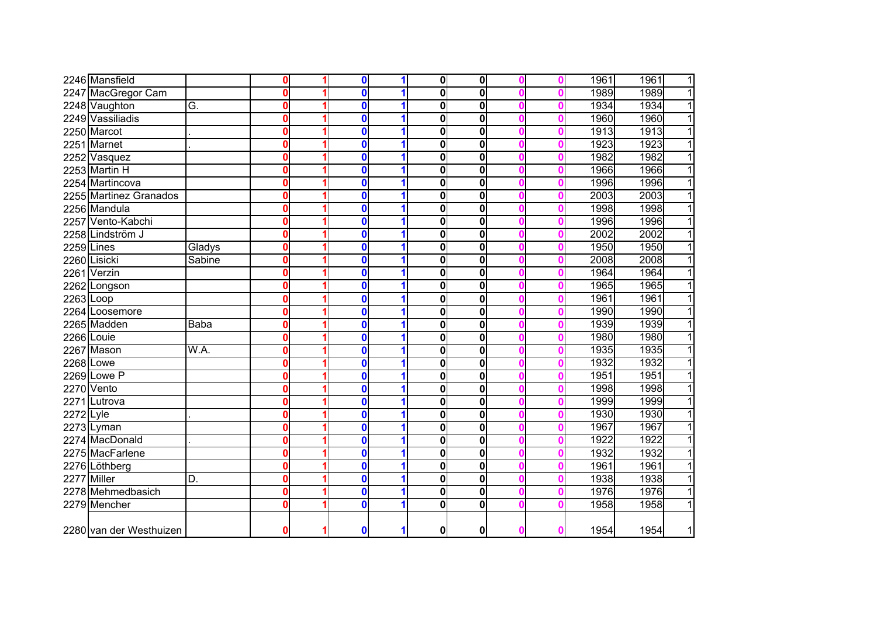|             | 2246 Mansfield          |               | 0                       | 0            | 1 | $\mathbf 0$             | 0                       |  | 1961 | 1961<br>$\mathbf{1}$   |
|-------------|-------------------------|---------------|-------------------------|--------------|---|-------------------------|-------------------------|--|------|------------------------|
|             | 2247 MacGregor Cam      |               | 0                       | 0            | 1 | $\mathbf 0$             | $\bf{0}$                |  | 1989 | 1<br>1989              |
|             | 2248 Vaughton           | G.            | 0                       | 0            | 1 | 0                       | $\bf{0}$                |  | 1934 | 1934<br>$\mathbf{1}$   |
|             | 2249 Vassiliadis        |               | 0                       | 0            | 1 | $\bf{0}$                | 0                       |  | 1960 | 1960<br>$\mathbf{1}$   |
|             | 2250 Marcot             |               | 0                       | 0            | 1 | $\overline{\mathbf{0}}$ | $\bf{0}$                |  | 1913 | 1913<br>$\overline{1}$ |
|             | 2251 Marnet             |               | 0                       | 0            | 1 | 0                       | $\bf{0}$                |  | 1923 | 1923<br>$\overline{1}$ |
|             | 2252 Vasquez            |               | $\mathbf{0}$            | $\mathbf{0}$ | 1 | 0                       | $\bf{0}$                |  | 1982 | 1982<br>$\mathbf{1}$   |
|             | 2253 Martin H           |               | $\mathbf{0}$            | $\mathbf{0}$ | 1 | 0                       | $\bf{0}$                |  | 1966 | $\overline{1}$<br>1966 |
|             | 2254 Martincova         |               | $\mathbf{0}$            | $\mathbf{0}$ | 1 | 0                       | $\mathbf 0$             |  | 1996 | $\overline{1}$<br>1996 |
|             | 2255 Martinez Granados  |               | 0                       | 0            | 1 | 0                       | 0                       |  | 2003 | $\overline{1}$<br>2003 |
|             | 2256 Mandula            |               | $\mathbf 0$             | $\mathbf 0$  | 1 | $\bf{0}$                | $\bf{0}$                |  | 1998 | 1998<br>$\overline{1}$ |
|             | 2257 Vento-Kabchi       |               | $\mathbf 0$             | $\mathbf 0$  | 1 | 0                       | 0                       |  | 1996 | 1996<br>$\overline{1}$ |
|             | 2258 Lindström J        |               | 0                       | $\mathbf 0$  | 1 | $\mathbf 0$             | $\bf{0}$                |  | 2002 | 2002<br>$\overline{1}$ |
| 2259 Lines  |                         | Gladys        | 0                       | 0            | 1 | $\bf{0}$                | 0                       |  | 1950 | 1950<br>$\overline{1}$ |
|             | 2260 Lisicki            | <b>Sabine</b> | $\mathbf 0$             | 0            | 1 | $\bf{0}$                | 0                       |  | 2008 | 2008<br>$\overline{1}$ |
|             | 2261 Verzin             |               | $\mathbf{0}$            | $\mathbf{0}$ | 1 | 0                       | 0                       |  | 1964 | 1964<br>$\overline{1}$ |
|             | 2262 Longson            |               | $\bf{0}$                | $\mathbf{0}$ | 1 | $\bf{0}$                | $\mathbf 0$             |  | 1965 | 1965<br>$\overline{1}$ |
| $2263$ Loop |                         |               | $\bf{0}$                | $\mathbf{0}$ |   | $\bf{0}$                | $\mathbf 0$             |  | 1961 | 1961<br>$\mathbf{1}$   |
|             | 2264 Loosemore          |               | 0                       | 0            |   | 0                       | 0                       |  | 1990 | 1<br>1990              |
|             | 2265 Madden             | <b>Baba</b>   | 0                       | 0            |   | $\mathbf 0$             | $\mathbf 0$             |  | 1939 | 1939<br>1              |
|             | 2266 Louie              |               | 0                       | 0            |   | 0                       | $\bf{0}$                |  | 1980 | 1980<br>1              |
|             | 2267 Mason              | W.A.          | $\mathbf 0$             | 0            |   | 0                       | $\mathbf 0$             |  | 1935 | 1935<br>1              |
|             | 2268 Lowe               |               | 0                       | 0            | 1 | $\bf{0}$                | 0                       |  | 1932 | 1932<br>1              |
|             | 2269 Lowe P             |               | $\bf{0}$                | 0            | 1 | $\overline{\mathbf{0}}$ | $\mathbf 0$             |  | 1951 | 1951<br>1              |
|             | 2270 Vento              |               | $\mathbf 0$             | 0            | 1 | 0                       | $\bf{0}$                |  | 1998 | 1998<br>$\mathbf{1}$   |
| 2271        | Lutrova                 |               | $\mathbf{0}$            | $\mathbf{0}$ | 1 | 0                       | $\mathbf 0$             |  | 1999 | $\overline{1}$<br>1999 |
| 2272 Lyle   |                         |               | $\overline{\mathbf{0}}$ | $\mathbf{0}$ | 1 | $\overline{\mathbf{0}}$ | $\overline{\mathbf{0}}$ |  | 1930 | 1930<br>$\overline{1}$ |
|             | 2273 Lyman              |               | $\mathbf 0$             | 0            | 1 | $\mathbf 0$             | $\bf{0}$                |  | 1967 | $\overline{1}$<br>1967 |
|             | 2274 MacDonald          |               | $\mathbf 0$             | 0            | 1 | 0                       | $\mathbf 0$             |  | 1922 | $\overline{1}$<br>1922 |
|             | 2275 MacFarlene         |               | 0                       | 0            | 1 | $\bf{0}$                | $\mathbf 0$             |  | 1932 | 1932<br>$\mathbf{1}$   |
|             | 2276 Löthberg           |               | 0                       | $\mathbf 0$  | 1 | $\bf{0}$                | 0                       |  | 1961 | $\overline{1}$<br>1961 |
|             | 2277 Miller             | ID.           | 0                       | 0            | 1 | $\bf{0}$                | 0                       |  | 1938 | 1938<br>$\overline{1}$ |
|             | 2278 Mehmedbasich       |               | 0                       | 0            | 1 | $\overline{\mathbf{0}}$ | 0                       |  | 1976 | 1976<br>$\overline{1}$ |
|             | 2279 Mencher            |               | 0                       | 0            | 1 | $\mathbf{0}$            | 0                       |  | 1958 | $\overline{1}$<br>1958 |
|             | 2280 van der Westhuizen |               | $\bf{0}$                | $\mathbf{0}$ | 1 | 0                       | 0                       |  | 1954 | 1954<br>$\mathbf{1}$   |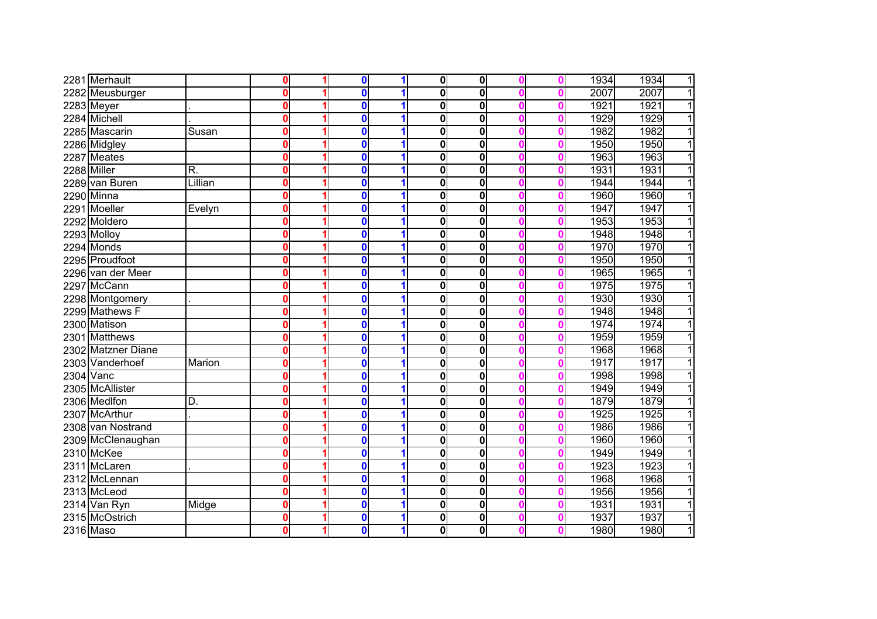|             | 2281 Merhault      |                         | 0            | $\bf{0}$         | 1 | $\bf{0}$     | 0                       |  | 1934 | 1934<br>$\overline{1}$ |
|-------------|--------------------|-------------------------|--------------|------------------|---|--------------|-------------------------|--|------|------------------------|
|             | 2282 Meusburger    |                         | $\mathbf{0}$ | $\bf{0}$         | 1 | $\bf{0}$     | $\mathbf 0$             |  | 2007 | 2007<br>$\overline{1}$ |
|             | 2283 Meyer         |                         | $\mathbf{0}$ | $\bf{0}$         | 1 | $\bf{0}$     | $\mathbf 0$             |  | 1921 | 1921<br>$\overline{1}$ |
|             | 2284 Michell       |                         | $\bf{0}$     | $\bf{0}$         | 1 | $\bf{0}$     | $\mathbf 0$             |  | 1929 | 1929<br>$\overline{1}$ |
|             | 2285 Mascarin      | Susan                   | $\mathbf{0}$ | $\bf{0}$         | 1 | $\mathbf{0}$ | 0                       |  | 1982 | 1982<br>$\overline{1}$ |
|             | 2286 Midgley       |                         | $\mathbf{0}$ | $\bf{0}$         | 1 | 0            | 0                       |  | 1950 | 1950<br>$\overline{1}$ |
|             | 2287 Meates        |                         | $\mathbf{0}$ | $\bf{0}$         | 1 | $\bf{0}$     | 0                       |  | 1963 | $\overline{1}$<br>1963 |
| 2288 Miller |                    | $\overline{\mathsf{R}}$ | 0            | $\bf{0}$         | 1 | $\bf{0}$     | $\mathbf 0$             |  | 1931 | $\overline{1}$<br>1931 |
|             | 2289 van Buren     | Lillian                 | $\bf{0}$     | $\bf{0}$         | 1 | $\mathbf{0}$ | 0                       |  | 1944 | $\overline{1}$<br>1944 |
|             | 2290 Minna         |                         | $\bf{0}$     | $\bf{0}$         | 1 | $\mathbf{0}$ | 0                       |  | 1960 | $\overline{1}$<br>1960 |
|             | 2291 Moeller       | Evelyn                  | 0            | $\bf{0}$         | 1 | $\bf{0}$     | 0                       |  | 1947 | 1947<br>$\overline{1}$ |
|             | 2292 Moldero       |                         | $\bf{0}$     | $\bf{0}$         | 1 | 0            | 0                       |  | 1953 | 1953<br>$\overline{1}$ |
|             | 2293 Molloy        |                         | $\bf{0}$     | $\bf{0}$         | 1 | 0            | 0                       |  | 1948 | 1948<br>$\overline{1}$ |
|             | 2294 Monds         |                         | $\bf{0}$     | $\bf{0}$         | 1 | $\bf{0}$     | $\mathbf 0$             |  | 1970 | 1970<br>$\overline{1}$ |
|             | 2295 Proudfoot     |                         | $\bf{0}$     | $\bf{0}$         | 1 | $\bf{0}$     | 0                       |  | 1950 | 1950<br>$\overline{1}$ |
|             | 2296 van der Meer  |                         | 0            | $\bf{0}$         | 1 | 0            | 0                       |  | 1965 | 1965<br>1              |
|             | 2297 McCann        |                         | $\bf{0}$     | $\bf{0}$         | 1 | $\bf{0}$     | 0                       |  | 1975 | 1975<br>1              |
|             | 2298 Montgomery    |                         | 0            | $\bf{0}$         | 1 | $\bf{0}$     | 0                       |  | 1930 | 1930<br>1              |
|             | 2299 Mathews F     |                         | 0            | $\bf{0}$         | 1 | $\bf{0}$     | 0                       |  | 1948 | 1948<br>1              |
|             | 2300 Matison       |                         | 0            | $\bf{0}$         | 1 | 0            | 0                       |  | 1974 | 1974<br>1              |
|             | 2301 Matthews      |                         | 0            | $\bf{0}$         | 1 | $\bf{0}$     | 0                       |  | 1959 | 1959<br>1              |
|             | 2302 Matzner Diane |                         | $\bf{0}$     | $\bf{0}$         | 1 | 0            | 0                       |  | 1968 | 1968<br>$\mathbf{1}$   |
|             | 2303 Vanderhoef    | Marion                  | $\bf{0}$     | $\bf{0}$         | 1 | 0            | 0                       |  | 1917 | $\overline{1}$<br>1917 |
| 2304 Vanc   |                    |                         | 0            | $\bf{0}$         | 1 | 0            | 0                       |  | 1998 | 1998<br>$\mathbf{1}$   |
|             | 2305 McAllister    |                         | 0            | $\bf{0}$         | 1 | $\bf{0}$     | $\overline{\mathbf{0}}$ |  | 1949 | 1949<br>$\overline{1}$ |
|             | 2306 Medlfon       | $\overline{D}$ .        | 0            | $\bf{0}$         | 1 | 0            | 0                       |  | 1879 | 1879<br>$\mathbf{1}$   |
|             | 2307 McArthur      |                         | 0            | $\bf{0}$         | 1 | 0            | 0                       |  | 1925 | 1925<br>$\overline{1}$ |
|             | 2308 van Nostrand  |                         | 0            | 0                | 1 | 0            | 0                       |  | 1986 | 1986<br>$\mathbf{1}$   |
|             | 2309 McClenaughan  |                         | 0            | 0                | 1 | $\bf{0}$     | 0                       |  | 1960 | $\overline{1}$<br>1960 |
|             | 2310 McKee         |                         | $\bf{0}$     | 0                | 1 | 0            | 0                       |  | 1949 | 1949<br>$\mathbf{1}$   |
|             | 2311 McLaren       |                         | 0            | $\bf{0}$         | 1 | 0            | $\mathbf 0$             |  | 1923 | 1923<br>$\overline{1}$ |
|             | 2312 McLennan      |                         | 0            | $\boldsymbol{0}$ | 1 | 0            | 0                       |  | 1968 | 1968<br>$\mathbf{1}$   |
|             | 2313 McLeod        |                         | 0            | $\boldsymbol{0}$ | 1 | 0            | $\mathbf 0$             |  | 1956 | $\overline{1}$<br>1956 |
|             | 2314 Van Ryn       | Midge                   | $\bf{0}$     | $\bf{0}$         | 1 | 0            | 0                       |  | 1931 | 1931<br>1              |
|             | 2315 McOstrich     |                         | 0            | $\bf{0}$         | 1 | 0            | $\mathbf 0$             |  | 1937 | 1937<br>1              |
|             | 2316 Maso          |                         | 0            | $\bf{0}$         | 1 | 0            | $\mathbf 0$             |  | 1980 | 1<br>1980              |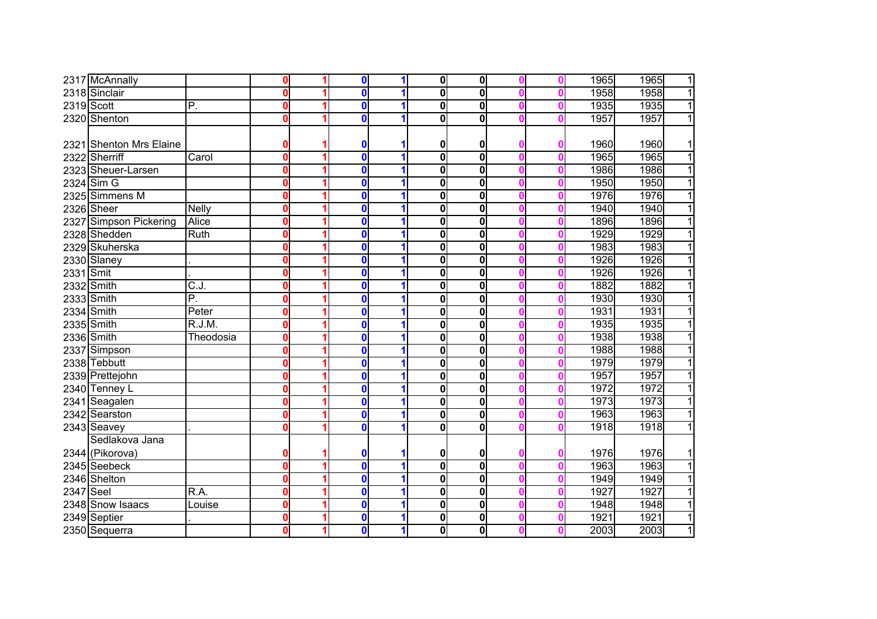|           | 2317 McAnnally          |                   | $\mathbf 0$             | $\mathbf 0$  |   | $\overline{\mathbf{0}}$ | $\mathbf{0}$            |   | 1965 | 1965<br>$\overline{1}$ |
|-----------|-------------------------|-------------------|-------------------------|--------------|---|-------------------------|-------------------------|---|------|------------------------|
|           | 2318 Sinclair           |                   | $\mathbf{0}$            | $\mathbf{0}$ |   | $\overline{\mathbf{0}}$ | 0                       |   | 1958 | 1958<br>$\overline{1}$ |
|           | 2319 Scott              | P.                | $\mathbf 0$             | $\mathbf{0}$ |   | 0                       | $\overline{\mathbf{0}}$ |   | 1935 | $\overline{1}$<br>1935 |
|           | 2320 Shenton            |                   | $\mathbf 0$             | $\mathbf 0$  |   | 0                       | 0                       |   | 1957 | 1957<br>$\overline{1}$ |
|           |                         |                   |                         |              |   |                         |                         |   |      |                        |
|           | 2321 Shenton Mrs Elaine |                   | 0                       | 0            |   | 0                       | 0                       |   | 1960 | 1960<br>1              |
|           | 2322 Sherriff           | Carol             | $\mathbf 0$             | $\mathbf{0}$ |   | $\overline{\mathbf{0}}$ | $\mathbf 0$             | Ω | 1965 | $\overline{1}$<br>1965 |
|           | 2323 Sheuer-Larsen      |                   | $\mathbf 0$             | $\mathbf{0}$ |   | $\mathbf 0$             | $\mathbf 0$             | n | 1986 | $\overline{1}$<br>1986 |
|           | 2324 Sim G              |                   | $\mathbf 0$             | $\mathbf{0}$ |   | 0                       | 0                       | n | 1950 | $\overline{1}$<br>1950 |
|           | 2325 Simmens M          |                   | $\mathbf 0$             | $\mathbf{0}$ |   | 0                       | $\mathbf 0$             |   | 1976 | $\overline{1}$<br>1976 |
|           | 2326 Sheer              | <b>Nelly</b>      | $\mathbf 0$             | 0            | 1 | 0                       | $\mathbf 0$             | Ω | 1940 | $\overline{1}$<br>1940 |
|           | 2327 Simpson Pickering  | Alice             | $\mathbf 0$             | $\mathbf 0$  | 1 | 0                       | 0                       |   | 1896 | $\overline{1}$<br>1896 |
|           | 2328 Shedden            | Ruth              | $\mathbf 0$             | $\mathbf 0$  |   | $\mathbf 0$             | 0                       |   | 1929 | 1929<br>$\overline{1}$ |
|           | 2329 Skuherska          |                   | $\mathbf{0}$            | $\mathbf{0}$ |   | 0                       | $\bf{0}$                |   | 1983 | $\overline{1}$<br>1983 |
|           | 2330 Slaney             |                   | $\mathbf 0$             | $\mathbf 0$  |   | 0                       | $\bf{0}$                |   | 1926 | 1926<br>$\overline{1}$ |
| 2331 Smit |                         |                   | $\bf{0}$                | $\mathbf{0}$ |   | 0                       | 0                       |   | 1926 | 1926<br>$\overline{1}$ |
|           | 2332 Smith              | $\overline{C.J.}$ | $\mathbf 0$             | 0            |   | 0                       | 0                       |   | 1882 | 1882<br>1              |
|           | 2333 Smith              | P.                | $\overline{\mathbf{o}}$ | $\mathbf 0$  |   | $\mathbf 0$             | 0                       |   | 1930 | 1930<br>1              |
|           | 2334 Smith              | Peter             | $\mathbf 0$             | $\mathbf 0$  |   | 0                       | $\bf{0}$                |   | 1931 | 1931<br>1              |
|           | 2335 Smith              | R.J.M.            | $\mathbf 0$             | 0            |   | 0                       | 0                       |   | 1935 | 1935<br>1              |
|           | 2336 Smith              | Theodosia         | $\mathbf 0$             | 0            |   | $\overline{\mathbf{0}}$ | $\bf{0}$                |   | 1938 | 1938<br>$\mathbf{1}$   |
|           | 2337 Simpson            |                   | $\mathbf 0$             | 0            |   | 0                       | $\mathbf 0$             |   | 1988 | 1988<br>1              |
|           | 2338 Tebbutt            |                   | $\mathbf 0$             | $\mathbf{0}$ |   | 0                       | $\bf{0}$                |   | 1979 | 1979<br>$\overline{1}$ |
|           | 2339 Prettejohn         |                   | $\mathbf 0$             | $\mathbf 0$  |   | 0                       | $\bf{0}$                |   | 1957 | $\overline{1}$<br>1957 |
|           | 2340 Tenney L           |                   | $\overline{\mathbf{0}}$ | 0            |   | 0                       | 0                       |   | 1972 | 1972<br>$\overline{1}$ |
|           | 2341 Seagalen           |                   | $\mathbf 0$             | 0            |   | 0                       | 0                       | Ω | 1973 | 1973<br>$\overline{1}$ |
|           | 2342 Searston           |                   | $\mathbf 0$             | 0            | 1 | $\bf{0}$                | $\bf{0}$                | 0 | 1963 | 1963<br>$\overline{1}$ |
|           | 2343 Seavey             |                   | 0                       | 0            |   | 0                       | 0                       |   | 1918 | $\overline{1}$<br>1918 |
|           | Sedlakova Jana          |                   |                         |              |   |                         |                         |   |      |                        |
|           | 2344 (Pikorova)         |                   | 0                       | 0            |   | 0                       | 0                       |   | 1976 | 1976<br>$\mathbf{1}$   |
|           | 2345 Seebeck            |                   | $\mathbf 0$             | $\mathbf 0$  |   | $\mathbf 0$             | $\mathbf 0$             |   | 1963 | 1963<br>$\overline{1}$ |
|           | 2346 Shelton            |                   | $\boldsymbol{0}$        | 0            |   | 0                       | 0                       |   | 1949 | $\overline{1}$<br>1949 |
| 2347 Seel |                         | R.A.              | $\mathbf 0$             | 0            |   | $\bf{0}$                | 0                       |   | 1927 | $\overline{1}$<br>1927 |
|           | 2348 Snow Isaacs        | Louise            | $\mathbf 0$             | $\mathbf 0$  |   | $\bf{0}$                | 0                       |   | 1948 | $\overline{1}$<br>1948 |
|           | 2349 Septier            |                   | $\mathbf 0$             | 0            |   | 0                       | $\bf{0}$                |   | 1921 | $\overline{1}$<br>1921 |
|           | 2350 Sequerra           |                   | $\mathbf 0$             | 0            | 1 | $\bf{0}$                | $\mathbf{0}$            |   | 2003 | $\overline{1}$<br>2003 |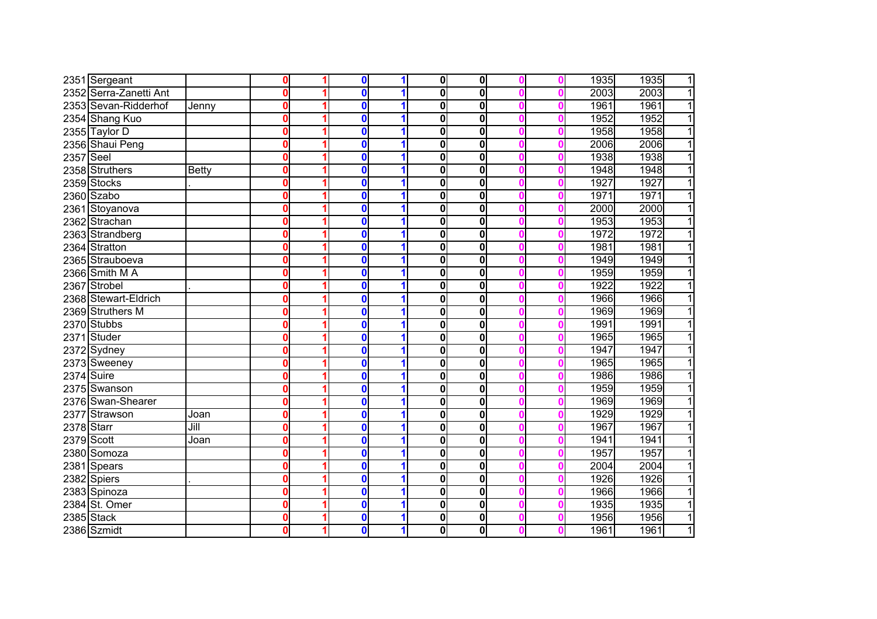|            | 2351 Sergeant          |       | $\mathbf 0$             | $\mathbf 0$  |   | $\mathbf 0$             | $\mathbf{0}$ |   | 1935 | 1935<br>$\mathbf{1}$   |
|------------|------------------------|-------|-------------------------|--------------|---|-------------------------|--------------|---|------|------------------------|
|            | 2352 Serra-Zanetti Ant |       | $\overline{\mathbf{0}}$ | 0            |   | $\overline{\mathbf{0}}$ | 0            |   | 2003 | $\overline{1}$<br>2003 |
|            | 2353 Sevan-Ridderhof   | Jenny | $\mathbf 0$             | $\mathbf{0}$ |   | 0                       | 0            |   | 1961 | 1961<br>$\overline{1}$ |
|            | 2354 Shang Kuo         |       | $\overline{\mathbf{0}}$ | 0            |   | $\overline{\mathbf{0}}$ | 0            |   | 1952 | 1952<br>$\overline{1}$ |
|            | 2355 Taylor D          |       | $\mathbf 0$             | $\mathbf 0$  |   | $\overline{\mathbf{0}}$ | 0            |   | 1958 | 1958<br>$\overline{1}$ |
|            | 2356 Shaui Peng        |       | $\mathbf 0$             | 0            |   | 0                       | 0            |   | 2006 | 2006<br>$\overline{1}$ |
| 2357 Seel  |                        |       | $\mathbf 0$             | $\mathbf{0}$ |   | $\mathbf 0$             | $\mathbf 0$  |   | 1938 | $\overline{1}$<br>1938 |
|            | 2358 Struthers         | Betty | $\mathbf 0$             | $\mathbf{0}$ |   | 0                       | $\mathbf 0$  |   | 1948 | 1948<br>$\overline{1}$ |
|            | 2359 Stocks            |       | $\mathbf 0$             | 0            |   | 0                       | 0            |   | 1927 | 1927<br>$\mathbf{1}$   |
|            | 2360 Szabo             |       | $\mathbf 0$             | 0            |   | 0                       | 0            |   | 1971 | $\overline{1}$<br>1971 |
|            | 2361 Stoyanova         |       | $\mathbf 0$             | 0            |   | 0                       | 0            | n | 2000 | 2000<br>$\overline{1}$ |
|            | 2362 Strachan          |       | $\mathbf 0$             | 0            | 1 | $\bf{0}$                | $\bf{0}$     |   | 1953 | 1953<br>$\overline{1}$ |
|            | 2363 Strandberg        |       | $\mathbf 0$             | 0            | 1 | 0                       | 0            | n | 1972 | 1972<br>1              |
|            | 2364 Stratton          |       | $\mathbf 0$             | $\mathbf 0$  |   | 0                       | $\mathbf 0$  |   | 1981 | 1981<br>$\overline{1}$ |
|            | 2365 Strauboeva        |       | $\bf{0}$                | $\mathbf 0$  |   | $\bf{0}$                | 0            |   | 1949 | 1949<br>1              |
|            | 2366 Smith M A         |       | $\bf{0}$                | 0            |   | 0                       | 0            |   | 1959 | 1959<br>1              |
| 2367       | Strobel                |       | $\bf{0}$                | 0            |   | $\bf{0}$                | 0            |   | 1922 | 1922                   |
|            | 2368 Stewart-Eldrich   |       | $\mathbf 0$             | 0            |   | $\bf{0}$                | $\bf{0}$     |   | 1966 | 1966<br>1              |
|            | 2369 Struthers M       |       | $\mathbf 0$             | $\mathbf{0}$ |   | $\mathbf 0$             | $\mathbf 0$  |   | 1969 | 1969<br>1              |
|            | 2370 Stubbs            |       | $\mathbf 0$             | 0            |   | 0                       | 0            |   | 1991 | 1991<br>1              |
| 2371       | Studer                 |       | $\mathbf 0$             | $\mathbf 0$  |   | $\overline{\mathbf{0}}$ | 0            |   | 1965 | 1965<br>1              |
|            | 2372 Sydney            |       | $\mathbf 0$             | 0            |   | $\overline{\mathbf{0}}$ | 0            |   | 1947 | 1947<br>$\overline{1}$ |
|            | 2373 Sweeney           |       | $\mathbf 0$             | $\mathbf 0$  |   | 0                       | $\bf{0}$     | Ω | 1965 | $\overline{1}$<br>1965 |
| 2374 Suire |                        |       | $\overline{\mathbf{0}}$ | $\mathbf{0}$ |   | 0                       | $\bf{0}$     |   | 1986 | 1986<br>$\overline{1}$ |
|            | 2375 Swanson           |       | $\overline{\mathbf{0}}$ | $\mathbf 0$  |   | $\overline{\mathbf{0}}$ | 0            |   | 1959 | $\overline{1}$<br>1959 |
|            | 2376 Swan-Shearer      |       | $\mathbf 0$             | 0            |   | 0                       | 0            | Ω | 1969 | 1969<br>$\overline{1}$ |
|            | 2377 Strawson          | Joan  | $\mathbf 0$             | 0            | 1 | $\bf{0}$                | 0            | Ω | 1929 | 1929<br>$\overline{1}$ |
| 2378 Starr |                        | Jill  | $\boldsymbol{0}$        | 0            | 1 | $\bf{0}$                | $\bf{0}$     | Ω | 1967 | 1967<br>$\overline{1}$ |
|            | 2379 Scott             | Joan  | $\boldsymbol{0}$        | 0            | 1 | $\overline{\mathbf{0}}$ | 0            | Ω | 1941 | 1941<br>$\overline{1}$ |
|            | 2380 Somoza            |       | $\mathbf 0$             | $\mathbf 0$  |   | $\bf{0}$                | 0            |   | 1957 | 1957<br>1              |
|            | 2381 Spears            |       | $\mathbf 0$             | $\mathbf 0$  |   | $\bf{0}$                | 0            |   | 2004 | 2004<br>$\overline{1}$ |
|            | 2382 Spiers            |       | $\mathbf 0$             | $\mathbf 0$  |   | $\mathbf 0$             | 0            |   | 1926 | 1926<br>11             |
|            | 2383 Spinoza           |       | $\mathbf 0$             | 0            |   | $\bf{0}$                | 0            |   | 1966 | 1966<br>$\mathbf{1}$   |
|            | 2384 St. Omer          |       | $\mathbf 0$             | 0            |   | $\bf{0}$                | 0            |   | 1935 | 1935<br>$\mathbf{1}$   |
|            | 2385 Stack             |       | $\mathbf 0$             | 0            |   | 0                       | $\bf{0}$     |   | 1956 | 1956<br>1              |
|            | 2386 Szmidt            |       | $\mathbf 0$             | 0            | 1 | $\bf{0}$                | $\mathbf 0$  |   | 1961 | 1<br>1961              |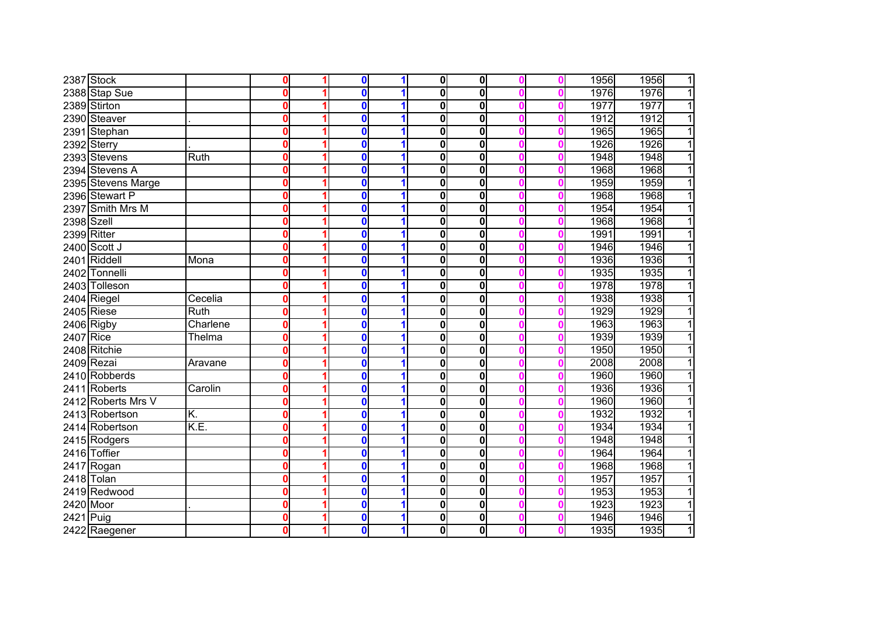|            | 2387 Stock         |          | $\mathbf 0$             | $\mathbf 0$  |   | $\mathbf 0$             | $\mathbf{0}$            |   | 1956 | 1956<br>$\mathbf{1}$   |
|------------|--------------------|----------|-------------------------|--------------|---|-------------------------|-------------------------|---|------|------------------------|
|            | 2388 Stap Sue      |          | $\overline{\mathbf{0}}$ | 0            |   | $\overline{\mathbf{0}}$ | $\overline{\mathbf{0}}$ |   | 1976 | 1976<br>$\overline{1}$ |
|            | 2389 Stirton       |          | $\mathbf 0$             | $\mathbf{0}$ |   | 0                       | 0                       |   | 1977 | 1977<br>$\overline{1}$ |
|            | 2390 Steaver       |          | $\overline{\mathbf{0}}$ | 0            |   | $\overline{\mathbf{0}}$ | $\overline{\mathbf{0}}$ |   | 1912 | $\overline{1}$<br>1912 |
|            | 2391 Stephan       |          | $\mathbf 0$             | 0            |   | $\overline{\mathbf{0}}$ | 0                       |   | 1965 | 1965<br>$\overline{1}$ |
|            | 2392 Sterry        |          | $\mathbf 0$             | 0            |   | 0                       | 0                       |   | 1926 | 1926<br>$\overline{1}$ |
|            | 2393 Stevens       | Ruth     | $\mathbf 0$             | $\mathbf{0}$ |   | $\mathbf 0$             | $\mathbf 0$             |   | 1948 | $\overline{1}$<br>1948 |
|            | 2394 Stevens A     |          | $\mathbf 0$             | $\mathbf{0}$ |   | 0                       | $\mathbf 0$             |   | 1968 | 1968<br>$\overline{1}$ |
|            | 2395 Stevens Marge |          | $\mathbf 0$             | 0            |   | 0                       | 0                       |   | 1959 | 1959<br>$\overline{1}$ |
|            | 2396 Stewart P     |          | $\mathbf 0$             | 0            |   | 0                       | 0                       |   | 1968 | $\overline{1}$<br>1968 |
|            | 2397 Smith Mrs M   |          | $\mathbf 0$             | 0            |   | 0                       | 0                       | n | 1954 | 1954<br>$\overline{1}$ |
| 2398 Szell |                    |          | $\mathbf 0$             | 0            | 1 | $\bf{0}$                | $\bf{0}$                |   | 1968 | 1968<br>$\overline{1}$ |
|            | 2399 Ritter        |          | $\mathbf 0$             | $\mathbf 0$  | 1 | 0                       | 0                       |   | 1991 | 1991<br>$\overline{1}$ |
|            | 2400 Scott J       |          | $\mathbf 0$             | $\mathbf 0$  |   | 0                       | $\mathbf 0$             |   | 1946 | $\overline{1}$<br>1946 |
|            | 2401 Riddell       | Mona     | $\mathbf 0$             | $\mathbf 0$  |   | $\bf{0}$                | 0                       |   | 1936 | 1936<br>$\mathbf{1}$   |
|            | 2402 Tonnelli      |          | $\mathbf 0$             | 0            |   | 0                       | $\mathbf 0$             |   | 1935 | $\overline{1}$<br>1935 |
|            | 2403 Tolleson      |          | $\mathbf 0$             | 0            |   | $\bf{0}$                | 0                       |   | 1978 | 1978<br>1              |
|            | 2404 Riegel        | Cecelia  | $\mathbf 0$             | 0            |   | $\bf{0}$                | $\bf{0}$                |   | 1938 | 1938<br>$\mathbf{1}$   |
|            | $2405$ Riese       | Ruth     | $\mathbf 0$             | $\mathbf{0}$ |   | $\mathbf 0$             | $\mathbf 0$             |   | 1929 | 1929<br>11             |
|            | 2406 Rigby         | Charlene | $\mathbf 0$             | 0            |   | 0                       | 0                       |   | 1963 | 1963<br>$\overline{1}$ |
| 2407 Rice  |                    | Thelma   | $\mathbf 0$             | 0            |   | $\overline{\mathbf{0}}$ | 0                       |   | 1939 | 1939<br>11             |
|            | 2408 Ritchie       |          | $\mathbf 0$             | $\mathbf{0}$ |   | 0                       | 0                       |   | 1950 | $\overline{1}$<br>1950 |
|            | 2409 Rezai         | Aravane  | $\mathbf 0$             | 0            |   | 0                       | $\mathbf 0$             | Ω | 2008 | 2008<br>$\overline{1}$ |
|            | 2410 Robberds      |          | $\overline{\mathbf{0}}$ | $\mathbf{0}$ |   | 0                       | 0                       |   | 1960 | 1960<br>$\overline{1}$ |
|            | 2411 Roberts       | Carolin  | $\overline{\mathbf{0}}$ | $\mathbf 0$  |   | $\overline{\mathbf{0}}$ | 0                       |   | 1936 | 1936<br>$\overline{1}$ |
|            | 2412 Roberts Mrs V |          | $\mathbf 0$             | 0            |   | 0                       | 0                       | Ω | 1960 | 1960<br>$\overline{1}$ |
|            | 2413 Robertson     | K.       | $\mathbf 0$             | 0            | 1 | $\bf{0}$                | 0                       | Ω | 1932 | 1932<br>$\overline{1}$ |
|            | 2414 Robertson     | K.E.     | $\boldsymbol{0}$        | 0            | 1 | $\bf{0}$                | $\mathbf 0$             | Ω | 1934 | 1934<br>$\overline{1}$ |
|            | 2415 Rodgers       |          | $\boldsymbol{0}$        | 0            | 1 | $\overline{\mathbf{0}}$ | 0                       | Ω | 1948 | 1948<br>$\overline{1}$ |
|            | 2416 Toffier       |          | $\bf{0}$                | 0            |   | 0                       | 0                       |   | 1964 | 1964<br>$\overline{1}$ |
|            | 2417 Rogan         |          | $\mathbf 0$             | $\mathbf 0$  |   | $\bf{0}$                | 0                       |   | 1968 | 1968<br>$\overline{1}$ |
|            | 2418 Tolan         |          | $\boldsymbol{0}$        | $\mathbf 0$  |   | $\bf{0}$                | 0                       |   | 1957 | 1957<br>$\mathbf{1}$   |
|            | 2419 Redwood       |          | $\mathbf 0$             | 0            |   | $\bf{0}$                | 0                       |   | 1953 | $\overline{1}$<br>1953 |
| 2420 Moor  |                    |          | $\mathbf 0$             | 0            |   | $\bf{0}$                | $\mathbf 0$             |   | 1923 | 1923<br>$\mathbf{1}$   |
| 2421       | Puig               |          | $\mathbf 0$             | 0            |   | 0                       | $\bf{0}$                |   | 1946 | 1946<br>1              |
|            | 2422 Raegener      |          | $\mathbf 0$             | 0            | 1 | $\bf{0}$                | $\mathbf 0$             |   | 1935 | 1<br>1935              |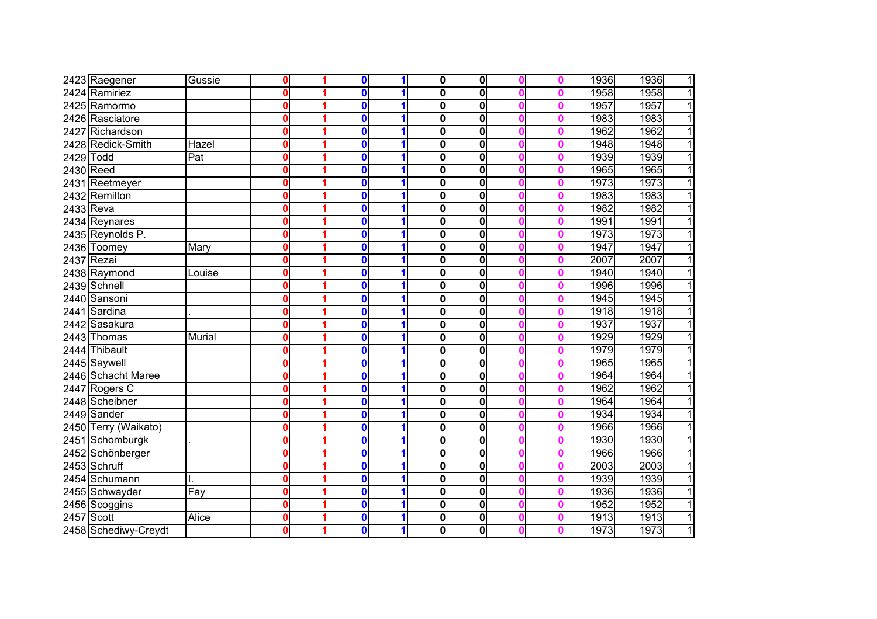|           | 2423 Raegener        | Gussie        | $\bf{0}$                | $\mathbf 0$  |   | $\mathbf 0$             | $\mathbf{0}$ |   | 1936 | 1936<br>$\overline{1}$ |
|-----------|----------------------|---------------|-------------------------|--------------|---|-------------------------|--------------|---|------|------------------------|
|           | 2424 Ramiriez        |               | $\mathbf 0$             | n            |   | $\overline{\mathbf{0}}$ | 0            |   | 1958 | 1958<br>$\overline{1}$ |
| 2425      | Ramormo              |               | $\overline{\mathbf{0}}$ | 0            |   | $\overline{\mathbf{0}}$ | 0            |   | 1957 | 1957<br>$\overline{1}$ |
|           | 2426 Rasciatore      |               | $\mathbf 0$             | 0            |   | 0                       | 0            |   | 1983 | 1983<br>$\overline{1}$ |
| 2427      | Richardson           |               | $\mathbf 0$             | 0            |   | 0                       | 0            |   | 1962 | 1962<br>1              |
|           | 2428 Redick-Smith    | Hazel         | $\mathbf 0$             | 0            |   | 0                       | $\mathbf 0$  |   | 1948 | 1948<br>$\overline{1}$ |
| 2429 Todd |                      | Pat           | $\mathbf 0$             | 0            |   | 0                       | $\mathbf 0$  |   | 1939 | 1939<br>1              |
| 2430 Reed |                      |               | $\mathbf 0$             | 0            |   | 0                       | $\mathbf 0$  |   | 1965 | 1965<br>$\mathbf{1}$   |
|           | 2431 Reetmeyer       |               | $\mathbf 0$             | $\mathbf{0}$ |   | 0                       | $\mathbf 0$  |   | 1973 | 1973<br>$\overline{1}$ |
|           | 2432 Remilton        |               | $\mathbf 0$             | 0            |   | 0                       | 0            |   | 1983 | $\overline{1}$<br>1983 |
| 2433 Reva |                      |               | $\mathbf 0$             | 0            |   | $\bf{0}$                | $\bf{0}$     |   | 1982 | 1982<br>$\overline{1}$ |
|           | 2434 Reynares        |               | $\boldsymbol{0}$        | 0            | 1 | $\bf{0}$                | $\bf{0}$     | Ω | 1991 | 1991<br>$\overline{1}$ |
|           | 2435 Reynolds P.     |               | $\mathbf 0$             | $\mathbf{0}$ | 1 | 0                       | 0            | n | 1973 | 1973<br>$\overline{1}$ |
|           | 2436 Toomey          | Mary          | $\mathbf 0$             | 0            |   | $\mathbf 0$             | 0            | Ω | 1947 | 1947<br>$\overline{1}$ |
|           | 2437 Rezai           |               | $\mathbf{0}$            | $\mathbf{0}$ |   | 0                       | 0            |   | 2007 | 2007<br>$\overline{1}$ |
|           | 2438 Raymond         | Louise        | $\mathbf 0$             | $\mathbf{0}$ |   | 0                       | $\mathbf 0$  |   | 1940 | 1940<br>$\overline{1}$ |
|           | 2439 Schnell         |               | $\bf{0}$                | $\mathbf{0}$ |   | 0                       | 0            |   | 1996 | 1996<br>1              |
|           | 2440 Sansoni         |               | $\mathbf 0$             | 0            |   | 0                       | 0            |   | 1945 | 1945<br>1              |
| 2441      | Sardina              |               | $\mathbf 0$             | $\mathbf{0}$ |   | 0                       | 0            |   | 1918 | 1918<br>1              |
| 2442      | Sasakura             |               | $\mathbf 0$             | 0            |   | $\bf{0}$                | 0            |   | 1937 | 1937<br>1              |
|           | 2443 Thomas          | <b>Murial</b> | $\boldsymbol{0}$        | 0            |   | 0                       | $\mathbf 0$  |   | 1929 | 1929<br>1              |
|           | 2444 Thibault        |               | $\mathbf 0$             | 0            |   | 0                       | $\mathbf 0$  |   | 1979 | 1979<br>$\overline{1}$ |
|           | 2445 Saywell         |               | $\mathbf 0$             | 0            |   | 0                       | 0            | Ω | 1965 | 1965<br>1              |
|           | 2446 Schacht Maree   |               | $\mathbf 0$             | 0            |   | $\bf{0}$                | $\mathbf 0$  |   | 1964 | 1964<br>$\mathbf{1}$   |
|           | 2447 Rogers C        |               | $\mathbf 0$             | $\mathbf{0}$ |   | 0                       | 0            |   | 1962 | $\mathbf{1}$<br>1962   |
|           | 2448 Scheibner       |               | $\overline{\mathbf{0}}$ | $\mathbf{0}$ |   | $\overline{\mathbf{0}}$ | 0            |   | 1964 | $\overline{1}$<br>1964 |
|           | 2449 Sander          |               | $\mathbf 0$             | 0            |   | 0                       | 0            | Ω | 1934 | 1934<br>$\overline{1}$ |
|           | 2450 Terry (Waikato) |               | $\mathbf 0$             | $\mathbf 0$  | 1 | 0                       | 0            | Ω | 1966 | $\overline{1}$<br>1966 |
|           | 2451 Schomburgk      |               | $\mathbf 0$             | 0            | 1 | $\overline{\mathbf{0}}$ | 0            | Ω | 1930 | 1930<br>$\overline{1}$ |
|           | 2452 Schönberger     |               | $\bf{0}$                | 0            |   | 0                       | 0            |   | 1966 | $\overline{1}$<br>1966 |
|           | 2453 Schruff         |               | $\bf{0}$                | 0            |   | $\bf{0}$                | $\mathbf 0$  |   | 2003 | 2003<br>$\overline{1}$ |
|           | 2454 Schumann        |               | $\bf{0}$                | $\mathbf 0$  |   | $\bf{0}$                | $\mathbf 0$  |   | 1939 | $\overline{1}$<br>1939 |
|           | 2455 Schwayder       | Fay           | $\mathbf 0$             | 0            |   | $\bf{0}$                | $\mathbf 0$  |   | 1936 | $\overline{1}$<br>1936 |
|           | 2456 Scoggins        |               | $\mathbf 0$             | 0            |   | $\bf{0}$                | $\bf{0}$     |   | 1952 | 1952<br>1              |
| 2457      | Scott                | Alice         | $\mathbf 0$             | 0            |   | 0                       | $\bf{0}$     |   | 1913 | 1913<br>1              |
|           | 2458 Schediwy-Creydt |               | $\mathbf 0$             | 0            | 1 | 0                       | $\mathbf 0$  |   | 1973 | 1<br>1973              |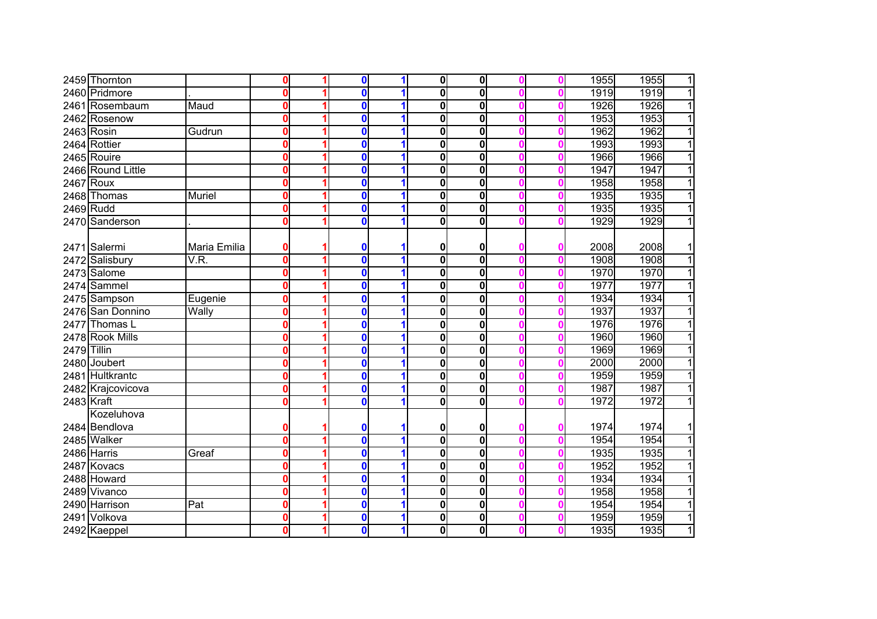|             | 2459 Thornton     |              | $\boldsymbol{0}$        | 0           |   | $\mathbf 0$             | $\mathbf{0}$ |   | 1955 | 1955<br>1              |
|-------------|-------------------|--------------|-------------------------|-------------|---|-------------------------|--------------|---|------|------------------------|
|             | 2460 Pridmore     |              | $\mathbf 0$             | 0           |   | 0                       | 0            |   | 1919 | 1919<br>$\overline{1}$ |
| 2461        | Rosembaum         | Maud         | $\boldsymbol{0}$        | 0           | 1 | 0                       | $\bf{0}$     |   | 1926 | 1926<br>$\overline{1}$ |
|             | 2462 Rosenow      |              | $\mathbf 0$             | 0           |   | 0                       | $\bf{0}$     |   | 1953 | 1953<br>$\overline{1}$ |
|             | 2463 Rosin        | Gudrun       | $\boldsymbol{0}$        | $\mathbf 0$ |   | 0                       | 0            | n | 1962 | $\overline{1}$<br>1962 |
|             | 2464 Rottier      |              | $\mathbf 0$             | $\mathbf 0$ |   | 0                       | $\mathbf 0$  | n | 1993 | $\overline{1}$<br>1993 |
|             | 2465 Rouire       |              | $\mathbf 0$             | $\mathbf 0$ |   | 0                       | $\bf{0}$     |   | 1966 | $\overline{1}$<br>1966 |
|             | 2466 Round Little |              | $\boldsymbol{0}$        | $\mathbf 0$ |   | 0                       | 0            |   | 1947 | $\overline{1}$<br>1947 |
|             | 2467 Roux         |              | $\mathbf 0$             | 0           |   | 0                       | 0            | n | 1958 | 1958<br>$\overline{1}$ |
|             | 2468 Thomas       | Muriel       | $\mathbf 0$             | $\mathbf 0$ |   | 0                       | $\bf{0}$     | Ω | 1935 | 1935<br>$\overline{1}$ |
| 2469 Rudd   |                   |              | $\boldsymbol{0}$        | 0           | 1 | 0                       | 0            | Ω | 1935 | 1935<br>$\overline{1}$ |
|             | 2470 Sanderson    |              | $\boldsymbol{0}$        | 0           | 1 | 0                       | 0            | n | 1929 | 1929<br>$\overline{1}$ |
|             |                   |              |                         |             |   |                         |              |   |      |                        |
|             | 2471 Salermi      | Maria Emilia | $\mathbf 0$             | 0           |   | 0                       | 0            |   | 2008 | 2008<br>$\mathbf{1}$   |
|             | 2472 Salisbury    | V.R.         | $\mathbf 0$             | $\mathbf 0$ |   | $\bf{0}$                | $\mathbf 0$  |   | 1908 | 1908<br>$\overline{1}$ |
|             | 2473 Salome       |              | $\mathbf 0$             | $\mathbf 0$ |   | 0                       | 0            |   | 1970 | 1970<br>$\overline{1}$ |
|             | 2474 Sammel       |              | $\mathbf 0$             | 0           |   | 0                       | $\bf{0}$     |   | 1977 | 1977<br>$\overline{1}$ |
|             | 2475 Sampson      | Eugenie      | $\mathbf 0$             | 0           |   | 0                       | $\bf{0}$     |   | 1934 | 1934<br>$\mathbf{1}$   |
| 2476        | San Donnino       | Wally        | $\mathbf 0$             | 0           |   | 0                       | $\mathbf 0$  |   | 1937 | 1937<br>1              |
| 2477        | Thomas L          |              | $\mathbf 0$             | 0           |   | 0                       | $\bf{0}$     |   | 1976 | 1976<br>1              |
|             | 2478 Rook Mills   |              | $\mathbf 0$             | $\mathbf 0$ |   | 0                       | $\bf{0}$     |   | 1960 | 1960<br>$\overline{1}$ |
| 2479 Tillin |                   |              | $\boldsymbol{0}$        | 0           |   | 0                       | 0            | Ω | 1969 | $\mathbf{1}$<br>1969   |
|             | 2480 Joubert      |              | $\mathbf 0$             | 0           |   | 0                       | $\bf{0}$     |   | 2000 | 2000<br>$\mathbf{1}$   |
|             | 2481 Hultkrantc   |              | $\mathbf 0$             | $\mathbf 0$ |   | 0                       | 0            | n | 1959 | 1959<br>$\mathbf{1}$   |
|             | 2482 Krajcovicova |              | $\overline{\mathbf{0}}$ | $\mathbf 0$ |   | 0                       | $\bf{0}$     | o | 1987 | 1987<br>$\overline{1}$ |
| 2483 Kraft  |                   |              | $\mathbf 0$             | $\mathbf 0$ |   | 0                       | 0            | Ω | 1972 | 1972<br>$\overline{1}$ |
|             | Kozeluhova        |              |                         |             |   |                         |              |   |      |                        |
|             | 2484 Bendlova     |              | 0                       | 0           |   | 0                       | 0            |   | 1974 | 1974<br>11             |
|             | 2485 Walker       |              | $\mathbf 0$             | 0           | 1 | $\overline{\mathbf{0}}$ | $\mathbf 0$  | 0 | 1954 | $\overline{1}$<br>1954 |
|             | 2486 Harris       | Greaf        | $\mathbf 0$             | $\mathbf 0$ | 1 | $\mathbf 0$             | 0            | Ω | 1935 | $\overline{1}$<br>1935 |
|             | 2487 Kovacs       |              | $\mathbf 0$             | $\mathbf 0$ |   | $\mathbf 0$             | 0            |   | 1952 | 1952<br>$\overline{1}$ |
|             | 2488 Howard       |              | $\boldsymbol{0}$        | 0           |   | $\mathbf 0$             | 0            |   | 1934 | $\mathbf{1}$<br>1934   |
|             | 2489 Vivanco      |              | $\mathbf 0$             | $\mathbf 0$ |   | $\mathbf 0$             | 0            |   | 1958 | 1958<br>$\overline{1}$ |
|             | 2490 Harrison     | Pat          | $\mathbf 0$             | $\mathbf 0$ |   | 0                       | 0            |   | 1954 | 1954<br>$\overline{1}$ |
|             | 2491 Volkova      |              | $\mathbf 0$             | 0           |   | 0                       | $\bf{0}$     |   | 1959 | $\overline{1}$<br>1959 |
|             | 2492 Kaeppel      |              | $\mathbf 0$             | 0           | 1 | $\bf{0}$                | $\mathbf{0}$ |   | 1935 | $\overline{1}$<br>1935 |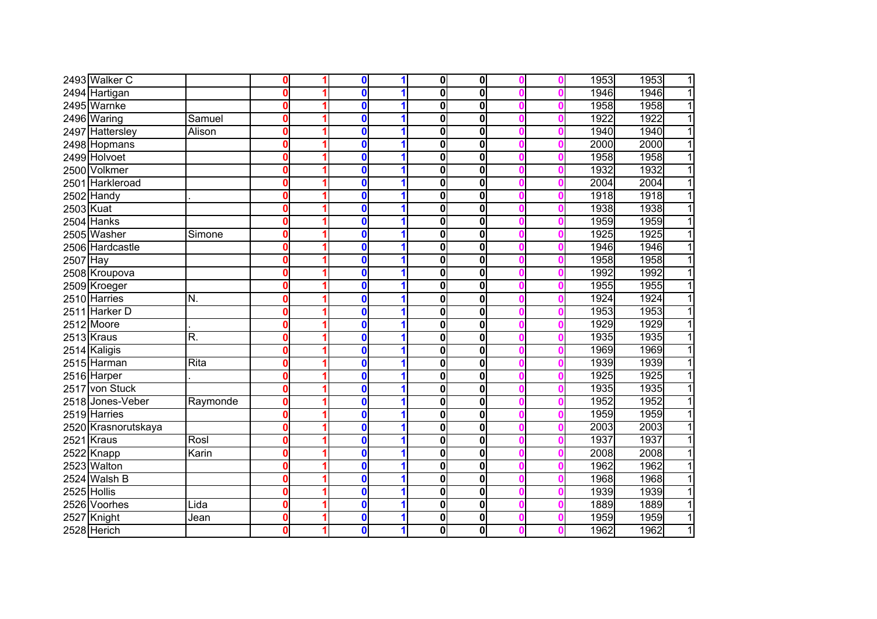|           | 2493 Walker C       |          | $\mathbf 0$             | $\bf{0}$     | 1            | $\overline{\mathbf{0}}$ | 0                       |  | 1953 | 1953<br>1              |
|-----------|---------------------|----------|-------------------------|--------------|--------------|-------------------------|-------------------------|--|------|------------------------|
|           | 2494 Hartigan       |          | $\mathbf 0$             | $\mathbf 0$  | 1            | $\overline{\mathbf{0}}$ | $\mathbf 0$             |  | 1946 | 1946<br>1              |
|           | 2495 Warnke         |          | $\mathbf 0$             | $\mathbf{0}$ | 1            | $\bf{0}$                | $\mathbf 0$             |  | 1958 | 1958<br>1              |
|           | 2496 Waring         | Samuel   | $\mathbf 0$             | $\mathbf 0$  | 1            | $\bf{0}$                | 0                       |  | 1922 | 1922<br>1              |
|           | 2497 Hattersley     | Alison   | $\overline{\mathbf{0}}$ | $\mathbf 0$  | 1            | 0                       | 0                       |  | 1940 | 1940<br>1              |
|           | 2498 Hopmans        |          | $\overline{\mathbf{0}}$ | $\mathbf{0}$ | 1            | 0                       | 0                       |  | 2000 | 2000<br>1              |
|           | 2499 Holvoet        |          | $\mathbf 0$             | $\mathbf{0}$ | 1            | 0                       | 0                       |  | 1958 | 1958<br>$\overline{1}$ |
|           | 2500 Volkmer        |          | $\mathbf 0$             | $\mathbf{0}$ | 1            | $\bf{0}$                | $\mathbf 0$             |  | 1932 | 1932<br>1              |
|           | 2501 Harkleroad     |          | $\mathbf 0$             | $\mathbf 0$  | 1            | $\bf{0}$                | 0                       |  | 2004 | 2004<br>1              |
|           | 2502 Handy          |          | $\mathbf{0}$            | $\mathbf 0$  | 1            | 0                       | 0                       |  | 1918 | 1918<br>1              |
| 2503 Kuat |                     |          | $\mathbf 0$             | $\mathbf 0$  | $\mathbf 1$  | $\bf{0}$                | 0                       |  | 1938 | 1938<br>1              |
|           | 2504 Hanks          |          | $\mathbf 0$             | 0            | $\mathbf 1$  | $\bf{0}$                | 0                       |  | 1959 | 1959<br>1              |
|           | 2505 Washer         | Simone   | $\mathbf 0$             | 0            | 1            | 0                       | 0                       |  | 1925 | 1925<br>1              |
|           | 2506 Hardcastle     |          | $\mathbf{0}$            | 0            | 1            | 0                       | 0                       |  | 1946 | 1946                   |
| 2507 Hay  |                     |          | $\mathbf 0$             | $\mathbf{0}$ |              | $\bf{0}$                | 0                       |  | 1958 | 1958                   |
|           | 2508 Kroupova       |          | $\mathbf 0$             | 0            |              | 0                       | 0                       |  | 1992 | 1992                   |
|           | 2509 Kroeger        |          | $\mathbf 0$             | 0            |              | $\bf{0}$                | 0                       |  | 1955 | 1955                   |
|           | 2510 Harries        | N.       | $\mathbf 0$             | $\mathbf{0}$ | 1            | $\bf{0}$                | $\mathbf 0$             |  | 1924 | 1924                   |
| 2511      | <b>Harker D</b>     |          | $\mathbf 0$             | $\mathbf 0$  | 1            | 0                       | 0                       |  | 1953 | 1953                   |
|           | 2512 Moore          |          | $\mathbf 0$             | 0            | 1            | 0                       | 0                       |  | 1929 | 1929                   |
|           | 2513 Kraus          | R.       | $\mathbf 0$             | 0            | 1            | $\bf{0}$                | 0                       |  | 1935 | 1935                   |
|           | 2514 Kaligis        |          | $\mathbf 0$             | 0            | 1            | 0                       | $\bf{0}$                |  | 1969 | 1969                   |
|           | 2515 Harman         | Rita     | $\mathbf 0$             | $\mathbf 0$  | 1            | 0                       | 0                       |  | 1939 | 1939<br>1              |
|           | 2516 Harper         |          | $\mathbf 0$             | $\mathbf 0$  | 1            | 0                       | 0                       |  | 1925 | 1925<br>1              |
|           | 2517 von Stuck      |          | $\overline{\mathbf{0}}$ | 0            | 1            | $\bf{0}$                | $\overline{\mathbf{0}}$ |  | 1935 | 1935<br>1              |
|           | 2518 Jones-Veber    | Raymonde | $\mathbf 0$             | $\mathbf 0$  | 1            | 0                       | 0                       |  | 1952 | 1952<br>1              |
|           | 2519 Harries        |          | $\mathbf 0$             | $\mathbf 0$  | $\mathbf 1$  | $\mathbf 0$             | 0                       |  | 1959 | 1959<br>1              |
|           | 2520 Krasnorutskaya |          | 0                       | 0            | $\mathbf 1$  | 0                       | 0                       |  | 2003 | 2003<br>1              |
|           | 2521 Kraus          | Rosl     | 0                       | 0            | 1            | $\mathbf 0$             | 0                       |  | 1937 | 1937                   |
|           | 2522 Knapp          | Karin    | 0                       | 0            | 1            | 0                       | 0                       |  | 2008 | 2008                   |
|           | 2523 Walton         |          | 0                       | 0            | 1            | 0                       | $\bf{0}$                |  | 1962 | 1962                   |
|           | 2524 Walsh B        |          | 0                       | 0            | 1            | 0                       | 0                       |  | 1968 | 1968                   |
|           | 2525 Hollis         |          | $\bf{0}$                | 0            |              | $\mathbf 0$             | $\bf{0}$                |  | 1939 | 1939                   |
|           | 2526 Voorhes        | Lida     | $\mathbf 0$             | 0            | 1            | 0                       | 0                       |  | 1889 | 1889                   |
| 2527      | Knight              | Jean     | $\bf{0}$                | 0            | 1            | 0                       | 0                       |  | 1959 | 1959<br>1              |
|           | 2528 Herich         |          | $\mathbf 0$             | 0            | $\mathbf{1}$ | 0                       | $\bf{0}$                |  | 1962 | 1962<br>1              |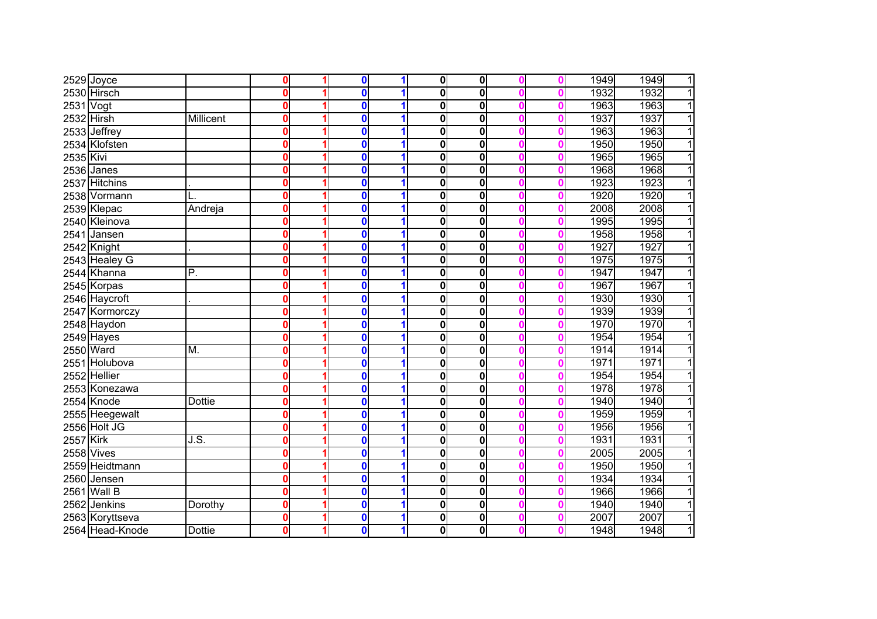|            | 2529 Joyce      |                          | 0        | $\bf{0}$ | 1 | $\overline{\mathbf{0}}$ | 0                       |  | 1949 | 1949<br>1 |
|------------|-----------------|--------------------------|----------|----------|---|-------------------------|-------------------------|--|------|-----------|
|            | 2530 Hirsch     |                          | 0        | $\bf{0}$ | 4 | $\overline{\mathbf{0}}$ | $\mathbf{0}$            |  | 1932 | 1932<br>1 |
| 2531 Vogt  |                 |                          | 0        | $\bf{0}$ |   | $\mathbf 0$             | $\mathbf{0}$            |  | 1963 | 1963<br>1 |
| 2532 Hirsh |                 | Millicent                | 0        | $\bf{0}$ |   | $\mathbf 0$             | 0                       |  | 1937 | 1937<br>1 |
|            | 2533 Jeffrey    |                          | 0        | $\bf{0}$ | 1 | $\mathbf 0$             | $\mathbf{0}$            |  | 1963 | 1963<br>1 |
|            | 2534 Klofsten   |                          | 0        | $\bf{0}$ | 1 | $\mathbf 0$             | 0                       |  | 1950 | 1950<br>1 |
| 2535 Kivi  |                 |                          | 0        | $\bf{0}$ | 1 | $\mathbf 0$             | 0                       |  | 1965 | 1965<br>1 |
|            | 2536 Janes      |                          | Ω        | $\bf{0}$ | 4 | 0                       | $\mathbf 0$             |  | 1968 | 1968<br>1 |
|            | 2537 Hitchins   |                          | 0        | $\bf{0}$ |   | $\mathbf 0$             | $\mathbf 0$             |  | 1923 | 1923<br>1 |
|            | 2538 Vormann    |                          | 0        | $\bf{0}$ | 1 | $\mathbf 0$             | $\mathbf 0$             |  | 1920 | 1920<br>1 |
|            | 2539 Klepac     | Andreja                  | 0        | $\bf{0}$ | 1 | $\mathbf 0$             | 0                       |  | 2008 | 2008<br>1 |
|            | 2540 Kleinova   |                          | 0        | $\bf{0}$ |   | $\mathbf 0$             | 0                       |  | 1995 | 1995      |
|            | 2541 Jansen     |                          | $\bf{0}$ | 0        | 1 | $\mathbf 0$             | 0                       |  | 1958 | 1958      |
|            | 2542 Knight     |                          | 0        | $\bf{0}$ | 1 | $\mathbf 0$             | 0                       |  | 1927 | 1927      |
|            | 2543 Healey G   |                          | 0        | $\bf{0}$ |   | $\mathbf 0$             | 0                       |  | 1975 | 1975      |
|            | 2544 Khanna     | P.                       | 0        | $\bf{0}$ |   | $\mathbf 0$             | 0                       |  | 1947 | 1947      |
|            | 2545 Korpas     |                          | 0        | 0        |   | $\mathbf 0$             | 0                       |  | 1967 | 1967      |
|            | 2546 Haycroft   |                          | 0        | $\bf{0}$ |   | $\mathbf 0$             | 0                       |  | 1930 | 1930      |
|            | 2547 Kormorczy  |                          | 0        | 0        |   | $\mathbf 0$             | 0                       |  | 1939 | 1939      |
|            | 2548 Haydon     |                          | 0        | 0        |   | $\mathbf 0$             | 0                       |  | 1970 | 1970      |
|            | $2549$ Hayes    |                          | 0        | 0        |   | $\mathbf 0$             | 0                       |  | 1954 | 1954      |
|            | 2550 Ward       | M.                       | 0        | 0        | 1 | $\mathbf 0$             | 0                       |  | 1914 | 1914      |
|            | 2551 Holubova   |                          | 0        | $\bf{0}$ | 1 | $\mathbf 0$             | 0                       |  | 1971 | 1971<br>1 |
|            | 2552 Hellier    |                          | Ω        | $\bf{0}$ |   | $\mathbf 0$             | 0                       |  | 1954 | 1954      |
|            | 2553 Konezawa   |                          | 0        | 0        |   | $\mathbf 0$             | $\overline{\mathbf{0}}$ |  | 1978 | 1978<br>1 |
|            | 2554 Knode      | <b>Dottie</b>            | 0        | 0        | 1 | $\mathbf 0$             | 0                       |  | 1940 | 1940<br>1 |
|            | 2555 Heegewalt  |                          | 0        | $\bf{0}$ | 1 | $\mathbf 0$             | 0                       |  | 1959 | 1959<br>1 |
|            | 2556 Holt JG    |                          | 0        | 0        | 1 | $\mathbf 0$             | 0                       |  | 1956 | 1956      |
| 2557 Kirk  |                 | $\overline{\mathsf{JS}}$ | 0        | 0        | 1 | $\overline{\mathbf{0}}$ | 0                       |  | 1931 | 1931      |
|            | 2558 Vives      |                          | 0        | 0        | 1 | 0                       | 0                       |  | 2005 | 2005      |
|            | 2559 Heidtmann  |                          | 0        | $\bf{0}$ |   | $\mathbf 0$             | $\mathbf 0$             |  | 1950 | 1950      |
|            | 2560 Jensen     |                          | 0        | 0        |   | 0                       | 0                       |  | 1934 | 1934      |
|            | 2561 Wall B     |                          | 0        | 0        |   | $\mathbf 0$             | $\mathbf 0$             |  | 1966 | 1966      |
|            | 2562 Jenkins    | Dorothy                  | 0        | 0        | 1 | 0                       | 0                       |  | 1940 | 1940      |
|            | 2563 Koryttseva |                          | 0        | 0        | 1 | 0                       | 0                       |  | 2007 | 2007<br>1 |
|            | 2564 Head-Knode | <b>Dottie</b>            | 0        | 0        | 1 | $\mathbf 0$             | $\mathbf 0$             |  | 1948 | 1948<br>1 |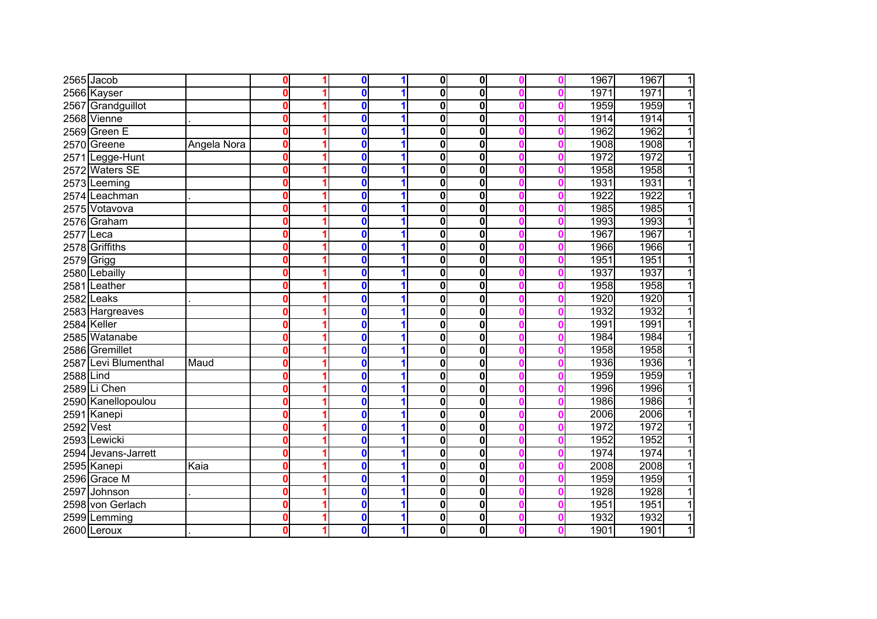|           | $2565$ Jacob         |             | 0            | $\mathbf 0$ | 1 | $\mathbf{0}$ | 0                       |  | 1967 | 1967<br>$\mathbf{1}$   |
|-----------|----------------------|-------------|--------------|-------------|---|--------------|-------------------------|--|------|------------------------|
|           | 2566 Kayser          |             | $\bf{0}$     | $\bf{0}$    |   | $\bf{0}$     | $\overline{\mathbf{0}}$ |  | 1971 | 1971<br>$\overline{1}$ |
|           | 2567 Grandguillot    |             | $\bf{0}$     | $\bf{0}$    | 1 | $\bf{0}$     | $\mathbf 0$             |  | 1959 | $\overline{1}$<br>1959 |
|           | 2568 Vienne          |             | $\bf{0}$     | $\bf{0}$    | 1 | $\bf{0}$     | $\mathbf 0$             |  | 1914 | $\overline{1}$<br>1914 |
|           | 2569 Green E         |             | 0            | 0           | 1 | $\bf{0}$     | 0                       |  | 1962 | 1962<br>$\overline{1}$ |
|           | 2570 Greene          | Angela Nora | $\mathbf{0}$ | $\bf{0}$    | 1 | 0            | 0                       |  | 1908 | 1908<br>$\overline{1}$ |
|           | 2571 Legge-Hunt      |             | $\bf{0}$     | $\bf{0}$    | 1 | $\bf{0}$     | $\mathbf 0$             |  | 1972 | 1972<br>$\overline{1}$ |
|           | 2572 Waters SE       |             | 0            | $\bf{0}$    | 1 | $\bf{0}$     | 0                       |  | 1958 | 1958<br>$\overline{1}$ |
|           | 2573 Leeming         |             | 0            | $\bf{0}$    | 1 | 0            | 0                       |  | 1931 | 1931<br>$\mathbf{1}$   |
|           | 2574 Leachman        |             | $\bf{0}$     | $\bf{0}$    | 1 | $\bf{0}$     | 0                       |  | 1922 | 1922<br>$\overline{1}$ |
|           | 2575 Votavova        |             | 0            | $\bf{0}$    | 1 | $\bf{0}$     | 0                       |  | 1985 | 1985<br>$\overline{1}$ |
|           | 2576 Graham          |             | 0            | $\bf{0}$    | 1 | 0            | $\mathbf 0$             |  | 1993 | 1993<br>$\overline{1}$ |
| 2577 Leca |                      |             | 0            | 0           | 1 | 0            | 0                       |  | 1967 | 1967<br>$\mathbf{1}$   |
|           | 2578 Griffiths       |             | 0            | $\bf{0}$    | 1 | 0            | 0                       |  | 1966 | 1966<br>$\overline{1}$ |
|           | 2579 Grigg           |             | 0            | $\bf{0}$    | 1 | 0            | 0                       |  | 1951 | 1951<br>$\mathbf{1}$   |
|           | 2580 Lebailly        |             | 0            | $\bf{0}$    |   | 0            | $\mathbf 0$             |  | 1937 | 1937<br>11             |
|           | 2581 Leather         |             | 0            | 0           |   | 0            | 0                       |  | 1958 | 1958<br>1              |
|           | $2582$ Leaks         |             | $\bf{0}$     | $\bf{0}$    | 1 | 0            | 0                       |  | 1920 | 1920<br>1              |
|           | 2583 Hargreaves      |             | $\bf{0}$     | $\bf{0}$    | 1 | $\bf{0}$     | 0                       |  | 1932 | 1932<br>1              |
|           | 2584 Keller          |             | $\bf{0}$     | $\bf{0}$    | 1 | $\bf{0}$     | $\mathbf 0$             |  | 1991 | 1991<br>$\overline{1}$ |
|           | 2585 Watanabe        |             | 0            | $\bf{0}$    | 1 | $\bf{0}$     | 0                       |  | 1984 | 1984<br>1              |
|           | 2586 Gremillet       |             | $\mathbf{0}$ | $\bf{0}$    | 1 | $\bf{0}$     | 0                       |  | 1958 | 1958<br>$\overline{1}$ |
|           | 2587 Levi Blumenthal | Maud        | $\mathbf{0}$ | $\bf{0}$    | 1 | 0            | 0                       |  | 1936 | 1936<br>$\overline{1}$ |
| 2588 Lind |                      |             | 0            | $\bf{0}$    | 1 | $\bf{0}$     | $\overline{\mathbf{0}}$ |  | 1959 | 1959<br>$\overline{1}$ |
|           | 2589 Li Chen         |             | $\bf{0}$     | $\bf{0}$    | 1 | $\bf{0}$     | $\overline{\mathbf{0}}$ |  | 1996 | 1996<br>$\overline{1}$ |
|           | 2590 Kanellopoulou   |             | $\bf{0}$     | $\bf{0}$    | 1 | $\bf{0}$     | 0                       |  | 1986 | 1986<br>$\overline{1}$ |
|           | 2591 Kanepi          |             | $\bf{0}$     | $\bf{0}$    | 1 | $\bf{0}$     | 0                       |  | 2006 | 2006<br>$\mathbf{1}$   |
| 2592 Vest |                      |             | 0            | $\bf{0}$    | 1 | 0            | 0                       |  | 1972 | 1972<br>$\mathbf{1}$   |
|           | 2593 Lewicki         |             | 0            | 0           | 1 | $\bf{0}$     | 0                       |  | 1952 | 1952<br>$\overline{1}$ |
|           | 2594 Jevans-Jarrett  |             | $\bf{0}$     | $\bf{0}$    | 1 | 0            | $\bf{0}$                |  | 1974 | 1974<br>$\overline{1}$ |
|           | 2595 Kanepi          | Kaia        | $\bf{0}$     | $\bf{0}$    | 1 | 0            | $\bf{0}$                |  | 2008 | 2008<br>$\overline{1}$ |
|           | 2596 Grace M         |             | $\bf{0}$     | $\bf{0}$    | 1 | 0            | 0                       |  | 1959 | 1959<br>$\mathbf{1}$   |
|           | 2597 Johnson         |             | 0            | $\bf{0}$    | 1 | $\mathbf 0$  | $\bf{0}$                |  | 1928 | $\overline{1}$<br>1928 |
|           | 2598 von Gerlach     |             | 0            | $\bf{0}$    | 1 | 0            | 0                       |  | 1951 | 1951<br>$\mathbf{1}$   |
|           | 2599 Lemming         |             | 0            | $\bf{0}$    | 1 | 0            | $\bf{0}$                |  | 1932 | 1932<br>1              |
|           | 2600 Leroux          |             | 0            | $\bf{0}$    | 1 | 0            | $\bf{0}$                |  | 1901 | 1<br>1901              |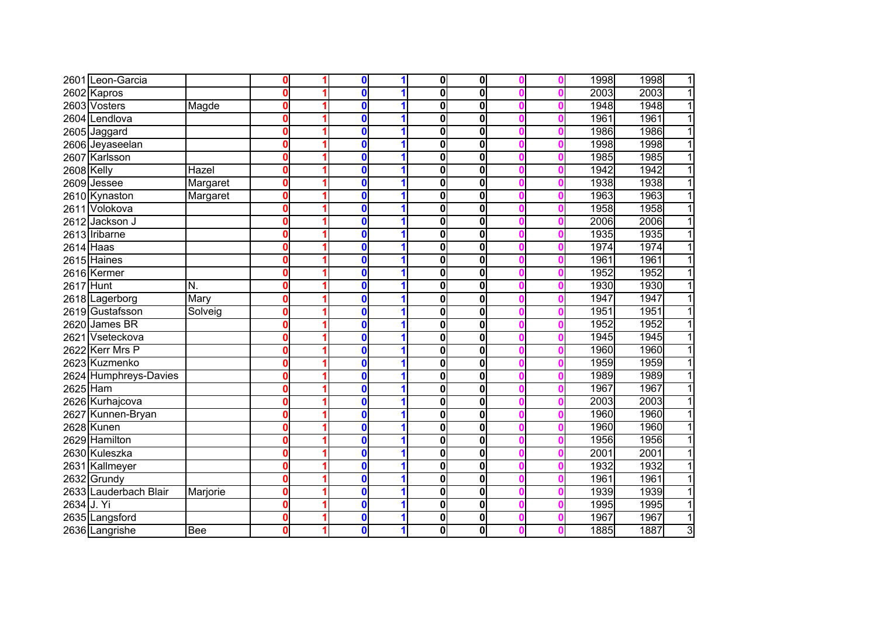|                   | 2601 Leon-Garcia      |          | 0            | $\bf{0}$ | 1 | $\mathbf 0$  | 0           |  | 1998 | 1998<br>1              |
|-------------------|-----------------------|----------|--------------|----------|---|--------------|-------------|--|------|------------------------|
|                   | 2602 Kapros           |          | $\bf{0}$     | $\bf{0}$ | 1 | $\mathbf 0$  | $\mathbf 0$ |  | 2003 | 2003<br>$\overline{1}$ |
|                   | 2603 Vosters          | Magde    | $\bf{0}$     | $\bf{0}$ | 1 | $\bf{0}$     | $\mathbf 0$ |  | 1948 | 1948<br>$\overline{1}$ |
|                   | 2604 Lendlova         |          | $\bf{0}$     | $\bf{0}$ | 1 | $\mathbf 0$  | 0           |  | 1961 | 1961<br>$\overline{1}$ |
|                   | 2605 Jaggard          |          | $\mathbf{0}$ | $\bf{0}$ | 1 | $\mathbf{0}$ | 0           |  | 1986 | $\overline{1}$<br>1986 |
|                   | 2606 Jeyaseelan       |          | $\bf{0}$     | $\bf{0}$ | 1 | 0            | 0           |  | 1998 | 1998<br>$\overline{1}$ |
|                   | 2607 Karlsson         |          | $\mathbf{0}$ | $\bf{0}$ | 1 | $\bf{0}$     | 0           |  | 1985 | $\overline{1}$<br>1985 |
| <b>2608 Kelly</b> |                       | Hazel    | 0            | $\bf{0}$ | 1 | $\bf{0}$     | $\mathbf 0$ |  | 1942 | $\overline{1}$<br>1942 |
|                   | 2609 Jessee           | Margaret | $\bf{0}$     | $\bf{0}$ | 1 | $\bf{0}$     | 0           |  | 1938 | $\overline{1}$<br>1938 |
|                   | 2610 Kynaston         | Margaret | 0            | $\bf{0}$ | 1 | $\mathbf{0}$ | 0           |  | 1963 | $\overline{1}$<br>1963 |
|                   | 2611 Volokova         |          | 0            | $\bf{0}$ | 1 | $\bf{0}$     | 0           |  | 1958 | 1958<br>$\overline{1}$ |
|                   | 2612 Jackson J        |          | $\bf{0}$     | $\bf{0}$ | 1 | 0            | 0           |  | 2006 | 2006<br>$\overline{1}$ |
|                   | 2613 Iribarne         |          | $\bf{0}$     | $\bf{0}$ | 1 | 0            | 0           |  | 1935 | 1935<br>$\overline{1}$ |
| $2614$ Haas       |                       |          | $\bf{0}$     | $\bf{0}$ | 1 | $\bf{0}$     | 0           |  | 1974 | 1974<br>$\overline{1}$ |
|                   | 2615 Haines           |          | $\bf{0}$     | $\bf{0}$ | 1 | 0            | 0           |  | 1961 | $\overline{1}$<br>1961 |
|                   | 2616 Kermer           |          | 0            | $\bf{0}$ |   | 0            | 0           |  | 1952 | 1952<br>1              |
| 2617 Hunt         |                       | N.       | $\bf{0}$     | $\bf{0}$ | 1 | 0            | 0           |  | 1930 | 1930<br>1              |
|                   | 2618 Lagerborg        | Mary     | $\bf{0}$     | $\bf{0}$ | 1 | $\bf{0}$     | 0           |  | 1947 | 1947<br>1              |
|                   | 2619 Gustafsson       | Solveig  | 0            | $\bf{0}$ | 1 | 0            | 0           |  | 1951 | 1951<br>1              |
| 2620              | James BR              |          | 0            | $\bf{0}$ | 1 | 0            | 0           |  | 1952 | 1952<br>1              |
| 2621              | Vseteckova            |          | 0            | $\bf{0}$ | 1 | $\bf{0}$     | 0           |  | 1945 | 1945<br>1              |
|                   | 2622 Kerr Mrs P       |          | $\bf{0}$     | $\bf{0}$ | 1 | 0            | 0           |  | 1960 | 1960<br>1              |
|                   | 2623 Kuzmenko         |          | $\bf{0}$     | $\bf{0}$ | 1 | 0            | 0           |  | 1959 | 1959<br>11             |
|                   | 2624 Humphreys-Davies |          | 0            | $\bf{0}$ | 1 | 0            | 0           |  | 1989 | 1989<br>1              |
| 2625 Ham          |                       |          | 0            | $\bf{0}$ | 1 | $\bf{0}$     | 0           |  | 1967 | 1967<br>$\overline{1}$ |
|                   | 2626 Kurhajcova       |          | 0            | $\bf{0}$ | 1 | 0            | 0           |  | 2003 | 2003<br>$\mathbf{1}$   |
|                   | 2627 Kunnen-Bryan     |          | 0            | $\bf{0}$ | 1 | 0            | 0           |  | 1960 | 1960<br>$\mathbf{1}$   |
|                   | 2628 Kunen            |          | 0            | 0        | 1 | 0            | 0           |  | 1960 | 1960<br>11             |
|                   | 2629 Hamilton         |          | 0            | 0        | 1 | $\bf{0}$     | 0           |  | 1956 | 1956<br>$\overline{1}$ |
|                   | 2630 Kuleszka         |          | $\bf{0}$     | 0        | 1 | 0            | 0           |  | 2001 | 2001<br>$\mathbf{1}$   |
|                   | 2631 Kallmeyer        |          | 0            | $\bf{0}$ | 1 | 0            | 0           |  | 1932 | 1932<br>11             |
|                   | 2632 Grundy           |          | 0            | $\bf{0}$ | 1 | 0            | 0           |  | 1961 | 1961<br>1              |
|                   | 2633 Lauderbach Blair | Marjorie | 0            | 0        | 1 | 0            | 0           |  | 1939 | 1939<br>$\mathbf{1}$   |
| 2634 J. Yi        |                       |          | $\bf{0}$     | $\bf{0}$ | 1 | 0            | 0           |  | 1995 | 1995<br>1              |
|                   | 2635 Langsford        |          | 0            | $\bf{0}$ | 1 | 0            | 0           |  | 1967 | 1967<br>$\mathbf{1}$   |
|                   | 2636 Langrishe        | Bee      | 0            | $\bf{0}$ | 1 | 0            | 0           |  | 1885 | ω<br>1887              |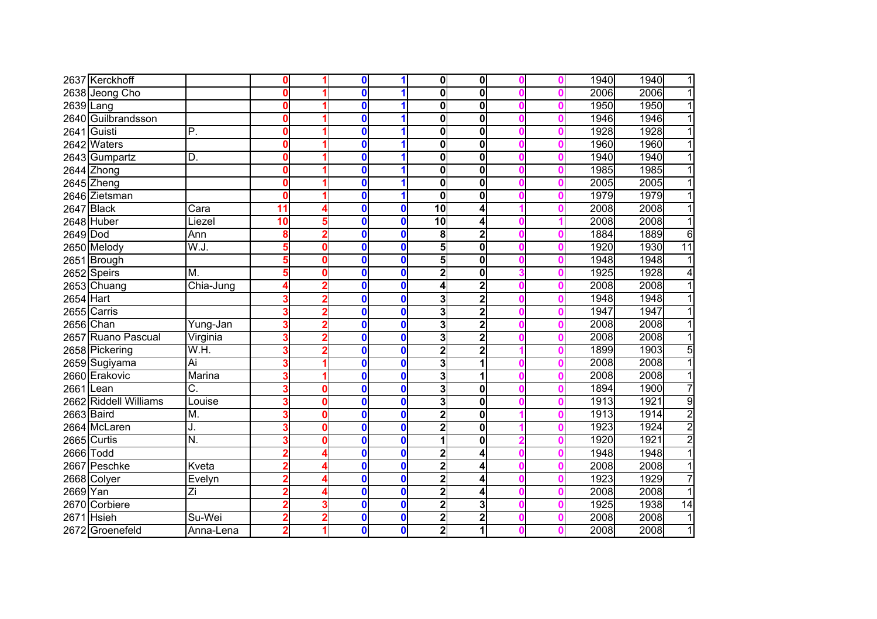|            | 2637 Kerckhoff        |                           | 0  |   | 0           |              | $\mathbf 0$             | 0                       |  | 1940 | 1940<br>1               |
|------------|-----------------------|---------------------------|----|---|-------------|--------------|-------------------------|-------------------------|--|------|-------------------------|
|            | 2638 Jeong Cho        |                           | 0  |   | $\bf{0}$    |              | $\mathbf{0}$            | 0                       |  | 2006 | 2006<br>1               |
| 2639 Lang  |                       |                           | 0  |   | 0           |              | 0                       | 0                       |  | 1950 | 1950<br>1               |
|            | 2640 Guilbrandsson    |                           | 0  |   | 0           |              | 0                       | $\overline{\mathbf{0}}$ |  | 1946 | 1946<br>1               |
|            | 2641 Guisti           | $\overline{P}$ .          | 0  |   | 0           |              | $\mathbf{0}$            | $\overline{\mathbf{0}}$ |  | 1928 | 1928<br>1               |
|            | 2642 Waters           |                           | 0  |   | 0           | 1            | 0                       | 0                       |  | 1960 | 1960<br>1               |
|            | 2643 Gumpartz         | D.                        | 0  |   | $\mathbf 0$ | 4            | 0                       | 0                       |  | 1940 | $\overline{1}$<br>1940  |
|            | 2644 Zhong            |                           | 0  |   | $\mathbf 0$ |              | 0                       | 0                       |  | 1985 | 1985<br>1               |
|            | 2645 Zheng            |                           | 0  |   | 0           |              | 0                       | 0                       |  | 2005 | 2005<br>1               |
|            | 2646 Zietsman         |                           | 0  |   | $\mathbf 0$ | 1            | $\mathbf{0}$            | 0                       |  | 1979 | 1979<br>1               |
|            | 2647 Black            | Cara                      | 11 |   | 0           | $\bf{0}$     | 10                      | 4                       |  | 2008 | 2008<br>1               |
|            | 2648 Huber            | Liezel                    | 10 |   | 0           | $\bf{0}$     | 10                      | 4                       |  | 2008 | 2008<br>1               |
| 2649 Dod   |                       | Ann                       | 8  |   | 0           | $\bf{0}$     | 8                       | $\overline{2}$          |  | 1884 | 1889<br>6               |
|            | 2650 Melody           | W.J.                      | 5  | Ω | 0           | $\mathbf 0$  | 5                       | 0                       |  | 1920 | 1930<br>$\overline{11}$ |
|            | 2651 Brough           |                           | 5  |   | $\mathbf 0$ | $\mathbf{0}$ | 5                       | 0                       |  | 1948 | 1948                    |
|            | 2652 Speirs           | M.                        |    |   | 0           | $\mathbf{0}$ | 2                       | 0                       |  | 1925 | 1928<br>4               |
|            | 2653 Chuang           | Chia-Jung                 |    |   | 0           | $\mathbf 0$  | 4                       | $\overline{\mathbf{c}}$ |  | 2008 | 2008                    |
| 2654 Hart  |                       |                           |    |   | 0           | $\bf{0}$     | 3                       | $\overline{2}$          |  | 1948 | 1948                    |
|            | 2655 Carris           |                           |    |   | 0           | $\bf{0}$     | 3                       | $\overline{\mathbf{c}}$ |  | 1947 | 1947                    |
|            | 2656 Chan             | Yung-Jan                  |    |   | 0           | $\mathbf 0$  | 3                       | $\overline{\mathbf{2}}$ |  | 2008 | 2008                    |
|            | 2657 Ruano Pascual    | Virginia                  |    |   | 0           | $\bf{0}$     | 3                       | $\overline{2}$          |  | 2008 | 2008<br>1               |
|            | 2658 Pickering        | W.H.                      |    |   | 0           | $\mathbf 0$  | 2                       | $\overline{\mathbf{2}}$ |  | 1899 | 5<br>1903               |
|            | 2659 Sugiyama         | Ai                        |    |   | $\bf{0}$    | $\bf{0}$     | 3                       | 1                       |  | 2008 | $\overline{1}$<br>2008  |
|            | 2660 Erakovic         | Marina                    |    |   | 0           | $\bf{0}$     | 3                       | 1                       |  | 2008 | 2008<br>1               |
| 2661 Lean  |                       | C.                        |    |   | 0           | $\bf{0}$     | 3                       | 0                       |  | 1894 | 7<br>1900               |
|            | 2662 Riddell Williams | Louise                    |    | Ω | 0           | $\mathbf 0$  | 3                       | 0                       |  | 1913 | 9<br>1921               |
| 2663 Baird |                       | M.                        | 3  | Ω | 0           | $\bf{0}$     | $\overline{\mathbf{2}}$ | 0                       |  | 1913 | $\overline{2}$<br>1914  |
|            | 2664 McLaren          | J.                        |    | 0 | 0           | $\mathbf 0$  | $\overline{\mathbf{2}}$ | 0                       |  | 1923 | $\overline{2}$<br>1924  |
|            | 2665 Curtis           | $\overline{\mathsf{N}}$ . |    |   | 0           | $\bf{0}$     |                         | 0                       |  | 1920 | $\overline{2}$<br>1921  |
| 2666 Todd  |                       |                           |    |   | 0           | $\mathbf 0$  | 2                       | 4                       |  | 1948 | 1948                    |
|            | 2667 Peschke          | Kveta                     |    |   | 0           | $\mathbf 0$  | 2                       | 4                       |  | 2008 | 2008                    |
|            | 2668 Colyer           | Evelyn                    |    |   | 0           | $\mathbf 0$  | 2                       | 4                       |  | 1923 | 1929<br>7               |
| 2669 Yan   |                       | Ζi                        |    |   | 0           | $\bf{0}$     | $\mathbf 2$             | 4                       |  | 2008 | 2008<br>1               |
|            | 2670 Corbiere         |                           |    |   | 0           | $\mathbf 0$  | $\mathbf{2}$            | 3                       |  | 1925 | 1938<br>$\overline{14}$ |
|            | 2671 Hsieh            | Su-Wei                    | 2  |   | 0           | $\mathbf 0$  | $\mathbf{2}$            | 2                       |  | 2008 | 1<br>2008               |
|            | 2672 Groenefeld       | Anna-Lena                 | 2  |   | 0           | $\bf{0}$     | $\mathbf{2}$            | 1                       |  | 2008 | $\mathbf{1}$<br>2008    |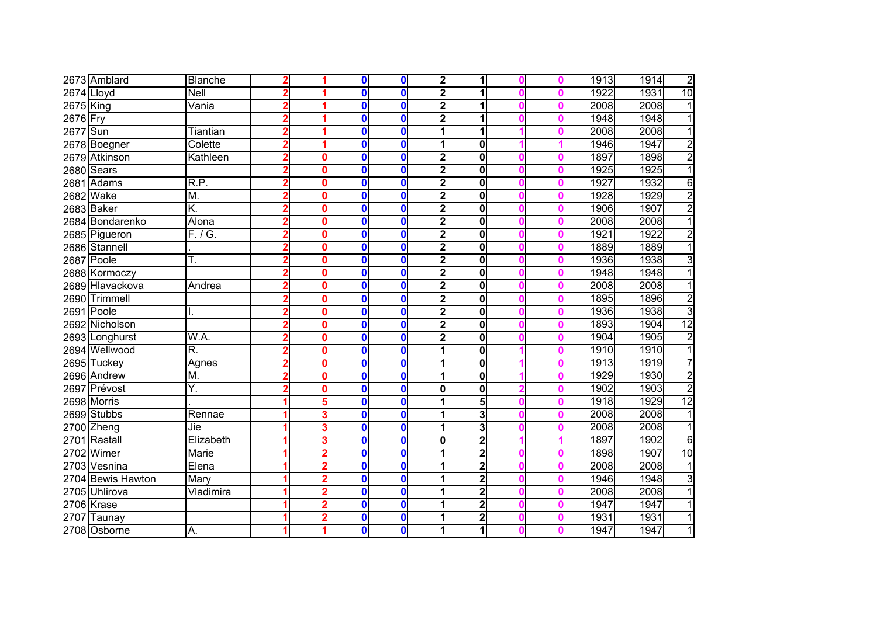|              | 2673 Amblard      | <b>Blanche</b> |   |   | 0            | $\mathbf 0$      | $\overline{\mathbf{2}}$ | 1                       |  | 1913 | $\overline{2}$<br>1914  |
|--------------|-------------------|----------------|---|---|--------------|------------------|-------------------------|-------------------------|--|------|-------------------------|
| $2674$ Lloyd |                   | Nell           |   |   | $\mathbf{0}$ | $\mathbf{0}$     | $\overline{\mathbf{2}}$ | 1                       |  | 1922 | 10<br>1931              |
| 2675 King    |                   | Vania          |   |   | 0            | $\bf{0}$         | $\overline{\mathbf{2}}$ | 1                       |  | 2008 | 2008<br>1               |
| 2676 Fry     |                   |                |   |   | 0            | $\bf{0}$         | $\overline{\mathbf{2}}$ | 1                       |  | 1948 | 1948                    |
| 2677 Sun     |                   | Tiantian       |   |   | 0            | $\mathbf{0}$     |                         | 1                       |  | 2008 | 2008<br>1               |
|              | 2678 Boegner      | Colette        |   |   | 0            | $\bf{0}$         |                         | 0                       |  | 1946 | $\overline{2}$<br>1947  |
|              | 2679 Atkinson     | Kathleen       |   | Ω | 0            | $\mathbf 0$      | $\overline{\mathbf{2}}$ | 0                       |  | 1897 | $\overline{2}$<br>1898  |
|              | 2680 Sears        |                |   | Ω | 0            | $\mathbf 0$      | $\overline{2}$          | 0                       |  | 1925 | $\overline{1}$<br>1925  |
|              | 2681 Adams        | R.P.           |   | ŋ | 0            | $\bf{0}$         | 2                       | 0                       |  | 1927 | 1932<br>6               |
|              | 2682 Wake         | M.             |   |   | 0            | $\mathbf 0$      | 2                       | 0                       |  | 1928 | $\overline{2}$<br>1929  |
|              | 2683 Baker        | K.             | 2 |   | 0            | $\bf{0}$         | $\mathbf{2}$            | 0                       |  | 1906 | $\overline{2}$<br>1907  |
|              | 2684 Bondarenko   | Alona          |   | 0 | 0            | $\mathbf 0$      | $\overline{\mathbf{2}}$ | 0                       |  | 2008 | $\overline{1}$<br>2008  |
|              | 2685 Pigueron     | F. / G.        |   |   | 0            | $\mathbf 0$      | $\overline{\mathbf{2}}$ | 0                       |  | 1921 | 1922<br>$\overline{2}$  |
|              | 2686 Stannell     |                |   | Ω | 0            | $\mathbf 0$      | $\overline{\mathbf{2}}$ | 0                       |  | 1889 | $\overline{1}$<br>1889  |
|              | 2687 Poole        | Τ.             |   | ŋ | 0            | $\mathbf 0$      | $\overline{2}$          | 0                       |  | 1936 | $\overline{3}$<br>1938  |
|              | 2688 Kormoczy     |                |   |   | $\mathbf 0$  | $\mathbf 0$      | $\overline{2}$          | 0                       |  | 1948 | $\overline{1}$<br>1948  |
|              | 2689 Hlavackova   | Andrea         |   |   | 0            | $\mathbf 0$      | $\overline{\mathbf{2}}$ | 0                       |  | 2008 | 2008                    |
|              | 2690 Trimmell     |                |   |   | 0            | $\mathbf 0$      | $\overline{\mathbf{2}}$ | 0                       |  | 1895 | $\overline{2}$<br>1896  |
|              | 2691 Poole        |                |   | Ω | 0            | $\bf{0}$         | $\overline{\mathbf{2}}$ | 0                       |  | 1936 | $\overline{3}$<br>1938  |
|              | 2692 Nicholson    |                |   | o | 0            | $\mathbf 0$      | $\overline{\mathbf{2}}$ | 0                       |  | 1893 | $\overline{12}$<br>1904 |
|              | 2693 Longhurst    | W.A.           |   | 0 | 0            | $\mathbf 0$      | 2                       | 0                       |  | 1904 | $\overline{2}$<br>1905  |
|              | 2694 Wellwood     | R.             |   |   | 0            | $\mathbf 0$      |                         | 0                       |  | 1910 | $\overline{1}$<br>1910  |
|              | 2695 Tuckey       | Agnes          |   | Ω | 0            | $\boldsymbol{0}$ |                         | 0                       |  | 1913 | 7<br>1919               |
|              | 2696 Andrew       | M.             |   |   | 0            | $\mathbf 0$      |                         | 0                       |  | 1929 | $\overline{2}$<br>1930  |
|              | 2697 Prévost      | Y.             |   |   | 0            | $\mathbf 0$      | $\mathbf{0}$            | 0                       |  | 1902 | $\overline{2}$<br>1903  |
|              | 2698 Morris       |                |   |   | $\mathbf{0}$ | $\mathbf 0$      |                         | $\overline{5}$          |  | 1918 | 12<br>1929              |
|              | 2699 Stubbs       | Rennae         |   |   | 0            | $\mathbf 0$      |                         | 3                       |  | 2008 | 2008<br>1               |
|              | 2700 Zheng        | Jie            |   |   | 0            | $\mathbf 0$      |                         | 3                       |  | 2008 | 2008<br>1               |
|              | 2701 Rastall      | Elizabeth      |   |   | 0            | $\mathbf 0$      | $\mathbf 0$             | $\overline{2}$          |  | 1897 | 1902<br>6               |
|              | 2702 Wimer        | <b>Marie</b>   |   |   | 0            | $\mathbf 0$      |                         | $\overline{2}$          |  | 1898 | 1907<br>10              |
|              | 2703 Vesnina      | Elena          |   |   | 0            | $\mathbf 0$      |                         | $\overline{2}$          |  | 2008 | 2008                    |
|              | 2704 Bewis Hawton | Mary           |   |   | 0            | $\mathbf 0$      |                         | $\overline{2}$          |  | 1946 | 3<br>1948               |
|              | 2705 Uhlirova     | Vladimira      |   |   | 0            | $\mathbf 0$      |                         | $\overline{2}$          |  | 2008 | 2008                    |
|              | 2706 Krase        |                |   |   | 0            | $\mathbf 0$      |                         | $\overline{2}$          |  | 1947 | 1947                    |
|              | 2707 Taunay       |                |   |   | $\bf{0}$     | $\mathbf 0$      |                         | $\overline{\mathbf{c}}$ |  | 1931 | 1931                    |
|              | 2708 Osborne      | Α.             |   |   | 0            | $\mathbf 0$      |                         | 1                       |  | 1947 | 1947<br>1               |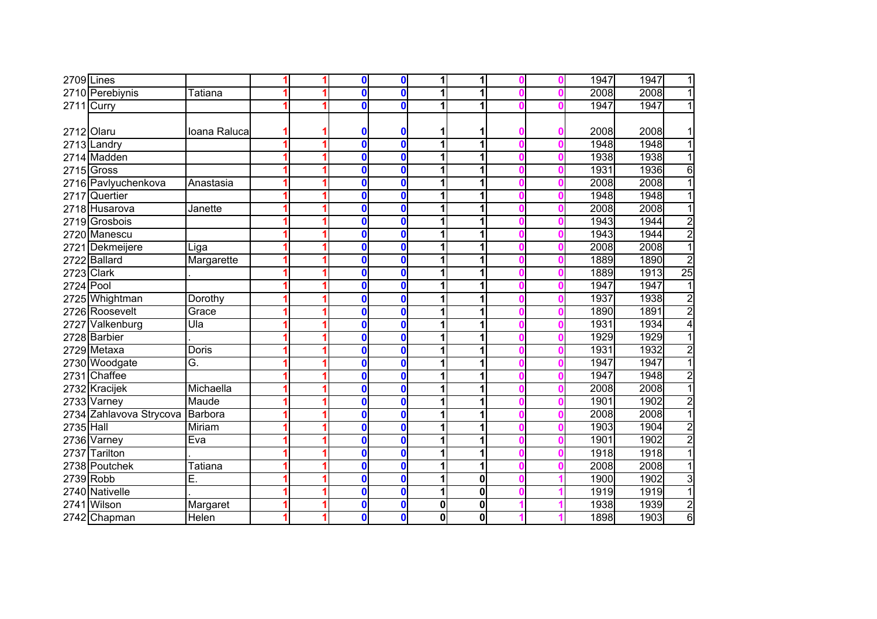|            | $2709$ Lines            |                         |   | 0            | $\mathbf 0$             | 1 | 1           |  | 1947 | 1947<br>1               |
|------------|-------------------------|-------------------------|---|--------------|-------------------------|---|-------------|--|------|-------------------------|
|            | 2710 Perebiynis         | Tatiana                 | 1 | 0            | $\mathbf 0$             | 1 | 1           |  | 2008 | 2008<br>$\overline{1}$  |
|            | 2711 Curry              |                         |   | 0            | $\mathbf 0$             | 1 |             |  | 1947 | 1947<br>$\mathbf{1}$    |
|            |                         |                         |   |              |                         |   |             |  |      |                         |
| 2712 Olaru |                         | Ioana Raluca            |   | O            | 0                       |   |             |  | 2008 | 2008<br>1               |
|            | 2713 Landry             |                         | 1 | $\mathbf{0}$ | $\overline{\mathbf{0}}$ | 1 | 1           |  | 1948 | 1948<br>$\overline{1}$  |
|            | 2714 Madden             |                         |   | 0            | $\mathbf 0$             |   |             |  | 1938 | 1938<br>1               |
|            | $2715$ Gross            |                         |   | 0            | $\bf{0}$                |   | 1           |  | 1931 | 1936<br>6               |
|            | 2716 Pavlyuchenkova     | Anastasia               |   | 0            | $\bf{0}$                |   |             |  | 2008 | 2008<br>1               |
| 2717       | Quertier                |                         |   | 0            | $\bf{0}$                |   |             |  | 1948 | 1948                    |
|            | 2718 Husarova           | Janette                 |   | 0            | $\bf{0}$                | 1 |             |  | 2008 | 2008<br>1               |
|            | 2719 Grosbois           |                         |   | $\mathbf 0$  | $\mathbf 0$             |   | 1           |  | 1943 | $\overline{2}$<br>1944  |
|            | 2720 Manescu            |                         |   | 0            | $\bf{0}$                |   | 1           |  | 1943 | $\overline{2}$<br>1944  |
|            | 2721 Dekmeijere         | Liga                    |   | $\mathbf{0}$ | $\bf{0}$                |   | 1           |  | 2008 | $\overline{1}$<br>2008  |
|            | 2722 Ballard            | Margarette              |   | 0            | $\bf{0}$                | 1 |             |  | 1889 | $\overline{2}$<br>1890  |
| 2723 Clark |                         |                         |   | 0            | $\mathbf{0}$            |   | 1           |  | 1889 | $\overline{25}$<br>1913 |
| 2724 Pool  |                         |                         |   | 0            | $\bf{0}$                |   |             |  | 1947 | 1947<br>1               |
|            | 2725 Whightman          | Dorothy                 |   | 0            | $\bf{0}$                |   | 1           |  | 1937 | $\overline{2}$<br>1938  |
|            | 2726 Roosevelt          | Grace                   |   | 0            | $\mathbf{0}$            | 1 | 1           |  | 1890 | $\overline{2}$<br>1891  |
| 2727       | Valkenburg              | $\overline{\text{Ula}}$ |   | 0            | $\bf{0}$                |   | 1           |  | 1931 | 4<br>1934               |
|            | 2728 Barbier            |                         |   | n            | $\bf{0}$                |   | 1           |  | 1929 | 1929<br>$\overline{1}$  |
|            | 2729 Metaxa             | Doris                   |   | 0            | $\bf{0}$                |   | 1           |  | 1931 | $\overline{2}$<br>1932  |
|            | 2730 Woodgate           | Ğ.                      |   | 0            | $\mathbf 0$             |   |             |  | 1947 | $\overline{1}$<br>1947  |
|            | 2731 Chaffee            |                         |   | 0            | $\mathbf 0$             |   |             |  | 1947 | $\overline{2}$<br>1948  |
|            | 2732 Kracijek           | Michaella               |   | 0            | $\bf{0}$                |   |             |  | 2008 | 2008<br>1               |
|            | 2733 Varney             | Maude                   |   | 0            | $\mathbf 0$             |   |             |  | 1901 | $\overline{2}$<br>1902  |
|            | 2734 Zahlavova Strycova | Barbora                 |   | 0            | $\mathbf 0$             |   | 1           |  | 2008 | 2008<br>1               |
| 2735 Hall  |                         | Miriam                  |   | 0            | $\mathbf 0$             | 1 | 1           |  | 1903 | $\overline{2}$<br>1904  |
|            | 2736 Varney             | Eva                     |   | $\mathbf{0}$ | $\mathbf 0$             |   | 1           |  | 1901 | $\overline{2}$<br>1902  |
| 2737       | <b>Tarilton</b>         |                         |   | 0            | $\mathbf 0$             | 1 | 1           |  | 1918 | $\overline{1}$<br>1918  |
|            | 2738 Poutchek           | Tatiana                 |   | 0            | $\mathbf 0$             |   | 1           |  | 2008 | 2008<br>1               |
| 2739 Robb  |                         | Ē.                      |   | 0            | $\mathbf 0$             |   | $\mathbf 0$ |  | 1900 | $\overline{3}$<br>1902  |
|            | 2740 Nativelle          |                         |   | 0            | $\mathbf{0}$            |   | $\mathbf 0$ |  | 1919 | 1<br>1919               |
| 2741       | Wilson                  | Margaret                |   | 0            | $\mathbf 0$             | 0 | $\mathbf 0$ |  | 1938 | $\overline{2}$<br>1939  |
|            | 2742 Chapman            | Helen                   |   | $\mathbf 0$  | $\mathbf 0$             | 0 | 0           |  | 1898 | $\overline{6}$<br>1903  |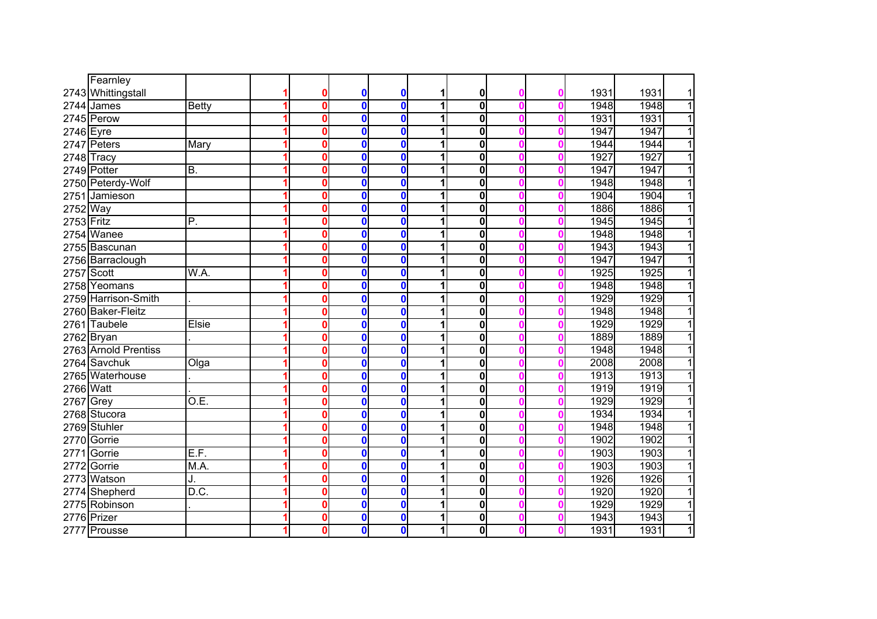|              | Fearnley             |              |   |   |              |              |   |             |   |   |      |                        |
|--------------|----------------------|--------------|---|---|--------------|--------------|---|-------------|---|---|------|------------------------|
|              | 2743 Whittingstall   |              |   | 0 | 0            | $\mathbf 0$  | 1 | 0           |   | O | 1931 | 1931<br>$\mathbf{1}$   |
|              | 2744 James           | <b>Betty</b> | 1 | 0 | $\mathbf 0$  | $\mathbf 0$  | 1 | $\bf{0}$    |   |   | 1948 | $\overline{1}$<br>1948 |
|              | 2745 Perow           |              |   | 0 | $\bf{0}$     | $\mathbf 0$  | 1 | 0           |   |   | 1931 | $\overline{1}$<br>1931 |
| 2746 Eyre    |                      |              |   | 0 | $\mathbf 0$  | $\mathbf 0$  | 1 | 0           |   |   | 1947 | $\overline{1}$<br>1947 |
|              | 2747 Peters          | Mary         |   | 0 | $\mathbf{0}$ | $\mathbf 0$  | 1 | $\bf{0}$    |   |   | 1944 | 1944<br>$\overline{1}$ |
|              | 2748 Tracy           |              |   | O | $\mathbf 0$  | $\mathbf 0$  | 1 | $\bf{0}$    |   |   | 1927 | $\overline{1}$<br>1927 |
|              | 2749 Potter          | B.           |   | O | $\mathbf 0$  | $\mathbf{0}$ | 1 | 0           |   |   | 1947 | 1947<br>$\overline{1}$ |
|              | 2750 Peterdy-Wolf    |              | 1 | 0 | $\mathbf 0$  | $\mathbf 0$  | 1 | $\bf{0}$    |   |   | 1948 | $\overline{1}$<br>1948 |
|              | 2751 Jamieson        |              |   | 0 | 0            | $\mathbf 0$  | 1 | 0           |   |   | 1904 | $\overline{1}$<br>1904 |
| 2752 Way     |                      |              |   | 0 | $\mathbf 0$  | $\mathbf 0$  | 1 | 0           |   |   | 1886 | 1886<br>$\overline{1}$ |
| $2753$ Fritz |                      | P.           |   | 0 | $\mathbf{0}$ | $\mathbf{0}$ | 1 | 0           |   |   | 1945 | $\overline{1}$<br>1945 |
|              | 2754 Wanee           |              |   | 0 | $\mathbf{0}$ | $\mathbf{0}$ |   | $\mathbf 0$ |   |   | 1948 | 1948<br>$\overline{1}$ |
|              | 2755 Bascunan        |              |   | 0 | $\mathbf{0}$ | $\bf{0}$     |   | $\bf{0}$    |   |   | 1943 | 1943<br>$\overline{1}$ |
|              | 2756 Barraclough     |              |   | 0 | 0            | $\bf{0}$     | 1 | $\bf{0}$    |   |   | 1947 | 1947<br>$\mathbf{1}$   |
| 2757 Scott   |                      | W.A.         |   | Ô | $\mathbf{0}$ | $\bf{0}$     | 1 | $\mathbf 0$ |   |   | 1925 | 1925<br>$\mathbf{1}$   |
| 2758         | Yeomans              |              |   | Ô | $\mathbf{0}$ | $\bf{0}$     | 1 | $\mathbf 0$ |   |   | 1948 | 1948<br>1              |
|              | 2759 Harrison-Smith  |              |   | 0 | $\mathbf 0$  | $\bf{0}$     | 1 | $\bf{0}$    |   |   | 1929 | 1929<br>1              |
|              | 2760 Baker-Fleitz    |              |   | 0 | 0            | $\mathbf 0$  | 1 | 0           |   |   | 1948 | 1<br>1948              |
|              | 2761 Taubele         | Elsie        |   | 0 | 0            | $\mathbf 0$  | 1 | $\bf{0}$    |   |   | 1929 | 1929<br>$\overline{1}$ |
|              | 2762 Bryan           |              |   | 0 | $\bf{0}$     | $\mathbf 0$  | 1 | $\bf{0}$    |   |   | 1889 | 1889<br>1              |
|              | 2763 Arnold Prentiss |              |   | 0 | $\bf{0}$     | $\mathbf 0$  | 1 | $\bf{0}$    |   |   | 1948 | $\overline{1}$<br>1948 |
|              | 2764 Savchuk         | Olga         |   | 0 | $\mathbf{0}$ | $\bf{0}$     | 1 | $\mathbf 0$ |   |   | 2008 | 2008<br>$\mathbf{1}$   |
|              | 2765 Waterhouse      |              |   | 0 | $\mathbf 0$  | $\bf{0}$     | 1 | $\bf{0}$    |   |   | 1913 | 1913<br>$\overline{1}$ |
| 2766 Watt    |                      |              |   | 0 | $\mathbf 0$  | $\bf{0}$     | 1 | $\bf{0}$    | n |   | 1919 | 1919<br>$\overline{1}$ |
| 2767 Grey    |                      | O.E          |   | O | $\mathbf 0$  | $\bf{0}$     | 1 | 0           |   |   | 1929 | 1929<br>$\overline{1}$ |
|              | 2768 Stucora         |              |   | Λ | $\mathbf 0$  | $\bf{0}$     |   | 0           |   |   | 1934 | 1934<br>$\overline{1}$ |
|              | 2769 Stuhler         |              |   | 0 | 0            | $\mathbf 0$  | 1 | 0           |   |   | 1948 | $\overline{1}$<br>1948 |
|              | 2770 Gorrie          |              |   | 0 | 0            | $\mathbf 0$  | 1 | 0           |   |   | 1902 | $\overline{1}$<br>1902 |
| 2771         | Gorrie               | E.F.         |   | 0 | $\mathbf 0$  | $\mathbf 0$  |   | $\mathbf 0$ |   |   | 1903 | 1903<br>$\overline{1}$ |
|              | 2772 Gorrie          | M.A.         |   | 0 | $\mathbf{0}$ | $\mathbf 0$  |   | $\mathbf 0$ |   |   | 1903 | $\overline{1}$<br>1903 |
|              | 2773 Watson          | J.           |   | 0 | 0            | $\bf{0}$     | 1 | $\bf{0}$    |   |   | 1926 | $\overline{1}$<br>1926 |
|              | 2774 Shepherd        | D.C.         |   | 0 | $\mathbf 0$  | $\bf{0}$     | 1 | $\bf{0}$    |   |   | 1920 | 1920<br>$\overline{1}$ |
|              | 2775 Robinson        |              |   | 0 | $\bf{0}$     | $\bf{0}$     | 1 | $\bf{0}$    |   |   | 1929 | 1929<br>$\overline{1}$ |
|              | 2776 Prizer          |              |   | 0 | $\bf{0}$     | $\mathbf 0$  | 1 | $\mathbf 0$ |   |   | 1943 | 1<br>1943              |
| 2777         | Prousse              |              |   | O | $\bf{0}$     | $\mathbf 0$  | 1 | 0           |   |   | 1931 | $\overline{1}$<br>1931 |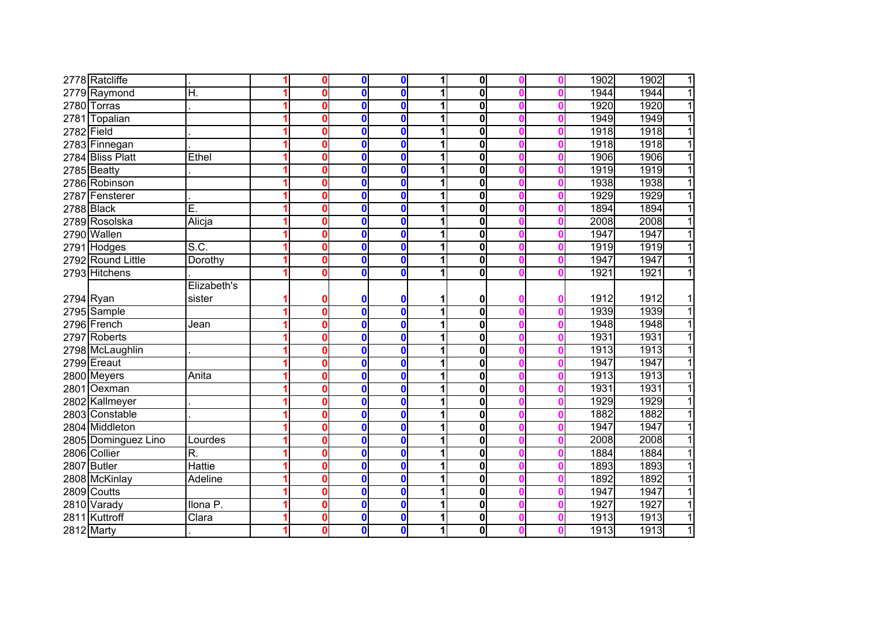|              | 2778 Ratcliffe      |                     |   | 0 | $\mathbf 0$  | $\mathbf 0$      | 1 | $\mathbf{0}$ |   | 1902 | 1902<br>$\overline{1}$ |
|--------------|---------------------|---------------------|---|---|--------------|------------------|---|--------------|---|------|------------------------|
|              | 2779 Raymond        | H.                  | 1 | 0 | $\mathbf{0}$ | $\mathbf{0}$     | 1 | 0            |   | 1944 | $\overline{1}$<br>1944 |
| 2780         | <b>Torras</b>       |                     | 1 | Λ | $\mathbf{0}$ | $\mathbf{0}$     | 1 | 0            |   | 1920 | 1920<br>$\overline{1}$ |
| 2781         | Topalian            |                     |   | n | $\mathbf 0$  | $\mathbf{0}$     | 1 | 0            |   | 1949 | $\overline{1}$<br>1949 |
| $2782$ Field |                     |                     | 1 | n | $\mathbf{0}$ | $\mathbf 0$      | 1 | 0            |   | 1918 | $\overline{1}$<br>1918 |
|              | 2783 Finnegan       |                     | 1 | n | $\mathbf{0}$ | $\mathbf{0}$     | 1 | 0            | Ω | 1918 | $\overline{1}$<br>1918 |
|              | 2784 Bliss Platt    | Ethel               | 1 | n | $\mathbf{0}$ | $\mathbf{0}$     | 1 | $\mathbf 0$  | Λ | 1906 | $\overline{1}$<br>1906 |
|              | 2785 Beatty         |                     | 1 | ŋ | $\mathbf{0}$ | $\mathbf{0}$     | 1 | $\mathbf 0$  |   | 1919 | $\overline{1}$<br>1919 |
|              | 2786 Robinson       |                     | 1 | 0 | $\mathbf{0}$ | $\bf{0}$         | 1 | 0            | n | 1938 | $\overline{1}$<br>1938 |
|              | 2787 Fensterer      |                     | 1 | 0 | $\mathbf{0}$ | $\mathbf{0}$     | 1 | $\mathbf 0$  |   | 1929 | $\overline{1}$<br>1929 |
|              | 2788 Black          | Ē.                  | 1 | 0 | 0            | $\mathbf{0}$     | 1 | $\mathbf 0$  | Ω | 1894 | $\overline{1}$<br>1894 |
|              | 2789 Rosolska       | Alicja              | 1 | Λ | $\mathbf 0$  | $\mathbf 0$      | 1 | 0            | Ω | 2008 | 2008<br>$\overline{1}$ |
|              | 2790 Wallen         |                     | 1 | Ω | 0            | $\mathbf 0$      | 1 | 0            | Ω | 1947 | 1947<br>$\overline{1}$ |
|              | 2791 Hodges         | S.C.                | 1 | Λ | $\mathbf{0}$ | $\mathbf 0$      | 1 | $\bf{0}$     |   | 1919 | $\overline{1}$<br>1919 |
|              | 2792 Round Little   | Dorothy             |   | n | $\mathbf{0}$ | $\mathbf{0}$     | 1 | $\bf{0}$     |   | 1947 | 1947<br>$\overline{1}$ |
|              | 2793 Hitchens       |                     |   | n | $\mathbf{0}$ | $\mathbf{0}$     |   | 0            |   | 1921 | $\overline{1}$<br>1921 |
|              |                     | Elizabeth's         |   |   |              |                  |   |              |   |      |                        |
| 2794 Ryan    |                     | sister              |   | Ω | 0            | 0                | 1 | 0            |   | 1912 | 1912<br>11             |
|              | 2795 Sample         |                     | 1 | 0 | $\mathbf{0}$ | $\mathbf{0}$     | 1 | $\mathbf 0$  |   | 1939 | 1939<br>$\overline{1}$ |
|              | 2796 French         | Jean                | 1 | n | 0            | $\mathbf{0}$     | 1 | $\bf{0}$     |   | 1948 | 1948<br>$\overline{1}$ |
|              | 2797 Roberts        |                     |   | n | $\mathbf 0$  | $\mathbf 0$      | 1 | $\bf{0}$     |   | 1931 | 1931<br>$\overline{1}$ |
|              | 2798 McLaughlin     |                     | 1 | Λ | 0            | $\mathbf 0$      | 1 | $\bf{0}$     |   | 1913 | $\overline{1}$<br>1913 |
|              | 2799 Ereaut         |                     |   | n | $\mathbf{0}$ | $\mathbf 0$      | 1 | $\bf{0}$     |   | 1947 | 1947<br>$\overline{1}$ |
|              | 2800 Meyers         | Anita               |   | Λ | $\mathbf 0$  | $\mathbf{0}$     | 1 | $\bf{0}$     |   | 1913 | $\overline{1}$<br>1913 |
|              | 2801 Oexman         |                     |   | 0 | $\mathbf 0$  | $\mathbf 0$      | 1 | $\bf{0}$     |   | 1931 | 1931<br>$\overline{1}$ |
|              | 2802 Kallmeyer      |                     | 1 | 0 | 0            | $\mathbf 0$      | 1 | 0            | Ω | 1929 | 1929<br>$\overline{1}$ |
|              | 2803 Constable      |                     | 1 | 0 | 0            | $\mathbf 0$      | 1 | $\bf{0}$     | 0 | 1882 | 1882<br>$\overline{1}$ |
|              | 2804 Middleton      |                     | 1 | Ω | 0            | $\boldsymbol{0}$ | 1 | 0            | n | 1947 | 1947<br>$\overline{1}$ |
|              | 2805 Dominguez Lino | Lourdes             |   | Ω | 0            | $\mathbf 0$      | 1 | 0            | Ω | 2008 | $\overline{1}$<br>2008 |
|              | 2806 Collier        | R.                  | 1 | Ω | 0            | $\mathbf 0$      | 1 | 0            | n | 1884 | 1884<br>$\overline{1}$ |
|              | 2807 Butler         | <b>Hattie</b>       |   | Ω | 0            | $\mathbf 0$      |   | 0            |   | 1893 | 1893<br>$\overline{1}$ |
|              | 2808 McKinlay       | <b>Adeline</b>      |   | Ω | 0            | $\mathbf 0$      | 1 | 0            |   | 1892 | 1892<br>$\mathbf{1}$   |
|              | 2809 Coutts         |                     |   | 0 | 0            | $\mathbf 0$      | 1 | 0            |   | 1947 | 1947<br>$\overline{1}$ |
|              | 2810 Varady         | Ilona <sub>P.</sub> | 1 | 0 | 0            | $\mathbf 0$      | 1 | 0            |   | 1927 | 1927<br>$\overline{1}$ |
| 2811         | Kuttroff            | Clara               | 1 | 0 | 0            | $\mathbf 0$      | 1 | $\bf{0}$     |   | 1913 | $\overline{1}$<br>1913 |
|              | <b>2812 Marty</b>   |                     | 1 | 0 | 0            | $\mathbf 0$      | 1 | $\mathbf 0$  |   | 1913 | 1<br>1913              |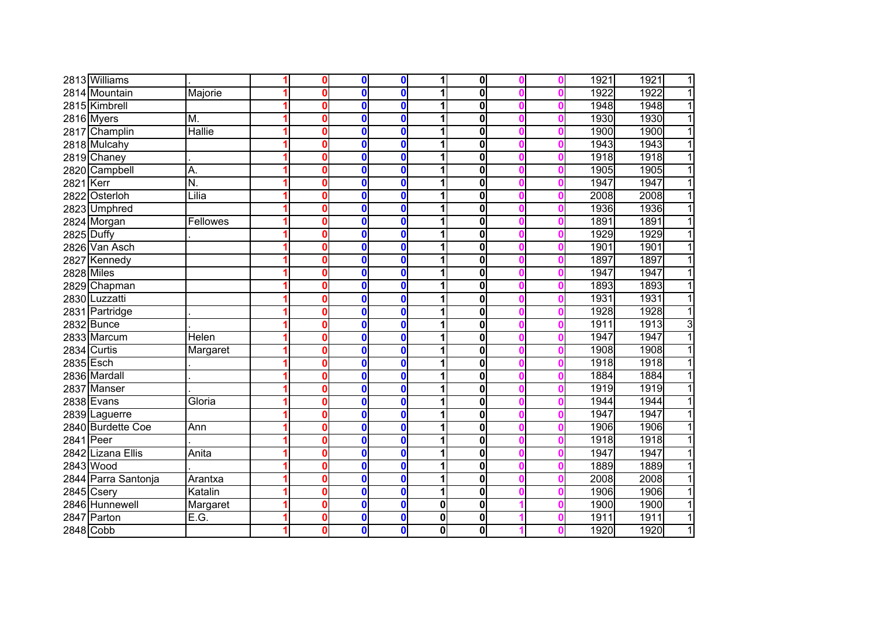|                   | 2813 Williams       |                           | 0            | $\bf{0}$ | $\bf{0}$     | 1 | 0                       |  | 1921 | 1921<br>$\overline{1}$ |
|-------------------|---------------------|---------------------------|--------------|----------|--------------|---|-------------------------|--|------|------------------------|
|                   | 2814 Mountain       | Majorie                   | O            | $\bf{0}$ | 0            | 1 | $\mathbf 0$             |  | 1922 | 1922<br>$\overline{1}$ |
|                   | 2815 Kimbrell       |                           | 0            | $\bf{0}$ | $\mathbf{0}$ |   | $\mathbf 0$             |  | 1948 | 1948<br>$\overline{1}$ |
|                   | 2816 Myers          | M.                        | 0            | $\bf{0}$ | $\mathbf 0$  |   | 0                       |  | 1930 | 1930<br>$\overline{1}$ |
|                   | 2817 Champlin       | <b>Hallie</b>             | 0            | $\bf{0}$ | $\mathbf 0$  | 1 | $\overline{\mathbf{0}}$ |  | 1900 | 1900<br>$\overline{1}$ |
|                   | 2818 Mulcahy        |                           | 0            | $\bf{0}$ | $\mathbf 0$  |   | 0                       |  | 1943 | 1943<br>$\overline{1}$ |
|                   | 2819 Chaney         |                           | 0            | $\bf{0}$ | $\mathbf{0}$ |   | 0                       |  | 1918 | $\overline{1}$<br>1918 |
|                   | 2820 Campbell       | A.                        | $\mathbf{0}$ | $\bf{0}$ | $\bf{0}$     |   | $\mathbf 0$             |  | 1905 | $\overline{1}$<br>1905 |
| 2821 Kerr         |                     | $\overline{\mathsf{N}}$ . | 0            | $\bf{0}$ | $\bf{0}$     |   | 0                       |  | 1947 | 1947<br>$\overline{1}$ |
|                   | 2822 Osterloh       | Lilia                     | Ô            | $\bf{0}$ | $\bf{0}$     | 1 | 0                       |  | 2008 | 2008<br>$\overline{1}$ |
|                   | 2823 Umphred        |                           | 0            | $\bf{0}$ | $\mathbf 0$  |   | 0                       |  | 1936 | 1936<br>$\overline{1}$ |
|                   | 2824 Morgan         | <b>Fellowes</b>           | 0            | $\bf{0}$ | $\mathbf 0$  |   | 0                       |  | 1891 | 1891<br>$\overline{1}$ |
| 2825 Duffy        |                     |                           | 0            | $\bf{0}$ | $\bf{0}$     |   | 0                       |  | 1929 | 1929<br>$\overline{1}$ |
|                   | 2826 Van Asch       |                           | 0            | $\bf{0}$ | $\mathbf 0$  |   | 0                       |  | 1901 | $\overline{1}$<br>1901 |
|                   | 2827 Kennedy        |                           | 0            | $\bf{0}$ | $\mathbf{0}$ |   | 0                       |  | 1897 | 1897<br>$\overline{1}$ |
| <b>2828 Miles</b> |                     |                           | 0            | $\bf{0}$ | $\bf{0}$     |   | 0                       |  | 1947 | 1947<br>$\mathbf{1}$   |
|                   | 2829 Chapman        |                           | 0            | $\bf{0}$ | $\bf{0}$     |   | 0                       |  | 1893 | 1893<br>$\mathbf{1}$   |
|                   | 2830 Luzzatti       |                           | 0            | $\bf{0}$ | 0            |   | 0                       |  | 1931 | 1931<br>1              |
|                   | 2831 Partridge      |                           | 0            | $\bf{0}$ | 0            |   | 0                       |  | 1928 | 1928<br>$\mathbf{1}$   |
|                   | 2832 Bunce          |                           | 0            | $\bf{0}$ | $\mathbf 0$  |   | 0                       |  | 1911 | 3<br>1913              |
|                   | 2833 Marcum         | Helen                     | 0            | $\bf{0}$ | $\mathbf 0$  |   | 0                       |  | 1947 | $\overline{1}$<br>1947 |
|                   | 2834 Curtis         | Margaret                  | 0            | $\bf{0}$ | $\mathbf 0$  |   | 0                       |  | 1908 | 1908<br>$\mathbf{1}$   |
| 2835 Esch         |                     |                           | 0            | $\bf{0}$ | $\mathbf 0$  |   | 0                       |  | 1918 | $\overline{1}$<br>1918 |
|                   | 2836 Mardall        |                           | 0            | $\bf{0}$ | $\mathbf 0$  |   | 0                       |  | 1884 | 1884<br>$\mathbf{1}$   |
|                   | 2837 Manser         |                           | 0            | $\bf{0}$ | $\bf{0}$     |   | 0                       |  | 1919 | 1919<br>$\overline{1}$ |
|                   | 2838 Evans          | Gloria                    | 0            | $\bf{0}$ | $\mathbf 0$  | 1 | 0                       |  | 1944 | 1944<br>$\mathbf{1}$   |
|                   | 2839 Laguerre       |                           | 0            | $\bf{0}$ | $\mathbf 0$  |   | 0                       |  | 1947 | 1947<br>$\overline{1}$ |
|                   | 2840 Burdette Coe   | Ann                       | 0            | 0        | $\mathbf 0$  |   | 0                       |  | 1906 | 1906<br>$\mathbf{1}$   |
| 2841 Peer         |                     |                           | 0            | 0        | $\mathbf 0$  |   | 0                       |  | 1918 | 1918<br>$\overline{1}$ |
|                   | 2842 Lizana Ellis   | Anita                     | 0            | 0        | $\mathbf 0$  |   | 0                       |  | 1947 | 1947<br>$\mathbf{1}$   |
|                   | 2843 Wood           |                           | 0            | $\bf{0}$ | $\mathbf 0$  |   | 0                       |  | 1889 | 1889<br>$\overline{1}$ |
|                   | 2844 Parra Santonja | Arantxa                   | 0            | $\bf{0}$ | $\mathbf 0$  |   | 0                       |  | 2008 | 2008<br>$\mathbf{1}$   |
|                   | 2845 Csery          | Katalin                   | 0            | 0        | $\bf{0}$     | 1 | $\bf{0}$                |  | 1906 | $\overline{1}$<br>1906 |
|                   | 2846 Hunnewell      | Margaret                  | 0            | $\bf{0}$ | $\bf{0}$     | 0 | 0                       |  | 1900 | 1900<br>1              |
|                   | 2847 Parton         | Ē.G.                      | 0            | $\bf{0}$ | 0            | 0 | 0                       |  | 1911 | 1<br>1911              |
|                   | 2848 Cobb           |                           | 0            | $\bf{0}$ | $\mathbf 0$  | 0 | 0                       |  | 1920 | 1<br>1920              |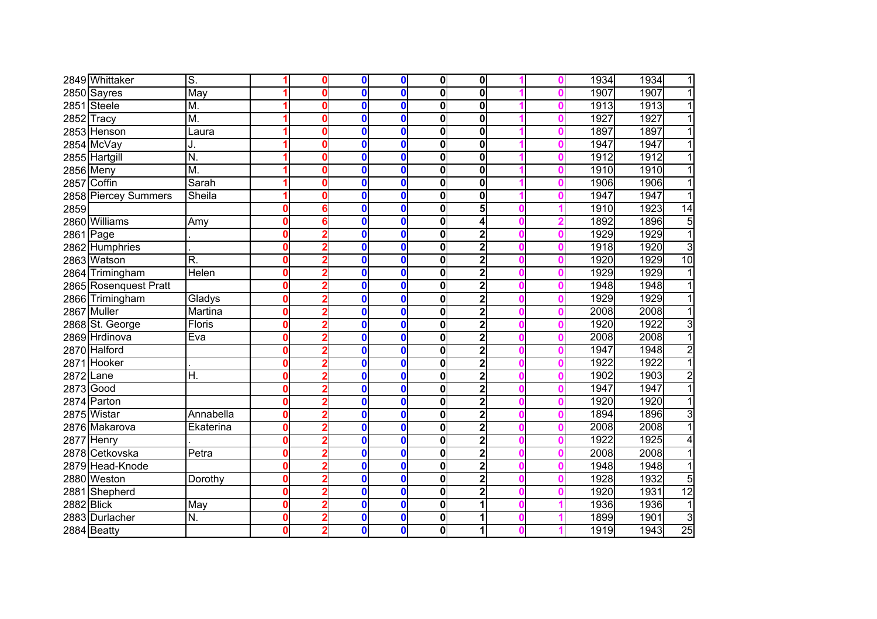|            | 2849 Whittaker        | S.        |          |   | 0           | $\mathbf 0$  | $\mathbf{0}$ | 0                       |  | 1934 | 1934<br>1               |
|------------|-----------------------|-----------|----------|---|-------------|--------------|--------------|-------------------------|--|------|-------------------------|
|            | 2850 Sayres           | May       |          |   | 0           | $\mathbf{0}$ | $\bf{0}$     | 0                       |  | 1907 | 1907                    |
|            | 2851 Steele           | M.        |          |   | 0           | $\bf{0}$     | $\bf{0}$     | 0                       |  | 1913 | 1913                    |
|            | 2852 Tracy            | M.        |          | Ω | 0           | $\bf{0}$     | $\bf{0}$     | 0                       |  | 1927 | 1927                    |
|            | 2853 Henson           | Laura     |          | Ω | 0           | $\mathbf{0}$ | 0            | 0                       |  | 1897 | 1897                    |
|            | 2854 McVay            | J.        |          | Ω | 0           | 0            | 0            | 0                       |  | 1947 | 1947                    |
|            | 2855 Hartgill         | N.        |          | Λ | 0           | $\mathbf 0$  | $\bf{0}$     | 0                       |  | 1912 | 1912<br>1               |
|            | 2856 Meny             | M.        |          | Ω | 0           | $\bf{0}$     | 0            | 0                       |  | 1910 | 1910<br>1               |
|            | 2857 Coffin           | Sarah     |          | ŋ | 0           | $\bf{0}$     | 0            | 0                       |  | 1906 | 1906<br>1               |
|            | 2858 Piercey Summers  | Sheila    |          |   | 0           | $\bf{0}$     | 0            | 0                       |  | 1947 | 1947<br>1               |
| 2859       |                       |           | Ω        |   | 0           | $\bf{0}$     | 0            | 5                       |  | 1910 | 1923<br>14              |
|            | 2860 Williams         | Amy       | 0        | 6 | 0           | $\bf{0}$     | 0            | 4                       |  | 1892 | 1896<br>5               |
| 2861 Page  |                       |           | Ω        |   | 0           | $\bf{0}$     | 0            | $\overline{2}$          |  | 1929 | $\overline{1}$<br>1929  |
|            | 2862 Humphries        |           | Ω        |   | 0           | $\mathbf 0$  | 0            | $\overline{2}$          |  | 1918 | $\overline{3}$<br>1920  |
|            | 2863 Watson           | R.        | 0        |   | 0           | $\mathbf 0$  | $\mathbf{0}$ | $\overline{2}$          |  | 1920 | $\overline{10}$<br>1929 |
|            | 2864 Trimingham       | Helen     | Ω        |   | $\mathbf 0$ | $\mathbf 0$  | 0            | $\overline{2}$          |  | 1929 | 1929                    |
|            | 2865 Rosenquest Pratt |           | Λ        |   | 0           | $\bf{0}$     | 0            | $\overline{2}$          |  | 1948 | 1948                    |
|            | 2866 Trimingham       | Gladys    | Ω        |   | 0           | $\bf{0}$     | 0            | $\overline{\mathbf{c}}$ |  | 1929 | 1929                    |
|            | 2867 Muller           | Martina   | Ω        |   | 0           | $\bf{0}$     | 0            | $\overline{\mathbf{c}}$ |  | 2008 | 2008                    |
|            | 2868 St. George       | Floris    | 0        |   | 0           | $\mathbf 0$  | 0            | 2                       |  | 1920 | 1922<br>3               |
|            | 2869 Hrdinova         | Eva       | 0        |   | 0           | $\mathbf 0$  | 0            | 2                       |  | 2008 | 2008<br>1               |
|            | 2870 Halford          |           | 0        |   | 0           | $\mathbf 0$  | 0            | $\overline{2}$          |  | 1947 | $\overline{2}$<br>1948  |
|            | 2871 Hooker           |           | 0        |   | 0           | $\mathbf 0$  | 0            | $\overline{\mathbf{c}}$ |  | 1922 | $\overline{1}$<br>1922  |
| 2872       | Lane                  | H.        | 0        |   | 0           | $\bf{0}$     | 0            | $\overline{2}$          |  | 1902 | $\overline{2}$<br>1903  |
| 2873 Good  |                       |           | Λ        |   | 0           | $\bf{0}$     | $\mathbf 0$  | $\overline{2}$          |  | 1947 | 1947<br>1               |
|            | 2874 Parton           |           | Ω        |   | $\mathbf 0$ | $\mathbf 0$  | $\mathbf 0$  | $\overline{2}$          |  | 1920 | 1920<br>1               |
|            | 2875 Wistar           | Annabella | 0        |   | 0           | $\mathbf 0$  | $\mathbf 0$  | $\overline{2}$          |  | 1894 | 1896<br>3               |
|            | 2876 Makarova         | Ekaterina | Ω        |   | 0           | $\bf{0}$     | 0            | $\overline{2}$          |  | 2008 | $\overline{1}$<br>2008  |
|            | 2877 Henry            |           | 0        |   | 0           | $\mathbf 0$  | $\mathbf 0$  | $\overline{2}$          |  | 1922 | 1925<br>4               |
|            | 2878 Cetkovska        | Petra     | 0        |   | 0           | $\mathbf 0$  | 0            | $\overline{2}$          |  | 2008 | 2008<br>1               |
|            | 2879 Head-Knode       |           | 0        |   | 0           | $\mathbf 0$  | $\mathbf 0$  | $\overline{2}$          |  | 1948 | 1948                    |
|            | 2880 Weston           | Dorothy   | Ω        |   | 0           | $\mathbf 0$  | 0            | $\overline{2}$          |  | 1928 | 1932<br>5               |
|            | 2881 Shepherd         |           | Ω        |   | 0           | $\mathbf 0$  | 0            | $\overline{2}$          |  | 1920 | $\overline{12}$<br>1931 |
| 2882 Blick |                       | May       | Ω        |   | 0           | $\bf{0}$     | $\mathbf 0$  | 1                       |  | 1936 | 1936<br>1               |
|            | 2883 Durlacher        | N.        | $\bf{0}$ |   | 0           | $\mathbf 0$  | 0            | 1                       |  | 1899 | 3<br>1901               |
|            | 2884 Beatty           |           | 0        | 2 | 0           | $\mathbf 0$  | 0            | 1                       |  | 1919 | $\overline{25}$<br>1943 |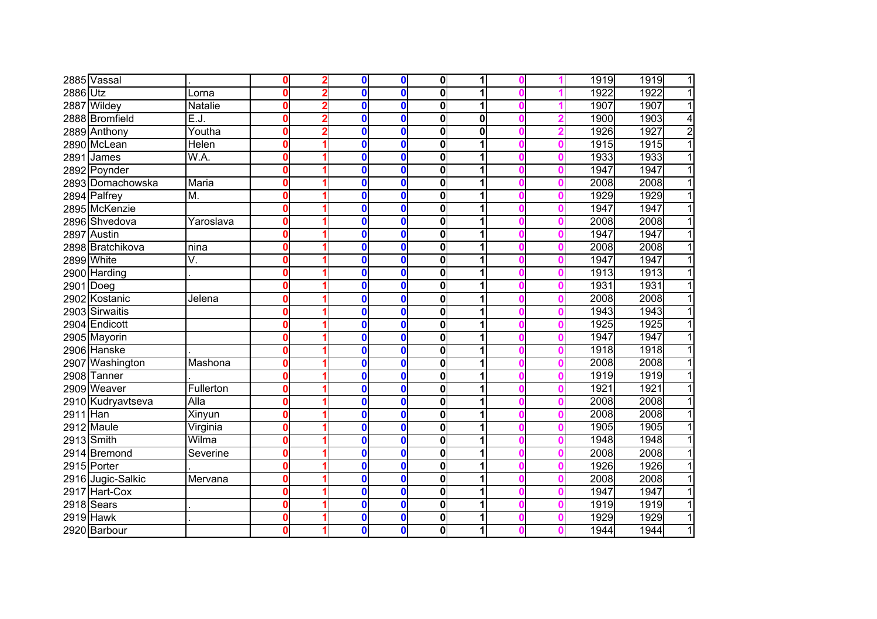|             | 2885 Vassal       |                            | U        |   | $\bf{0}$ | $\bf{0}$         | $\mathbf{0}$            | 1            |  | 1919 | 1919<br>$\mathbf{1}$   |
|-------------|-------------------|----------------------------|----------|---|----------|------------------|-------------------------|--------------|--|------|------------------------|
| 2886 Utz    |                   | Lorna                      | 0        |   | $\bf{0}$ | $\bf{0}$         | $\overline{\mathbf{0}}$ | 1            |  | 1922 | $\overline{1}$<br>1922 |
|             | 2887 Wildey       | Natalie                    | 0        |   | $\bf{0}$ | $\bf{0}$         | 0                       | 1            |  | 1907 | 1907<br>$\overline{1}$ |
|             | 2888 Bromfield    | E.J.                       | 0        | 2 | $\bf{0}$ | $\bf{0}$         | $\overline{\mathbf{0}}$ | $\mathbf{0}$ |  | 1900 | 1903<br>$\overline{4}$ |
|             | 2889 Anthony      | Youtha                     | 0        | 2 | $\bf{0}$ | $\bf{0}$         | 0                       | 0            |  | 1926 | $\overline{2}$<br>1927 |
|             | 2890 McLean       | Helen                      | 0        |   | $\bf{0}$ | $\mathbf 0$      | 0                       | 1            |  | 1915 | $\overline{1}$<br>1915 |
|             | 2891 James        | W.A.                       | 0        |   | $\bf{0}$ | $\mathbf 0$      | 0                       | 1            |  | 1933 | $\overline{1}$<br>1933 |
|             | 2892 Poynder      |                            | 0        |   | $\bf{0}$ | $\mathbf{0}$     | 0                       | 1            |  | 1947 | 1947<br>$\overline{1}$ |
|             | 2893 Domachowska  | Maria                      | 0        |   | $\bf{0}$ | $\bf{0}$         | 0                       | 1            |  | 2008 | 2008<br>$\overline{1}$ |
|             | 2894 Palfrey      | M.                         | 0        |   | $\bf{0}$ | $\mathbf 0$      | $\mathbf 0$             | 1            |  | 1929 | $\overline{1}$<br>1929 |
|             | 2895 McKenzie     |                            | 0        |   | $\bf{0}$ | $\mathbf 0$      | 0                       | 1            |  | 1947 | 1947<br>$\overline{1}$ |
|             | 2896 Shvedova     | Yaroslava                  | 0        |   | $\bf{0}$ | $\bf{0}$         | $\mathbf 0$             | 1            |  | 2008 | 2008<br>$\overline{1}$ |
|             | 2897 Austin       |                            | 0        |   | 0        | $\boldsymbol{0}$ | 0                       |              |  | 1947 | 1947<br>$\mathbf{1}$   |
|             | 2898 Bratchikova  | nina                       | $\bf{0}$ |   | $\bf{0}$ | $\mathbf 0$      | 0                       |              |  | 2008 | 2008<br>$\overline{1}$ |
|             | 2899 White        | V.                         | 0        |   | $\bf{0}$ | $\mathbf 0$      | $\mathbf 0$             | 1            |  | 1947 | 1947<br>$\mathbf{1}$   |
|             | 2900 Harding      |                            | o        |   | $\bf{0}$ | $\bf{0}$         | $\mathbf 0$             |              |  | 1913 | $\overline{1}$<br>1913 |
| $2901$ Doeg |                   |                            | o        |   | 0        | $\mathbf 0$      | 0                       |              |  | 1931 | 1931<br>1              |
|             | 2902 Kostanic     | Jelena                     | 0        |   | 0        | $\mathbf 0$      | $\mathbf 0$             | 1            |  | 2008 | 2008<br>1              |
|             | 2903 Sirwaitis    |                            | 0        |   | $\bf{0}$ | $\bf{0}$         | $\mathbf 0$             | 1            |  | 1943 | 1943<br>11             |
|             | 2904 Endicott     |                            | 0        |   | 0        | $\mathbf{0}$     | $\overline{\mathbf{0}}$ | 1            |  | 1925 | 1925<br>$\overline{1}$ |
|             | 2905 Mayorin      |                            | 0        |   | 0        | $\mathbf 0$      | $\overline{\mathbf{0}}$ | 1            |  | 1947 | 1947<br>1              |
|             | 2906 Hanske       |                            | 0        |   | $\bf{0}$ | $\mathbf 0$      | 0                       | 1            |  | 1918 | 1918<br>$\overline{1}$ |
|             | 2907 Washington   | Mashona                    | 0        |   | 0        | $\mathbf 0$      | 0                       | 1            |  | 2008 | 2008<br>$\overline{1}$ |
|             | 2908 Tanner       |                            | 0        |   | $\bf{0}$ | $\bf{0}$         | 0                       | 1            |  | 1919 | 1919<br>$\overline{1}$ |
|             | 2909 Weaver       | Fullerton                  | 0        |   | $\bf{0}$ | $\mathbf 0$      | 0                       | 1            |  | 1921 | 1921<br>$\overline{1}$ |
|             | 2910 Kudryavtseva | $\overline{\mathsf{Alla}}$ | 0        |   | $\bf{0}$ | $\bf{0}$         | 0                       | 1            |  | 2008 | 2008<br>$\overline{1}$ |
| 2911 Han    |                   | Xinyun                     | 0        |   | $\bf{0}$ | $\bf{0}$         | 0                       | 1            |  | 2008 | 2008<br>$\mathbf{1}$   |
|             | 2912 Maule        | Virginia                   | 0        |   | 0        | 0                | 0                       | 1            |  | 1905 | 1905<br>1              |
|             | 2913 Smith        | Wilma                      | 0        |   | 0        | $\boldsymbol{0}$ | 0                       |              |  | 1948 | 1948<br>$\overline{1}$ |
|             | 2914 Bremond      | Severine                   | $\bf{0}$ |   | 0        | $\mathbf 0$      | $\boldsymbol{0}$        | 1            |  | 2008 | 2008<br>$\overline{1}$ |
|             | 2915 Porter       |                            | 0        |   | $\bf{0}$ | $\mathbf 0$      | $\mathbf 0$             | 1            |  | 1926 | 1926<br>$\overline{1}$ |
|             | 2916 Jugic-Salkic | Mervana                    | 0        |   | 0        | $\mathbf 0$      | $\mathbf 0$             | 1            |  | 2008 | 2008<br>$\mathbf{1}$   |
|             | 2917 Hart-Cox     |                            | 0        |   | 0        | $\mathbf 0$      | $\mathbf 0$             | 1            |  | 1947 | $\overline{1}$<br>1947 |
|             | 2918 Sears        |                            | 0        |   | 0        | $\bf{0}$         | $\mathbf 0$             | 1            |  | 1919 | 1919<br>$\mathbf{1}$   |
|             | 2919 Hawk         |                            | 0        |   | 0        | $\mathbf 0$      | $\mathbf 0$             | 1            |  | 1929 | $\mathbf{1}$<br>1929   |
|             | 2920 Barbour      |                            | 0        |   | 0        | $\boldsymbol{0}$ | $\mathbf{0}$            | 1            |  | 1944 | 1<br>1944              |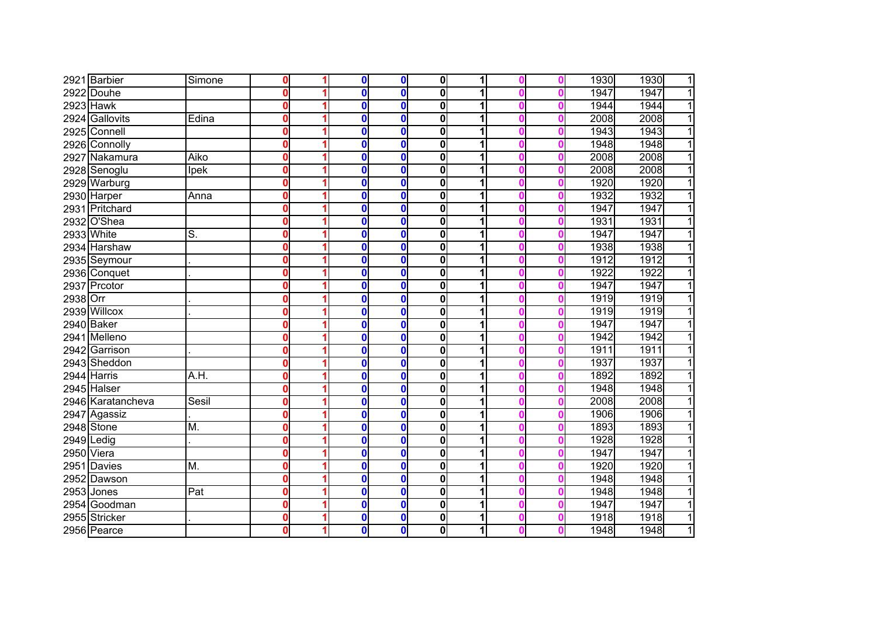|            | 2921 Barbier      | Simone           | $\mathbf 0$  | $\bf{0}$         | $\mathbf 0$      | $\mathbf{0}$            | 1 |  | 1930 | 1930<br>$\mathbf{1}$   |
|------------|-------------------|------------------|--------------|------------------|------------------|-------------------------|---|--|------|------------------------|
|            | 2922 Douhe        |                  | $\mathbf{0}$ | $\bf{0}$         | $\bf{0}$         | $\mathbf 0$             |   |  | 1947 | 1947<br>$\overline{1}$ |
|            | 2923 Hawk         |                  | $\mathbf 0$  | $\bf{0}$         | $\bf{0}$         | $\bf{0}$                | 1 |  | 1944 | 1944<br>$\overline{1}$ |
|            | 2924 Gallovits    | Edina            | $\mathbf{0}$ | $\bf{0}$         | $\mathbf{0}$     | $\bf{0}$                | 1 |  | 2008 | 2008<br>$\overline{1}$ |
|            | 2925 Connell      |                  | $\mathbf 0$  | $\bf{0}$         | $\mathbf 0$      | $\bf{0}$                | 1 |  | 1943 | 1943<br>$\overline{1}$ |
|            | 2926 Connolly     |                  | 0            | $\bf{0}$         | $\mathbf 0$      | $\bf{0}$                | 1 |  | 1948 | 1948<br>$\overline{1}$ |
|            | 2927 Nakamura     | Aiko             | $\mathbf{0}$ | $\bf{0}$         | $\mathbf 0$      | $\bf{0}$                | 1 |  | 2008 | 2008<br>$\overline{1}$ |
|            | 2928 Senoglu      | Ipek             | $\bf{0}$     | $\bf{0}$         | $\mathbf{0}$     | $\bf{0}$                | 1 |  | 2008 | 2008<br>$\overline{1}$ |
|            | 2929 Warburg      |                  | $\bf{0}$     | $\bf{0}$         | $\bf{0}$         | 0                       | 1 |  | 1920 | 1920<br>$\overline{1}$ |
|            | 2930 Harper       | Anna             | $\bf{0}$     | $\bf{0}$         | $\mathbf 0$      | $\bf{0}$                | 1 |  | 1932 | $\overline{1}$<br>1932 |
|            | 2931 Pritchard    |                  | $\bf{0}$     | $\bf{0}$         | $\mathbf 0$      | $\bf{0}$                | 1 |  | 1947 | 1947<br>$\overline{1}$ |
|            | 2932 O'Shea       |                  | 0            | $\bf{0}$         | $\mathbf 0$      | $\mathbf 0$             | 1 |  | 1931 | 1931<br>$\overline{1}$ |
|            | 2933 White        | $\overline{S}$ . | 0            | 0                | $\mathbf 0$      | 0                       |   |  | 1947 | 1947<br>$\mathbf{1}$   |
|            | 2934 Harshaw      |                  | 0            | $\bf{0}$         | $\mathbf 0$      | $\mathbf 0$             | 1 |  | 1938 | 1938<br>$\overline{1}$ |
|            | 2935 Seymour      |                  | 0            | $\bf{0}$         | $\mathbf 0$      | 0                       | 1 |  | 1912 | 1912<br>1              |
|            | 2936 Conquet      |                  | $\bf{0}$     | $\bf{0}$         | $\bf{0}$         | 0                       |   |  | 1922 | 1922<br>11             |
|            | 2937 Prcotor      |                  | 0            | $\boldsymbol{0}$ | $\bf{0}$         | 0                       |   |  | 1947 | 1947<br>1              |
| 2938 Orr   |                   |                  | 0            | $\bf{0}$         | $\bf{0}$         | 0                       |   |  | 1919 | 1919<br>1              |
|            | 2939 Willcox      |                  | $\bf{0}$     | $\bf{0}$         | $\mathbf{0}$     | $\mathbf 0$             | 1 |  | 1919 | 1919<br>1              |
|            | 2940 Baker        |                  | $\mathbf{0}$ | $\bf{0}$         | $\mathbf{0}$     | $\mathbf 0$             | 1 |  | 1947 | 1947<br>$\overline{1}$ |
|            | 2941 Melleno      |                  | 0            | $\bf{0}$         | $\mathbf 0$      | $\overline{\mathbf{0}}$ | 1 |  | 1942 | 1942<br>1              |
|            | 2942 Garrison     |                  | $\mathbf{0}$ | $\bf{0}$         | $\mathbf 0$      | $\mathbf 0$             |   |  | 1911 | 1911<br>$\overline{1}$ |
|            | 2943 Sheddon      |                  | $\bf{0}$     | $\bf{0}$         | $\mathbf 0$      | $\mathbf 0$             | 1 |  | 1937 | 1937<br>$\overline{1}$ |
|            | 2944 Harris       | A.H.             | $\mathbf{0}$ | $\bf{0}$         | $\mathbf 0$      | $\mathbf 0$             | 1 |  | 1892 | 1892<br>$\overline{1}$ |
|            | 2945 Halser       |                  | 0            | $\bf{0}$         | $\bf{0}$         | $\mathbf 0$             | 1 |  | 1948 | 1948<br>$\overline{1}$ |
|            | 2946 Karatancheva | Sesil            | $\bf{0}$     | $\bf{0}$         | $\mathbf 0$      | $\mathbf 0$             | 1 |  | 2008 | 2008<br>$\overline{1}$ |
|            | 2947 Agassiz      |                  | 0            | $\bf{0}$         | $\mathbf 0$      | $\mathbf 0$             | 1 |  | 1906 | 1906<br>$\overline{1}$ |
|            | 2948 Stone        | M.               | 0            | 0                | $\mathbf 0$      | 0                       | 1 |  | 1893 | 1893<br>1              |
|            | $2949$ Ledig      |                  | 0            | 0                | $\mathbf 0$      | $\mathbf 0$             |   |  | 1928 | 1928<br>$\overline{1}$ |
| 2950 Viera |                   |                  | $\bf{0}$     | 0                | $\mathbf 0$      | 0                       | 1 |  | 1947 | 1947<br>$\overline{1}$ |
|            | 2951 Davies       | M.               | $\bf{0}$     | $\bf{0}$         | $\mathbf 0$      | 0                       | 1 |  | 1920 | 1920<br>$\overline{1}$ |
|            | 2952 Dawson       |                  | $\bf{0}$     | $\boldsymbol{0}$ | $\bf{0}$         | 0                       | 1 |  | 1948 | 1948<br>$\mathbf{1}$   |
|            | 2953 Jones        | Pat              | 0            | $\bf{0}$         | $\mathbf 0$      | $\bf{0}$                | 1 |  | 1948 | 1948<br>$\overline{1}$ |
|            | 2954 Goodman      |                  | 0            | $\bf{0}$         | $\bf{0}$         | 0                       | 1 |  | 1947 | 1947<br>$\mathbf{1}$   |
|            | 2955 Stricker     |                  | 0            | $\bf{0}$         | $\boldsymbol{0}$ | 0                       | 1 |  | 1918 | 1918<br>$\mathbf{1}$   |
|            | 2956 Pearce       |                  | $\mathbf 0$  | $\bf{0}$         | $\mathbf 0$      | $\mathbf 0$             | 1 |  | 1948 | 1<br>1948              |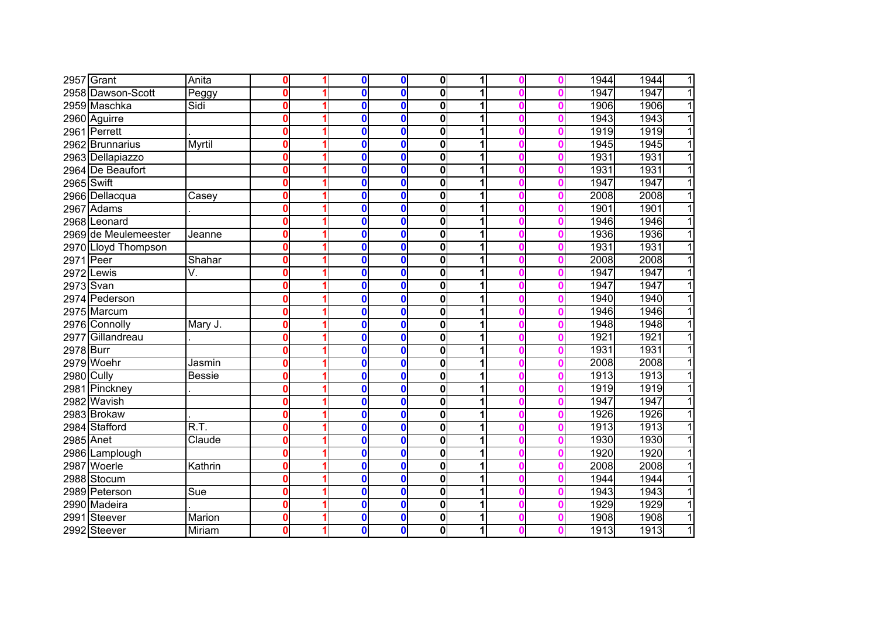|            | 2957 Grant           | Anita                              | ŋ        | 0        | $\bf{0}$         | $\mathbf{0}$            | 1 |  | 1944 | 1944<br>$\mathbf{1}$   |
|------------|----------------------|------------------------------------|----------|----------|------------------|-------------------------|---|--|------|------------------------|
|            | 2958 Dawson-Scott    | Peggy                              | 0        | $\bf{0}$ | $\bf{0}$         | 0                       | 1 |  | 1947 | $\overline{1}$<br>1947 |
|            | 2959 Maschka         | Sidi                               | 0        | $\bf{0}$ | $\bf{0}$         | 0                       | 1 |  | 1906 | 1906<br>$\overline{1}$ |
|            | 2960 Aguirre         |                                    | 0        | 0        | $\bf{0}$         | $\overline{\mathbf{0}}$ | 1 |  | 1943 | $\overline{1}$<br>1943 |
|            | 2961 Perrett         |                                    | 0        | $\bf{0}$ | $\bf{0}$         | $\mathbf 0$             | 1 |  | 1919 | 1919<br>$\overline{1}$ |
|            | 2962 Brunnarius      | Myrtil                             | 0        | $\bf{0}$ | $\mathbf 0$      | 0                       | 1 |  | 1945 | 1945<br>$\overline{1}$ |
|            | 2963 Dellapiazzo     |                                    | 0        | $\bf{0}$ | $\mathbf 0$      | 0                       | 1 |  | 1931 | 1931<br>$\mathbf{1}$   |
|            | 2964 De Beaufort     |                                    | 0        | $\bf{0}$ | $\mathbf{0}$     | 0                       | 1 |  | 1931 | 1931<br>$\overline{1}$ |
| 2965 Swift |                      |                                    | 0        | $\bf{0}$ | $\bf{0}$         | 0                       | 1 |  | 1947 | 1947<br>$\overline{1}$ |
|            | 2966 Dellacqua       | Casey                              | 0        | $\bf{0}$ | $\mathbf 0$      | $\mathbf 0$             | 1 |  | 2008 | 2008<br>$\overline{1}$ |
|            | 2967 Adams           |                                    | 0        | $\bf{0}$ | $\mathbf 0$      | 0                       | 1 |  | 1901 | 1901<br>$\overline{1}$ |
|            | 2968 Leonard         |                                    | 0        | 0        | $\mathbf{0}$     | $\mathbf 0$             | 1 |  | 1946 | 1946<br>$\overline{1}$ |
|            | 2969 de Meulemeester | Jeanne                             | 0        | 0        | $\mathbf 0$      | 0                       |   |  | 1936 | 1936<br>$\mathbf{1}$   |
|            | 2970 Lloyd Thompson  |                                    | $\bf{0}$ | 0        | $\mathbf 0$      | 0                       | 1 |  | 1931 | 1931<br>$\overline{1}$ |
| 2971 Peer  |                      | Shahar                             | 0        | $\bf{0}$ | $\mathbf 0$      | $\mathbf 0$             | 1 |  | 2008 | 2008<br>1              |
|            | 2972 Lewis           | V.                                 | 0        | $\bf{0}$ | $\bf{0}$         | $\mathbf 0$             |   |  | 1947 | 1947<br>11             |
| 2973 Svan  |                      |                                    | 0        | 0        | $\mathbf 0$      | 0                       | 1 |  | 1947 | 1947<br>1              |
|            | 2974 Pederson        |                                    | 0        | 0        | $\mathbf 0$      | $\mathbf 0$             | 1 |  | 1940 | 1940<br>$\mathbf{1}$   |
|            | 2975 Marcum          |                                    | 0        | $\bf{0}$ | $\bf{0}$         | $\mathbf 0$             | 1 |  | 1946 | 1946<br>1              |
|            | 2976 Connolly        | Mary J.                            | 0        | 0        | $\bf{0}$         | $\overline{\mathbf{0}}$ | 1 |  | 1948 | 1948<br>1              |
|            | 2977 Gillandreau     |                                    | 0        | 0        | $\mathbf 0$      | $\overline{\mathbf{0}}$ | 1 |  | 1921 | 1921<br>1              |
| 2978 Burr  |                      |                                    | 0        | $\bf{0}$ | $\mathbf 0$      | 0                       | 1 |  | 1931 | 1931<br>$\overline{1}$ |
|            | 2979 Woehr           | Jasmin                             | 0        | $\bf{0}$ | $\mathbf 0$      | 0                       | 1 |  | 2008 | 2008<br>$\overline{1}$ |
| 2980 Cully |                      | <b>Bessie</b>                      | 0        | $\bf{0}$ | $\bf{0}$         | 0                       | 1 |  | 1913 | 1913<br>$\overline{1}$ |
|            | 2981 Pinckney        |                                    | 0        | $\bf{0}$ | $\mathbf 0$      | 0                       | 1 |  | 1919 | 1919<br>$\overline{1}$ |
|            | 2982 Wavish          |                                    | 0        | $\bf{0}$ | $\bf{0}$         | 0                       | 1 |  | 1947 | 1947<br>$\overline{1}$ |
|            | 2983 Brokaw          |                                    | 0        | $\bf{0}$ | $\bf{0}$         | 0                       | 1 |  | 1926 | 1926<br>$\mathbf{1}$   |
|            | 2984 Stafford        | $\overline{\mathsf{R}.\mathsf{T}}$ | 0        | 0        | 0                | 0                       | 1 |  | 1913 | 1913<br>$\overline{1}$ |
| 2985 Anet  |                      | $\overline{Cla}$ ude               | 0        | 0        | $\boldsymbol{0}$ | 0                       |   |  | 1930 | 1930<br>$\overline{1}$ |
|            | 2986 Lamplough       |                                    | $\bf{0}$ | 0        | $\mathbf 0$      | $\boldsymbol{0}$        | 1 |  | 1920 | 1920<br>$\overline{1}$ |
|            | 2987 Woerle          | Kathrin                            | 0        | $\bf{0}$ | $\mathbf 0$      | $\mathbf 0$             | 1 |  | 2008 | 2008<br>$\overline{1}$ |
|            | 2988 Stocum          |                                    | 0        | 0        | $\mathbf 0$      | $\mathbf 0$             | 1 |  | 1944 | 1944<br>$\mathbf{1}$   |
|            | 2989 Peterson        | Sue                                | 0        | 0        | $\mathbf 0$      | $\mathbf 0$             | 1 |  | 1943 | $\overline{1}$<br>1943 |
|            | 2990 Madeira         |                                    | 0        | 0        | $\bf{0}$         | $\mathbf 0$             | 1 |  | 1929 | 1929<br>$\mathbf{1}$   |
|            | 2991 Steever         | Marion                             | 0        | 0        | $\mathbf 0$      | $\mathbf 0$             | 1 |  | 1908 | 1908<br>1              |
|            | 2992 Steever         | Miriam                             | 0        | 0        | $\mathbf 0$      | $\mathbf{0}$            | 1 |  | 1913 | 1<br>1913              |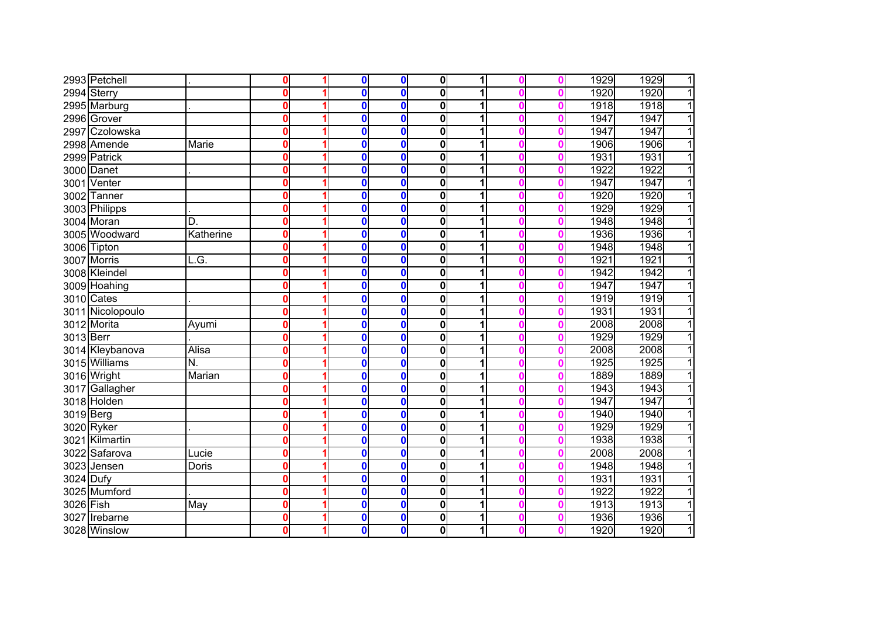|           | 2993 Petchell    |           | 0           | $\mathbf{0}$ | $\mathbf 0$  | $\mathbf 0$             | 1 |  | 1929 | 1929<br>$\mathbf{1}$   |
|-----------|------------------|-----------|-------------|--------------|--------------|-------------------------|---|--|------|------------------------|
|           | 2994 Sterry      |           | $\mathbf 0$ | $\mathbf{0}$ | $\bf{0}$     | $\overline{\mathbf{0}}$ | 1 |  | 1920 | $\overline{1}$<br>1920 |
|           | 2995 Marburg     |           | $\mathbf 0$ | $\mathbf 0$  | $\bf{0}$     | 0                       | 1 |  | 1918 | 1918<br>$\overline{1}$ |
|           | 2996 Grover      |           | $\mathbf 0$ | $\mathbf 0$  | $\bf{0}$     | $\overline{\mathbf{0}}$ | 1 |  | 1947 | 1947<br>$\overline{1}$ |
|           | 2997 Czolowska   |           | $\mathbf 0$ | 0            | $\mathbf 0$  | $\overline{\mathbf{0}}$ | 1 |  | 1947 | 1947<br>$\overline{1}$ |
|           | 2998 Amende      | Marie     | $\mathbf 0$ | 0            | $\mathbf 0$  | $\bf{0}$                | 1 |  | 1906 | 1906<br>$\overline{1}$ |
|           | 2999 Patrick     |           | $\mathbf 0$ | $\mathbf{0}$ | $\mathbf 0$  | $\mathbf 0$             | 1 |  | 1931 | $\overline{1}$<br>1931 |
|           | 3000 Danet       |           | $\mathbf 0$ | $\mathbf{0}$ | $\bf{0}$     | 0                       | 1 |  | 1922 | 1922<br>$\overline{1}$ |
|           | 3001 Venter      |           | $\mathbf 0$ | $\mathbf 0$  | $\bf{0}$     | $\bf{0}$                | 1 |  | 1947 | 1947<br>$\mathbf{1}$   |
|           | 3002 Tanner      |           | $\mathbf 0$ | $\mathbf 0$  | $\mathbf 0$  | $\bf{0}$                | 1 |  | 1920 | $\overline{1}$<br>1920 |
|           | 3003 Philipps    |           | $\mathbf 0$ | $\mathbf 0$  | $\mathbf{0}$ | $\bf{0}$                | 1 |  | 1929 | 1929<br>$\overline{1}$ |
|           | 3004 Moran       | D         | 0           | $\mathbf 0$  | $\mathbf 0$  | $\mathbf 0$             | 1 |  | 1948 | 1948<br>$\overline{1}$ |
|           | 3005 Woodward    | Katherine | 0           | 0            | $\mathbf 0$  | $\mathbf 0$             | 1 |  | 1936 | 1936<br>$\mathbf{1}$   |
|           | 3006 Tipton      |           | $\mathbf 0$ | 0            | $\mathbf 0$  | 0                       | 1 |  | 1948 | 1948<br>$\overline{1}$ |
|           | 3007 Morris      | L.G.      | 0           | 0            | $\mathbf 0$  | 0                       | 1 |  | 1921 | 1921<br>1              |
|           | 3008 Kleindel    |           | 0           | 0            | $\mathbf 0$  | 0                       | 1 |  | 1942 | $\overline{1}$<br>1942 |
|           | 3009 Hoahing     |           | 0           | 0            | $\mathbf 0$  | 0                       |   |  | 1947 | 1947<br>1              |
|           | 3010 Cates       |           | $\mathbf 0$ | 0            | $\mathbf 0$  | $\mathbf 0$             | 1 |  | 1919 | 1919<br>1              |
|           | 3011 Nicolopoulo |           | $\mathbf 0$ | $\mathbf{0}$ | $\bf{0}$     | $\mathbf 0$             | 1 |  | 1931 | 1931<br>1              |
|           | 3012 Morita      | Ayumi     | $\mathbf 0$ | $\mathbf 0$  | $\bf{0}$     | $\overline{\mathbf{0}}$ | 1 |  | 2008 | 2008<br>1              |
| 3013 Berr |                  |           | $\mathbf 0$ | $\mathbf 0$  | $\bf{0}$     | $\overline{\mathbf{0}}$ | 1 |  | 1929 | 1929<br>1              |
|           | 3014 Kleybanova  | Alisa     | $\mathbf 0$ | $\mathbf{0}$ | $\bf{0}$     | 0                       | 1 |  | 2008 | 2008<br>$\overline{1}$ |
|           | 3015 Williams    | N.        | $\mathbf 0$ | $\mathbf{0}$ | $\mathbf 0$  | 0                       | 1 |  | 1925 | 1925<br>$\overline{1}$ |
|           | 3016 Wright      | Marian    | $\mathbf 0$ | $\mathbf{0}$ | $\bf{0}$     | 0                       | 1 |  | 1889 | 1889<br>$\overline{1}$ |
|           | 3017 Gallagher   |           | $\mathbf 0$ | $\mathbf 0$  | $\mathbf 0$  | $\overline{\mathbf{0}}$ | 1 |  | 1943 | 1943<br>$\overline{1}$ |
|           | 3018 Holden      |           | $\mathbf 0$ | $\mathbf 0$  | $\mathbf 0$  | $\bf{0}$                | 1 |  | 1947 | 1947<br>$\overline{1}$ |
| 3019 Berg |                  |           | $\mathbf 0$ | $\mathbf 0$  | $\mathbf 0$  | $\mathbf 0$             | 1 |  | 1940 | 1940<br>$\overline{1}$ |
|           | 3020 Ryker       |           | 0           | 0            | $\mathbf 0$  | $\mathbf 0$             | 1 |  | 1929 | 1929<br>$\overline{1}$ |
|           | 3021 Kilmartin   |           | 0           | 0            | $\mathbf 0$  | $\overline{\mathbf{0}}$ |   |  | 1938 | 1938<br>$\overline{1}$ |
|           | 3022 Safarova    | Lucie     | 0           | 0            | $\mathbf 0$  | $\mathbf 0$             | 1 |  | 2008 | 2008<br>1              |
|           | 3023 Jensen      | Doris     | 0           | 0            | $\mathbf 0$  | $\mathbf 0$             | 1 |  | 1948 | 1948<br>$\overline{1}$ |
| 3024 Dufy |                  |           | 0           | $\mathbf 0$  | $\mathbf 0$  | $\mathbf 0$             | 1 |  | 1931 | 11<br>1931             |
|           | 3025 Mumford     |           | $\bf{0}$    | 0            | $\mathbf 0$  | $\mathbf 0$             | 1 |  | 1922 | $\overline{1}$<br>1922 |
| 3026 Fish |                  | May       | $\mathbf 0$ | 0            | $\mathbf 0$  | $\mathbf 0$             | 1 |  | 1913 | 1913<br>$\mathbf{1}$   |
|           | 3027 Irebarne    |           | $\bf{0}$    | 0            | $\mathbf 0$  | 0                       | 1 |  | 1936 | 1936<br>1              |
|           | 3028 Winslow     |           | $\bf{0}$    | 0            | $\mathbf 0$  | $\mathbf 0$             | 1 |  | 1920 | 1<br>1920              |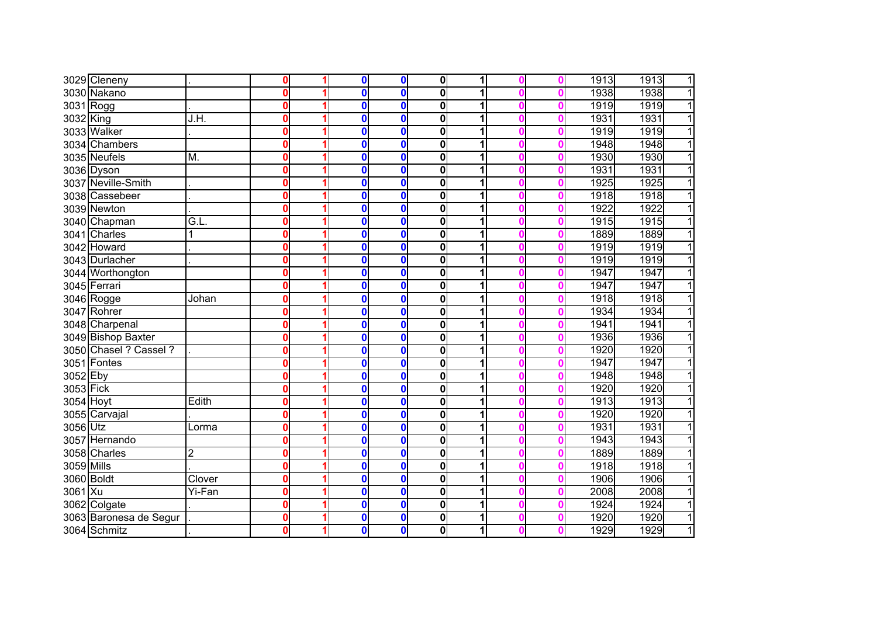|            | 3029 Cleneny           |        | 0                       | $\mathbf{0}$ | $\mathbf 0$  | 0                       | 1 |  | 1913 | 1913<br>1 |
|------------|------------------------|--------|-------------------------|--------------|--------------|-------------------------|---|--|------|-----------|
|            | 3030 Nakano            |        | $\mathbf{0}$            | 0            | $\bf{0}$     | $\mathbf 0$             |   |  | 1938 | 1938<br>1 |
| 3031 Rogg  |                        |        | $\mathbf{0}$            | $\mathbf{0}$ | $\bf{0}$     | 0                       | 1 |  | 1919 | 1919<br>1 |
| 3032 King  |                        | J.H.   | $\mathbf 0$             | $\mathbf 0$  | $\mathbf{0}$ | $\mathbf 0$             | 1 |  | 1931 | 1931      |
|            | 3033 Walker            |        | $\mathbf 0$             | $\mathbf 0$  | $\mathbf{0}$ | $\overline{\mathbf{0}}$ | 1 |  | 1919 | 1919      |
|            | 3034 Chambers          |        | $\mathbf 0$             | $\mathbf 0$  | $\mathbf{0}$ | $\mathbf 0$             | 1 |  | 1948 | 1948<br>1 |
|            | 3035 Neufels           | M.     | $\mathbf 0$             | $\mathbf{0}$ | $\mathbf{0}$ | 0                       | 1 |  | 1930 | 1930<br>1 |
|            | 3036 Dyson             |        | $\mathbf 0$             | $\mathbf{0}$ | $\mathbf{0}$ | $\mathbf 0$             | 1 |  | 1931 | 1931<br>1 |
|            | 3037 Neville-Smith     |        | $\mathbf 0$             | $\mathbf 0$  | $\bf{0}$     | 0                       | 1 |  | 1925 | 1925<br>1 |
|            | 3038 Cassebeer         |        | $\mathbf 0$             | 0            | $\bf{0}$     | $\mathbf 0$             | 1 |  | 1918 | 1918<br>1 |
|            | 3039 Newton            |        | $\mathbf{0}$            | $\mathbf 0$  | $\mathbf{0}$ | $\mathbf 0$             | 1 |  | 1922 | 1922<br>1 |
|            | 3040 Chapman           | G.L    | $\mathbf 0$             | 0            | $\mathbf 0$  | 0                       | 1 |  | 1915 | 1915<br>1 |
|            | 3041 Charles           | 1      | 0                       | 0            | $\mathbf 0$  | 0                       |   |  | 1889 | 1889      |
|            | 3042 Howard            |        | $\mathbf 0$             | 0            | $\mathbf 0$  | 0                       |   |  | 1919 | 1919      |
|            | 3043 Durlacher         |        | 0                       | $\mathbf 0$  | $\mathbf 0$  | $\mathbf 0$             |   |  | 1919 | 1919      |
|            | 3044 Worthongton       |        | 0                       | 0            | $\bf{0}$     | 0                       |   |  | 1947 | 1947      |
|            | 3045 Ferrari           |        | 0                       | 0            | $\mathbf 0$  | 0                       |   |  | 1947 | 1947      |
|            | 3046 Rogge             | Johan  | $\mathbf 0$             | 0            | $\mathbf 0$  | 0                       |   |  | 1918 | 1918      |
| 3047       | Rohrer                 |        | $\mathbf 0$             | $\mathbf{0}$ | $\mathbf{0}$ | $\bf{0}$                | 1 |  | 1934 | 1934      |
|            | 3048 Charpenal         |        | $\overline{\mathbf{0}}$ | $\mathbf 0$  | $\mathbf{0}$ | $\bf{0}$                | 1 |  | 1941 | 1941      |
|            | 3049 Bishop Baxter     |        | $\mathbf 0$             | $\mathbf 0$  | $\mathbf{0}$ | $\overline{\mathbf{0}}$ | 1 |  | 1936 | 1936      |
|            | 3050 Chasel ? Cassel ? |        | $\mathbf 0$             | $\mathbf 0$  | $\mathbf{0}$ | $\bf{0}$                | 1 |  | 1920 | 1920      |
|            | 3051 Fontes            |        | $\mathbf 0$             | $\mathbf{0}$ | $\mathbf{0}$ | 0                       | 1 |  | 1947 | 1947      |
| 3052 Eby   |                        |        | $\overline{\mathbf{0}}$ | $\mathbf{0}$ | $\mathbf{0}$ | $\bf{0}$                | 1 |  | 1948 | 1948<br>1 |
| 3053 Fick  |                        |        | $\mathbf 0$             | $\mathbf 0$  | $\mathbf 0$  | $\bf{0}$                | 1 |  | 1920 | 1920<br>1 |
| 3054 Hoyt  |                        | Edith  | $\mathbf 0$             | $\mathbf 0$  | $\bf{0}$     | $\bf{0}$                | 1 |  | 1913 | 1913<br>1 |
|            | 3055 Carvajal          |        | $\mathbf 0$             | $\mathbf 0$  | $\mathbf 0$  | $\mathbf 0$             | 1 |  | 1920 | 1920<br>1 |
| 3056 Utz   |                        | Lorma  | 0                       | 0            | $\mathbf 0$  | $\mathbf 0$             | 1 |  | 1931 | 1931      |
|            | 3057 Hernando          |        | 0                       | 0            | $\mathbf 0$  | $\bf{0}$                |   |  | 1943 | 1943      |
|            | 3058 Charles           | 2      | 0                       | 0            | $\mathbf 0$  | 0                       |   |  | 1889 | 1889      |
| 3059 Mills |                        |        | 0                       | 0            | $\mathbf 0$  | 0                       | 1 |  | 1918 | 1918      |
| 3060 Boldt |                        | Clover | 0                       | 0            | $\bf{0}$     | 0                       |   |  | 1906 | 1906      |
| 3061 Xu    |                        | Yi-Fan | $\mathbf 0$             | 0            | $\mathbf 0$  | $\mathbf 0$             | 1 |  | 2008 | 2008      |
|            | 3062 Colgate           |        | $\mathbf 0$             | 0            | $\bf{0}$     | 0                       | 1 |  | 1924 | 1924      |
|            | 3063 Baronesa de Segur |        | $\mathbf 0$             | 0            | $\bf{0}$     | 0                       | 1 |  | 1920 | 1920      |
|            | 3064 Schmitz           |        | $\mathbf 0$             | 0            | $\mathbf 0$  | $\mathbf 0$             | 1 |  | 1929 | 1929<br>1 |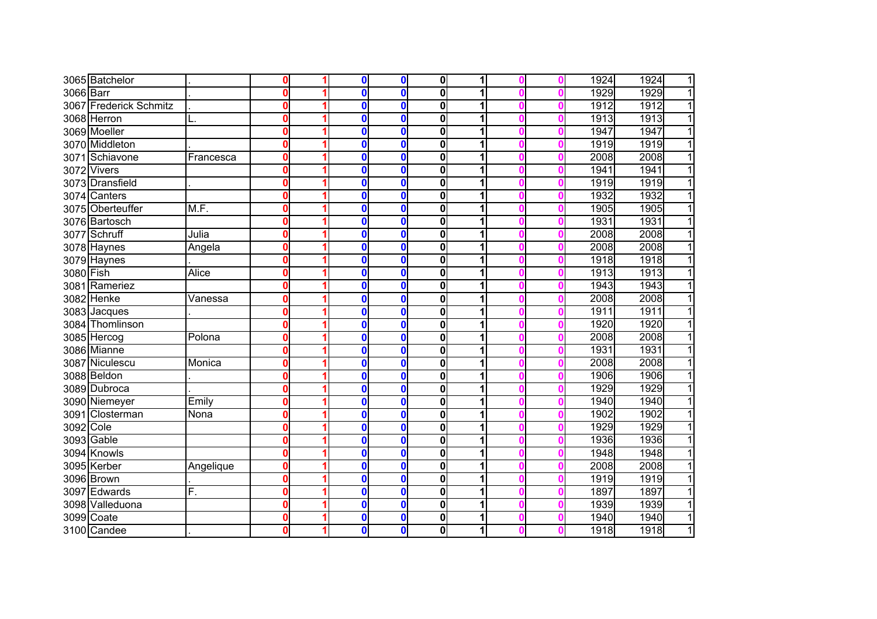|           | 3065 Batchelor         |              | 0            | $\bf{0}$ | $\bf{0}$     | $\bf{0}$     | 1 |  | 1924 | 1924<br>$\overline{1}$ |
|-----------|------------------------|--------------|--------------|----------|--------------|--------------|---|--|------|------------------------|
| 3066 Barr |                        |              | $\bf{0}$     | $\bf{0}$ | 0            | $\bf{0}$     | 1 |  | 1929 | 1929<br>$\mathbf{1}$   |
|           | 3067 Frederick Schmitz |              | $\bf{0}$     | $\bf{0}$ | $\mathbf{0}$ | $\bf{0}$     | 1 |  | 1912 | 1912<br>$\overline{1}$ |
|           | 3068 Herron            |              | 0            | $\bf{0}$ | $\mathbf 0$  | $\bf{0}$     | 1 |  | 1913 | 1913<br>$\overline{1}$ |
|           | 3069 Moeller           |              | $\mathbf{0}$ | $\bf{0}$ | $\mathbf{0}$ | $\mathbf{0}$ |   |  | 1947 | $\overline{1}$<br>1947 |
|           | 3070 Middleton         |              | $\bf{0}$     | $\bf{0}$ | $\mathbf{0}$ | 0            | 1 |  | 1919 | 1919<br>$\overline{1}$ |
|           | 3071 Schiavone         | Francesca    | $\mathbf{0}$ | $\bf{0}$ | $\bf{0}$     | 0            | 1 |  | 2008 | $\overline{1}$<br>2008 |
|           | 3072 Vivers            |              | 0            | $\bf{0}$ | $\bf{0}$     | 0            | 1 |  | 1941 | $\overline{1}$<br>1941 |
|           | 3073 Dransfield        |              | $\bf{0}$     | $\bf{0}$ | $\bf{0}$     | 0            | 1 |  | 1919 | 1919<br>$\overline{1}$ |
|           | 3074 Canters           |              | 0            | $\bf{0}$ | $\bf{0}$     | $\mathbf 0$  | 1 |  | 1932 | 1932<br>$\overline{1}$ |
|           | 3075 Oberteuffer       | M.F.         | $\bf{0}$     | $\bf{0}$ | $\mathbf 0$  | $\mathbf 0$  | 1 |  | 1905 | 1905<br>$\overline{1}$ |
|           | 3076 Bartosch          |              | $\bf{0}$     | $\bf{0}$ | $\mathbf 0$  | 0            |   |  | 1931 | 1931<br>$\overline{1}$ |
|           | 3077 Schruff           | Julia        | 0            | $\bf{0}$ | $\mathbf 0$  | 0            |   |  | 2008 | 2008<br>$\overline{1}$ |
|           | 3078 Haynes            | Angela       | $\bf{0}$     | $\bf{0}$ | $\mathbf 0$  | $\mathbf 0$  |   |  | 2008 | 2008<br>$\overline{1}$ |
|           | 3079 Haynes            |              | $\bf{0}$     | $\bf{0}$ | $\bf{0}$     | 0            |   |  | 1918 | 1918<br>$\overline{1}$ |
| 3080 Fish |                        | <b>Alice</b> | 0            | $\bf{0}$ | $\bf{0}$     | 0            |   |  | 1913 | 1913<br>1              |
|           | 3081 Rameriez          |              | $\bf{0}$     | $\bf{0}$ | $\bf{0}$     | 0            |   |  | 1943 | 1943<br>1              |
|           | 3082 Henke             | Vanessa      | $\bf{0}$     | $\bf{0}$ | $\bf{0}$     | $\bf{0}$     |   |  | 2008 | 2008<br>1              |
|           | 3083 Jacques           |              | 0            | $\bf{0}$ | $\mathbf 0$  | 0            | 1 |  | 1911 | 1911<br>1              |
|           | 3084 Thomlinson        |              | 0            | $\bf{0}$ | $\mathbf 0$  | 0            | 1 |  | 1920 | 1920<br>1              |
|           | 3085 Hercog            | Polona       | 0            | 0        | $\mathbf 0$  | $\bf{0}$     |   |  | 2008 | 2008<br>1              |
|           | 3086 Mianne            |              | 0            | 0        | $\mathbf 0$  | 0            | 1 |  | 1931 | 1931<br>$\mathbf{1}$   |
|           | 3087 Niculescu         | Monica       | $\bf{0}$     | $\bf{0}$ | $\mathbf 0$  | 0            | 1 |  | 2008 | 2008<br>$\mathbf{1}$   |
|           | 3088 Beldon            |              | 0            | $\bf{0}$ | $\bf{0}$     | 0            | 1 |  | 1906 | 1906<br>$\mathbf{1}$   |
|           | 3089 Dubroca           |              | 0            | $\bf{0}$ | $\bf{0}$     | $\bf{0}$     | 1 |  | 1929 | 1929<br>$\overline{1}$ |
|           | 3090 Niemeyer          | Emily        | 0            | $\bf{0}$ | $\bf{0}$     | 0            | 1 |  | 1940 | 1940<br>$\mathbf{1}$   |
|           | 3091 Closterman        | Nona         | 0            | $\bf{0}$ | $\mathbf 0$  | 0            | 1 |  | 1902 | 1902<br>$\mathbf{1}$   |
| 3092 Cole |                        |              | 0            | 0        | $\bf{0}$     | 0            | 1 |  | 1929 | 1929<br>$\mathbf{1}$   |
|           | 3093 Gable             |              | 0            | 0        | $\mathbf 0$  | $\bf{0}$     |   |  | 1936 | 1936<br>$\overline{1}$ |
|           | 3094 Knowls            |              | $\bf{0}$     | 0        | $\mathbf 0$  | 0            | 1 |  | 1948 | 1948<br>$\mathbf{1}$   |
|           | 3095 Kerber            | Angelique    | $\bf{0}$     | 0        | $\mathbf 0$  | 0            | 1 |  | 2008 | 2008<br>$\overline{1}$ |
|           | 3096 Brown             |              | 0            | $\bf{0}$ | $\bf{0}$     | 0            | 1 |  | 1919 | 1919<br>$\mathbf{1}$   |
|           | 3097 Edwards           | F.           | 0            | 0        | $\bf{0}$     | 0            | 1 |  | 1897 | 1897<br>1              |
|           | 3098 Valleduona        |              | $\bf{0}$     | $\bf{0}$ | $\bf{0}$     | 0            | 1 |  | 1939 | 1939<br>$\mathbf{1}$   |
|           | 3099 Coate             |              | 0            | $\bf{0}$ | 0            | 0            | 1 |  | 1940 | 1<br>1940              |
|           | 3100 Candee            |              | 0            | $\bf{0}$ | $\mathbf 0$  | 0            | 1 |  | 1918 | 1<br>1918              |